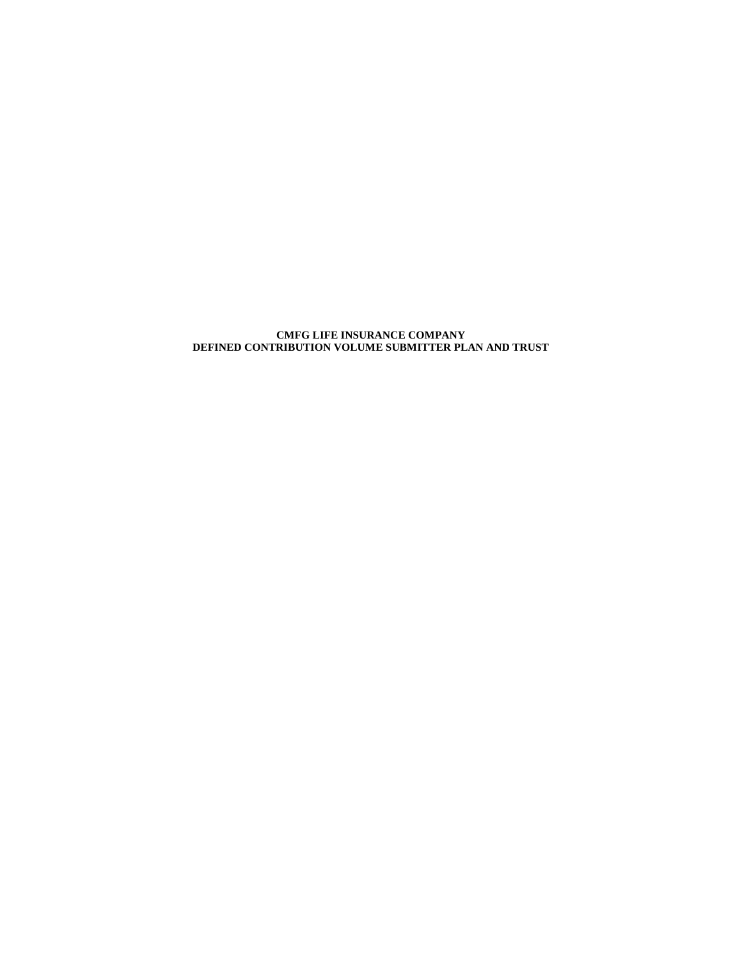#### **CMFG LIFE INSURANCE COMPANY DEFINED CONTRIBUTION VOLUME SUBMITTER PLAN AND TRUST**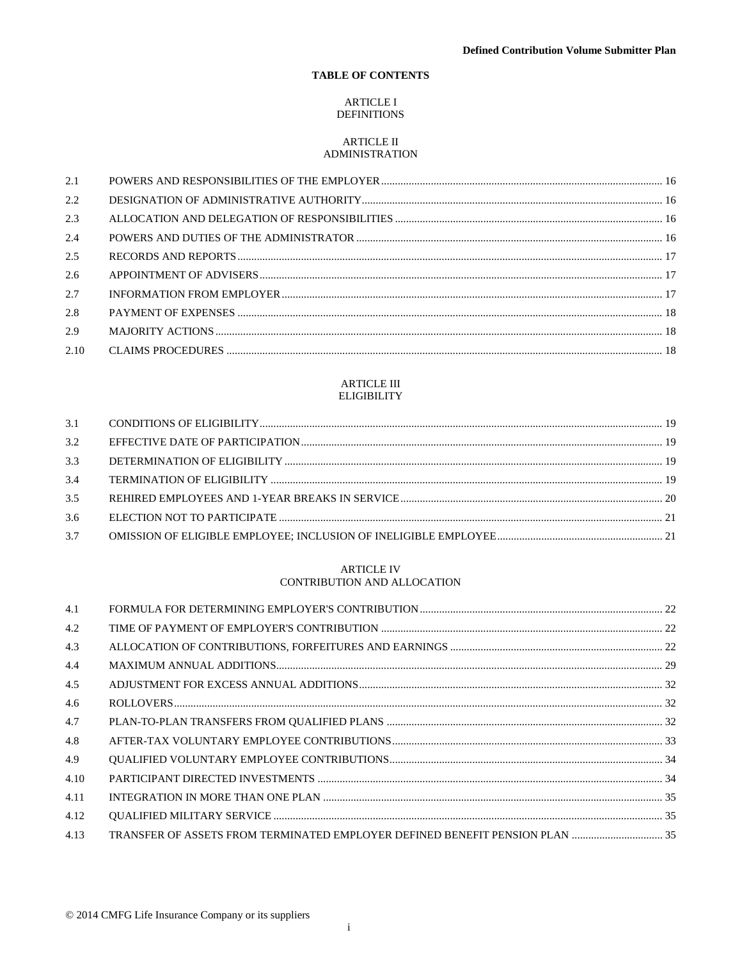# TABLE OF CONTENTS

## **ARTICLE I DEFINITIONS**

# **ARTICLE II** ADMINISTRATION

| 2.1  |  |
|------|--|
| 2.2  |  |
| 2.3  |  |
| 2.4  |  |
| 2.5  |  |
| 2.6  |  |
| 2.7  |  |
| 2.8  |  |
| 2.9  |  |
| 2.10 |  |

## **ARTICLE III ELIGIBILITY**

| 3.2 |  |
|-----|--|
| 3.3 |  |
| 3.4 |  |
| 3.5 |  |
| 3.6 |  |
| 3.7 |  |
|     |  |

# **ARTICLE IV** CONTRIBUTION AND ALLOCATION

| 4.1  |  |
|------|--|
| 4.2  |  |
| 4.3  |  |
| 4.4  |  |
| 4.5  |  |
| 4.6  |  |
| 4.7  |  |
| 4.8  |  |
| 4.9  |  |
| 4.10 |  |
| 4.11 |  |
| 4.12 |  |
| 4.13 |  |
|      |  |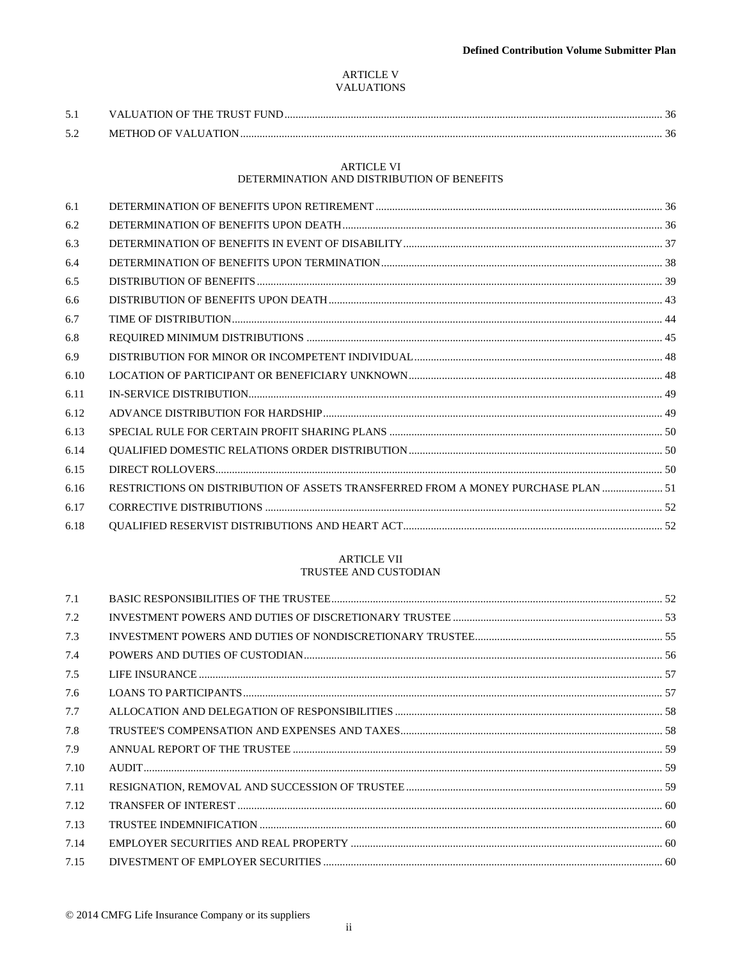# ARTICLE V **VALUATIONS**

| 5.2 | METHOD OF VALUATION. |  |
|-----|----------------------|--|

# **ARTICLE VI**

# DETERMINATION AND DISTRIBUTION OF BENEFITS

| 6.1  |                                                                                   |  |
|------|-----------------------------------------------------------------------------------|--|
| 6.2  |                                                                                   |  |
| 6.3  |                                                                                   |  |
| 6.4  |                                                                                   |  |
| 6.5  |                                                                                   |  |
| 6.6  |                                                                                   |  |
| 6.7  |                                                                                   |  |
| 6.8  |                                                                                   |  |
| 6.9  |                                                                                   |  |
| 6.10 |                                                                                   |  |
| 6.11 |                                                                                   |  |
| 6.12 |                                                                                   |  |
| 6.13 |                                                                                   |  |
| 6.14 |                                                                                   |  |
| 6.15 |                                                                                   |  |
| 6.16 | RESTRICTIONS ON DISTRIBUTION OF ASSETS TRANSFERRED FROM A MONEY PURCHASE PLAN  51 |  |
| 6.17 |                                                                                   |  |
| 6.18 |                                                                                   |  |
|      |                                                                                   |  |

# ARTICLE VII TRUSTEE AND CUSTODIAN

| 7.1  |  |
|------|--|
| 7.2  |  |
| 7.3  |  |
| 7.4  |  |
| 7.5  |  |
| 7.6  |  |
| 7.7  |  |
| 7.8  |  |
| 7.9  |  |
| 7.10 |  |
| 7.11 |  |
| 7.12 |  |
| 7.13 |  |
| 7.14 |  |
| 7.15 |  |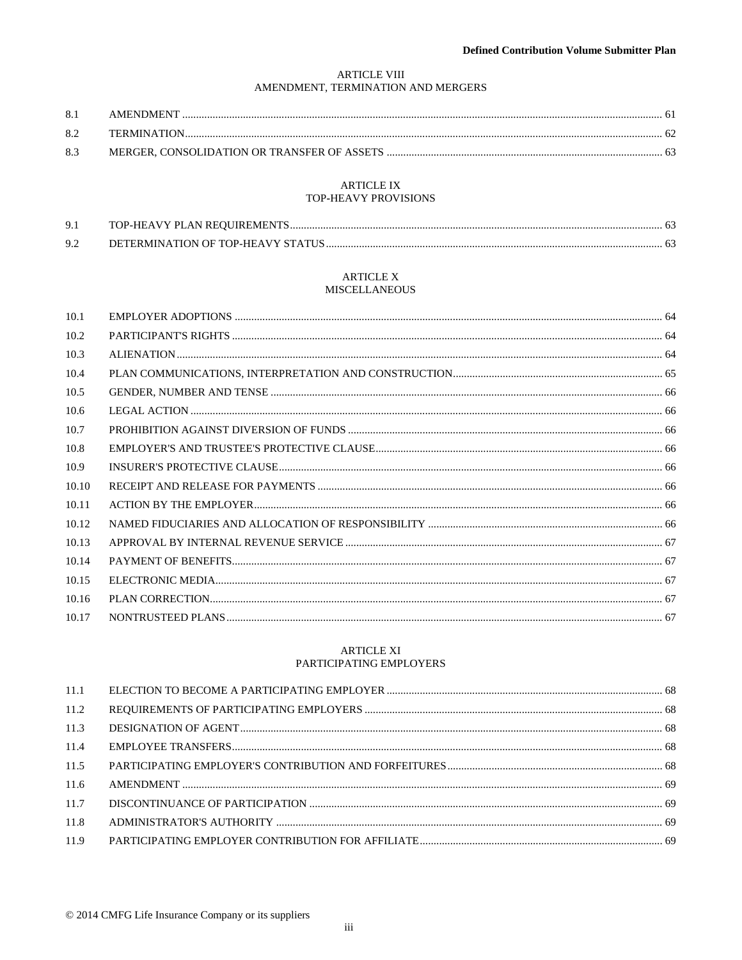# **ARTICLE VIII** AMENDMENT, TERMINATION AND MERGERS

| 8.1 | AMENDMENT          |  |
|-----|--------------------|--|
| 82  | <b>TERMINATION</b> |  |
| 8.3 |                    |  |

## **ARTICLE IX** TOP-HEAVY PROVISIONS

| Q <sub>1</sub> | TOP-HEAVY PLAN REQUIREMENTS.       |  |
|----------------|------------------------------------|--|
| 92             | DETERMINATION OF TOP-HEAVY STATUS. |  |

## ARTICLE X MISCELLANEOUS

| 10.1  |  |
|-------|--|
| 10.2  |  |
| 10.3  |  |
| 10.4  |  |
| 10.5  |  |
| 10.6  |  |
| 10.7  |  |
| 10.8  |  |
| 10.9  |  |
| 10.10 |  |
| 10.11 |  |
| 10.12 |  |
| 10.13 |  |
| 10.14 |  |
| 10.15 |  |
| 10.16 |  |
| 10.17 |  |
|       |  |

# **ARTICLE XI** PARTICIPATING EMPLOYERS

| 11.2 |  |
|------|--|
| 11.3 |  |
| 11.4 |  |
| 11.5 |  |
| 11.6 |  |
| 11.7 |  |
| 11.8 |  |
| 11.9 |  |
|      |  |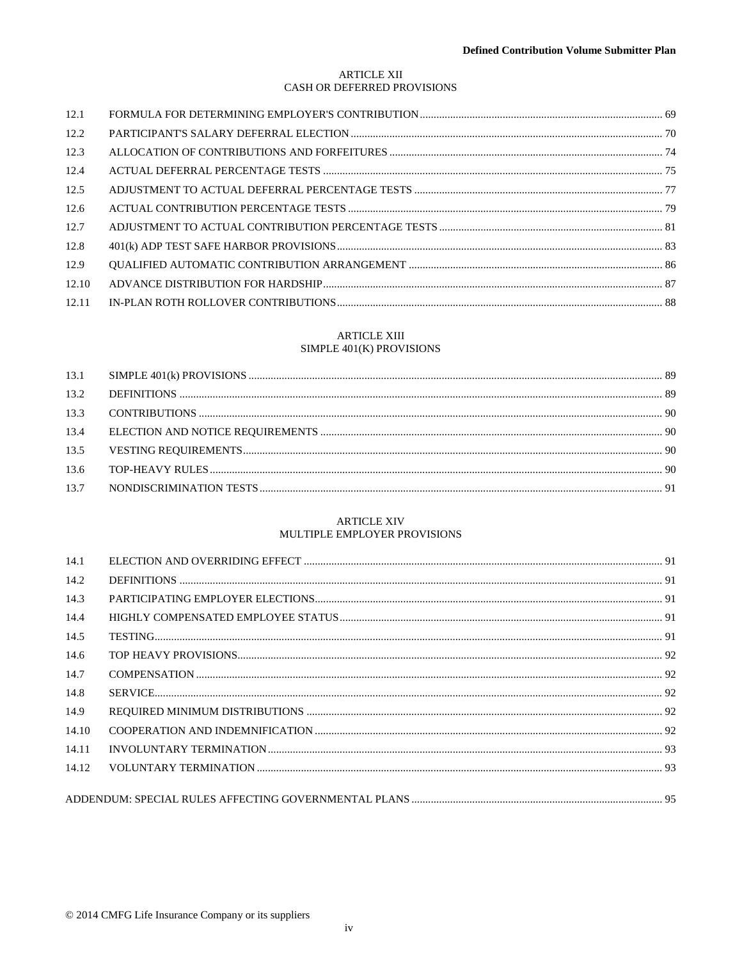# **ARTICLE XII** CASH OR DEFERRED PROVISIONS

| 12.1  |  |
|-------|--|
| 12.2  |  |
| 12.3  |  |
| 12.4  |  |
| 12.5  |  |
| 12.6  |  |
| 12.7  |  |
| 12.8  |  |
| 12.9  |  |
| 12.10 |  |
| 12.11 |  |

# **ARTICLE XIII**

# SIMPLE 401(K) PROVISIONS

# **ARTICLE XIV** MULTIPLE EMPLOYER PROVISIONS

| 14.1  |  |
|-------|--|
| 14.2  |  |
| 14.3  |  |
| 14.4  |  |
| 14.5  |  |
| 14.6  |  |
| 14.7  |  |
| 14.8  |  |
| 14.9  |  |
| 14.10 |  |
| 14.11 |  |
| 14.12 |  |
|       |  |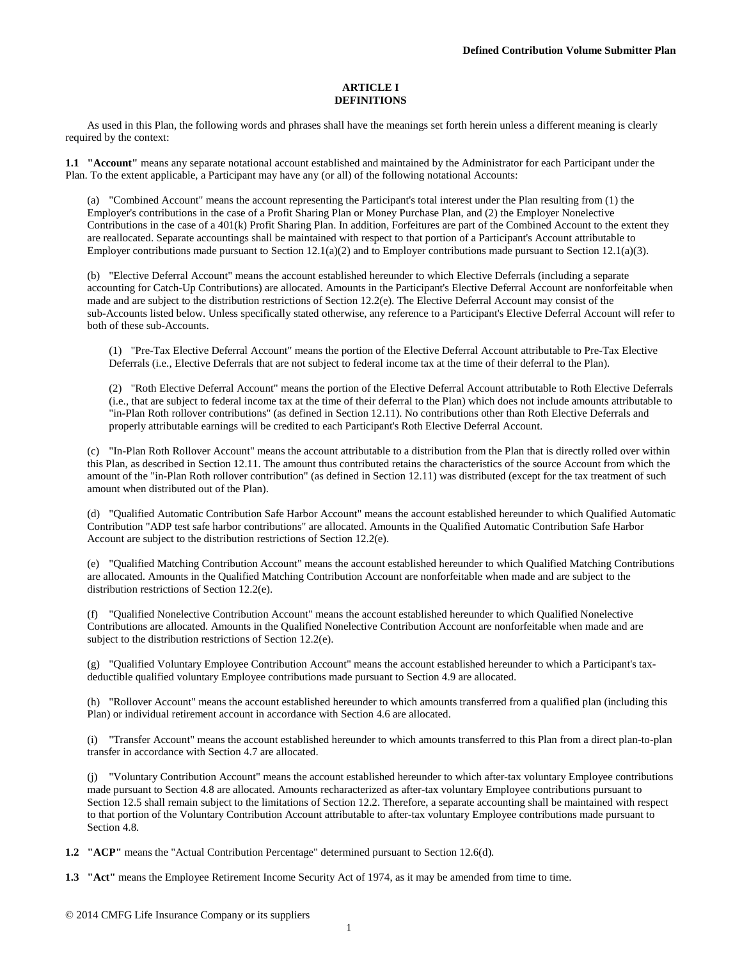#### **ARTICLE I DEFINITIONS**

As used in this Plan, the following words and phrases shall have the meanings set forth herein unless a different meaning is clearly required by the context:

**1.1 "Account"** means any separate notational account established and maintained by the Administrator for each Participant under the Plan. To the extent applicable, a Participant may have any (or all) of the following notational Accounts:

(a) "Combined Account" means the account representing the Participant's total interest under the Plan resulting from (1) the Employer's contributions in the case of a Profit Sharing Plan or Money Purchase Plan, and (2) the Employer Nonelective Contributions in the case of a 401(k) Profit Sharing Plan. In addition, Forfeitures are part of the Combined Account to the extent they are reallocated. Separate accountings shall be maintained with respect to that portion of a Participant's Account attributable to Employer contributions made pursuant to Section 12.1(a)(2) and to Employer contributions made pursuant to Section 12.1(a)(3).

(b) "Elective Deferral Account" means the account established hereunder to which Elective Deferrals (including a separate accounting for Catch-Up Contributions) are allocated. Amounts in the Participant's Elective Deferral Account are nonforfeitable when made and are subject to the distribution restrictions of Section 12.2(e). The Elective Deferral Account may consist of the sub-Accounts listed below. Unless specifically stated otherwise, any reference to a Participant's Elective Deferral Account will refer to both of these sub-Accounts.

(1) "Pre-Tax Elective Deferral Account" means the portion of the Elective Deferral Account attributable to Pre-Tax Elective Deferrals (i.e., Elective Deferrals that are not subject to federal income tax at the time of their deferral to the Plan).

(2) "Roth Elective Deferral Account" means the portion of the Elective Deferral Account attributable to Roth Elective Deferrals (i.e., that are subject to federal income tax at the time of their deferral to the Plan) which does not include amounts attributable to "in-Plan Roth rollover contributions" (as defined in Section 12.11). No contributions other than Roth Elective Deferrals and properly attributable earnings will be credited to each Participant's Roth Elective Deferral Account.

(c) "In-Plan Roth Rollover Account" means the account attributable to a distribution from the Plan that is directly rolled over within this Plan, as described in Section 12.11. The amount thus contributed retains the characteristics of the source Account from which the amount of the "in-Plan Roth rollover contribution" (as defined in Section 12.11) was distributed (except for the tax treatment of such amount when distributed out of the Plan).

(d) "Qualified Automatic Contribution Safe Harbor Account" means the account established hereunder to which Qualified Automatic Contribution "ADP test safe harbor contributions" are allocated. Amounts in the Qualified Automatic Contribution Safe Harbor Account are subject to the distribution restrictions of Section 12.2(e).

(e) "Qualified Matching Contribution Account" means the account established hereunder to which Qualified Matching Contributions are allocated. Amounts in the Qualified Matching Contribution Account are nonforfeitable when made and are subject to the distribution restrictions of Section 12.2(e).

(f) "Qualified Nonelective Contribution Account" means the account established hereunder to which Qualified Nonelective Contributions are allocated. Amounts in the Qualified Nonelective Contribution Account are nonforfeitable when made and are subject to the distribution restrictions of Section 12.2(e).

(g) "Qualified Voluntary Employee Contribution Account" means the account established hereunder to which a Participant's taxdeductible qualified voluntary Employee contributions made pursuant to Section 4.9 are allocated.

(h) "Rollover Account" means the account established hereunder to which amounts transferred from a qualified plan (including this Plan) or individual retirement account in accordance with Section 4.6 are allocated.

(i) "Transfer Account" means the account established hereunder to which amounts transferred to this Plan from a direct plan-to-plan transfer in accordance with Section 4.7 are allocated.

(j) "Voluntary Contribution Account" means the account established hereunder to which after-tax voluntary Employee contributions made pursuant to Section 4.8 are allocated. Amounts recharacterized as after-tax voluntary Employee contributions pursuant to Section 12.5 shall remain subject to the limitations of Section 12.2. Therefore, a separate accounting shall be maintained with respect to that portion of the Voluntary Contribution Account attributable to after-tax voluntary Employee contributions made pursuant to Section 4.8.

**1.2 "ACP"** means the "Actual Contribution Percentage" determined pursuant to Section 12.6(d).

**1.3 "Act"** means the Employee Retirement Income Security Act of 1974, as it may be amended from time to time.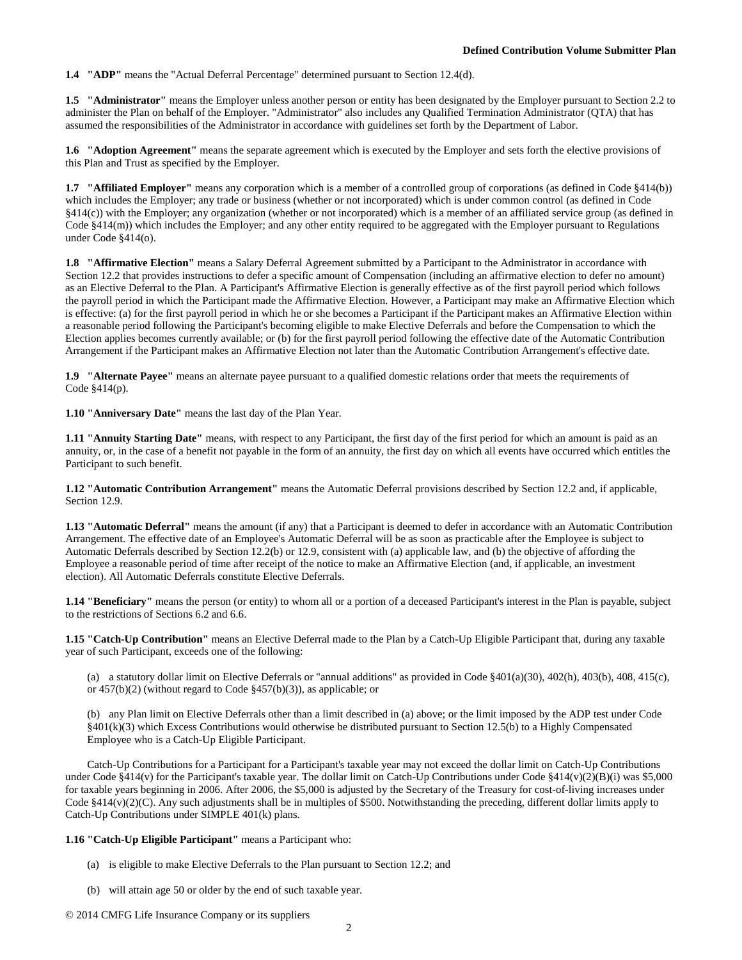**1.4 "ADP"** means the "Actual Deferral Percentage" determined pursuant to Section 12.4(d).

**1.5 "Administrator"** means the Employer unless another person or entity has been designated by the Employer pursuant to Section 2.2 to administer the Plan on behalf of the Employer. "Administrator" also includes any Qualified Termination Administrator (QTA) that has assumed the responsibilities of the Administrator in accordance with guidelines set forth by the Department of Labor.

**1.6 "Adoption Agreement"** means the separate agreement which is executed by the Employer and sets forth the elective provisions of this Plan and Trust as specified by the Employer.

**1.7 "Affiliated Employer"** means any corporation which is a member of a controlled group of corporations (as defined in Code §414(b)) which includes the Employer; any trade or business (whether or not incorporated) which is under common control (as defined in Code §414(c)) with the Employer; any organization (whether or not incorporated) which is a member of an affiliated service group (as defined in Code §414(m)) which includes the Employer; and any other entity required to be aggregated with the Employer pursuant to Regulations under Code §414(o).

**1.8 "Affirmative Election"** means a Salary Deferral Agreement submitted by a Participant to the Administrator in accordance with Section 12.2 that provides instructions to defer a specific amount of Compensation (including an affirmative election to defer no amount) as an Elective Deferral to the Plan. A Participant's Affirmative Election is generally effective as of the first payroll period which follows the payroll period in which the Participant made the Affirmative Election. However, a Participant may make an Affirmative Election which is effective: (a) for the first payroll period in which he or she becomes a Participant if the Participant makes an Affirmative Election within a reasonable period following the Participant's becoming eligible to make Elective Deferrals and before the Compensation to which the Election applies becomes currently available; or (b) for the first payroll period following the effective date of the Automatic Contribution Arrangement if the Participant makes an Affirmative Election not later than the Automatic Contribution Arrangement's effective date.

**1.9 "Alternate Payee"** means an alternate payee pursuant to a qualified domestic relations order that meets the requirements of Code §414(p).

**1.10 "Anniversary Date"** means the last day of the Plan Year.

**1.11 "Annuity Starting Date"** means, with respect to any Participant, the first day of the first period for which an amount is paid as an annuity, or, in the case of a benefit not payable in the form of an annuity, the first day on which all events have occurred which entitles the Participant to such benefit.

**1.12 "Automatic Contribution Arrangement"** means the Automatic Deferral provisions described by Section 12.2 and, if applicable, Section 12.9.

**1.13 "Automatic Deferral"** means the amount (if any) that a Participant is deemed to defer in accordance with an Automatic Contribution Arrangement. The effective date of an Employee's Automatic Deferral will be as soon as practicable after the Employee is subject to Automatic Deferrals described by Section 12.2(b) or 12.9, consistent with (a) applicable law, and (b) the objective of affording the Employee a reasonable period of time after receipt of the notice to make an Affirmative Election (and, if applicable, an investment election). All Automatic Deferrals constitute Elective Deferrals.

**1.14 "Beneficiary"** means the person (or entity) to whom all or a portion of a deceased Participant's interest in the Plan is payable, subject to the restrictions of Sections 6.2 and 6.6.

**1.15 "Catch-Up Contribution"** means an Elective Deferral made to the Plan by a Catch-Up Eligible Participant that, during any taxable year of such Participant, exceeds one of the following:

(a) a statutory dollar limit on Elective Deferrals or "annual additions" as provided in Code  $\S401(a)(30)$ ,  $402(h)$ ,  $403(h)$ ,  $408$ ,  $415(c)$ , or 457(b)(2) (without regard to Code §457(b)(3)), as applicable; or

(b) any Plan limit on Elective Deferrals other than a limit described in (a) above; or the limit imposed by the ADP test under Code §401(k)(3) which Excess Contributions would otherwise be distributed pursuant to Section 12.5(b) to a Highly Compensated Employee who is a Catch-Up Eligible Participant.

Catch-Up Contributions for a Participant for a Participant's taxable year may not exceed the dollar limit on Catch-Up Contributions under Code  $§414(v)$  for the Participant's taxable year. The dollar limit on Catch-Up Contributions under Code  $§414(v)(2)(B)(i)$  was \$5,000 for taxable years beginning in 2006. After 2006, the \$5,000 is adjusted by the Secretary of the Treasury for cost-of-living increases under Code §414(v)(2)(C). Any such adjustments shall be in multiples of \$500. Notwithstanding the preceding, different dollar limits apply to Catch-Up Contributions under SIMPLE 401(k) plans.

**1.16 "Catch-Up Eligible Participant"** means a Participant who:

- (a) is eligible to make Elective Deferrals to the Plan pursuant to Section 12.2; and
- (b) will attain age 50 or older by the end of such taxable year.

© 2014 CMFG Life Insurance Company or its suppliers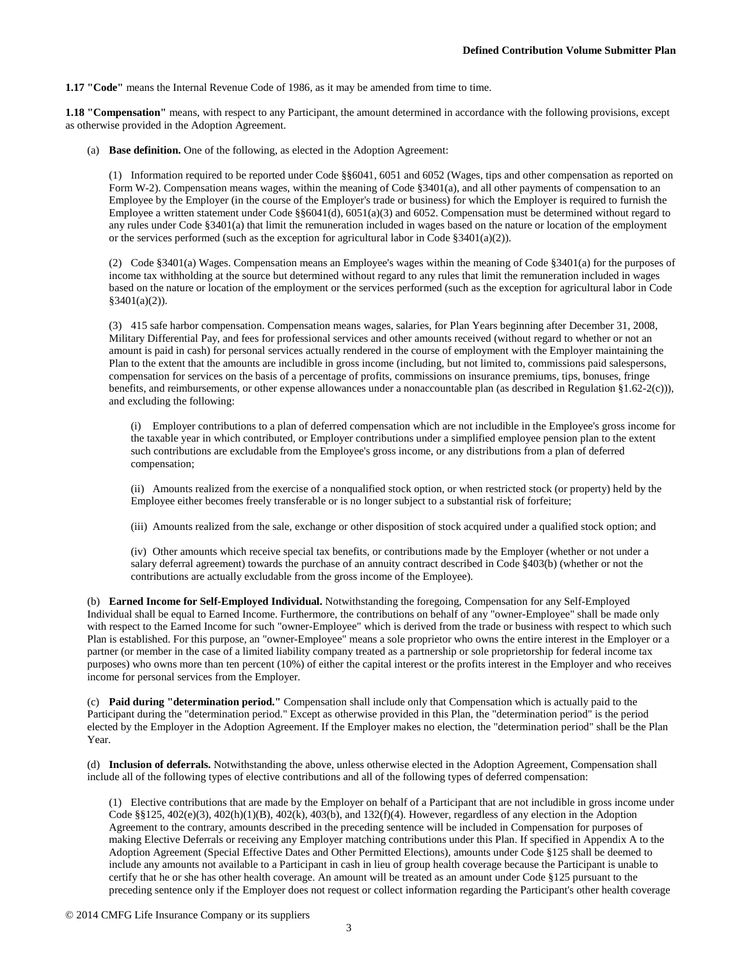**1.17 "Code"** means the Internal Revenue Code of 1986, as it may be amended from time to time.

**1.18 "Compensation"** means, with respect to any Participant, the amount determined in accordance with the following provisions, except as otherwise provided in the Adoption Agreement.

(a) **Base definition.** One of the following, as elected in the Adoption Agreement:

(1) Information required to be reported under Code §§6041, 6051 and 6052 (Wages, tips and other compensation as reported on Form W-2). Compensation means wages, within the meaning of Code §3401(a), and all other payments of compensation to an Employee by the Employer (in the course of the Employer's trade or business) for which the Employer is required to furnish the Employee a written statement under Code §§6041(d), 6051(a)(3) and 6052. Compensation must be determined without regard to any rules under Code §3401(a) that limit the remuneration included in wages based on the nature or location of the employment or the services performed (such as the exception for agricultural labor in Code §3401(a)(2)).

(2) Code §3401(a) Wages. Compensation means an Employee's wages within the meaning of Code §3401(a) for the purposes of income tax withholding at the source but determined without regard to any rules that limit the remuneration included in wages based on the nature or location of the employment or the services performed (such as the exception for agricultural labor in Code  $§3401(a)(2)$ ).

(3) 415 safe harbor compensation. Compensation means wages, salaries, for Plan Years beginning after December 31, 2008, Military Differential Pay, and fees for professional services and other amounts received (without regard to whether or not an amount is paid in cash) for personal services actually rendered in the course of employment with the Employer maintaining the Plan to the extent that the amounts are includible in gross income (including, but not limited to, commissions paid salespersons, compensation for services on the basis of a percentage of profits, commissions on insurance premiums, tips, bonuses, fringe benefits, and reimbursements, or other expense allowances under a nonaccountable plan (as described in Regulation §1.62-2(c))), and excluding the following:

(i) Employer contributions to a plan of deferred compensation which are not includible in the Employee's gross income for the taxable year in which contributed, or Employer contributions under a simplified employee pension plan to the extent such contributions are excludable from the Employee's gross income, or any distributions from a plan of deferred compensation;

(ii) Amounts realized from the exercise of a nonqualified stock option, or when restricted stock (or property) held by the Employee either becomes freely transferable or is no longer subject to a substantial risk of forfeiture;

(iii) Amounts realized from the sale, exchange or other disposition of stock acquired under a qualified stock option; and

(iv) Other amounts which receive special tax benefits, or contributions made by the Employer (whether or not under a salary deferral agreement) towards the purchase of an annuity contract described in Code §403(b) (whether or not the contributions are actually excludable from the gross income of the Employee).

(b) **Earned Income for Self-Employed Individual.** Notwithstanding the foregoing, Compensation for any Self-Employed Individual shall be equal to Earned Income. Furthermore, the contributions on behalf of any "owner-Employee" shall be made only with respect to the Earned Income for such "owner-Employee" which is derived from the trade or business with respect to which such Plan is established. For this purpose, an "owner-Employee" means a sole proprietor who owns the entire interest in the Employer or a partner (or member in the case of a limited liability company treated as a partnership or sole proprietorship for federal income tax purposes) who owns more than ten percent (10%) of either the capital interest or the profits interest in the Employer and who receives income for personal services from the Employer.

(c) **Paid during "determination period."** Compensation shall include only that Compensation which is actually paid to the Participant during the "determination period." Except as otherwise provided in this Plan, the "determination period" is the period elected by the Employer in the Adoption Agreement. If the Employer makes no election, the "determination period" shall be the Plan Year.

(d) **Inclusion of deferrals.** Notwithstanding the above, unless otherwise elected in the Adoption Agreement, Compensation shall include all of the following types of elective contributions and all of the following types of deferred compensation:

(1) Elective contributions that are made by the Employer on behalf of a Participant that are not includible in gross income under Code §§125, 402(e)(3), 402(h)(1)(B), 402(k), 403(b), and 132(f)(4). However, regardless of any election in the Adoption Agreement to the contrary, amounts described in the preceding sentence will be included in Compensation for purposes of making Elective Deferrals or receiving any Employer matching contributions under this Plan. If specified in Appendix A to the Adoption Agreement (Special Effective Dates and Other Permitted Elections), amounts under Code §125 shall be deemed to include any amounts not available to a Participant in cash in lieu of group health coverage because the Participant is unable to certify that he or she has other health coverage. An amount will be treated as an amount under Code §125 pursuant to the preceding sentence only if the Employer does not request or collect information regarding the Participant's other health coverage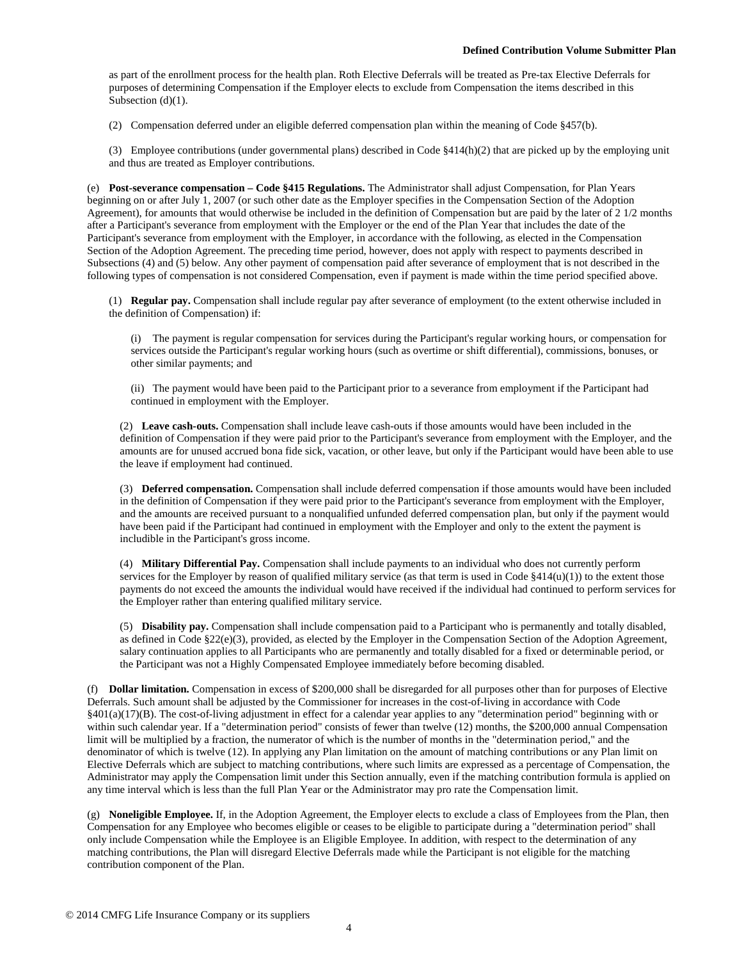as part of the enrollment process for the health plan. Roth Elective Deferrals will be treated as Pre-tax Elective Deferrals for purposes of determining Compensation if the Employer elects to exclude from Compensation the items described in this Subsection (d)(1).

(2) Compensation deferred under an eligible deferred compensation plan within the meaning of Code §457(b).

(3) Employee contributions (under governmental plans) described in Code §414(h)(2) that are picked up by the employing unit and thus are treated as Employer contributions.

(e) **Post-severance compensation – Code §415 Regulations.** The Administrator shall adjust Compensation, for Plan Years beginning on or after July 1, 2007 (or such other date as the Employer specifies in the Compensation Section of the Adoption Agreement), for amounts that would otherwise be included in the definition of Compensation but are paid by the later of 2 1/2 months after a Participant's severance from employment with the Employer or the end of the Plan Year that includes the date of the Participant's severance from employment with the Employer, in accordance with the following, as elected in the Compensation Section of the Adoption Agreement. The preceding time period, however, does not apply with respect to payments described in Subsections (4) and (5) below. Any other payment of compensation paid after severance of employment that is not described in the following types of compensation is not considered Compensation, even if payment is made within the time period specified above.

(1) **Regular pay.** Compensation shall include regular pay after severance of employment (to the extent otherwise included in the definition of Compensation) if:

(i) The payment is regular compensation for services during the Participant's regular working hours, or compensation for services outside the Participant's regular working hours (such as overtime or shift differential), commissions, bonuses, or other similar payments; and

(ii) The payment would have been paid to the Participant prior to a severance from employment if the Participant had continued in employment with the Employer.

(2) **Leave cash-outs.** Compensation shall include leave cash-outs if those amounts would have been included in the definition of Compensation if they were paid prior to the Participant's severance from employment with the Employer, and the amounts are for unused accrued bona fide sick, vacation, or other leave, but only if the Participant would have been able to use the leave if employment had continued.

(3) **Deferred compensation.** Compensation shall include deferred compensation if those amounts would have been included in the definition of Compensation if they were paid prior to the Participant's severance from employment with the Employer, and the amounts are received pursuant to a nonqualified unfunded deferred compensation plan, but only if the payment would have been paid if the Participant had continued in employment with the Employer and only to the extent the payment is includible in the Participant's gross income.

(4) **Military Differential Pay.** Compensation shall include payments to an individual who does not currently perform services for the Employer by reason of qualified military service (as that term is used in Code  $\S414(u)(1)$ ) to the extent those payments do not exceed the amounts the individual would have received if the individual had continued to perform services for the Employer rather than entering qualified military service.

(5) **Disability pay.** Compensation shall include compensation paid to a Participant who is permanently and totally disabled, as defined in Code §22(e)(3), provided, as elected by the Employer in the Compensation Section of the Adoption Agreement, salary continuation applies to all Participants who are permanently and totally disabled for a fixed or determinable period, or the Participant was not a Highly Compensated Employee immediately before becoming disabled.

(f) **Dollar limitation.** Compensation in excess of \$200,000 shall be disregarded for all purposes other than for purposes of Elective Deferrals. Such amount shall be adjusted by the Commissioner for increases in the cost-of-living in accordance with Code §401(a)(17)(B). The cost-of-living adjustment in effect for a calendar year applies to any "determination period" beginning with or within such calendar year. If a "determination period" consists of fewer than twelve (12) months, the \$200,000 annual Compensation limit will be multiplied by a fraction, the numerator of which is the number of months in the "determination period," and the denominator of which is twelve (12). In applying any Plan limitation on the amount of matching contributions or any Plan limit on Elective Deferrals which are subject to matching contributions, where such limits are expressed as a percentage of Compensation, the Administrator may apply the Compensation limit under this Section annually, even if the matching contribution formula is applied on any time interval which is less than the full Plan Year or the Administrator may pro rate the Compensation limit.

(g) **Noneligible Employee.** If, in the Adoption Agreement, the Employer elects to exclude a class of Employees from the Plan, then Compensation for any Employee who becomes eligible or ceases to be eligible to participate during a "determination period" shall only include Compensation while the Employee is an Eligible Employee. In addition, with respect to the determination of any matching contributions, the Plan will disregard Elective Deferrals made while the Participant is not eligible for the matching contribution component of the Plan.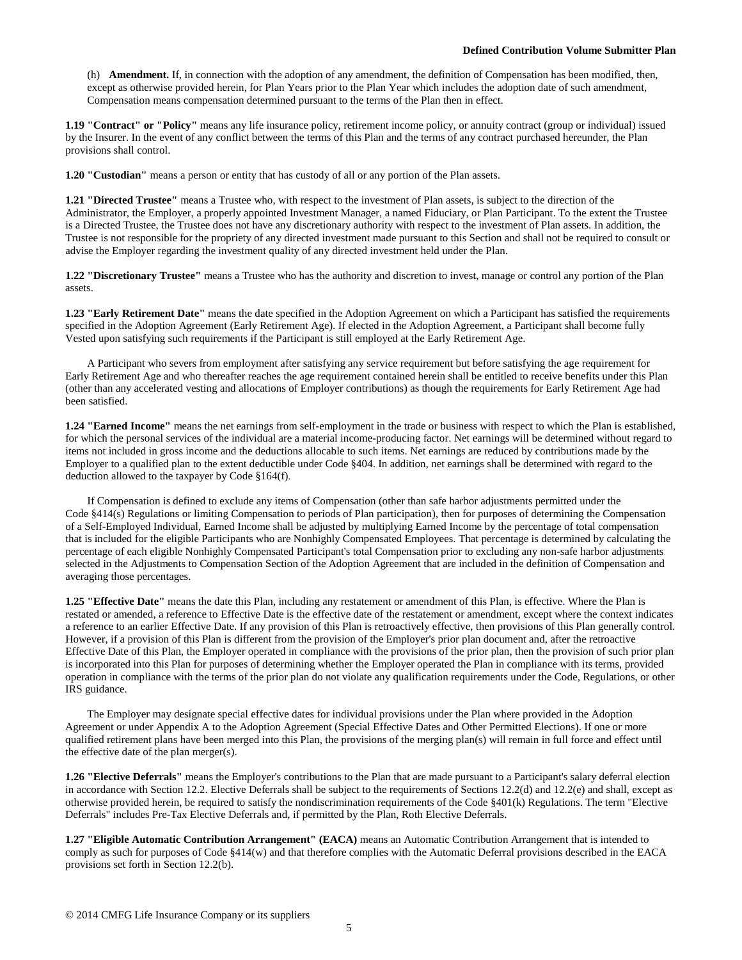(h) **Amendment.** If, in connection with the adoption of any amendment, the definition of Compensation has been modified, then, except as otherwise provided herein, for Plan Years prior to the Plan Year which includes the adoption date of such amendment, Compensation means compensation determined pursuant to the terms of the Plan then in effect.

**1.19 "Contract" or "Policy"** means any life insurance policy, retirement income policy, or annuity contract (group or individual) issued by the Insurer. In the event of any conflict between the terms of this Plan and the terms of any contract purchased hereunder, the Plan provisions shall control.

**1.20 "Custodian"** means a person or entity that has custody of all or any portion of the Plan assets.

**1.21 "Directed Trustee"** means a Trustee who, with respect to the investment of Plan assets, is subject to the direction of the Administrator, the Employer, a properly appointed Investment Manager, a named Fiduciary, or Plan Participant. To the extent the Trustee is a Directed Trustee, the Trustee does not have any discretionary authority with respect to the investment of Plan assets. In addition, the Trustee is not responsible for the propriety of any directed investment made pursuant to this Section and shall not be required to consult or advise the Employer regarding the investment quality of any directed investment held under the Plan.

**1.22 "Discretionary Trustee"** means a Trustee who has the authority and discretion to invest, manage or control any portion of the Plan assets.

**1.23 "Early Retirement Date"** means the date specified in the Adoption Agreement on which a Participant has satisfied the requirements specified in the Adoption Agreement (Early Retirement Age). If elected in the Adoption Agreement, a Participant shall become fully Vested upon satisfying such requirements if the Participant is still employed at the Early Retirement Age.

A Participant who severs from employment after satisfying any service requirement but before satisfying the age requirement for Early Retirement Age and who thereafter reaches the age requirement contained herein shall be entitled to receive benefits under this Plan (other than any accelerated vesting and allocations of Employer contributions) as though the requirements for Early Retirement Age had been satisfied.

**1.24 "Earned Income"** means the net earnings from self-employment in the trade or business with respect to which the Plan is established, for which the personal services of the individual are a material income-producing factor. Net earnings will be determined without regard to items not included in gross income and the deductions allocable to such items. Net earnings are reduced by contributions made by the Employer to a qualified plan to the extent deductible under Code §404. In addition, net earnings shall be determined with regard to the deduction allowed to the taxpayer by Code §164(f).

If Compensation is defined to exclude any items of Compensation (other than safe harbor adjustments permitted under the Code §414(s) Regulations or limiting Compensation to periods of Plan participation), then for purposes of determining the Compensation of a Self-Employed Individual, Earned Income shall be adjusted by multiplying Earned Income by the percentage of total compensation that is included for the eligible Participants who are Nonhighly Compensated Employees. That percentage is determined by calculating the percentage of each eligible Nonhighly Compensated Participant's total Compensation prior to excluding any non-safe harbor adjustments selected in the Adjustments to Compensation Section of the Adoption Agreement that are included in the definition of Compensation and averaging those percentages.

**1.25 "Effective Date"** means the date this Plan, including any restatement or amendment of this Plan, is effective. Where the Plan is restated or amended, a reference to Effective Date is the effective date of the restatement or amendment, except where the context indicates a reference to an earlier Effective Date. If any provision of this Plan is retroactively effective, then provisions of this Plan generally control. However, if a provision of this Plan is different from the provision of the Employer's prior plan document and, after the retroactive Effective Date of this Plan, the Employer operated in compliance with the provisions of the prior plan, then the provision of such prior plan is incorporated into this Plan for purposes of determining whether the Employer operated the Plan in compliance with its terms, provided operation in compliance with the terms of the prior plan do not violate any qualification requirements under the Code, Regulations, or other IRS guidance.

The Employer may designate special effective dates for individual provisions under the Plan where provided in the Adoption Agreement or under Appendix A to the Adoption Agreement (Special Effective Dates and Other Permitted Elections). If one or more qualified retirement plans have been merged into this Plan, the provisions of the merging plan(s) will remain in full force and effect until the effective date of the plan merger(s).

**1.26 "Elective Deferrals"** means the Employer's contributions to the Plan that are made pursuant to a Participant's salary deferral election in accordance with Section 12.2. Elective Deferrals shall be subject to the requirements of Sections 12.2(d) and 12.2(e) and shall, except as otherwise provided herein, be required to satisfy the nondiscrimination requirements of the Code §401(k) Regulations. The term "Elective Deferrals" includes Pre-Tax Elective Deferrals and, if permitted by the Plan, Roth Elective Deferrals.

**1.27 "Eligible Automatic Contribution Arrangement" (EACA)** means an Automatic Contribution Arrangement that is intended to comply as such for purposes of Code §414(w) and that therefore complies with the Automatic Deferral provisions described in the EACA provisions set forth in Section 12.2(b).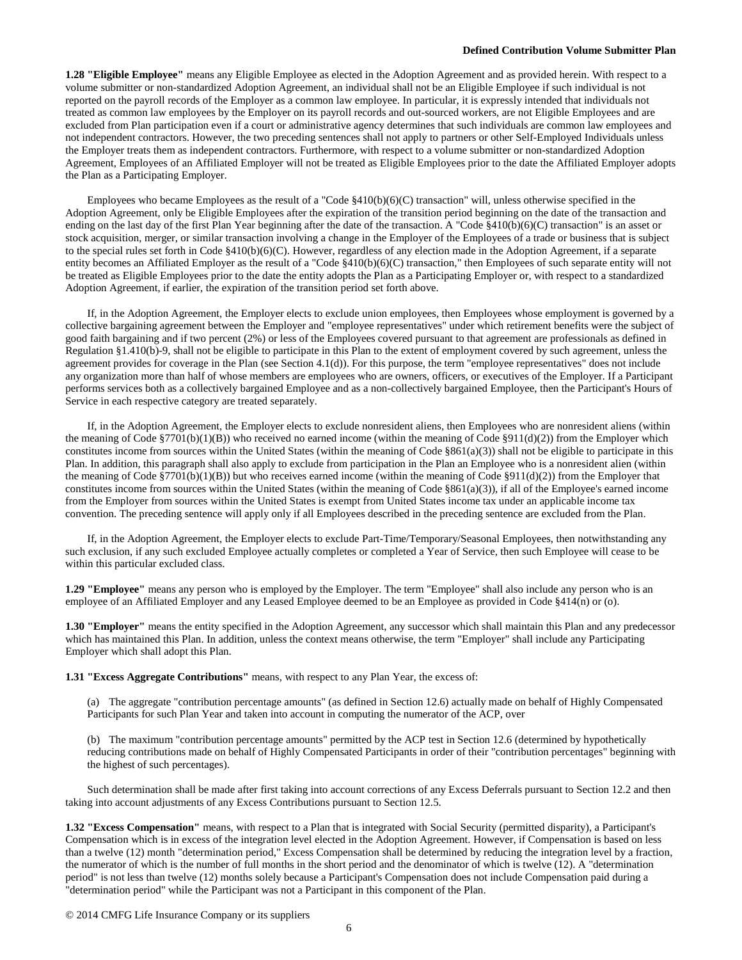**1.28 "Eligible Employee"** means any Eligible Employee as elected in the Adoption Agreement and as provided herein. With respect to a volume submitter or non-standardized Adoption Agreement, an individual shall not be an Eligible Employee if such individual is not reported on the payroll records of the Employer as a common law employee. In particular, it is expressly intended that individuals not treated as common law employees by the Employer on its payroll records and out-sourced workers, are not Eligible Employees and are excluded from Plan participation even if a court or administrative agency determines that such individuals are common law employees and not independent contractors. However, the two preceding sentences shall not apply to partners or other Self-Employed Individuals unless the Employer treats them as independent contractors. Furthermore, with respect to a volume submitter or non-standardized Adoption Agreement, Employees of an Affiliated Employer will not be treated as Eligible Employees prior to the date the Affiliated Employer adopts the Plan as a Participating Employer.

Employees who became Employees as the result of a "Code  $§410(b)(6)(C)$  transaction" will, unless otherwise specified in the Adoption Agreement, only be Eligible Employees after the expiration of the transition period beginning on the date of the transaction and ending on the last day of the first Plan Year beginning after the date of the transaction. A "Code §410(b)(6)(C) transaction" is an asset or stock acquisition, merger, or similar transaction involving a change in the Employer of the Employees of a trade or business that is subject to the special rules set forth in Code §410(b)(6)(C). However, regardless of any election made in the Adoption Agreement, if a separate entity becomes an Affiliated Employer as the result of a "Code §410(b)(6)(C) transaction," then Employees of such separate entity will not be treated as Eligible Employees prior to the date the entity adopts the Plan as a Participating Employer or, with respect to a standardized Adoption Agreement, if earlier, the expiration of the transition period set forth above.

If, in the Adoption Agreement, the Employer elects to exclude union employees, then Employees whose employment is governed by a collective bargaining agreement between the Employer and "employee representatives" under which retirement benefits were the subject of good faith bargaining and if two percent (2%) or less of the Employees covered pursuant to that agreement are professionals as defined in Regulation §1.410(b)-9, shall not be eligible to participate in this Plan to the extent of employment covered by such agreement, unless the agreement provides for coverage in the Plan (see Section 4.1(d)). For this purpose, the term "employee representatives" does not include any organization more than half of whose members are employees who are owners, officers, or executives of the Employer. If a Participant performs services both as a collectively bargained Employee and as a non-collectively bargained Employee, then the Participant's Hours of Service in each respective category are treated separately.

If, in the Adoption Agreement, the Employer elects to exclude nonresident aliens, then Employees who are nonresident aliens (within the meaning of Code §7701(b)(1)(B)) who received no earned income (within the meaning of Code §911(d)(2)) from the Employer which constitutes income from sources within the United States (within the meaning of Code  $861(a)(3)$ ) shall not be eligible to participate in this Plan. In addition, this paragraph shall also apply to exclude from participation in the Plan an Employee who is a nonresident alien (within the meaning of Code §7701(b)(1)(B)) but who receives earned income (within the meaning of Code §911(d)(2)) from the Employer that constitutes income from sources within the United States (within the meaning of Code  $\S 861(a)(3)$ ), if all of the Employee's earned income from the Employer from sources within the United States is exempt from United States income tax under an applicable income tax convention. The preceding sentence will apply only if all Employees described in the preceding sentence are excluded from the Plan.

If, in the Adoption Agreement, the Employer elects to exclude Part-Time/Temporary/Seasonal Employees, then notwithstanding any such exclusion, if any such excluded Employee actually completes or completed a Year of Service, then such Employee will cease to be within this particular excluded class.

**1.29 "Employee"** means any person who is employed by the Employer. The term "Employee" shall also include any person who is an employee of an Affiliated Employer and any Leased Employee deemed to be an Employee as provided in Code §414(n) or (o).

**1.30 "Employer"** means the entity specified in the Adoption Agreement, any successor which shall maintain this Plan and any predecessor which has maintained this Plan. In addition, unless the context means otherwise, the term "Employer" shall include any Participating Employer which shall adopt this Plan.

**1.31 "Excess Aggregate Contributions"** means, with respect to any Plan Year, the excess of:

(a) The aggregate "contribution percentage amounts" (as defined in Section 12.6) actually made on behalf of Highly Compensated Participants for such Plan Year and taken into account in computing the numerator of the ACP, over

(b) The maximum "contribution percentage amounts" permitted by the ACP test in Section 12.6 (determined by hypothetically reducing contributions made on behalf of Highly Compensated Participants in order of their "contribution percentages" beginning with the highest of such percentages).

Such determination shall be made after first taking into account corrections of any Excess Deferrals pursuant to Section 12.2 and then taking into account adjustments of any Excess Contributions pursuant to Section 12.5.

**1.32 "Excess Compensation"** means, with respect to a Plan that is integrated with Social Security (permitted disparity), a Participant's Compensation which is in excess of the integration level elected in the Adoption Agreement. However, if Compensation is based on less than a twelve (12) month "determination period," Excess Compensation shall be determined by reducing the integration level by a fraction, the numerator of which is the number of full months in the short period and the denominator of which is twelve (12). A "determination period" is not less than twelve (12) months solely because a Participant's Compensation does not include Compensation paid during a "determination period" while the Participant was not a Participant in this component of the Plan.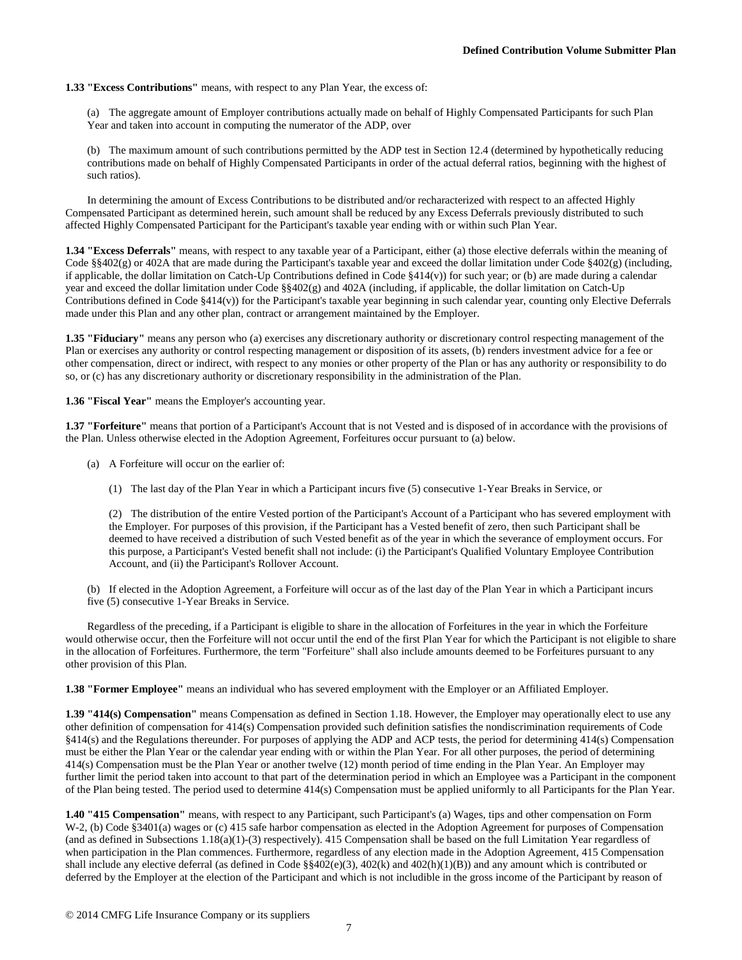# **1.33 "Excess Contributions"** means, with respect to any Plan Year, the excess of:

(a) The aggregate amount of Employer contributions actually made on behalf of Highly Compensated Participants for such Plan Year and taken into account in computing the numerator of the ADP, over

(b) The maximum amount of such contributions permitted by the ADP test in Section 12.4 (determined by hypothetically reducing contributions made on behalf of Highly Compensated Participants in order of the actual deferral ratios, beginning with the highest of such ratios).

In determining the amount of Excess Contributions to be distributed and/or recharacterized with respect to an affected Highly Compensated Participant as determined herein, such amount shall be reduced by any Excess Deferrals previously distributed to such affected Highly Compensated Participant for the Participant's taxable year ending with or within such Plan Year.

**1.34 "Excess Deferrals"** means, with respect to any taxable year of a Participant, either (a) those elective deferrals within the meaning of Code §§402(g) or 402A that are made during the Participant's taxable year and exceed the dollar limitation under Code §402(g) (including, if applicable, the dollar limitation on Catch-Up Contributions defined in Code  $\S414(v)$  for such year; or (b) are made during a calendar year and exceed the dollar limitation under Code §§402(g) and 402A (including, if applicable, the dollar limitation on Catch-Up Contributions defined in Code §414(v)) for the Participant's taxable year beginning in such calendar year, counting only Elective Deferrals made under this Plan and any other plan, contract or arrangement maintained by the Employer.

**1.35 "Fiduciary"** means any person who (a) exercises any discretionary authority or discretionary control respecting management of the Plan or exercises any authority or control respecting management or disposition of its assets, (b) renders investment advice for a fee or other compensation, direct or indirect, with respect to any monies or other property of the Plan or has any authority or responsibility to do so, or (c) has any discretionary authority or discretionary responsibility in the administration of the Plan.

**1.36 "Fiscal Year"** means the Employer's accounting year.

**1.37 "Forfeiture"** means that portion of a Participant's Account that is not Vested and is disposed of in accordance with the provisions of the Plan. Unless otherwise elected in the Adoption Agreement, Forfeitures occur pursuant to (a) below.

- (a) A Forfeiture will occur on the earlier of:
	- (1) The last day of the Plan Year in which a Participant incurs five (5) consecutive 1-Year Breaks in Service, or

(2) The distribution of the entire Vested portion of the Participant's Account of a Participant who has severed employment with the Employer. For purposes of this provision, if the Participant has a Vested benefit of zero, then such Participant shall be deemed to have received a distribution of such Vested benefit as of the year in which the severance of employment occurs. For this purpose, a Participant's Vested benefit shall not include: (i) the Participant's Qualified Voluntary Employee Contribution Account, and (ii) the Participant's Rollover Account.

(b) If elected in the Adoption Agreement, a Forfeiture will occur as of the last day of the Plan Year in which a Participant incurs five (5) consecutive 1-Year Breaks in Service.

Regardless of the preceding, if a Participant is eligible to share in the allocation of Forfeitures in the year in which the Forfeiture would otherwise occur, then the Forfeiture will not occur until the end of the first Plan Year for which the Participant is not eligible to share in the allocation of Forfeitures. Furthermore, the term "Forfeiture" shall also include amounts deemed to be Forfeitures pursuant to any other provision of this Plan.

**1.38 "Former Employee"** means an individual who has severed employment with the Employer or an Affiliated Employer.

**1.39 "414(s) Compensation"** means Compensation as defined in Section 1.18. However, the Employer may operationally elect to use any other definition of compensation for 414(s) Compensation provided such definition satisfies the nondiscrimination requirements of Code §414(s) and the Regulations thereunder. For purposes of applying the ADP and ACP tests, the period for determining 414(s) Compensation must be either the Plan Year or the calendar year ending with or within the Plan Year. For all other purposes, the period of determining 414(s) Compensation must be the Plan Year or another twelve (12) month period of time ending in the Plan Year. An Employer may further limit the period taken into account to that part of the determination period in which an Employee was a Participant in the component of the Plan being tested. The period used to determine 414(s) Compensation must be applied uniformly to all Participants for the Plan Year.

**1.40 "415 Compensation"** means, with respect to any Participant, such Participant's (a) Wages, tips and other compensation on Form W-2, (b) Code §3401(a) wages or (c) 415 safe harbor compensation as elected in the Adoption Agreement for purposes of Compensation (and as defined in Subsections 1.18(a)(1)-(3) respectively). 415 Compensation shall be based on the full Limitation Year regardless of when participation in the Plan commences. Furthermore, regardless of any election made in the Adoption Agreement, 415 Compensation shall include any elective deferral (as defined in Code §§402(e)(3), 402(k) and 402(h)(1)(B)) and any amount which is contributed or deferred by the Employer at the election of the Participant and which is not includible in the gross income of the Participant by reason of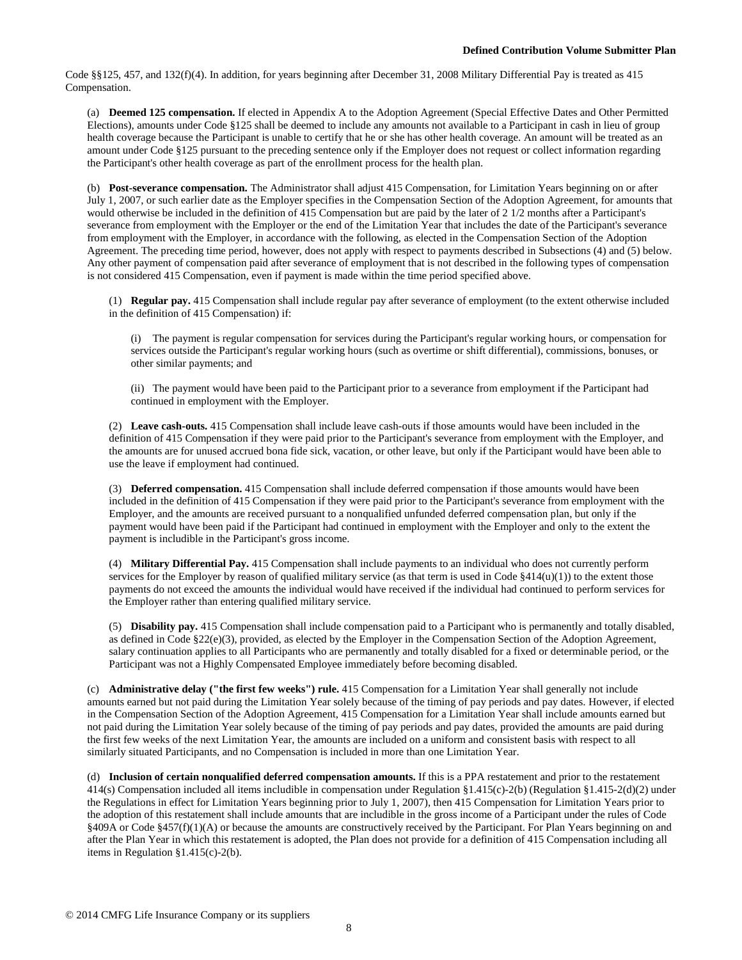Code §§125, 457, and 132(f)(4). In addition, for years beginning after December 31, 2008 Military Differential Pay is treated as 415 Compensation.

(a) **Deemed 125 compensation.** If elected in Appendix A to the Adoption Agreement (Special Effective Dates and Other Permitted Elections), amounts under Code §125 shall be deemed to include any amounts not available to a Participant in cash in lieu of group health coverage because the Participant is unable to certify that he or she has other health coverage. An amount will be treated as an amount under Code §125 pursuant to the preceding sentence only if the Employer does not request or collect information regarding the Participant's other health coverage as part of the enrollment process for the health plan.

(b) **Post-severance compensation.** The Administrator shall adjust 415 Compensation, for Limitation Years beginning on or after July 1, 2007, or such earlier date as the Employer specifies in the Compensation Section of the Adoption Agreement, for amounts that would otherwise be included in the definition of 415 Compensation but are paid by the later of 2 1/2 months after a Participant's severance from employment with the Employer or the end of the Limitation Year that includes the date of the Participant's severance from employment with the Employer, in accordance with the following, as elected in the Compensation Section of the Adoption Agreement. The preceding time period, however, does not apply with respect to payments described in Subsections (4) and (5) below. Any other payment of compensation paid after severance of employment that is not described in the following types of compensation is not considered 415 Compensation, even if payment is made within the time period specified above.

(1) **Regular pay.** 415 Compensation shall include regular pay after severance of employment (to the extent otherwise included in the definition of 415 Compensation) if:

(i) The payment is regular compensation for services during the Participant's regular working hours, or compensation for services outside the Participant's regular working hours (such as overtime or shift differential), commissions, bonuses, or other similar payments; and

(ii) The payment would have been paid to the Participant prior to a severance from employment if the Participant had continued in employment with the Employer.

(2) **Leave cash-outs.** 415 Compensation shall include leave cash-outs if those amounts would have been included in the definition of 415 Compensation if they were paid prior to the Participant's severance from employment with the Employer, and the amounts are for unused accrued bona fide sick, vacation, or other leave, but only if the Participant would have been able to use the leave if employment had continued.

(3) **Deferred compensation.** 415 Compensation shall include deferred compensation if those amounts would have been included in the definition of 415 Compensation if they were paid prior to the Participant's severance from employment with the Employer, and the amounts are received pursuant to a nonqualified unfunded deferred compensation plan, but only if the payment would have been paid if the Participant had continued in employment with the Employer and only to the extent the payment is includible in the Participant's gross income.

(4) **Military Differential Pay.** 415 Compensation shall include payments to an individual who does not currently perform services for the Employer by reason of qualified military service (as that term is used in Code  $\S 414(u)(1)$ ) to the extent those payments do not exceed the amounts the individual would have received if the individual had continued to perform services for the Employer rather than entering qualified military service.

(5) **Disability pay.** 415 Compensation shall include compensation paid to a Participant who is permanently and totally disabled, as defined in Code §22(e)(3), provided, as elected by the Employer in the Compensation Section of the Adoption Agreement, salary continuation applies to all Participants who are permanently and totally disabled for a fixed or determinable period, or the Participant was not a Highly Compensated Employee immediately before becoming disabled.

(c) **Administrative delay ("the first few weeks") rule.** 415 Compensation for a Limitation Year shall generally not include amounts earned but not paid during the Limitation Year solely because of the timing of pay periods and pay dates. However, if elected in the Compensation Section of the Adoption Agreement, 415 Compensation for a Limitation Year shall include amounts earned but not paid during the Limitation Year solely because of the timing of pay periods and pay dates, provided the amounts are paid during the first few weeks of the next Limitation Year, the amounts are included on a uniform and consistent basis with respect to all similarly situated Participants, and no Compensation is included in more than one Limitation Year.

(d) **Inclusion of certain nonqualified deferred compensation amounts.** If this is a PPA restatement and prior to the restatement 414(s) Compensation included all items includible in compensation under Regulation §1.415(c)-2(b) (Regulation §1.415-2(d)(2) under the Regulations in effect for Limitation Years beginning prior to July 1, 2007), then 415 Compensation for Limitation Years prior to the adoption of this restatement shall include amounts that are includible in the gross income of a Participant under the rules of Code §409A or Code §457(f)(1)(A) or because the amounts are constructively received by the Participant. For Plan Years beginning on and after the Plan Year in which this restatement is adopted, the Plan does not provide for a definition of 415 Compensation including all items in Regulation §1.415(c)-2(b).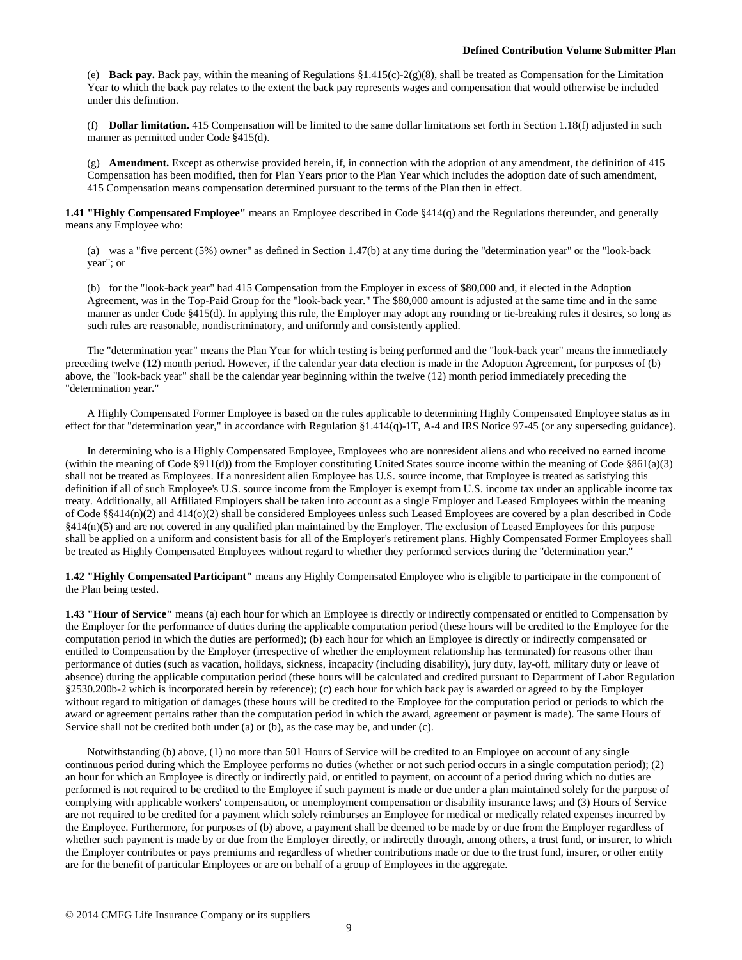(e) **Back pay.** Back pay, within the meaning of Regulations  $\S 1.415(c)-2(g)(8)$ , shall be treated as Compensation for the Limitation Year to which the back pay relates to the extent the back pay represents wages and compensation that would otherwise be included under this definition.

(f) **Dollar limitation.** 415 Compensation will be limited to the same dollar limitations set forth in Section 1.18(f) adjusted in such manner as permitted under Code §415(d).

(g) **Amendment.** Except as otherwise provided herein, if, in connection with the adoption of any amendment, the definition of 415 Compensation has been modified, then for Plan Years prior to the Plan Year which includes the adoption date of such amendment, 415 Compensation means compensation determined pursuant to the terms of the Plan then in effect.

**1.41 "Highly Compensated Employee"** means an Employee described in Code §414(q) and the Regulations thereunder, and generally means any Employee who:

(a) was a "five percent (5%) owner" as defined in Section 1.47(b) at any time during the "determination year" or the "look-back year"; or

(b) for the "look-back year" had 415 Compensation from the Employer in excess of \$80,000 and, if elected in the Adoption Agreement, was in the Top-Paid Group for the "look-back year." The \$80,000 amount is adjusted at the same time and in the same manner as under Code §415(d). In applying this rule, the Employer may adopt any rounding or tie-breaking rules it desires, so long as such rules are reasonable, nondiscriminatory, and uniformly and consistently applied.

The "determination year" means the Plan Year for which testing is being performed and the "look-back year" means the immediately preceding twelve (12) month period. However, if the calendar year data election is made in the Adoption Agreement, for purposes of (b) above, the "look-back year" shall be the calendar year beginning within the twelve (12) month period immediately preceding the "determination year."

A Highly Compensated Former Employee is based on the rules applicable to determining Highly Compensated Employee status as in effect for that "determination year," in accordance with Regulation §1.414(q)-1T, A-4 and IRS Notice 97-45 (or any superseding guidance).

In determining who is a Highly Compensated Employee, Employees who are nonresident aliens and who received no earned income (within the meaning of Code  $\S911(d)$ ) from the Employer constituting United States source income within the meaning of Code  $\S861(a)(3)$ shall not be treated as Employees. If a nonresident alien Employee has U.S. source income, that Employee is treated as satisfying this definition if all of such Employee's U.S. source income from the Employer is exempt from U.S. income tax under an applicable income tax treaty. Additionally, all Affiliated Employers shall be taken into account as a single Employer and Leased Employees within the meaning of Code §§414(n)(2) and 414(o)(2) shall be considered Employees unless such Leased Employees are covered by a plan described in Code §414(n)(5) and are not covered in any qualified plan maintained by the Employer. The exclusion of Leased Employees for this purpose shall be applied on a uniform and consistent basis for all of the Employer's retirement plans. Highly Compensated Former Employees shall be treated as Highly Compensated Employees without regard to whether they performed services during the "determination year."

**1.42 "Highly Compensated Participant"** means any Highly Compensated Employee who is eligible to participate in the component of the Plan being tested.

**1.43 "Hour of Service"** means (a) each hour for which an Employee is directly or indirectly compensated or entitled to Compensation by the Employer for the performance of duties during the applicable computation period (these hours will be credited to the Employee for the computation period in which the duties are performed); (b) each hour for which an Employee is directly or indirectly compensated or entitled to Compensation by the Employer (irrespective of whether the employment relationship has terminated) for reasons other than performance of duties (such as vacation, holidays, sickness, incapacity (including disability), jury duty, lay-off, military duty or leave of absence) during the applicable computation period (these hours will be calculated and credited pursuant to Department of Labor Regulation §2530.200b-2 which is incorporated herein by reference); (c) each hour for which back pay is awarded or agreed to by the Employer without regard to mitigation of damages (these hours will be credited to the Employee for the computation period or periods to which the award or agreement pertains rather than the computation period in which the award, agreement or payment is made). The same Hours of Service shall not be credited both under (a) or (b), as the case may be, and under (c).

Notwithstanding (b) above, (1) no more than 501 Hours of Service will be credited to an Employee on account of any single continuous period during which the Employee performs no duties (whether or not such period occurs in a single computation period); (2) an hour for which an Employee is directly or indirectly paid, or entitled to payment, on account of a period during which no duties are performed is not required to be credited to the Employee if such payment is made or due under a plan maintained solely for the purpose of complying with applicable workers' compensation, or unemployment compensation or disability insurance laws; and (3) Hours of Service are not required to be credited for a payment which solely reimburses an Employee for medical or medically related expenses incurred by the Employee. Furthermore, for purposes of (b) above, a payment shall be deemed to be made by or due from the Employer regardless of whether such payment is made by or due from the Employer directly, or indirectly through, among others, a trust fund, or insurer, to which the Employer contributes or pays premiums and regardless of whether contributions made or due to the trust fund, insurer, or other entity are for the benefit of particular Employees or are on behalf of a group of Employees in the aggregate.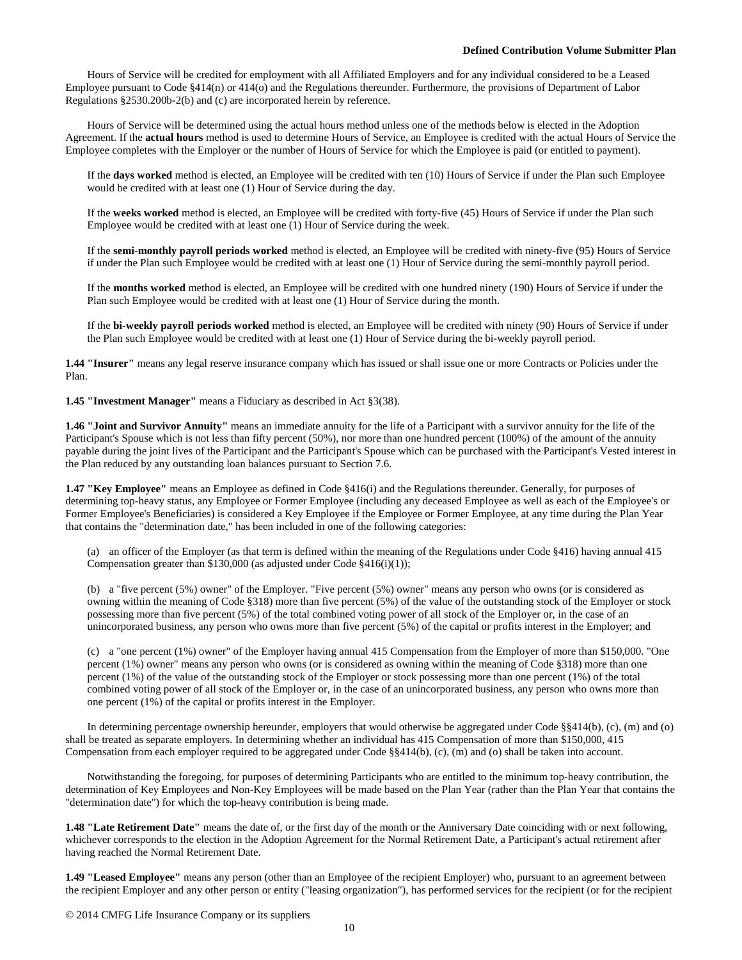Hours of Service will be credited for employment with all Affiliated Employers and for any individual considered to be a Leased Employee pursuant to Code §414(n) or 414(o) and the Regulations thereunder. Furthermore, the provisions of Department of Labor Regulations §2530.200b-2(b) and (c) are incorporated herein by reference.

Hours of Service will be determined using the actual hours method unless one of the methods below is elected in the Adoption Agreement. If the **actual hours** method is used to determine Hours of Service, an Employee is credited with the actual Hours of Service the Employee completes with the Employer or the number of Hours of Service for which the Employee is paid (or entitled to payment).

If the **days worked** method is elected, an Employee will be credited with ten (10) Hours of Service if under the Plan such Employee would be credited with at least one (1) Hour of Service during the day.

If the **weeks worked** method is elected, an Employee will be credited with forty-five (45) Hours of Service if under the Plan such Employee would be credited with at least one (1) Hour of Service during the week.

If the **semi-monthly payroll periods worked** method is elected, an Employee will be credited with ninety-five (95) Hours of Service if under the Plan such Employee would be credited with at least one (1) Hour of Service during the semi-monthly payroll period.

If the **months worked** method is elected, an Employee will be credited with one hundred ninety (190) Hours of Service if under the Plan such Employee would be credited with at least one (1) Hour of Service during the month.

If the **bi-weekly payroll periods worked** method is elected, an Employee will be credited with ninety (90) Hours of Service if under the Plan such Employee would be credited with at least one (1) Hour of Service during the bi-weekly payroll period.

**1.44 "Insurer"** means any legal reserve insurance company which has issued or shall issue one or more Contracts or Policies under the Plan.

**1.45 "Investment Manager"** means a Fiduciary as described in Act §3(38).

**1.46 "Joint and Survivor Annuity"** means an immediate annuity for the life of a Participant with a survivor annuity for the life of the Participant's Spouse which is not less than fifty percent (50%), nor more than one hundred percent (100%) of the amount of the annuity payable during the joint lives of the Participant and the Participant's Spouse which can be purchased with the Participant's Vested interest in the Plan reduced by any outstanding loan balances pursuant to Section 7.6.

**1.47 "Key Employee"** means an Employee as defined in Code §416(i) and the Regulations thereunder. Generally, for purposes of determining top-heavy status, any Employee or Former Employee (including any deceased Employee as well as each of the Employee's or Former Employee's Beneficiaries) is considered a Key Employee if the Employee or Former Employee, at any time during the Plan Year that contains the "determination date," has been included in one of the following categories:

(a) an officer of the Employer (as that term is defined within the meaning of the Regulations under Code §416) having annual 415 Compensation greater than \$130,000 (as adjusted under Code §416(i)(1));

(b) a "five percent (5%) owner" of the Employer. "Five percent (5%) owner" means any person who owns (or is considered as owning within the meaning of Code §318) more than five percent (5%) of the value of the outstanding stock of the Employer or stock possessing more than five percent (5%) of the total combined voting power of all stock of the Employer or, in the case of an unincorporated business, any person who owns more than five percent (5%) of the capital or profits interest in the Employer; and

(c) a "one percent (1%) owner" of the Employer having annual 415 Compensation from the Employer of more than \$150,000. "One percent (1%) owner" means any person who owns (or is considered as owning within the meaning of Code §318) more than one percent (1%) of the value of the outstanding stock of the Employer or stock possessing more than one percent (1%) of the total combined voting power of all stock of the Employer or, in the case of an unincorporated business, any person who owns more than one percent (1%) of the capital or profits interest in the Employer.

In determining percentage ownership hereunder, employers that would otherwise be aggregated under Code §§414(b), (c), (m) and (o) shall be treated as separate employers. In determining whether an individual has 415 Compensation of more than \$150,000, 415 Compensation from each employer required to be aggregated under Code §§414(b), (c), (m) and (o) shall be taken into account.

Notwithstanding the foregoing, for purposes of determining Participants who are entitled to the minimum top-heavy contribution, the determination of Key Employees and Non-Key Employees will be made based on the Plan Year (rather than the Plan Year that contains the "determination date") for which the top-heavy contribution is being made.

**1.48 "Late Retirement Date"** means the date of, or the first day of the month or the Anniversary Date coinciding with or next following, whichever corresponds to the election in the Adoption Agreement for the Normal Retirement Date, a Participant's actual retirement after having reached the Normal Retirement Date.

**1.49 "Leased Employee"** means any person (other than an Employee of the recipient Employer) who, pursuant to an agreement between the recipient Employer and any other person or entity ("leasing organization"), has performed services for the recipient (or for the recipient

© 2014 CMFG Life Insurance Company or its suppliers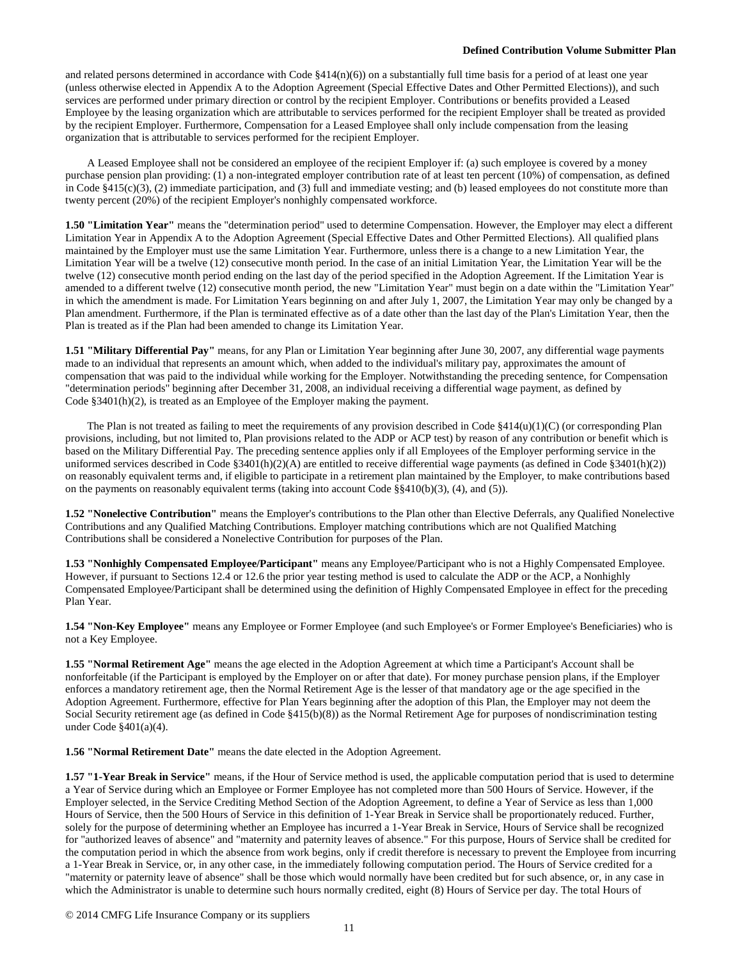and related persons determined in accordance with Code  $§414(n)(6)$  on a substantially full time basis for a period of at least one year (unless otherwise elected in Appendix A to the Adoption Agreement (Special Effective Dates and Other Permitted Elections)), and such services are performed under primary direction or control by the recipient Employer. Contributions or benefits provided a Leased Employee by the leasing organization which are attributable to services performed for the recipient Employer shall be treated as provided by the recipient Employer. Furthermore, Compensation for a Leased Employee shall only include compensation from the leasing organization that is attributable to services performed for the recipient Employer.

A Leased Employee shall not be considered an employee of the recipient Employer if: (a) such employee is covered by a money purchase pension plan providing: (1) a non-integrated employer contribution rate of at least ten percent (10%) of compensation, as defined in Code §415(c)(3), (2) immediate participation, and (3) full and immediate vesting; and (b) leased employees do not constitute more than twenty percent (20%) of the recipient Employer's nonhighly compensated workforce.

**1.50 "Limitation Year"** means the "determination period" used to determine Compensation. However, the Employer may elect a different Limitation Year in Appendix A to the Adoption Agreement (Special Effective Dates and Other Permitted Elections). All qualified plans maintained by the Employer must use the same Limitation Year. Furthermore, unless there is a change to a new Limitation Year, the Limitation Year will be a twelve (12) consecutive month period. In the case of an initial Limitation Year, the Limitation Year will be the twelve (12) consecutive month period ending on the last day of the period specified in the Adoption Agreement. If the Limitation Year is amended to a different twelve (12) consecutive month period, the new "Limitation Year" must begin on a date within the "Limitation Year" in which the amendment is made. For Limitation Years beginning on and after July 1, 2007, the Limitation Year may only be changed by a Plan amendment. Furthermore, if the Plan is terminated effective as of a date other than the last day of the Plan's Limitation Year, then the Plan is treated as if the Plan had been amended to change its Limitation Year.

**1.51 "Military Differential Pay"** means, for any Plan or Limitation Year beginning after June 30, 2007, any differential wage payments made to an individual that represents an amount which, when added to the individual's military pay, approximates the amount of compensation that was paid to the individual while working for the Employer. Notwithstanding the preceding sentence, for Compensation "determination periods" beginning after December 31, 2008, an individual receiving a differential wage payment, as defined by Code §3401(h)(2), is treated as an Employee of the Employer making the payment.

The Plan is not treated as failing to meet the requirements of any provision described in Code  $\S414(u)(1)(C)$  (or corresponding Plan provisions, including, but not limited to, Plan provisions related to the ADP or ACP test) by reason of any contribution or benefit which is based on the Military Differential Pay. The preceding sentence applies only if all Employees of the Employer performing service in the uniformed services described in Code  $\S3401(h)(2)(A)$  are entitled to receive differential wage payments (as defined in Code  $\S3401(h)(2)$ ) on reasonably equivalent terms and, if eligible to participate in a retirement plan maintained by the Employer, to make contributions based on the payments on reasonably equivalent terms (taking into account Code  $\S$ §410(b)(3), (4), and (5)).

**1.52 "Nonelective Contribution"** means the Employer's contributions to the Plan other than Elective Deferrals, any Qualified Nonelective Contributions and any Qualified Matching Contributions. Employer matching contributions which are not Qualified Matching Contributions shall be considered a Nonelective Contribution for purposes of the Plan.

**1.53 "Nonhighly Compensated Employee/Participant"** means any Employee/Participant who is not a Highly Compensated Employee. However, if pursuant to Sections 12.4 or 12.6 the prior year testing method is used to calculate the ADP or the ACP, a Nonhighly Compensated Employee/Participant shall be determined using the definition of Highly Compensated Employee in effect for the preceding Plan Year.

**1.54 "Non-Key Employee"** means any Employee or Former Employee (and such Employee's or Former Employee's Beneficiaries) who is not a Key Employee.

**1.55 "Normal Retirement Age"** means the age elected in the Adoption Agreement at which time a Participant's Account shall be nonforfeitable (if the Participant is employed by the Employer on or after that date). For money purchase pension plans, if the Employer enforces a mandatory retirement age, then the Normal Retirement Age is the lesser of that mandatory age or the age specified in the Adoption Agreement. Furthermore, effective for Plan Years beginning after the adoption of this Plan, the Employer may not deem the Social Security retirement age (as defined in Code §415(b)(8)) as the Normal Retirement Age for purposes of nondiscrimination testing under Code §401(a)(4).

**1.56 "Normal Retirement Date"** means the date elected in the Adoption Agreement.

**1.57 "1-Year Break in Service"** means, if the Hour of Service method is used, the applicable computation period that is used to determine a Year of Service during which an Employee or Former Employee has not completed more than 500 Hours of Service. However, if the Employer selected, in the Service Crediting Method Section of the Adoption Agreement, to define a Year of Service as less than 1,000 Hours of Service, then the 500 Hours of Service in this definition of 1-Year Break in Service shall be proportionately reduced. Further, solely for the purpose of determining whether an Employee has incurred a 1-Year Break in Service, Hours of Service shall be recognized for "authorized leaves of absence" and "maternity and paternity leaves of absence." For this purpose, Hours of Service shall be credited for the computation period in which the absence from work begins, only if credit therefore is necessary to prevent the Employee from incurring a 1-Year Break in Service, or, in any other case, in the immediately following computation period. The Hours of Service credited for a "maternity or paternity leave of absence" shall be those which would normally have been credited but for such absence, or, in any case in which the Administrator is unable to determine such hours normally credited, eight (8) Hours of Service per day. The total Hours of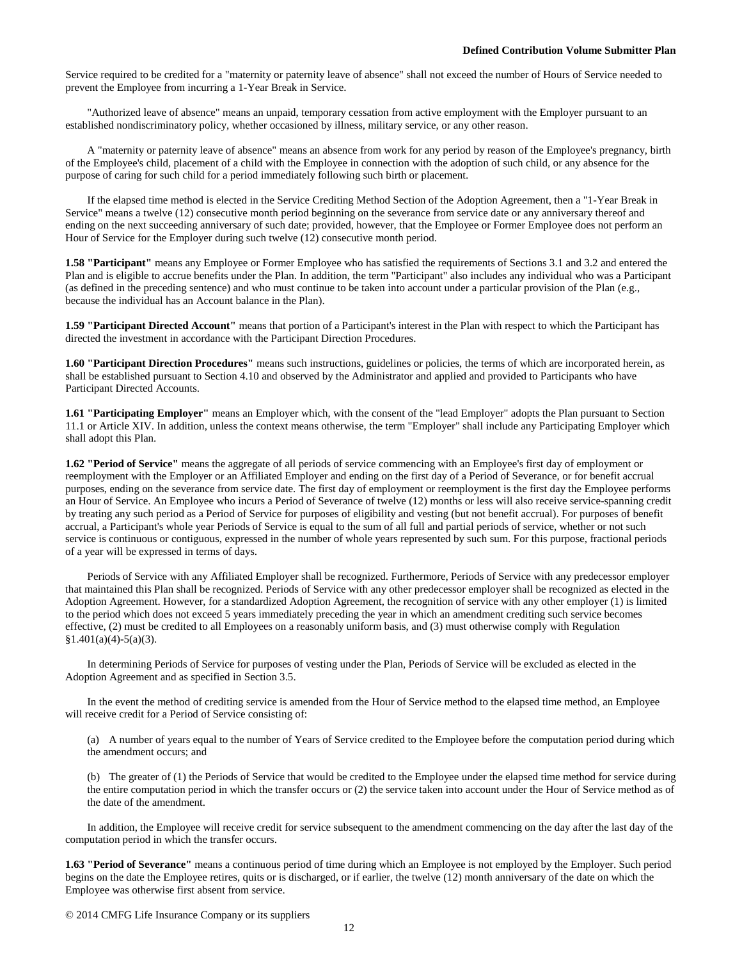Service required to be credited for a "maternity or paternity leave of absence" shall not exceed the number of Hours of Service needed to prevent the Employee from incurring a 1-Year Break in Service.

"Authorized leave of absence" means an unpaid, temporary cessation from active employment with the Employer pursuant to an established nondiscriminatory policy, whether occasioned by illness, military service, or any other reason.

A "maternity or paternity leave of absence" means an absence from work for any period by reason of the Employee's pregnancy, birth of the Employee's child, placement of a child with the Employee in connection with the adoption of such child, or any absence for the purpose of caring for such child for a period immediately following such birth or placement.

If the elapsed time method is elected in the Service Crediting Method Section of the Adoption Agreement, then a "1-Year Break in Service" means a twelve (12) consecutive month period beginning on the severance from service date or any anniversary thereof and ending on the next succeeding anniversary of such date; provided, however, that the Employee or Former Employee does not perform an Hour of Service for the Employer during such twelve (12) consecutive month period.

**1.58 "Participant"** means any Employee or Former Employee who has satisfied the requirements of Sections 3.1 and 3.2 and entered the Plan and is eligible to accrue benefits under the Plan. In addition, the term "Participant" also includes any individual who was a Participant (as defined in the preceding sentence) and who must continue to be taken into account under a particular provision of the Plan (e.g., because the individual has an Account balance in the Plan).

**1.59 "Participant Directed Account"** means that portion of a Participant's interest in the Plan with respect to which the Participant has directed the investment in accordance with the Participant Direction Procedures.

**1.60 "Participant Direction Procedures"** means such instructions, guidelines or policies, the terms of which are incorporated herein, as shall be established pursuant to Section 4.10 and observed by the Administrator and applied and provided to Participants who have Participant Directed Accounts.

**1.61 "Participating Employer"** means an Employer which, with the consent of the "lead Employer" adopts the Plan pursuant to Section 11.1 or Article XIV. In addition, unless the context means otherwise, the term "Employer" shall include any Participating Employer which shall adopt this Plan.

**1.62 "Period of Service"** means the aggregate of all periods of service commencing with an Employee's first day of employment or reemployment with the Employer or an Affiliated Employer and ending on the first day of a Period of Severance, or for benefit accrual purposes, ending on the severance from service date. The first day of employment or reemployment is the first day the Employee performs an Hour of Service. An Employee who incurs a Period of Severance of twelve (12) months or less will also receive service-spanning credit by treating any such period as a Period of Service for purposes of eligibility and vesting (but not benefit accrual). For purposes of benefit accrual, a Participant's whole year Periods of Service is equal to the sum of all full and partial periods of service, whether or not such service is continuous or contiguous, expressed in the number of whole years represented by such sum. For this purpose, fractional periods of a year will be expressed in terms of days.

Periods of Service with any Affiliated Employer shall be recognized. Furthermore, Periods of Service with any predecessor employer that maintained this Plan shall be recognized. Periods of Service with any other predecessor employer shall be recognized as elected in the Adoption Agreement. However, for a standardized Adoption Agreement, the recognition of service with any other employer (1) is limited to the period which does not exceed 5 years immediately preceding the year in which an amendment crediting such service becomes effective, (2) must be credited to all Employees on a reasonably uniform basis, and (3) must otherwise comply with Regulation  $§1.401(a)(4)-5(a)(3).$ 

In determining Periods of Service for purposes of vesting under the Plan, Periods of Service will be excluded as elected in the Adoption Agreement and as specified in Section 3.5.

In the event the method of crediting service is amended from the Hour of Service method to the elapsed time method, an Employee will receive credit for a Period of Service consisting of:

(a) A number of years equal to the number of Years of Service credited to the Employee before the computation period during which the amendment occurs; and

(b) The greater of (1) the Periods of Service that would be credited to the Employee under the elapsed time method for service during the entire computation period in which the transfer occurs or (2) the service taken into account under the Hour of Service method as of the date of the amendment.

In addition, the Employee will receive credit for service subsequent to the amendment commencing on the day after the last day of the computation period in which the transfer occurs.

**1.63 "Period of Severance"** means a continuous period of time during which an Employee is not employed by the Employer. Such period begins on the date the Employee retires, quits or is discharged, or if earlier, the twelve (12) month anniversary of the date on which the Employee was otherwise first absent from service.

© 2014 CMFG Life Insurance Company or its suppliers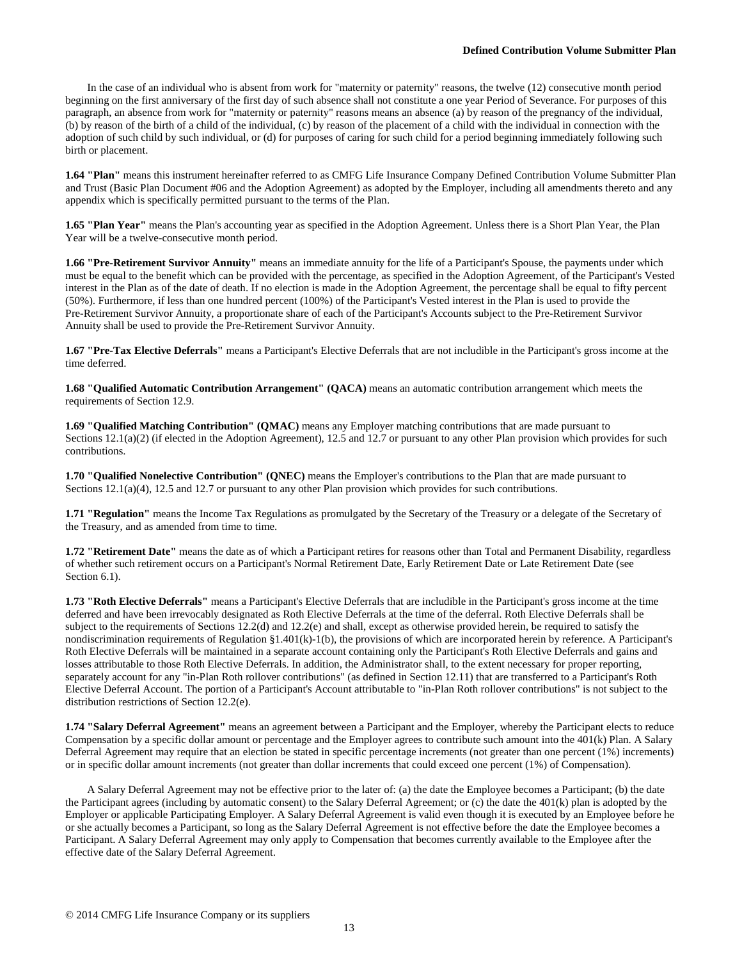In the case of an individual who is absent from work for "maternity or paternity" reasons, the twelve (12) consecutive month period beginning on the first anniversary of the first day of such absence shall not constitute a one year Period of Severance. For purposes of this paragraph, an absence from work for "maternity or paternity" reasons means an absence (a) by reason of the pregnancy of the individual, (b) by reason of the birth of a child of the individual, (c) by reason of the placement of a child with the individual in connection with the adoption of such child by such individual, or (d) for purposes of caring for such child for a period beginning immediately following such birth or placement.

**1.64 "Plan"** means this instrument hereinafter referred to as CMFG Life Insurance Company Defined Contribution Volume Submitter Plan and Trust (Basic Plan Document #06 and the Adoption Agreement) as adopted by the Employer, including all amendments thereto and any appendix which is specifically permitted pursuant to the terms of the Plan.

**1.65 "Plan Year"** means the Plan's accounting year as specified in the Adoption Agreement. Unless there is a Short Plan Year, the Plan Year will be a twelve-consecutive month period.

**1.66 "Pre-Retirement Survivor Annuity"** means an immediate annuity for the life of a Participant's Spouse, the payments under which must be equal to the benefit which can be provided with the percentage, as specified in the Adoption Agreement, of the Participant's Vested interest in the Plan as of the date of death. If no election is made in the Adoption Agreement, the percentage shall be equal to fifty percent (50%). Furthermore, if less than one hundred percent (100%) of the Participant's Vested interest in the Plan is used to provide the Pre-Retirement Survivor Annuity, a proportionate share of each of the Participant's Accounts subject to the Pre-Retirement Survivor Annuity shall be used to provide the Pre-Retirement Survivor Annuity.

**1.67 "Pre-Tax Elective Deferrals"** means a Participant's Elective Deferrals that are not includible in the Participant's gross income at the time deferred.

**1.68 "Qualified Automatic Contribution Arrangement" (QACA)** means an automatic contribution arrangement which meets the requirements of Section 12.9.

**1.69 "Qualified Matching Contribution" (QMAC)** means any Employer matching contributions that are made pursuant to Sections 12.1(a)(2) (if elected in the Adoption Agreement), 12.5 and 12.7 or pursuant to any other Plan provision which provides for such contributions.

**1.70 "Qualified Nonelective Contribution" (QNEC)** means the Employer's contributions to the Plan that are made pursuant to Sections 12.1(a)(4), 12.5 and 12.7 or pursuant to any other Plan provision which provides for such contributions.

**1.71 "Regulation"** means the Income Tax Regulations as promulgated by the Secretary of the Treasury or a delegate of the Secretary of the Treasury, and as amended from time to time.

**1.72 "Retirement Date"** means the date as of which a Participant retires for reasons other than Total and Permanent Disability, regardless of whether such retirement occurs on a Participant's Normal Retirement Date, Early Retirement Date or Late Retirement Date (see Section 6.1).

**1.73 "Roth Elective Deferrals"** means a Participant's Elective Deferrals that are includible in the Participant's gross income at the time deferred and have been irrevocably designated as Roth Elective Deferrals at the time of the deferral. Roth Elective Deferrals shall be subject to the requirements of Sections 12.2(d) and 12.2(e) and shall, except as otherwise provided herein, be required to satisfy the nondiscrimination requirements of Regulation §1.401(k)-1(b), the provisions of which are incorporated herein by reference. A Participant's Roth Elective Deferrals will be maintained in a separate account containing only the Participant's Roth Elective Deferrals and gains and losses attributable to those Roth Elective Deferrals. In addition, the Administrator shall, to the extent necessary for proper reporting, separately account for any "in-Plan Roth rollover contributions" (as defined in Section 12.11) that are transferred to a Participant's Roth Elective Deferral Account. The portion of a Participant's Account attributable to "in-Plan Roth rollover contributions" is not subject to the distribution restrictions of Section 12.2(e).

**1.74 "Salary Deferral Agreement"** means an agreement between a Participant and the Employer, whereby the Participant elects to reduce Compensation by a specific dollar amount or percentage and the Employer agrees to contribute such amount into the 401(k) Plan. A Salary Deferral Agreement may require that an election be stated in specific percentage increments (not greater than one percent (1%) increments) or in specific dollar amount increments (not greater than dollar increments that could exceed one percent (1%) of Compensation).

A Salary Deferral Agreement may not be effective prior to the later of: (a) the date the Employee becomes a Participant; (b) the date the Participant agrees (including by automatic consent) to the Salary Deferral Agreement; or (c) the date the 401(k) plan is adopted by the Employer or applicable Participating Employer. A Salary Deferral Agreement is valid even though it is executed by an Employee before he or she actually becomes a Participant, so long as the Salary Deferral Agreement is not effective before the date the Employee becomes a Participant. A Salary Deferral Agreement may only apply to Compensation that becomes currently available to the Employee after the effective date of the Salary Deferral Agreement.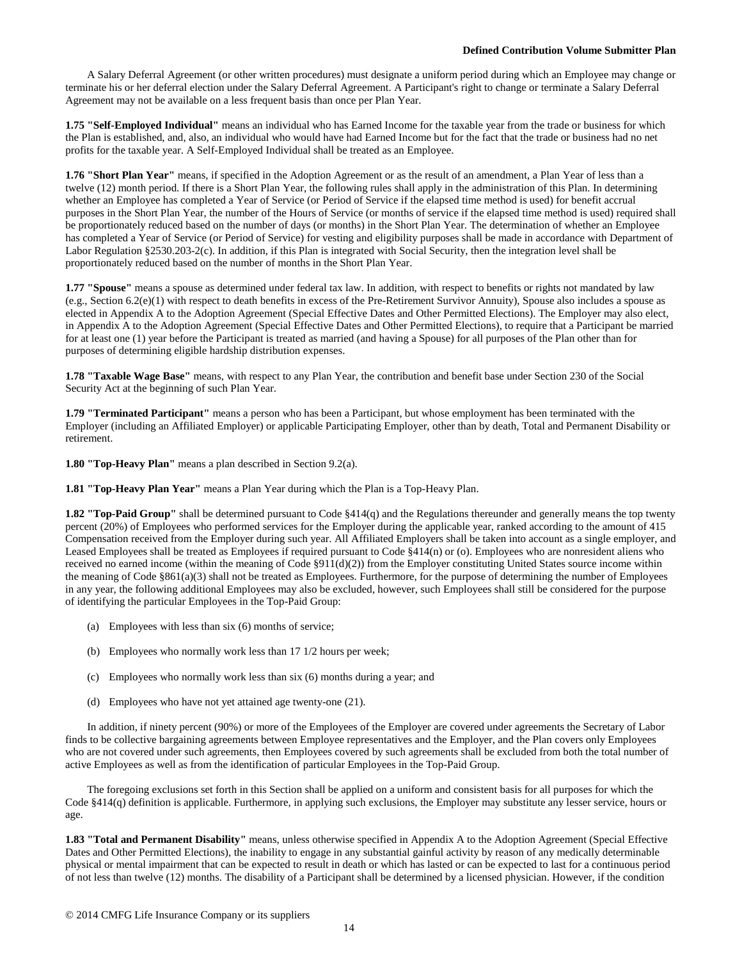A Salary Deferral Agreement (or other written procedures) must designate a uniform period during which an Employee may change or terminate his or her deferral election under the Salary Deferral Agreement. A Participant's right to change or terminate a Salary Deferral Agreement may not be available on a less frequent basis than once per Plan Year.

**1.75 "Self-Employed Individual"** means an individual who has Earned Income for the taxable year from the trade or business for which the Plan is established, and, also, an individual who would have had Earned Income but for the fact that the trade or business had no net profits for the taxable year. A Self-Employed Individual shall be treated as an Employee.

**1.76 "Short Plan Year"** means, if specified in the Adoption Agreement or as the result of an amendment, a Plan Year of less than a twelve (12) month period. If there is a Short Plan Year, the following rules shall apply in the administration of this Plan. In determining whether an Employee has completed a Year of Service (or Period of Service if the elapsed time method is used) for benefit accrual purposes in the Short Plan Year, the number of the Hours of Service (or months of service if the elapsed time method is used) required shall be proportionately reduced based on the number of days (or months) in the Short Plan Year. The determination of whether an Employee has completed a Year of Service (or Period of Service) for vesting and eligibility purposes shall be made in accordance with Department of Labor Regulation §2530.203-2(c). In addition, if this Plan is integrated with Social Security, then the integration level shall be proportionately reduced based on the number of months in the Short Plan Year.

**1.77 "Spouse"** means a spouse as determined under federal tax law. In addition, with respect to benefits or rights not mandated by law (e.g., Section 6.2(e)(1) with respect to death benefits in excess of the Pre-Retirement Survivor Annuity), Spouse also includes a spouse as elected in Appendix A to the Adoption Agreement (Special Effective Dates and Other Permitted Elections). The Employer may also elect, in Appendix A to the Adoption Agreement (Special Effective Dates and Other Permitted Elections), to require that a Participant be married for at least one (1) year before the Participant is treated as married (and having a Spouse) for all purposes of the Plan other than for purposes of determining eligible hardship distribution expenses.

**1.78 "Taxable Wage Base"** means, with respect to any Plan Year, the contribution and benefit base under Section 230 of the Social Security Act at the beginning of such Plan Year.

**1.79 "Terminated Participant"** means a person who has been a Participant, but whose employment has been terminated with the Employer (including an Affiliated Employer) or applicable Participating Employer, other than by death, Total and Permanent Disability or retirement.

**1.80 "Top-Heavy Plan"** means a plan described in Section 9.2(a).

**1.81 "Top-Heavy Plan Year"** means a Plan Year during which the Plan is a Top-Heavy Plan.

**1.82 "Top-Paid Group"** shall be determined pursuant to Code §414(q) and the Regulations thereunder and generally means the top twenty percent (20%) of Employees who performed services for the Employer during the applicable year, ranked according to the amount of 415 Compensation received from the Employer during such year. All Affiliated Employers shall be taken into account as a single employer, and Leased Employees shall be treated as Employees if required pursuant to Code §414(n) or (o). Employees who are nonresident aliens who received no earned income (within the meaning of Code §911(d)(2)) from the Employer constituting United States source income within the meaning of Code §861(a)(3) shall not be treated as Employees. Furthermore, for the purpose of determining the number of Employees in any year, the following additional Employees may also be excluded, however, such Employees shall still be considered for the purpose of identifying the particular Employees in the Top-Paid Group:

- (a) Employees with less than six (6) months of service;
- (b) Employees who normally work less than 17 1/2 hours per week;
- (c) Employees who normally work less than six (6) months during a year; and
- (d) Employees who have not yet attained age twenty-one (21).

In addition, if ninety percent (90%) or more of the Employees of the Employer are covered under agreements the Secretary of Labor finds to be collective bargaining agreements between Employee representatives and the Employer, and the Plan covers only Employees who are not covered under such agreements, then Employees covered by such agreements shall be excluded from both the total number of active Employees as well as from the identification of particular Employees in the Top-Paid Group.

The foregoing exclusions set forth in this Section shall be applied on a uniform and consistent basis for all purposes for which the Code §414(q) definition is applicable. Furthermore, in applying such exclusions, the Employer may substitute any lesser service, hours or age.

**1.83 "Total and Permanent Disability"** means, unless otherwise specified in Appendix A to the Adoption Agreement (Special Effective Dates and Other Permitted Elections), the inability to engage in any substantial gainful activity by reason of any medically determinable physical or mental impairment that can be expected to result in death or which has lasted or can be expected to last for a continuous period of not less than twelve (12) months. The disability of a Participant shall be determined by a licensed physician. However, if the condition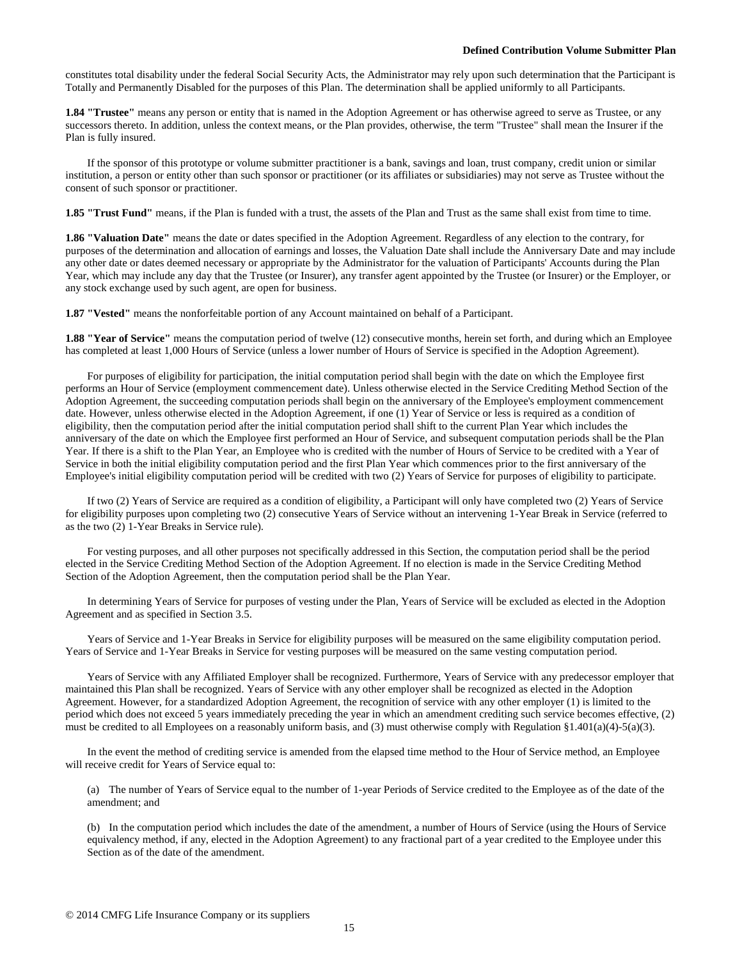constitutes total disability under the federal Social Security Acts, the Administrator may rely upon such determination that the Participant is Totally and Permanently Disabled for the purposes of this Plan. The determination shall be applied uniformly to all Participants.

**1.84 "Trustee"** means any person or entity that is named in the Adoption Agreement or has otherwise agreed to serve as Trustee, or any successors thereto. In addition, unless the context means, or the Plan provides, otherwise, the term "Trustee" shall mean the Insurer if the Plan is fully insured.

If the sponsor of this prototype or volume submitter practitioner is a bank, savings and loan, trust company, credit union or similar institution, a person or entity other than such sponsor or practitioner (or its affiliates or subsidiaries) may not serve as Trustee without the consent of such sponsor or practitioner.

**1.85 "Trust Fund"** means, if the Plan is funded with a trust, the assets of the Plan and Trust as the same shall exist from time to time.

**1.86 "Valuation Date"** means the date or dates specified in the Adoption Agreement. Regardless of any election to the contrary, for purposes of the determination and allocation of earnings and losses, the Valuation Date shall include the Anniversary Date and may include any other date or dates deemed necessary or appropriate by the Administrator for the valuation of Participants' Accounts during the Plan Year, which may include any day that the Trustee (or Insurer), any transfer agent appointed by the Trustee (or Insurer) or the Employer, or any stock exchange used by such agent, are open for business.

**1.87 "Vested"** means the nonforfeitable portion of any Account maintained on behalf of a Participant.

**1.88 "Year of Service"** means the computation period of twelve (12) consecutive months, herein set forth, and during which an Employee has completed at least 1,000 Hours of Service (unless a lower number of Hours of Service is specified in the Adoption Agreement).

For purposes of eligibility for participation, the initial computation period shall begin with the date on which the Employee first performs an Hour of Service (employment commencement date). Unless otherwise elected in the Service Crediting Method Section of the Adoption Agreement, the succeeding computation periods shall begin on the anniversary of the Employee's employment commencement date. However, unless otherwise elected in the Adoption Agreement, if one (1) Year of Service or less is required as a condition of eligibility, then the computation period after the initial computation period shall shift to the current Plan Year which includes the anniversary of the date on which the Employee first performed an Hour of Service, and subsequent computation periods shall be the Plan Year. If there is a shift to the Plan Year, an Employee who is credited with the number of Hours of Service to be credited with a Year of Service in both the initial eligibility computation period and the first Plan Year which commences prior to the first anniversary of the Employee's initial eligibility computation period will be credited with two (2) Years of Service for purposes of eligibility to participate.

If two (2) Years of Service are required as a condition of eligibility, a Participant will only have completed two (2) Years of Service for eligibility purposes upon completing two (2) consecutive Years of Service without an intervening 1-Year Break in Service (referred to as the two (2) 1-Year Breaks in Service rule).

For vesting purposes, and all other purposes not specifically addressed in this Section, the computation period shall be the period elected in the Service Crediting Method Section of the Adoption Agreement. If no election is made in the Service Crediting Method Section of the Adoption Agreement, then the computation period shall be the Plan Year.

In determining Years of Service for purposes of vesting under the Plan, Years of Service will be excluded as elected in the Adoption Agreement and as specified in Section 3.5.

Years of Service and 1-Year Breaks in Service for eligibility purposes will be measured on the same eligibility computation period. Years of Service and 1-Year Breaks in Service for vesting purposes will be measured on the same vesting computation period.

Years of Service with any Affiliated Employer shall be recognized. Furthermore, Years of Service with any predecessor employer that maintained this Plan shall be recognized. Years of Service with any other employer shall be recognized as elected in the Adoption Agreement. However, for a standardized Adoption Agreement, the recognition of service with any other employer (1) is limited to the period which does not exceed 5 years immediately preceding the year in which an amendment crediting such service becomes effective, (2) must be credited to all Employees on a reasonably uniform basis, and (3) must otherwise comply with Regulation §1.401(a)(4)-5(a)(3).

In the event the method of crediting service is amended from the elapsed time method to the Hour of Service method, an Employee will receive credit for Years of Service equal to:

(a) The number of Years of Service equal to the number of 1-year Periods of Service credited to the Employee as of the date of the amendment; and

(b) In the computation period which includes the date of the amendment, a number of Hours of Service (using the Hours of Service equivalency method, if any, elected in the Adoption Agreement) to any fractional part of a year credited to the Employee under this Section as of the date of the amendment.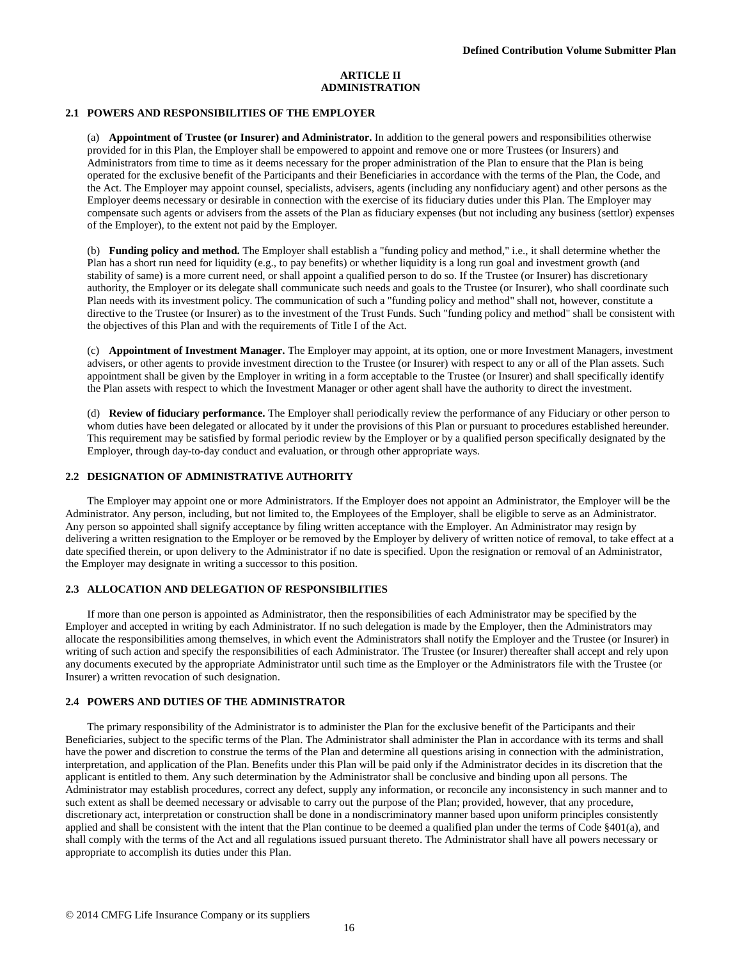#### **ARTICLE II ADMINISTRATION**

#### **2.1 POWERS AND RESPONSIBILITIES OF THE EMPLOYER**

(a) **Appointment of Trustee (or Insurer) and Administrator.** In addition to the general powers and responsibilities otherwise provided for in this Plan, the Employer shall be empowered to appoint and remove one or more Trustees (or Insurers) and Administrators from time to time as it deems necessary for the proper administration of the Plan to ensure that the Plan is being operated for the exclusive benefit of the Participants and their Beneficiaries in accordance with the terms of the Plan, the Code, and the Act. The Employer may appoint counsel, specialists, advisers, agents (including any nonfiduciary agent) and other persons as the Employer deems necessary or desirable in connection with the exercise of its fiduciary duties under this Plan. The Employer may compensate such agents or advisers from the assets of the Plan as fiduciary expenses (but not including any business (settlor) expenses of the Employer), to the extent not paid by the Employer.

(b) **Funding policy and method.** The Employer shall establish a "funding policy and method," i.e., it shall determine whether the Plan has a short run need for liquidity (e.g., to pay benefits) or whether liquidity is a long run goal and investment growth (and stability of same) is a more current need, or shall appoint a qualified person to do so. If the Trustee (or Insurer) has discretionary authority, the Employer or its delegate shall communicate such needs and goals to the Trustee (or Insurer), who shall coordinate such Plan needs with its investment policy. The communication of such a "funding policy and method" shall not, however, constitute a directive to the Trustee (or Insurer) as to the investment of the Trust Funds. Such "funding policy and method" shall be consistent with the objectives of this Plan and with the requirements of Title I of the Act.

(c) **Appointment of Investment Manager.** The Employer may appoint, at its option, one or more Investment Managers, investment advisers, or other agents to provide investment direction to the Trustee (or Insurer) with respect to any or all of the Plan assets. Such appointment shall be given by the Employer in writing in a form acceptable to the Trustee (or Insurer) and shall specifically identify the Plan assets with respect to which the Investment Manager or other agent shall have the authority to direct the investment.

(d) **Review of fiduciary performance.** The Employer shall periodically review the performance of any Fiduciary or other person to whom duties have been delegated or allocated by it under the provisions of this Plan or pursuant to procedures established hereunder. This requirement may be satisfied by formal periodic review by the Employer or by a qualified person specifically designated by the Employer, through day-to-day conduct and evaluation, or through other appropriate ways.

#### **2.2 DESIGNATION OF ADMINISTRATIVE AUTHORITY**

The Employer may appoint one or more Administrators. If the Employer does not appoint an Administrator, the Employer will be the Administrator. Any person, including, but not limited to, the Employees of the Employer, shall be eligible to serve as an Administrator. Any person so appointed shall signify acceptance by filing written acceptance with the Employer. An Administrator may resign by delivering a written resignation to the Employer or be removed by the Employer by delivery of written notice of removal, to take effect at a date specified therein, or upon delivery to the Administrator if no date is specified. Upon the resignation or removal of an Administrator, the Employer may designate in writing a successor to this position.

## **2.3 ALLOCATION AND DELEGATION OF RESPONSIBILITIES**

If more than one person is appointed as Administrator, then the responsibilities of each Administrator may be specified by the Employer and accepted in writing by each Administrator. If no such delegation is made by the Employer, then the Administrators may allocate the responsibilities among themselves, in which event the Administrators shall notify the Employer and the Trustee (or Insurer) in writing of such action and specify the responsibilities of each Administrator. The Trustee (or Insurer) thereafter shall accept and rely upon any documents executed by the appropriate Administrator until such time as the Employer or the Administrators file with the Trustee (or Insurer) a written revocation of such designation.

#### **2.4 POWERS AND DUTIES OF THE ADMINISTRATOR**

The primary responsibility of the Administrator is to administer the Plan for the exclusive benefit of the Participants and their Beneficiaries, subject to the specific terms of the Plan. The Administrator shall administer the Plan in accordance with its terms and shall have the power and discretion to construe the terms of the Plan and determine all questions arising in connection with the administration, interpretation, and application of the Plan. Benefits under this Plan will be paid only if the Administrator decides in its discretion that the applicant is entitled to them. Any such determination by the Administrator shall be conclusive and binding upon all persons. The Administrator may establish procedures, correct any defect, supply any information, or reconcile any inconsistency in such manner and to such extent as shall be deemed necessary or advisable to carry out the purpose of the Plan; provided, however, that any procedure, discretionary act, interpretation or construction shall be done in a nondiscriminatory manner based upon uniform principles consistently applied and shall be consistent with the intent that the Plan continue to be deemed a qualified plan under the terms of Code §401(a), and shall comply with the terms of the Act and all regulations issued pursuant thereto. The Administrator shall have all powers necessary or appropriate to accomplish its duties under this Plan.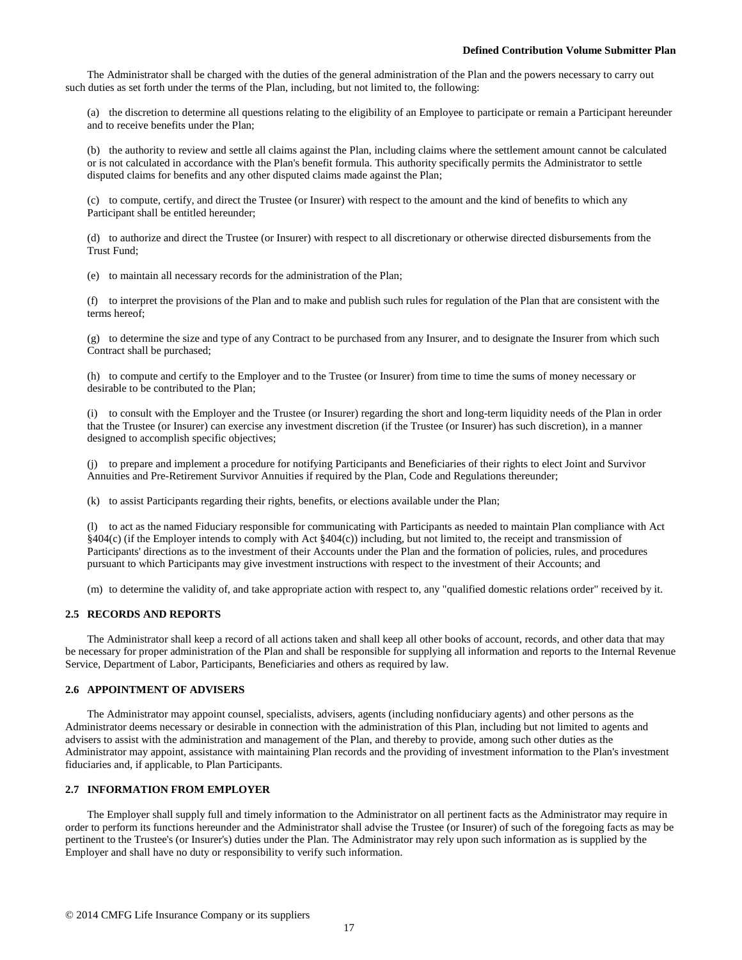The Administrator shall be charged with the duties of the general administration of the Plan and the powers necessary to carry out such duties as set forth under the terms of the Plan, including, but not limited to, the following:

(a) the discretion to determine all questions relating to the eligibility of an Employee to participate or remain a Participant hereunder and to receive benefits under the Plan;

(b) the authority to review and settle all claims against the Plan, including claims where the settlement amount cannot be calculated or is not calculated in accordance with the Plan's benefit formula. This authority specifically permits the Administrator to settle disputed claims for benefits and any other disputed claims made against the Plan;

(c) to compute, certify, and direct the Trustee (or Insurer) with respect to the amount and the kind of benefits to which any Participant shall be entitled hereunder;

(d) to authorize and direct the Trustee (or Insurer) with respect to all discretionary or otherwise directed disbursements from the Trust Fund;

(e) to maintain all necessary records for the administration of the Plan;

(f) to interpret the provisions of the Plan and to make and publish such rules for regulation of the Plan that are consistent with the terms hereof;

(g) to determine the size and type of any Contract to be purchased from any Insurer, and to designate the Insurer from which such Contract shall be purchased;

(h) to compute and certify to the Employer and to the Trustee (or Insurer) from time to time the sums of money necessary or desirable to be contributed to the Plan;

(i) to consult with the Employer and the Trustee (or Insurer) regarding the short and long-term liquidity needs of the Plan in order that the Trustee (or Insurer) can exercise any investment discretion (if the Trustee (or Insurer) has such discretion), in a manner designed to accomplish specific objectives;

(j) to prepare and implement a procedure for notifying Participants and Beneficiaries of their rights to elect Joint and Survivor Annuities and Pre-Retirement Survivor Annuities if required by the Plan, Code and Regulations thereunder;

(k) to assist Participants regarding their rights, benefits, or elections available under the Plan;

(l) to act as the named Fiduciary responsible for communicating with Participants as needed to maintain Plan compliance with Act §404(c) (if the Employer intends to comply with Act §404(c)) including, but not limited to, the receipt and transmission of Participants' directions as to the investment of their Accounts under the Plan and the formation of policies, rules, and procedures pursuant to which Participants may give investment instructions with respect to the investment of their Accounts; and

(m) to determine the validity of, and take appropriate action with respect to, any "qualified domestic relations order" received by it.

# **2.5 RECORDS AND REPORTS**

The Administrator shall keep a record of all actions taken and shall keep all other books of account, records, and other data that may be necessary for proper administration of the Plan and shall be responsible for supplying all information and reports to the Internal Revenue Service, Department of Labor, Participants, Beneficiaries and others as required by law.

# **2.6 APPOINTMENT OF ADVISERS**

The Administrator may appoint counsel, specialists, advisers, agents (including nonfiduciary agents) and other persons as the Administrator deems necessary or desirable in connection with the administration of this Plan, including but not limited to agents and advisers to assist with the administration and management of the Plan, and thereby to provide, among such other duties as the Administrator may appoint, assistance with maintaining Plan records and the providing of investment information to the Plan's investment fiduciaries and, if applicable, to Plan Participants.

#### **2.7 INFORMATION FROM EMPLOYER**

The Employer shall supply full and timely information to the Administrator on all pertinent facts as the Administrator may require in order to perform its functions hereunder and the Administrator shall advise the Trustee (or Insurer) of such of the foregoing facts as may be pertinent to the Trustee's (or Insurer's) duties under the Plan. The Administrator may rely upon such information as is supplied by the Employer and shall have no duty or responsibility to verify such information.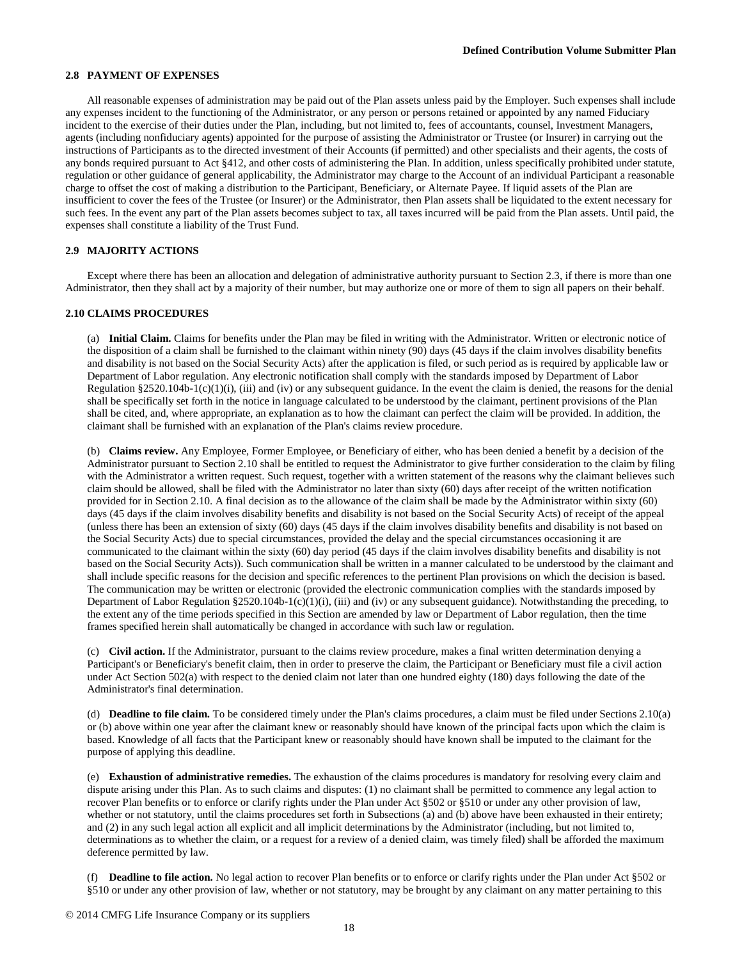## **2.8 PAYMENT OF EXPENSES**

All reasonable expenses of administration may be paid out of the Plan assets unless paid by the Employer. Such expenses shall include any expenses incident to the functioning of the Administrator, or any person or persons retained or appointed by any named Fiduciary incident to the exercise of their duties under the Plan, including, but not limited to, fees of accountants, counsel, Investment Managers, agents (including nonfiduciary agents) appointed for the purpose of assisting the Administrator or Trustee (or Insurer) in carrying out the instructions of Participants as to the directed investment of their Accounts (if permitted) and other specialists and their agents, the costs of any bonds required pursuant to Act §412, and other costs of administering the Plan. In addition, unless specifically prohibited under statute, regulation or other guidance of general applicability, the Administrator may charge to the Account of an individual Participant a reasonable charge to offset the cost of making a distribution to the Participant, Beneficiary, or Alternate Payee. If liquid assets of the Plan are insufficient to cover the fees of the Trustee (or Insurer) or the Administrator, then Plan assets shall be liquidated to the extent necessary for such fees. In the event any part of the Plan assets becomes subject to tax, all taxes incurred will be paid from the Plan assets. Until paid, the expenses shall constitute a liability of the Trust Fund.

### **2.9 MAJORITY ACTIONS**

Except where there has been an allocation and delegation of administrative authority pursuant to Section 2.3, if there is more than one Administrator, then they shall act by a majority of their number, but may authorize one or more of them to sign all papers on their behalf.

# **2.10 CLAIMS PROCEDURES**

(a) **Initial Claim.** Claims for benefits under the Plan may be filed in writing with the Administrator. Written or electronic notice of the disposition of a claim shall be furnished to the claimant within ninety (90) days (45 days if the claim involves disability benefits and disability is not based on the Social Security Acts) after the application is filed, or such period as is required by applicable law or Department of Labor regulation. Any electronic notification shall comply with the standards imposed by Department of Labor Regulation  $\S 2520.104b-1(c)(1)(i)$ , (iii) and (iv) or any subsequent guidance. In the event the claim is denied, the reasons for the denial shall be specifically set forth in the notice in language calculated to be understood by the claimant, pertinent provisions of the Plan shall be cited, and, where appropriate, an explanation as to how the claimant can perfect the claim will be provided. In addition, the claimant shall be furnished with an explanation of the Plan's claims review procedure.

(b) **Claims review.** Any Employee, Former Employee, or Beneficiary of either, who has been denied a benefit by a decision of the Administrator pursuant to Section 2.10 shall be entitled to request the Administrator to give further consideration to the claim by filing with the Administrator a written request. Such request, together with a written statement of the reasons why the claimant believes such claim should be allowed, shall be filed with the Administrator no later than sixty (60) days after receipt of the written notification provided for in Section 2.10. A final decision as to the allowance of the claim shall be made by the Administrator within sixty (60) days (45 days if the claim involves disability benefits and disability is not based on the Social Security Acts) of receipt of the appeal (unless there has been an extension of sixty (60) days (45 days if the claim involves disability benefits and disability is not based on the Social Security Acts) due to special circumstances, provided the delay and the special circumstances occasioning it are communicated to the claimant within the sixty (60) day period (45 days if the claim involves disability benefits and disability is not based on the Social Security Acts)). Such communication shall be written in a manner calculated to be understood by the claimant and shall include specific reasons for the decision and specific references to the pertinent Plan provisions on which the decision is based. The communication may be written or electronic (provided the electronic communication complies with the standards imposed by Department of Labor Regulation §2520.104b-1(c)(1)(i), (iii) and (iv) or any subsequent guidance). Notwithstanding the preceding, to the extent any of the time periods specified in this Section are amended by law or Department of Labor regulation, then the time frames specified herein shall automatically be changed in accordance with such law or regulation.

(c) **Civil action.** If the Administrator, pursuant to the claims review procedure, makes a final written determination denying a Participant's or Beneficiary's benefit claim, then in order to preserve the claim, the Participant or Beneficiary must file a civil action under Act Section 502(a) with respect to the denied claim not later than one hundred eighty (180) days following the date of the Administrator's final determination.

(d) **Deadline to file claim.** To be considered timely under the Plan's claims procedures, a claim must be filed under Sections 2.10(a) or (b) above within one year after the claimant knew or reasonably should have known of the principal facts upon which the claim is based. Knowledge of all facts that the Participant knew or reasonably should have known shall be imputed to the claimant for the purpose of applying this deadline.

(e) **Exhaustion of administrative remedies.** The exhaustion of the claims procedures is mandatory for resolving every claim and dispute arising under this Plan. As to such claims and disputes: (1) no claimant shall be permitted to commence any legal action to recover Plan benefits or to enforce or clarify rights under the Plan under Act §502 or §510 or under any other provision of law, whether or not statutory, until the claims procedures set forth in Subsections (a) and (b) above have been exhausted in their entirety; and (2) in any such legal action all explicit and all implicit determinations by the Administrator (including, but not limited to, determinations as to whether the claim, or a request for a review of a denied claim, was timely filed) shall be afforded the maximum deference permitted by law.

(f) **Deadline to file action.** No legal action to recover Plan benefits or to enforce or clarify rights under the Plan under Act §502 or §510 or under any other provision of law, whether or not statutory, may be brought by any claimant on any matter pertaining to this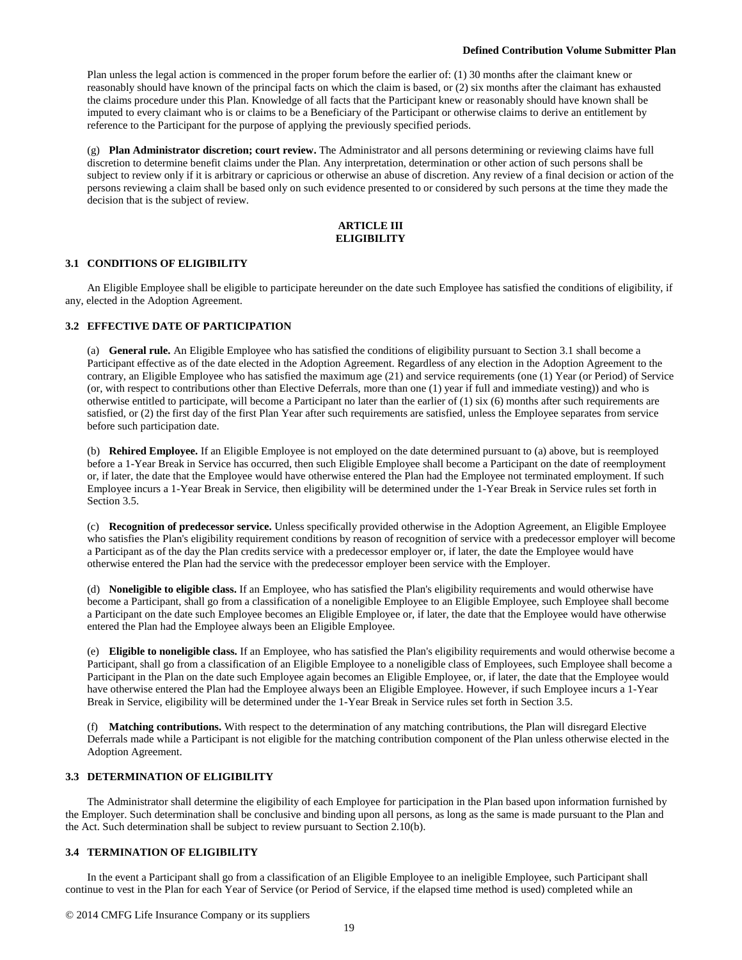Plan unless the legal action is commenced in the proper forum before the earlier of: (1) 30 months after the claimant knew or reasonably should have known of the principal facts on which the claim is based, or (2) six months after the claimant has exhausted the claims procedure under this Plan. Knowledge of all facts that the Participant knew or reasonably should have known shall be imputed to every claimant who is or claims to be a Beneficiary of the Participant or otherwise claims to derive an entitlement by reference to the Participant for the purpose of applying the previously specified periods.

(g) **Plan Administrator discretion; court review.** The Administrator and all persons determining or reviewing claims have full discretion to determine benefit claims under the Plan. Any interpretation, determination or other action of such persons shall be subject to review only if it is arbitrary or capricious or otherwise an abuse of discretion. Any review of a final decision or action of the persons reviewing a claim shall be based only on such evidence presented to or considered by such persons at the time they made the decision that is the subject of review.

# **ARTICLE III ELIGIBILITY**

## **3.1 CONDITIONS OF ELIGIBILITY**

An Eligible Employee shall be eligible to participate hereunder on the date such Employee has satisfied the conditions of eligibility, if any, elected in the Adoption Agreement.

### **3.2 EFFECTIVE DATE OF PARTICIPATION**

(a) **General rule.** An Eligible Employee who has satisfied the conditions of eligibility pursuant to Section 3.1 shall become a Participant effective as of the date elected in the Adoption Agreement. Regardless of any election in the Adoption Agreement to the contrary, an Eligible Employee who has satisfied the maximum age (21) and service requirements (one (1) Year (or Period) of Service (or, with respect to contributions other than Elective Deferrals, more than one (1) year if full and immediate vesting)) and who is otherwise entitled to participate, will become a Participant no later than the earlier of (1) six (6) months after such requirements are satisfied, or (2) the first day of the first Plan Year after such requirements are satisfied, unless the Employee separates from service before such participation date.

(b) **Rehired Employee.** If an Eligible Employee is not employed on the date determined pursuant to (a) above, but is reemployed before a 1-Year Break in Service has occurred, then such Eligible Employee shall become a Participant on the date of reemployment or, if later, the date that the Employee would have otherwise entered the Plan had the Employee not terminated employment. If such Employee incurs a 1-Year Break in Service, then eligibility will be determined under the 1-Year Break in Service rules set forth in Section 3.5.

(c) **Recognition of predecessor service.** Unless specifically provided otherwise in the Adoption Agreement, an Eligible Employee who satisfies the Plan's eligibility requirement conditions by reason of recognition of service with a predecessor employer will become a Participant as of the day the Plan credits service with a predecessor employer or, if later, the date the Employee would have otherwise entered the Plan had the service with the predecessor employer been service with the Employer.

(d) **Noneligible to eligible class.** If an Employee, who has satisfied the Plan's eligibility requirements and would otherwise have become a Participant, shall go from a classification of a noneligible Employee to an Eligible Employee, such Employee shall become a Participant on the date such Employee becomes an Eligible Employee or, if later, the date that the Employee would have otherwise entered the Plan had the Employee always been an Eligible Employee.

(e) **Eligible to noneligible class.** If an Employee, who has satisfied the Plan's eligibility requirements and would otherwise become a Participant, shall go from a classification of an Eligible Employee to a noneligible class of Employees, such Employee shall become a Participant in the Plan on the date such Employee again becomes an Eligible Employee, or, if later, the date that the Employee would have otherwise entered the Plan had the Employee always been an Eligible Employee. However, if such Employee incurs a 1-Year Break in Service, eligibility will be determined under the 1-Year Break in Service rules set forth in Section 3.5.

(f) **Matching contributions.** With respect to the determination of any matching contributions, the Plan will disregard Elective Deferrals made while a Participant is not eligible for the matching contribution component of the Plan unless otherwise elected in the Adoption Agreement.

## **3.3 DETERMINATION OF ELIGIBILITY**

The Administrator shall determine the eligibility of each Employee for participation in the Plan based upon information furnished by the Employer. Such determination shall be conclusive and binding upon all persons, as long as the same is made pursuant to the Plan and the Act. Such determination shall be subject to review pursuant to Section 2.10(b).

# **3.4 TERMINATION OF ELIGIBILITY**

In the event a Participant shall go from a classification of an Eligible Employee to an ineligible Employee, such Participant shall continue to vest in the Plan for each Year of Service (or Period of Service, if the elapsed time method is used) completed while an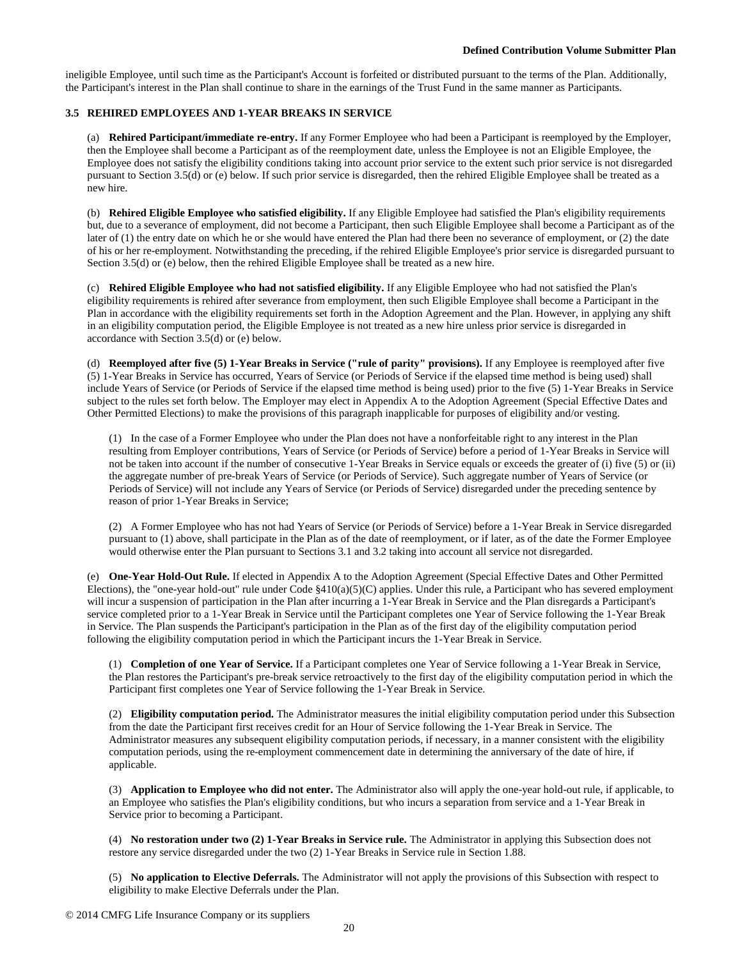ineligible Employee, until such time as the Participant's Account is forfeited or distributed pursuant to the terms of the Plan. Additionally, the Participant's interest in the Plan shall continue to share in the earnings of the Trust Fund in the same manner as Participants.

# **3.5 REHIRED EMPLOYEES AND 1-YEAR BREAKS IN SERVICE**

(a) **Rehired Participant/immediate re-entry.** If any Former Employee who had been a Participant is reemployed by the Employer, then the Employee shall become a Participant as of the reemployment date, unless the Employee is not an Eligible Employee, the Employee does not satisfy the eligibility conditions taking into account prior service to the extent such prior service is not disregarded pursuant to Section 3.5(d) or (e) below. If such prior service is disregarded, then the rehired Eligible Employee shall be treated as a new hire.

(b) **Rehired Eligible Employee who satisfied eligibility.** If any Eligible Employee had satisfied the Plan's eligibility requirements but, due to a severance of employment, did not become a Participant, then such Eligible Employee shall become a Participant as of the later of (1) the entry date on which he or she would have entered the Plan had there been no severance of employment, or (2) the date of his or her re-employment. Notwithstanding the preceding, if the rehired Eligible Employee's prior service is disregarded pursuant to Section 3.5(d) or (e) below, then the rehired Eligible Employee shall be treated as a new hire.

(c) **Rehired Eligible Employee who had not satisfied eligibility.** If any Eligible Employee who had not satisfied the Plan's eligibility requirements is rehired after severance from employment, then such Eligible Employee shall become a Participant in the Plan in accordance with the eligibility requirements set forth in the Adoption Agreement and the Plan. However, in applying any shift in an eligibility computation period, the Eligible Employee is not treated as a new hire unless prior service is disregarded in accordance with Section 3.5(d) or (e) below.

(d) **Reemployed after five (5) 1-Year Breaks in Service ("rule of parity" provisions).** If any Employee is reemployed after five (5) 1-Year Breaks in Service has occurred, Years of Service (or Periods of Service if the elapsed time method is being used) shall include Years of Service (or Periods of Service if the elapsed time method is being used) prior to the five (5) 1-Year Breaks in Service subject to the rules set forth below. The Employer may elect in Appendix A to the Adoption Agreement (Special Effective Dates and Other Permitted Elections) to make the provisions of this paragraph inapplicable for purposes of eligibility and/or vesting.

(1) In the case of a Former Employee who under the Plan does not have a nonforfeitable right to any interest in the Plan resulting from Employer contributions, Years of Service (or Periods of Service) before a period of 1-Year Breaks in Service will not be taken into account if the number of consecutive 1-Year Breaks in Service equals or exceeds the greater of (i) five (5) or (ii) the aggregate number of pre-break Years of Service (or Periods of Service). Such aggregate number of Years of Service (or Periods of Service) will not include any Years of Service (or Periods of Service) disregarded under the preceding sentence by reason of prior 1-Year Breaks in Service;

(2) A Former Employee who has not had Years of Service (or Periods of Service) before a 1-Year Break in Service disregarded pursuant to (1) above, shall participate in the Plan as of the date of reemployment, or if later, as of the date the Former Employee would otherwise enter the Plan pursuant to Sections 3.1 and 3.2 taking into account all service not disregarded.

(e) **One-Year Hold-Out Rule.** If elected in Appendix A to the Adoption Agreement (Special Effective Dates and Other Permitted Elections), the "one-year hold-out" rule under Code §410(a)(5)(C) applies. Under this rule, a Participant who has severed employment will incur a suspension of participation in the Plan after incurring a 1-Year Break in Service and the Plan disregards a Participant's service completed prior to a 1-Year Break in Service until the Participant completes one Year of Service following the 1-Year Break in Service. The Plan suspends the Participant's participation in the Plan as of the first day of the eligibility computation period following the eligibility computation period in which the Participant incurs the 1-Year Break in Service.

(1) **Completion of one Year of Service.** If a Participant completes one Year of Service following a 1-Year Break in Service, the Plan restores the Participant's pre-break service retroactively to the first day of the eligibility computation period in which the Participant first completes one Year of Service following the 1-Year Break in Service.

(2) **Eligibility computation period.** The Administrator measures the initial eligibility computation period under this Subsection from the date the Participant first receives credit for an Hour of Service following the 1-Year Break in Service. The Administrator measures any subsequent eligibility computation periods, if necessary, in a manner consistent with the eligibility computation periods, using the re-employment commencement date in determining the anniversary of the date of hire, if applicable.

(3) **Application to Employee who did not enter.** The Administrator also will apply the one-year hold-out rule, if applicable, to an Employee who satisfies the Plan's eligibility conditions, but who incurs a separation from service and a 1-Year Break in Service prior to becoming a Participant.

(4) **No restoration under two (2) 1-Year Breaks in Service rule.** The Administrator in applying this Subsection does not restore any service disregarded under the two (2) 1-Year Breaks in Service rule in Section 1.88.

(5) **No application to Elective Deferrals.** The Administrator will not apply the provisions of this Subsection with respect to eligibility to make Elective Deferrals under the Plan.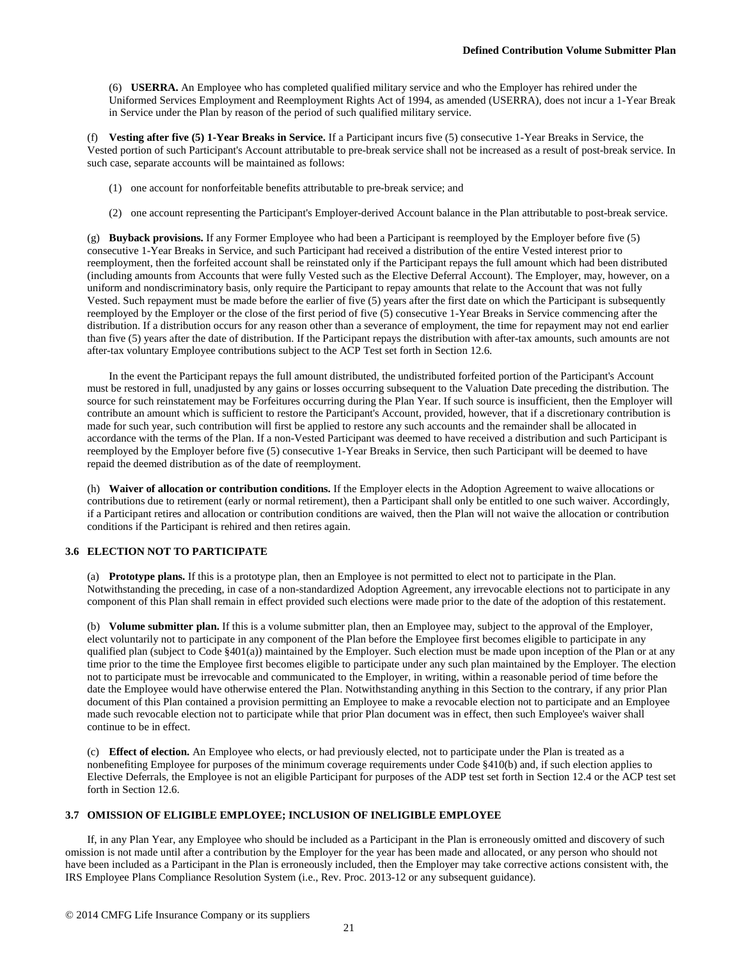(6) **USERRA.** An Employee who has completed qualified military service and who the Employer has rehired under the Uniformed Services Employment and Reemployment Rights Act of 1994, as amended (USERRA), does not incur a 1-Year Break in Service under the Plan by reason of the period of such qualified military service.

(f) **Vesting after five (5) 1-Year Breaks in Service.** If a Participant incurs five (5) consecutive 1-Year Breaks in Service, the Vested portion of such Participant's Account attributable to pre-break service shall not be increased as a result of post-break service. In such case, separate accounts will be maintained as follows:

- (1) one account for nonforfeitable benefits attributable to pre-break service; and
- (2) one account representing the Participant's Employer-derived Account balance in the Plan attributable to post-break service.

(g) **Buyback provisions.** If any Former Employee who had been a Participant is reemployed by the Employer before five (5) consecutive 1-Year Breaks in Service, and such Participant had received a distribution of the entire Vested interest prior to reemployment, then the forfeited account shall be reinstated only if the Participant repays the full amount which had been distributed (including amounts from Accounts that were fully Vested such as the Elective Deferral Account). The Employer, may, however, on a uniform and nondiscriminatory basis, only require the Participant to repay amounts that relate to the Account that was not fully Vested. Such repayment must be made before the earlier of five (5) years after the first date on which the Participant is subsequently reemployed by the Employer or the close of the first period of five (5) consecutive 1-Year Breaks in Service commencing after the distribution. If a distribution occurs for any reason other than a severance of employment, the time for repayment may not end earlier than five (5) years after the date of distribution. If the Participant repays the distribution with after-tax amounts, such amounts are not after-tax voluntary Employee contributions subject to the ACP Test set forth in Section 12.6.

In the event the Participant repays the full amount distributed, the undistributed forfeited portion of the Participant's Account must be restored in full, unadjusted by any gains or losses occurring subsequent to the Valuation Date preceding the distribution. The source for such reinstatement may be Forfeitures occurring during the Plan Year. If such source is insufficient, then the Employer will contribute an amount which is sufficient to restore the Participant's Account, provided, however, that if a discretionary contribution is made for such year, such contribution will first be applied to restore any such accounts and the remainder shall be allocated in accordance with the terms of the Plan. If a non-Vested Participant was deemed to have received a distribution and such Participant is reemployed by the Employer before five (5) consecutive 1-Year Breaks in Service, then such Participant will be deemed to have repaid the deemed distribution as of the date of reemployment.

(h) **Waiver of allocation or contribution conditions.** If the Employer elects in the Adoption Agreement to waive allocations or contributions due to retirement (early or normal retirement), then a Participant shall only be entitled to one such waiver. Accordingly, if a Participant retires and allocation or contribution conditions are waived, then the Plan will not waive the allocation or contribution conditions if the Participant is rehired and then retires again.

# **3.6 ELECTION NOT TO PARTICIPATE**

(a) **Prototype plans.** If this is a prototype plan, then an Employee is not permitted to elect not to participate in the Plan. Notwithstanding the preceding, in case of a non-standardized Adoption Agreement, any irrevocable elections not to participate in any component of this Plan shall remain in effect provided such elections were made prior to the date of the adoption of this restatement.

(b) **Volume submitter plan.** If this is a volume submitter plan, then an Employee may, subject to the approval of the Employer, elect voluntarily not to participate in any component of the Plan before the Employee first becomes eligible to participate in any qualified plan (subject to Code §401(a)) maintained by the Employer. Such election must be made upon inception of the Plan or at any time prior to the time the Employee first becomes eligible to participate under any such plan maintained by the Employer. The election not to participate must be irrevocable and communicated to the Employer, in writing, within a reasonable period of time before the date the Employee would have otherwise entered the Plan. Notwithstanding anything in this Section to the contrary, if any prior Plan document of this Plan contained a provision permitting an Employee to make a revocable election not to participate and an Employee made such revocable election not to participate while that prior Plan document was in effect, then such Employee's waiver shall continue to be in effect.

(c) **Effect of election.** An Employee who elects, or had previously elected, not to participate under the Plan is treated as a nonbenefiting Employee for purposes of the minimum coverage requirements under Code §410(b) and, if such election applies to Elective Deferrals, the Employee is not an eligible Participant for purposes of the ADP test set forth in Section 12.4 or the ACP test set forth in Section 12.6.

# **3.7 OMISSION OF ELIGIBLE EMPLOYEE; INCLUSION OF INELIGIBLE EMPLOYEE**

If, in any Plan Year, any Employee who should be included as a Participant in the Plan is erroneously omitted and discovery of such omission is not made until after a contribution by the Employer for the year has been made and allocated, or any person who should not have been included as a Participant in the Plan is erroneously included, then the Employer may take corrective actions consistent with, the IRS Employee Plans Compliance Resolution System (i.e., Rev. Proc. 2013-12 or any subsequent guidance).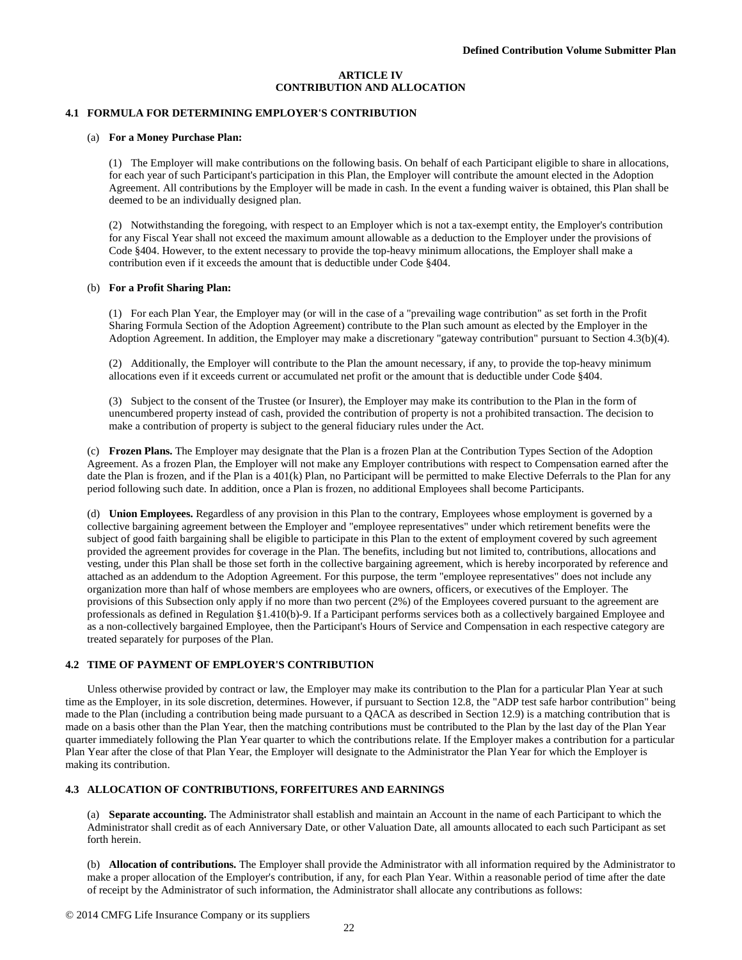### **ARTICLE IV CONTRIBUTION AND ALLOCATION**

# **4.1 FORMULA FOR DETERMINING EMPLOYER'S CONTRIBUTION**

#### (a) **For a Money Purchase Plan:**

(1) The Employer will make contributions on the following basis. On behalf of each Participant eligible to share in allocations, for each year of such Participant's participation in this Plan, the Employer will contribute the amount elected in the Adoption Agreement. All contributions by the Employer will be made in cash. In the event a funding waiver is obtained, this Plan shall be deemed to be an individually designed plan.

(2) Notwithstanding the foregoing, with respect to an Employer which is not a tax-exempt entity, the Employer's contribution for any Fiscal Year shall not exceed the maximum amount allowable as a deduction to the Employer under the provisions of Code §404. However, to the extent necessary to provide the top-heavy minimum allocations, the Employer shall make a contribution even if it exceeds the amount that is deductible under Code §404.

#### (b) **For a Profit Sharing Plan:**

(1) For each Plan Year, the Employer may (or will in the case of a "prevailing wage contribution" as set forth in the Profit Sharing Formula Section of the Adoption Agreement) contribute to the Plan such amount as elected by the Employer in the Adoption Agreement. In addition, the Employer may make a discretionary "gateway contribution" pursuant to Section 4.3(b)(4).

(2) Additionally, the Employer will contribute to the Plan the amount necessary, if any, to provide the top-heavy minimum allocations even if it exceeds current or accumulated net profit or the amount that is deductible under Code §404.

(3) Subject to the consent of the Trustee (or Insurer), the Employer may make its contribution to the Plan in the form of unencumbered property instead of cash, provided the contribution of property is not a prohibited transaction. The decision to make a contribution of property is subject to the general fiduciary rules under the Act.

(c) **Frozen Plans.** The Employer may designate that the Plan is a frozen Plan at the Contribution Types Section of the Adoption Agreement. As a frozen Plan, the Employer will not make any Employer contributions with respect to Compensation earned after the date the Plan is frozen, and if the Plan is a 401(k) Plan, no Participant will be permitted to make Elective Deferrals to the Plan for any period following such date. In addition, once a Plan is frozen, no additional Employees shall become Participants.

(d) **Union Employees.** Regardless of any provision in this Plan to the contrary, Employees whose employment is governed by a collective bargaining agreement between the Employer and "employee representatives" under which retirement benefits were the subject of good faith bargaining shall be eligible to participate in this Plan to the extent of employment covered by such agreement provided the agreement provides for coverage in the Plan. The benefits, including but not limited to, contributions, allocations and vesting, under this Plan shall be those set forth in the collective bargaining agreement, which is hereby incorporated by reference and attached as an addendum to the Adoption Agreement. For this purpose, the term "employee representatives" does not include any organization more than half of whose members are employees who are owners, officers, or executives of the Employer. The provisions of this Subsection only apply if no more than two percent (2%) of the Employees covered pursuant to the agreement are professionals as defined in Regulation §1.410(b)-9. If a Participant performs services both as a collectively bargained Employee and as a non-collectively bargained Employee, then the Participant's Hours of Service and Compensation in each respective category are treated separately for purposes of the Plan.

# **4.2 TIME OF PAYMENT OF EMPLOYER'S CONTRIBUTION**

Unless otherwise provided by contract or law, the Employer may make its contribution to the Plan for a particular Plan Year at such time as the Employer, in its sole discretion, determines. However, if pursuant to Section 12.8, the "ADP test safe harbor contribution" being made to the Plan (including a contribution being made pursuant to a QACA as described in Section 12.9) is a matching contribution that is made on a basis other than the Plan Year, then the matching contributions must be contributed to the Plan by the last day of the Plan Year quarter immediately following the Plan Year quarter to which the contributions relate. If the Employer makes a contribution for a particular Plan Year after the close of that Plan Year, the Employer will designate to the Administrator the Plan Year for which the Employer is making its contribution.

# **4.3 ALLOCATION OF CONTRIBUTIONS, FORFEITURES AND EARNINGS**

(a) **Separate accounting.** The Administrator shall establish and maintain an Account in the name of each Participant to which the Administrator shall credit as of each Anniversary Date, or other Valuation Date, all amounts allocated to each such Participant as set forth herein.

(b) **Allocation of contributions.** The Employer shall provide the Administrator with all information required by the Administrator to make a proper allocation of the Employer's contribution, if any, for each Plan Year. Within a reasonable period of time after the date of receipt by the Administrator of such information, the Administrator shall allocate any contributions as follows: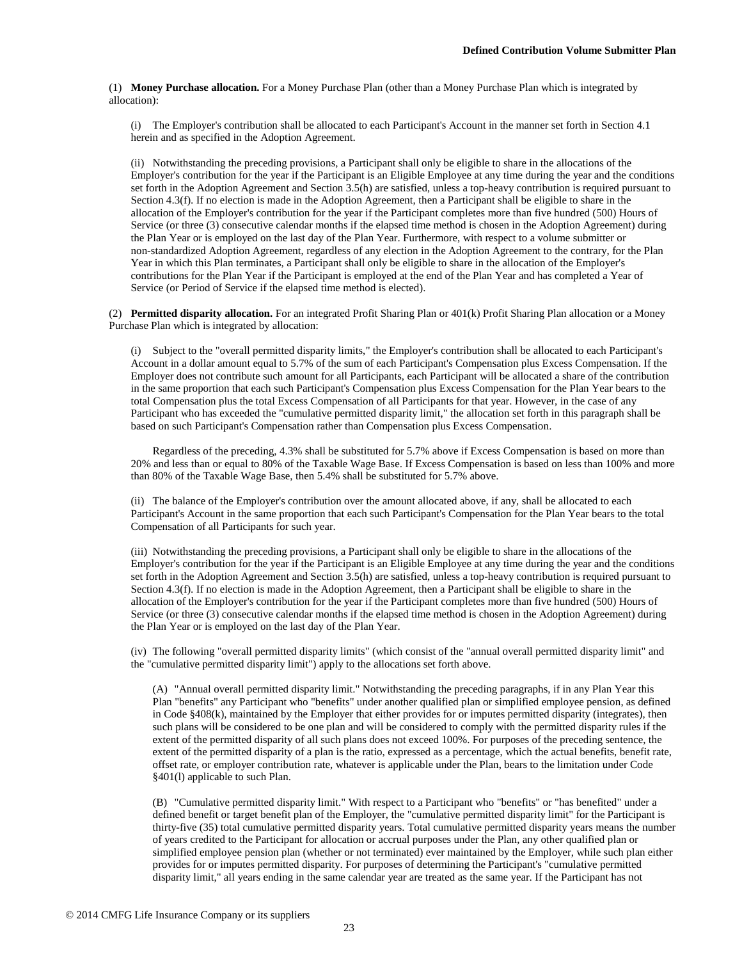(1) **Money Purchase allocation.** For a Money Purchase Plan (other than a Money Purchase Plan which is integrated by allocation):

(i) The Employer's contribution shall be allocated to each Participant's Account in the manner set forth in Section 4.1 herein and as specified in the Adoption Agreement.

(ii) Notwithstanding the preceding provisions, a Participant shall only be eligible to share in the allocations of the Employer's contribution for the year if the Participant is an Eligible Employee at any time during the year and the conditions set forth in the Adoption Agreement and Section 3.5(h) are satisfied, unless a top-heavy contribution is required pursuant to Section 4.3(f). If no election is made in the Adoption Agreement, then a Participant shall be eligible to share in the allocation of the Employer's contribution for the year if the Participant completes more than five hundred (500) Hours of Service (or three (3) consecutive calendar months if the elapsed time method is chosen in the Adoption Agreement) during the Plan Year or is employed on the last day of the Plan Year. Furthermore, with respect to a volume submitter or non-standardized Adoption Agreement, regardless of any election in the Adoption Agreement to the contrary, for the Plan Year in which this Plan terminates, a Participant shall only be eligible to share in the allocation of the Employer's contributions for the Plan Year if the Participant is employed at the end of the Plan Year and has completed a Year of Service (or Period of Service if the elapsed time method is elected).

(2) **Permitted disparity allocation.** For an integrated Profit Sharing Plan or 401(k) Profit Sharing Plan allocation or a Money Purchase Plan which is integrated by allocation:

(i) Subject to the "overall permitted disparity limits," the Employer's contribution shall be allocated to each Participant's Account in a dollar amount equal to 5.7% of the sum of each Participant's Compensation plus Excess Compensation. If the Employer does not contribute such amount for all Participants, each Participant will be allocated a share of the contribution in the same proportion that each such Participant's Compensation plus Excess Compensation for the Plan Year bears to the total Compensation plus the total Excess Compensation of all Participants for that year. However, in the case of any Participant who has exceeded the "cumulative permitted disparity limit," the allocation set forth in this paragraph shall be based on such Participant's Compensation rather than Compensation plus Excess Compensation.

Regardless of the preceding, 4.3% shall be substituted for 5.7% above if Excess Compensation is based on more than 20% and less than or equal to 80% of the Taxable Wage Base. If Excess Compensation is based on less than 100% and more than 80% of the Taxable Wage Base, then 5.4% shall be substituted for 5.7% above.

(ii) The balance of the Employer's contribution over the amount allocated above, if any, shall be allocated to each Participant's Account in the same proportion that each such Participant's Compensation for the Plan Year bears to the total Compensation of all Participants for such year.

(iii) Notwithstanding the preceding provisions, a Participant shall only be eligible to share in the allocations of the Employer's contribution for the year if the Participant is an Eligible Employee at any time during the year and the conditions set forth in the Adoption Agreement and Section 3.5(h) are satisfied, unless a top-heavy contribution is required pursuant to Section 4.3(f). If no election is made in the Adoption Agreement, then a Participant shall be eligible to share in the allocation of the Employer's contribution for the year if the Participant completes more than five hundred (500) Hours of Service (or three (3) consecutive calendar months if the elapsed time method is chosen in the Adoption Agreement) during the Plan Year or is employed on the last day of the Plan Year.

(iv) The following "overall permitted disparity limits" (which consist of the "annual overall permitted disparity limit" and the "cumulative permitted disparity limit") apply to the allocations set forth above.

(A) "Annual overall permitted disparity limit." Notwithstanding the preceding paragraphs, if in any Plan Year this Plan "benefits" any Participant who "benefits" under another qualified plan or simplified employee pension, as defined in Code §408(k), maintained by the Employer that either provides for or imputes permitted disparity (integrates), then such plans will be considered to be one plan and will be considered to comply with the permitted disparity rules if the extent of the permitted disparity of all such plans does not exceed 100%. For purposes of the preceding sentence, the extent of the permitted disparity of a plan is the ratio, expressed as a percentage, which the actual benefits, benefit rate, offset rate, or employer contribution rate, whatever is applicable under the Plan, bears to the limitation under Code §401(l) applicable to such Plan.

(B) "Cumulative permitted disparity limit." With respect to a Participant who "benefits" or "has benefited" under a defined benefit or target benefit plan of the Employer, the "cumulative permitted disparity limit" for the Participant is thirty-five (35) total cumulative permitted disparity years. Total cumulative permitted disparity years means the number of years credited to the Participant for allocation or accrual purposes under the Plan, any other qualified plan or simplified employee pension plan (whether or not terminated) ever maintained by the Employer, while such plan either provides for or imputes permitted disparity. For purposes of determining the Participant's "cumulative permitted disparity limit," all years ending in the same calendar year are treated as the same year. If the Participant has not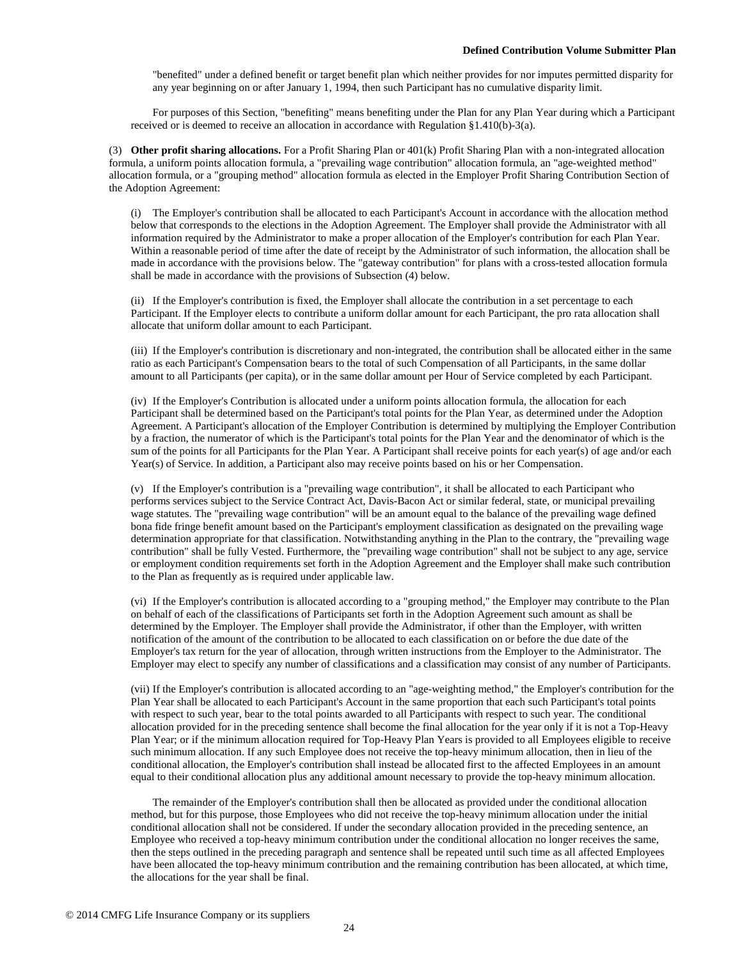"benefited" under a defined benefit or target benefit plan which neither provides for nor imputes permitted disparity for any year beginning on or after January 1, 1994, then such Participant has no cumulative disparity limit.

For purposes of this Section, "benefiting" means benefiting under the Plan for any Plan Year during which a Participant received or is deemed to receive an allocation in accordance with Regulation §1.410(b)-3(a).

(3) **Other profit sharing allocations.** For a Profit Sharing Plan or 401(k) Profit Sharing Plan with a non-integrated allocation formula, a uniform points allocation formula, a "prevailing wage contribution" allocation formula, an "age-weighted method" allocation formula, or a "grouping method" allocation formula as elected in the Employer Profit Sharing Contribution Section of the Adoption Agreement:

(i) The Employer's contribution shall be allocated to each Participant's Account in accordance with the allocation method below that corresponds to the elections in the Adoption Agreement. The Employer shall provide the Administrator with all information required by the Administrator to make a proper allocation of the Employer's contribution for each Plan Year. Within a reasonable period of time after the date of receipt by the Administrator of such information, the allocation shall be made in accordance with the provisions below. The "gateway contribution" for plans with a cross-tested allocation formula shall be made in accordance with the provisions of Subsection (4) below.

(ii) If the Employer's contribution is fixed, the Employer shall allocate the contribution in a set percentage to each Participant. If the Employer elects to contribute a uniform dollar amount for each Participant, the pro rata allocation shall allocate that uniform dollar amount to each Participant.

(iii) If the Employer's contribution is discretionary and non-integrated, the contribution shall be allocated either in the same ratio as each Participant's Compensation bears to the total of such Compensation of all Participants, in the same dollar amount to all Participants (per capita), or in the same dollar amount per Hour of Service completed by each Participant.

(iv) If the Employer's Contribution is allocated under a uniform points allocation formula, the allocation for each Participant shall be determined based on the Participant's total points for the Plan Year, as determined under the Adoption Agreement. A Participant's allocation of the Employer Contribution is determined by multiplying the Employer Contribution by a fraction, the numerator of which is the Participant's total points for the Plan Year and the denominator of which is the sum of the points for all Participants for the Plan Year. A Participant shall receive points for each year(s) of age and/or each Year(s) of Service. In addition, a Participant also may receive points based on his or her Compensation.

(v) If the Employer's contribution is a "prevailing wage contribution", it shall be allocated to each Participant who performs services subject to the Service Contract Act, Davis-Bacon Act or similar federal, state, or municipal prevailing wage statutes. The "prevailing wage contribution" will be an amount equal to the balance of the prevailing wage defined bona fide fringe benefit amount based on the Participant's employment classification as designated on the prevailing wage determination appropriate for that classification. Notwithstanding anything in the Plan to the contrary, the "prevailing wage contribution" shall be fully Vested. Furthermore, the "prevailing wage contribution" shall not be subject to any age, service or employment condition requirements set forth in the Adoption Agreement and the Employer shall make such contribution to the Plan as frequently as is required under applicable law.

(vi) If the Employer's contribution is allocated according to a "grouping method," the Employer may contribute to the Plan on behalf of each of the classifications of Participants set forth in the Adoption Agreement such amount as shall be determined by the Employer. The Employer shall provide the Administrator, if other than the Employer, with written notification of the amount of the contribution to be allocated to each classification on or before the due date of the Employer's tax return for the year of allocation, through written instructions from the Employer to the Administrator. The Employer may elect to specify any number of classifications and a classification may consist of any number of Participants.

(vii) If the Employer's contribution is allocated according to an "age-weighting method," the Employer's contribution for the Plan Year shall be allocated to each Participant's Account in the same proportion that each such Participant's total points with respect to such year, bear to the total points awarded to all Participants with respect to such year. The conditional allocation provided for in the preceding sentence shall become the final allocation for the year only if it is not a Top-Heavy Plan Year; or if the minimum allocation required for Top-Heavy Plan Years is provided to all Employees eligible to receive such minimum allocation. If any such Employee does not receive the top-heavy minimum allocation, then in lieu of the conditional allocation, the Employer's contribution shall instead be allocated first to the affected Employees in an amount equal to their conditional allocation plus any additional amount necessary to provide the top-heavy minimum allocation.

The remainder of the Employer's contribution shall then be allocated as provided under the conditional allocation method, but for this purpose, those Employees who did not receive the top-heavy minimum allocation under the initial conditional allocation shall not be considered. If under the secondary allocation provided in the preceding sentence, an Employee who received a top-heavy minimum contribution under the conditional allocation no longer receives the same, then the steps outlined in the preceding paragraph and sentence shall be repeated until such time as all affected Employees have been allocated the top-heavy minimum contribution and the remaining contribution has been allocated, at which time, the allocations for the year shall be final.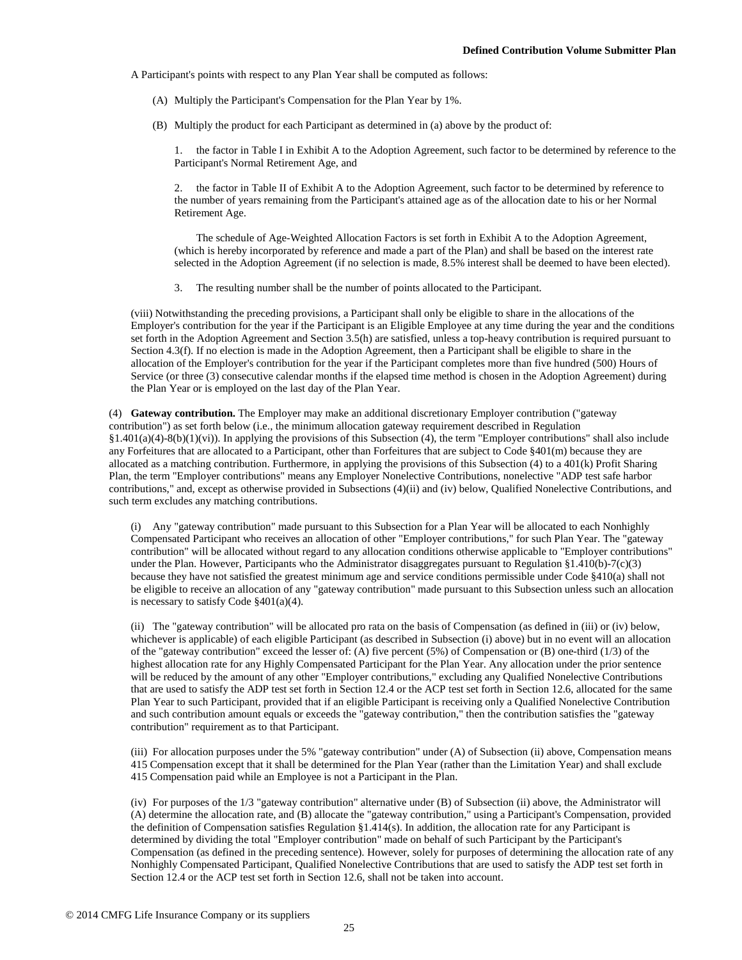A Participant's points with respect to any Plan Year shall be computed as follows:

- (A) Multiply the Participant's Compensation for the Plan Year by 1%.
- (B) Multiply the product for each Participant as determined in (a) above by the product of:

1. the factor in Table I in Exhibit A to the Adoption Agreement, such factor to be determined by reference to the Participant's Normal Retirement Age, and

2. the factor in Table II of Exhibit A to the Adoption Agreement, such factor to be determined by reference to the number of years remaining from the Participant's attained age as of the allocation date to his or her Normal Retirement Age.

The schedule of Age-Weighted Allocation Factors is set forth in Exhibit A to the Adoption Agreement, (which is hereby incorporated by reference and made a part of the Plan) and shall be based on the interest rate selected in the Adoption Agreement (if no selection is made, 8.5% interest shall be deemed to have been elected).

3. The resulting number shall be the number of points allocated to the Participant.

(viii) Notwithstanding the preceding provisions, a Participant shall only be eligible to share in the allocations of the Employer's contribution for the year if the Participant is an Eligible Employee at any time during the year and the conditions set forth in the Adoption Agreement and Section 3.5(h) are satisfied, unless a top-heavy contribution is required pursuant to Section 4.3(f). If no election is made in the Adoption Agreement, then a Participant shall be eligible to share in the allocation of the Employer's contribution for the year if the Participant completes more than five hundred (500) Hours of Service (or three (3) consecutive calendar months if the elapsed time method is chosen in the Adoption Agreement) during the Plan Year or is employed on the last day of the Plan Year.

(4) **Gateway contribution.** The Employer may make an additional discretionary Employer contribution ("gateway contribution") as set forth below (i.e., the minimum allocation gateway requirement described in Regulation §1.401(a)(4)-8(b)(1)(vi)). In applying the provisions of this Subsection (4), the term "Employer contributions" shall also include any Forfeitures that are allocated to a Participant, other than Forfeitures that are subject to Code §401(m) because they are allocated as a matching contribution. Furthermore, in applying the provisions of this Subsection (4) to a 401(k) Profit Sharing Plan, the term "Employer contributions" means any Employer Nonelective Contributions, nonelective "ADP test safe harbor contributions," and, except as otherwise provided in Subsections (4)(ii) and (iv) below, Qualified Nonelective Contributions, and such term excludes any matching contributions.

(i) Any "gateway contribution" made pursuant to this Subsection for a Plan Year will be allocated to each Nonhighly Compensated Participant who receives an allocation of other "Employer contributions," for such Plan Year. The "gateway contribution" will be allocated without regard to any allocation conditions otherwise applicable to "Employer contributions" under the Plan. However, Participants who the Administrator disaggregates pursuant to Regulation §1.410(b)-7(c)(3) because they have not satisfied the greatest minimum age and service conditions permissible under Code §410(a) shall not be eligible to receive an allocation of any "gateway contribution" made pursuant to this Subsection unless such an allocation is necessary to satisfy Code §401(a)(4).

(ii) The "gateway contribution" will be allocated pro rata on the basis of Compensation (as defined in (iii) or (iv) below, whichever is applicable) of each eligible Participant (as described in Subsection (i) above) but in no event will an allocation of the "gateway contribution" exceed the lesser of: (A) five percent (5%) of Compensation or (B) one-third (1/3) of the highest allocation rate for any Highly Compensated Participant for the Plan Year. Any allocation under the prior sentence will be reduced by the amount of any other "Employer contributions," excluding any Qualified Nonelective Contributions that are used to satisfy the ADP test set forth in Section 12.4 or the ACP test set forth in Section 12.6, allocated for the same Plan Year to such Participant, provided that if an eligible Participant is receiving only a Qualified Nonelective Contribution and such contribution amount equals or exceeds the "gateway contribution," then the contribution satisfies the "gateway contribution" requirement as to that Participant.

(iii) For allocation purposes under the 5% "gateway contribution" under (A) of Subsection (ii) above, Compensation means 415 Compensation except that it shall be determined for the Plan Year (rather than the Limitation Year) and shall exclude 415 Compensation paid while an Employee is not a Participant in the Plan.

(iv) For purposes of the 1/3 "gateway contribution" alternative under (B) of Subsection (ii) above, the Administrator will (A) determine the allocation rate, and (B) allocate the "gateway contribution," using a Participant's Compensation, provided the definition of Compensation satisfies Regulation §1.414(s). In addition, the allocation rate for any Participant is determined by dividing the total "Employer contribution" made on behalf of such Participant by the Participant's Compensation (as defined in the preceding sentence). However, solely for purposes of determining the allocation rate of any Nonhighly Compensated Participant, Qualified Nonelective Contributions that are used to satisfy the ADP test set forth in Section 12.4 or the ACP test set forth in Section 12.6, shall not be taken into account.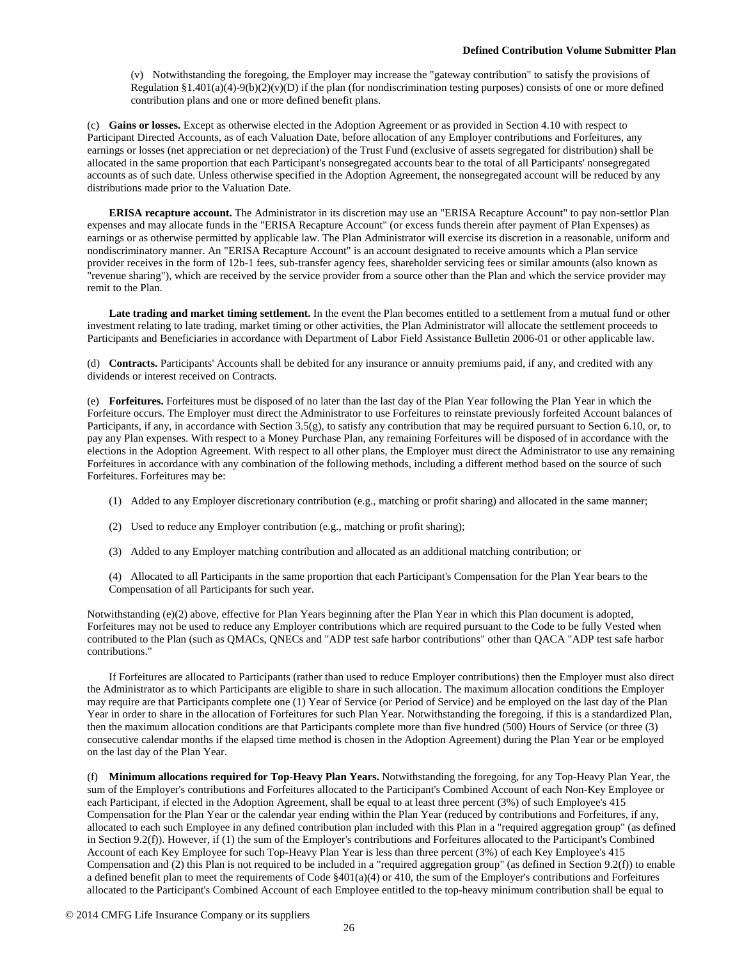(v) Notwithstanding the foregoing, the Employer may increase the "gateway contribution" to satisfy the provisions of Regulation §1.401(a)(4)-9(b)(2)(v)(D) if the plan (for nondiscrimination testing purposes) consists of one or more defined contribution plans and one or more defined benefit plans.

(c) **Gains or losses.** Except as otherwise elected in the Adoption Agreement or as provided in Section 4.10 with respect to Participant Directed Accounts, as of each Valuation Date, before allocation of any Employer contributions and Forfeitures, any earnings or losses (net appreciation or net depreciation) of the Trust Fund (exclusive of assets segregated for distribution) shall be allocated in the same proportion that each Participant's nonsegregated accounts bear to the total of all Participants' nonsegregated accounts as of such date. Unless otherwise specified in the Adoption Agreement, the nonsegregated account will be reduced by any distributions made prior to the Valuation Date.

**ERISA recapture account.** The Administrator in its discretion may use an "ERISA Recapture Account" to pay non-settlor Plan expenses and may allocate funds in the "ERISA Recapture Account" (or excess funds therein after payment of Plan Expenses) as earnings or as otherwise permitted by applicable law. The Plan Administrator will exercise its discretion in a reasonable, uniform and nondiscriminatory manner. An "ERISA Recapture Account" is an account designated to receive amounts which a Plan service provider receives in the form of 12b-1 fees, sub-transfer agency fees, shareholder servicing fees or similar amounts (also known as "revenue sharing"), which are received by the service provider from a source other than the Plan and which the service provider may remit to the Plan.

**Late trading and market timing settlement.** In the event the Plan becomes entitled to a settlement from a mutual fund or other investment relating to late trading, market timing or other activities, the Plan Administrator will allocate the settlement proceeds to Participants and Beneficiaries in accordance with Department of Labor Field Assistance Bulletin 2006-01 or other applicable law.

(d) **Contracts.** Participants' Accounts shall be debited for any insurance or annuity premiums paid, if any, and credited with any dividends or interest received on Contracts.

(e) **Forfeitures.** Forfeitures must be disposed of no later than the last day of the Plan Year following the Plan Year in which the Forfeiture occurs. The Employer must direct the Administrator to use Forfeitures to reinstate previously forfeited Account balances of Participants, if any, in accordance with Section 3.5(g), to satisfy any contribution that may be required pursuant to Section 6.10, or, to pay any Plan expenses. With respect to a Money Purchase Plan, any remaining Forfeitures will be disposed of in accordance with the elections in the Adoption Agreement. With respect to all other plans, the Employer must direct the Administrator to use any remaining Forfeitures in accordance with any combination of the following methods, including a different method based on the source of such Forfeitures. Forfeitures may be:

- (1) Added to any Employer discretionary contribution (e.g., matching or profit sharing) and allocated in the same manner;
- (2) Used to reduce any Employer contribution (e.g., matching or profit sharing);
- (3) Added to any Employer matching contribution and allocated as an additional matching contribution; or

(4) Allocated to all Participants in the same proportion that each Participant's Compensation for the Plan Year bears to the Compensation of all Participants for such year.

Notwithstanding (e)(2) above, effective for Plan Years beginning after the Plan Year in which this Plan document is adopted, Forfeitures may not be used to reduce any Employer contributions which are required pursuant to the Code to be fully Vested when contributed to the Plan (such as QMACs, QNECs and "ADP test safe harbor contributions" other than QACA "ADP test safe harbor contributions."

If Forfeitures are allocated to Participants (rather than used to reduce Employer contributions) then the Employer must also direct the Administrator as to which Participants are eligible to share in such allocation. The maximum allocation conditions the Employer may require are that Participants complete one (1) Year of Service (or Period of Service) and be employed on the last day of the Plan Year in order to share in the allocation of Forfeitures for such Plan Year. Notwithstanding the foregoing, if this is a standardized Plan, then the maximum allocation conditions are that Participants complete more than five hundred (500) Hours of Service (or three (3) consecutive calendar months if the elapsed time method is chosen in the Adoption Agreement) during the Plan Year or be employed on the last day of the Plan Year.

(f) **Minimum allocations required for Top-Heavy Plan Years.** Notwithstanding the foregoing, for any Top-Heavy Plan Year, the sum of the Employer's contributions and Forfeitures allocated to the Participant's Combined Account of each Non-Key Employee or each Participant, if elected in the Adoption Agreement, shall be equal to at least three percent (3%) of such Employee's 415 Compensation for the Plan Year or the calendar year ending within the Plan Year (reduced by contributions and Forfeitures, if any, allocated to each such Employee in any defined contribution plan included with this Plan in a "required aggregation group" (as defined in Section 9.2(f)). However, if (1) the sum of the Employer's contributions and Forfeitures allocated to the Participant's Combined Account of each Key Employee for such Top-Heavy Plan Year is less than three percent (3%) of each Key Employee's 415 Compensation and (2) this Plan is not required to be included in a "required aggregation group" (as defined in Section 9.2(f)) to enable a defined benefit plan to meet the requirements of Code  $\S401(a)(4)$  or 410, the sum of the Employer's contributions and Forfeitures allocated to the Participant's Combined Account of each Employee entitled to the top-heavy minimum contribution shall be equal to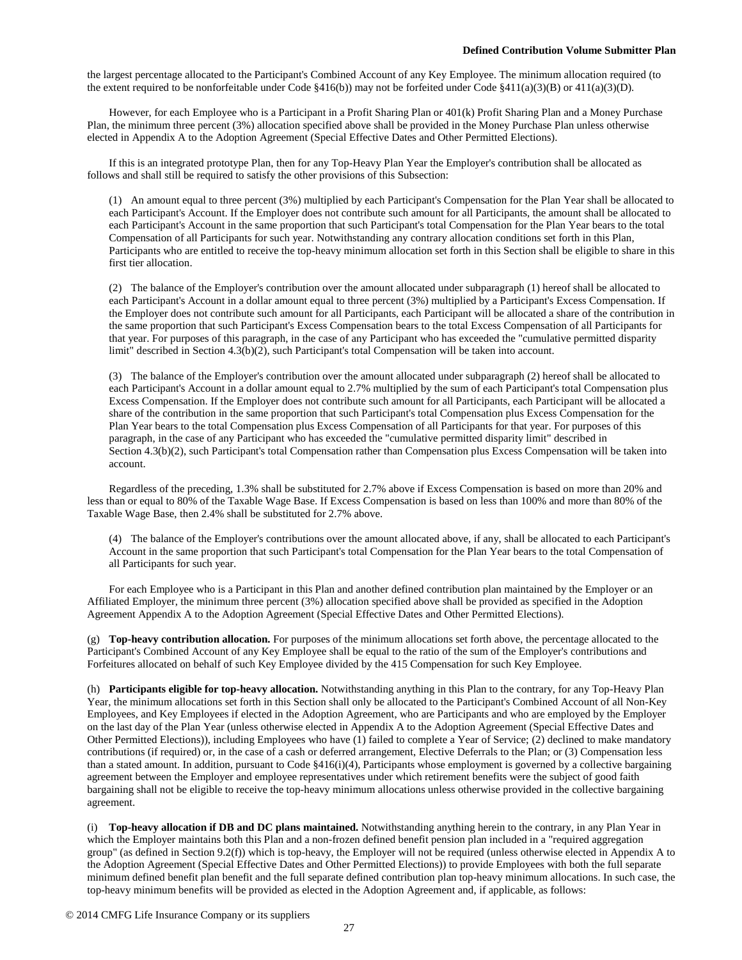the largest percentage allocated to the Participant's Combined Account of any Key Employee. The minimum allocation required (to the extent required to be nonforfeitable under Code §416(b)) may not be forfeited under Code §411(a)(3)(B) or 411(a)(3)(D).

However, for each Employee who is a Participant in a Profit Sharing Plan or 401(k) Profit Sharing Plan and a Money Purchase Plan, the minimum three percent (3%) allocation specified above shall be provided in the Money Purchase Plan unless otherwise elected in Appendix A to the Adoption Agreement (Special Effective Dates and Other Permitted Elections).

If this is an integrated prototype Plan, then for any Top-Heavy Plan Year the Employer's contribution shall be allocated as follows and shall still be required to satisfy the other provisions of this Subsection:

(1) An amount equal to three percent (3%) multiplied by each Participant's Compensation for the Plan Year shall be allocated to each Participant's Account. If the Employer does not contribute such amount for all Participants, the amount shall be allocated to each Participant's Account in the same proportion that such Participant's total Compensation for the Plan Year bears to the total Compensation of all Participants for such year. Notwithstanding any contrary allocation conditions set forth in this Plan, Participants who are entitled to receive the top-heavy minimum allocation set forth in this Section shall be eligible to share in this first tier allocation.

(2) The balance of the Employer's contribution over the amount allocated under subparagraph (1) hereof shall be allocated to each Participant's Account in a dollar amount equal to three percent (3%) multiplied by a Participant's Excess Compensation. If the Employer does not contribute such amount for all Participants, each Participant will be allocated a share of the contribution in the same proportion that such Participant's Excess Compensation bears to the total Excess Compensation of all Participants for that year. For purposes of this paragraph, in the case of any Participant who has exceeded the "cumulative permitted disparity limit" described in Section 4.3(b)(2), such Participant's total Compensation will be taken into account.

(3) The balance of the Employer's contribution over the amount allocated under subparagraph (2) hereof shall be allocated to each Participant's Account in a dollar amount equal to 2.7% multiplied by the sum of each Participant's total Compensation plus Excess Compensation. If the Employer does not contribute such amount for all Participants, each Participant will be allocated a share of the contribution in the same proportion that such Participant's total Compensation plus Excess Compensation for the Plan Year bears to the total Compensation plus Excess Compensation of all Participants for that year. For purposes of this paragraph, in the case of any Participant who has exceeded the "cumulative permitted disparity limit" described in Section 4.3(b)(2), such Participant's total Compensation rather than Compensation plus Excess Compensation will be taken into account.

Regardless of the preceding, 1.3% shall be substituted for 2.7% above if Excess Compensation is based on more than 20% and less than or equal to 80% of the Taxable Wage Base. If Excess Compensation is based on less than 100% and more than 80% of the Taxable Wage Base, then 2.4% shall be substituted for 2.7% above.

(4) The balance of the Employer's contributions over the amount allocated above, if any, shall be allocated to each Participant's Account in the same proportion that such Participant's total Compensation for the Plan Year bears to the total Compensation of all Participants for such year.

For each Employee who is a Participant in this Plan and another defined contribution plan maintained by the Employer or an Affiliated Employer, the minimum three percent (3%) allocation specified above shall be provided as specified in the Adoption Agreement Appendix A to the Adoption Agreement (Special Effective Dates and Other Permitted Elections).

(g) **Top-heavy contribution allocation.** For purposes of the minimum allocations set forth above, the percentage allocated to the Participant's Combined Account of any Key Employee shall be equal to the ratio of the sum of the Employer's contributions and Forfeitures allocated on behalf of such Key Employee divided by the 415 Compensation for such Key Employee.

(h) **Participants eligible for top-heavy allocation.** Notwithstanding anything in this Plan to the contrary, for any Top-Heavy Plan Year, the minimum allocations set forth in this Section shall only be allocated to the Participant's Combined Account of all Non-Key Employees, and Key Employees if elected in the Adoption Agreement, who are Participants and who are employed by the Employer on the last day of the Plan Year (unless otherwise elected in Appendix A to the Adoption Agreement (Special Effective Dates and Other Permitted Elections)), including Employees who have (1) failed to complete a Year of Service; (2) declined to make mandatory contributions (if required) or, in the case of a cash or deferred arrangement, Elective Deferrals to the Plan; or (3) Compensation less than a stated amount. In addition, pursuant to Code  $§416(i)(4)$ , Participants whose employment is governed by a collective bargaining agreement between the Employer and employee representatives under which retirement benefits were the subject of good faith bargaining shall not be eligible to receive the top-heavy minimum allocations unless otherwise provided in the collective bargaining agreement.

(i) **Top-heavy allocation if DB and DC plans maintained.** Notwithstanding anything herein to the contrary, in any Plan Year in which the Employer maintains both this Plan and a non-frozen defined benefit pension plan included in a "required aggregation group" (as defined in Section 9.2(f)) which is top-heavy, the Employer will not be required (unless otherwise elected in Appendix A to the Adoption Agreement (Special Effective Dates and Other Permitted Elections)) to provide Employees with both the full separate minimum defined benefit plan benefit and the full separate defined contribution plan top-heavy minimum allocations. In such case, the top-heavy minimum benefits will be provided as elected in the Adoption Agreement and, if applicable, as follows: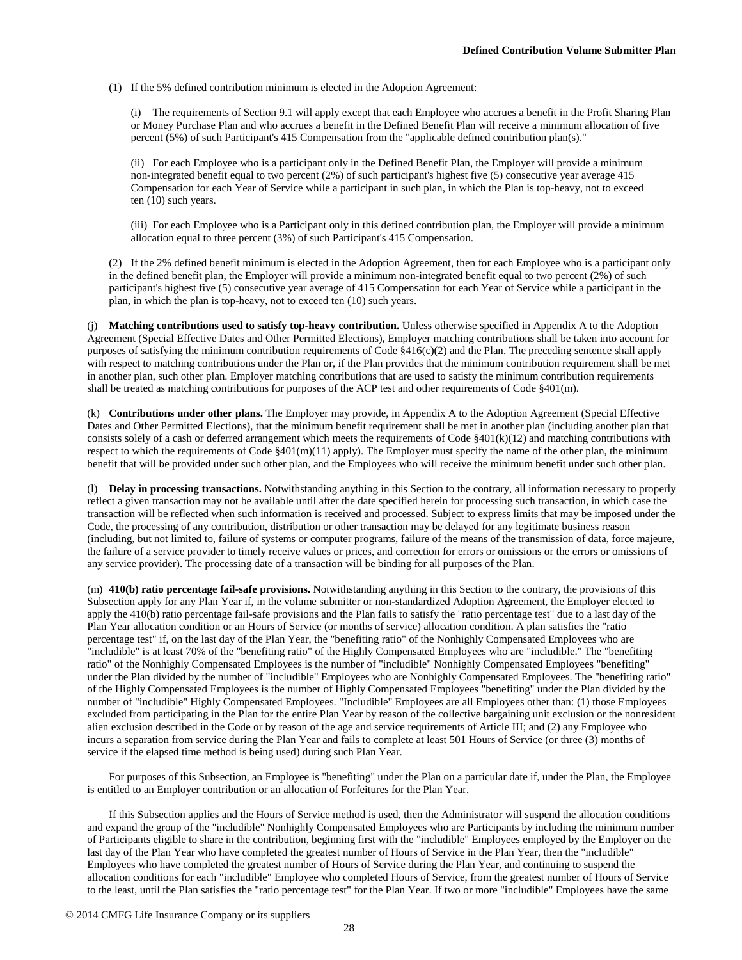(1) If the 5% defined contribution minimum is elected in the Adoption Agreement:

(i) The requirements of Section 9.1 will apply except that each Employee who accrues a benefit in the Profit Sharing Plan or Money Purchase Plan and who accrues a benefit in the Defined Benefit Plan will receive a minimum allocation of five percent (5%) of such Participant's 415 Compensation from the "applicable defined contribution plan(s)."

(ii) For each Employee who is a participant only in the Defined Benefit Plan, the Employer will provide a minimum non-integrated benefit equal to two percent (2%) of such participant's highest five (5) consecutive year average 415 Compensation for each Year of Service while a participant in such plan, in which the Plan is top-heavy, not to exceed ten (10) such years.

(iii) For each Employee who is a Participant only in this defined contribution plan, the Employer will provide a minimum allocation equal to three percent (3%) of such Participant's 415 Compensation.

(2) If the 2% defined benefit minimum is elected in the Adoption Agreement, then for each Employee who is a participant only in the defined benefit plan, the Employer will provide a minimum non-integrated benefit equal to two percent (2%) of such participant's highest five (5) consecutive year average of 415 Compensation for each Year of Service while a participant in the plan, in which the plan is top-heavy, not to exceed ten (10) such years.

(j) **Matching contributions used to satisfy top-heavy contribution.** Unless otherwise specified in Appendix A to the Adoption Agreement (Special Effective Dates and Other Permitted Elections), Employer matching contributions shall be taken into account for purposes of satisfying the minimum contribution requirements of Code  $§416(c)(2)$  and the Plan. The preceding sentence shall apply with respect to matching contributions under the Plan or, if the Plan provides that the minimum contribution requirement shall be met in another plan, such other plan. Employer matching contributions that are used to satisfy the minimum contribution requirements shall be treated as matching contributions for purposes of the ACP test and other requirements of Code §401(m).

(k) **Contributions under other plans.** The Employer may provide, in Appendix A to the Adoption Agreement (Special Effective Dates and Other Permitted Elections), that the minimum benefit requirement shall be met in another plan (including another plan that consists solely of a cash or deferred arrangement which meets the requirements of Code  $\S401(k)(12)$  and matching contributions with respect to which the requirements of Code  $\S401(m)(11)$  apply). The Employer must specify the name of the other plan, the minimum benefit that will be provided under such other plan, and the Employees who will receive the minimum benefit under such other plan.

(l) **Delay in processing transactions.** Notwithstanding anything in this Section to the contrary, all information necessary to properly reflect a given transaction may not be available until after the date specified herein for processing such transaction, in which case the transaction will be reflected when such information is received and processed. Subject to express limits that may be imposed under the Code, the processing of any contribution, distribution or other transaction may be delayed for any legitimate business reason (including, but not limited to, failure of systems or computer programs, failure of the means of the transmission of data, force majeure, the failure of a service provider to timely receive values or prices, and correction for errors or omissions or the errors or omissions of any service provider). The processing date of a transaction will be binding for all purposes of the Plan.

(m) **410(b) ratio percentage fail-safe provisions.** Notwithstanding anything in this Section to the contrary, the provisions of this Subsection apply for any Plan Year if, in the volume submitter or non-standardized Adoption Agreement, the Employer elected to apply the 410(b) ratio percentage fail-safe provisions and the Plan fails to satisfy the "ratio percentage test" due to a last day of the Plan Year allocation condition or an Hours of Service (or months of service) allocation condition. A plan satisfies the "ratio percentage test" if, on the last day of the Plan Year, the "benefiting ratio" of the Nonhighly Compensated Employees who are "includible" is at least 70% of the "benefiting ratio" of the Highly Compensated Employees who are "includible." The "benefiting ratio" of the Nonhighly Compensated Employees is the number of "includible" Nonhighly Compensated Employees "benefiting" under the Plan divided by the number of "includible" Employees who are Nonhighly Compensated Employees. The "benefiting ratio" of the Highly Compensated Employees is the number of Highly Compensated Employees "benefiting" under the Plan divided by the number of "includible" Highly Compensated Employees. "Includible" Employees are all Employees other than: (1) those Employees excluded from participating in the Plan for the entire Plan Year by reason of the collective bargaining unit exclusion or the nonresident alien exclusion described in the Code or by reason of the age and service requirements of Article III; and (2) any Employee who incurs a separation from service during the Plan Year and fails to complete at least 501 Hours of Service (or three (3) months of service if the elapsed time method is being used) during such Plan Year.

For purposes of this Subsection, an Employee is "benefiting" under the Plan on a particular date if, under the Plan, the Employee is entitled to an Employer contribution or an allocation of Forfeitures for the Plan Year.

If this Subsection applies and the Hours of Service method is used, then the Administrator will suspend the allocation conditions and expand the group of the "includible" Nonhighly Compensated Employees who are Participants by including the minimum number of Participants eligible to share in the contribution, beginning first with the "includible" Employees employed by the Employer on the last day of the Plan Year who have completed the greatest number of Hours of Service in the Plan Year, then the "includible" Employees who have completed the greatest number of Hours of Service during the Plan Year, and continuing to suspend the allocation conditions for each "includible" Employee who completed Hours of Service, from the greatest number of Hours of Service to the least, until the Plan satisfies the "ratio percentage test" for the Plan Year. If two or more "includible" Employees have the same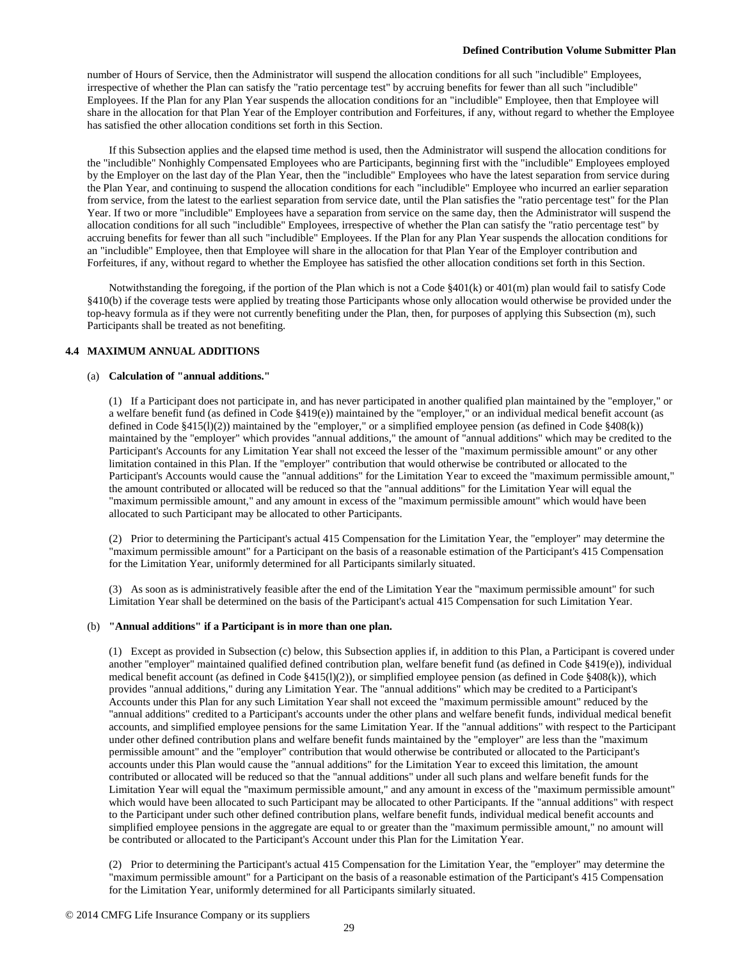number of Hours of Service, then the Administrator will suspend the allocation conditions for all such "includible" Employees, irrespective of whether the Plan can satisfy the "ratio percentage test" by accruing benefits for fewer than all such "includible" Employees. If the Plan for any Plan Year suspends the allocation conditions for an "includible" Employee, then that Employee will share in the allocation for that Plan Year of the Employer contribution and Forfeitures, if any, without regard to whether the Employee has satisfied the other allocation conditions set forth in this Section.

If this Subsection applies and the elapsed time method is used, then the Administrator will suspend the allocation conditions for the "includible" Nonhighly Compensated Employees who are Participants, beginning first with the "includible" Employees employed by the Employer on the last day of the Plan Year, then the "includible" Employees who have the latest separation from service during the Plan Year, and continuing to suspend the allocation conditions for each "includible" Employee who incurred an earlier separation from service, from the latest to the earliest separation from service date, until the Plan satisfies the "ratio percentage test" for the Plan Year. If two or more "includible" Employees have a separation from service on the same day, then the Administrator will suspend the allocation conditions for all such "includible" Employees, irrespective of whether the Plan can satisfy the "ratio percentage test" by accruing benefits for fewer than all such "includible" Employees. If the Plan for any Plan Year suspends the allocation conditions for an "includible" Employee, then that Employee will share in the allocation for that Plan Year of the Employer contribution and Forfeitures, if any, without regard to whether the Employee has satisfied the other allocation conditions set forth in this Section.

Notwithstanding the foregoing, if the portion of the Plan which is not a Code §401(k) or 401(m) plan would fail to satisfy Code §410(b) if the coverage tests were applied by treating those Participants whose only allocation would otherwise be provided under the top-heavy formula as if they were not currently benefiting under the Plan, then, for purposes of applying this Subsection (m), such Participants shall be treated as not benefiting.

## **4.4 MAXIMUM ANNUAL ADDITIONS**

#### (a) **Calculation of "annual additions."**

(1) If a Participant does not participate in, and has never participated in another qualified plan maintained by the "employer," or a welfare benefit fund (as defined in Code §419(e)) maintained by the "employer," or an individual medical benefit account (as defined in Code §415(l)(2)) maintained by the "employer," or a simplified employee pension (as defined in Code §408(k)) maintained by the "employer" which provides "annual additions," the amount of "annual additions" which may be credited to the Participant's Accounts for any Limitation Year shall not exceed the lesser of the "maximum permissible amount" or any other limitation contained in this Plan. If the "employer" contribution that would otherwise be contributed or allocated to the Participant's Accounts would cause the "annual additions" for the Limitation Year to exceed the "maximum permissible amount," the amount contributed or allocated will be reduced so that the "annual additions" for the Limitation Year will equal the "maximum permissible amount," and any amount in excess of the "maximum permissible amount" which would have been allocated to such Participant may be allocated to other Participants.

(2) Prior to determining the Participant's actual 415 Compensation for the Limitation Year, the "employer" may determine the "maximum permissible amount" for a Participant on the basis of a reasonable estimation of the Participant's 415 Compensation for the Limitation Year, uniformly determined for all Participants similarly situated.

(3) As soon as is administratively feasible after the end of the Limitation Year the "maximum permissible amount" for such Limitation Year shall be determined on the basis of the Participant's actual 415 Compensation for such Limitation Year.

# (b) **"Annual additions" if a Participant is in more than one plan.**

(1) Except as provided in Subsection (c) below, this Subsection applies if, in addition to this Plan, a Participant is covered under another "employer" maintained qualified defined contribution plan, welfare benefit fund (as defined in Code §419(e)), individual medical benefit account (as defined in Code §415(l)(2)), or simplified employee pension (as defined in Code §408(k)), which provides "annual additions," during any Limitation Year. The "annual additions" which may be credited to a Participant's Accounts under this Plan for any such Limitation Year shall not exceed the "maximum permissible amount" reduced by the "annual additions" credited to a Participant's accounts under the other plans and welfare benefit funds, individual medical benefit accounts, and simplified employee pensions for the same Limitation Year. If the "annual additions" with respect to the Participant under other defined contribution plans and welfare benefit funds maintained by the "employer" are less than the "maximum permissible amount" and the "employer" contribution that would otherwise be contributed or allocated to the Participant's accounts under this Plan would cause the "annual additions" for the Limitation Year to exceed this limitation, the amount contributed or allocated will be reduced so that the "annual additions" under all such plans and welfare benefit funds for the Limitation Year will equal the "maximum permissible amount," and any amount in excess of the "maximum permissible amount" which would have been allocated to such Participant may be allocated to other Participants. If the "annual additions" with respect to the Participant under such other defined contribution plans, welfare benefit funds, individual medical benefit accounts and simplified employee pensions in the aggregate are equal to or greater than the "maximum permissible amount," no amount will be contributed or allocated to the Participant's Account under this Plan for the Limitation Year.

(2) Prior to determining the Participant's actual 415 Compensation for the Limitation Year, the "employer" may determine the "maximum permissible amount" for a Participant on the basis of a reasonable estimation of the Participant's 415 Compensation for the Limitation Year, uniformly determined for all Participants similarly situated.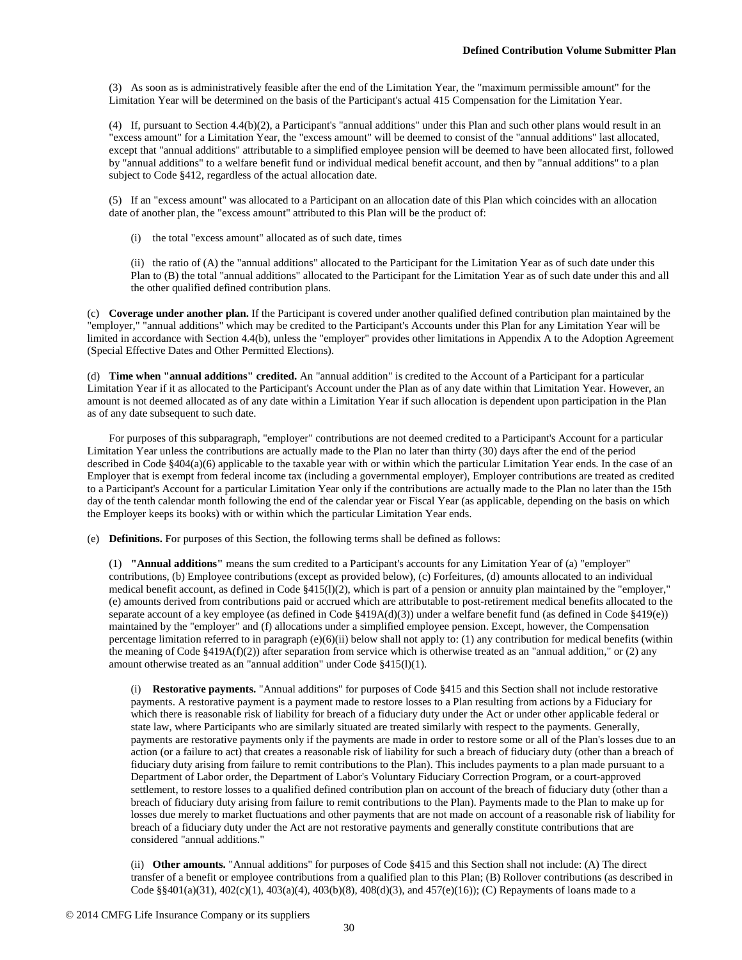(3) As soon as is administratively feasible after the end of the Limitation Year, the "maximum permissible amount" for the Limitation Year will be determined on the basis of the Participant's actual 415 Compensation for the Limitation Year.

(4) If, pursuant to Section 4.4(b)(2), a Participant's "annual additions" under this Plan and such other plans would result in an "excess amount" for a Limitation Year, the "excess amount" will be deemed to consist of the "annual additions" last allocated, except that "annual additions" attributable to a simplified employee pension will be deemed to have been allocated first, followed by "annual additions" to a welfare benefit fund or individual medical benefit account, and then by "annual additions" to a plan subject to Code §412, regardless of the actual allocation date.

(5) If an "excess amount" was allocated to a Participant on an allocation date of this Plan which coincides with an allocation date of another plan, the "excess amount" attributed to this Plan will be the product of:

(i) the total "excess amount" allocated as of such date, times

(ii) the ratio of (A) the "annual additions" allocated to the Participant for the Limitation Year as of such date under this Plan to (B) the total "annual additions" allocated to the Participant for the Limitation Year as of such date under this and all the other qualified defined contribution plans.

(c) **Coverage under another plan.** If the Participant is covered under another qualified defined contribution plan maintained by the "employer," "annual additions" which may be credited to the Participant's Accounts under this Plan for any Limitation Year will be limited in accordance with Section 4.4(b), unless the "employer" provides other limitations in Appendix A to the Adoption Agreement (Special Effective Dates and Other Permitted Elections).

(d) **Time when "annual additions" credited.** An "annual addition" is credited to the Account of a Participant for a particular Limitation Year if it as allocated to the Participant's Account under the Plan as of any date within that Limitation Year. However, an amount is not deemed allocated as of any date within a Limitation Year if such allocation is dependent upon participation in the Plan as of any date subsequent to such date.

For purposes of this subparagraph, "employer" contributions are not deemed credited to a Participant's Account for a particular Limitation Year unless the contributions are actually made to the Plan no later than thirty (30) days after the end of the period described in Code §404(a)(6) applicable to the taxable year with or within which the particular Limitation Year ends. In the case of an Employer that is exempt from federal income tax (including a governmental employer), Employer contributions are treated as credited to a Participant's Account for a particular Limitation Year only if the contributions are actually made to the Plan no later than the 15th day of the tenth calendar month following the end of the calendar year or Fiscal Year (as applicable, depending on the basis on which the Employer keeps its books) with or within which the particular Limitation Year ends.

(e) **Definitions.** For purposes of this Section, the following terms shall be defined as follows:

(1) **"Annual additions"** means the sum credited to a Participant's accounts for any Limitation Year of (a) "employer" contributions, (b) Employee contributions (except as provided below), (c) Forfeitures, (d) amounts allocated to an individual medical benefit account, as defined in Code §415(l)(2), which is part of a pension or annuity plan maintained by the "employer," (e) amounts derived from contributions paid or accrued which are attributable to post-retirement medical benefits allocated to the separate account of a key employee (as defined in Code §419A(d)(3)) under a welfare benefit fund (as defined in Code §419(e)) maintained by the "employer" and (f) allocations under a simplified employee pension. Except, however, the Compensation percentage limitation referred to in paragraph (e)(6)(ii) below shall not apply to: (1) any contribution for medical benefits (within the meaning of Code  $\S419A(f)(2)$ ) after separation from service which is otherwise treated as an "annual addition," or (2) any amount otherwise treated as an "annual addition" under Code §415(l)(1).

(i) **Restorative payments.** "Annual additions" for purposes of Code §415 and this Section shall not include restorative payments. A restorative payment is a payment made to restore losses to a Plan resulting from actions by a Fiduciary for which there is reasonable risk of liability for breach of a fiduciary duty under the Act or under other applicable federal or state law, where Participants who are similarly situated are treated similarly with respect to the payments. Generally, payments are restorative payments only if the payments are made in order to restore some or all of the Plan's losses due to an action (or a failure to act) that creates a reasonable risk of liability for such a breach of fiduciary duty (other than a breach of fiduciary duty arising from failure to remit contributions to the Plan). This includes payments to a plan made pursuant to a Department of Labor order, the Department of Labor's Voluntary Fiduciary Correction Program, or a court-approved settlement, to restore losses to a qualified defined contribution plan on account of the breach of fiduciary duty (other than a breach of fiduciary duty arising from failure to remit contributions to the Plan). Payments made to the Plan to make up for losses due merely to market fluctuations and other payments that are not made on account of a reasonable risk of liability for breach of a fiduciary duty under the Act are not restorative payments and generally constitute contributions that are considered "annual additions."

(ii) **Other amounts.** "Annual additions" for purposes of Code §415 and this Section shall not include: (A) The direct transfer of a benefit or employee contributions from a qualified plan to this Plan; (B) Rollover contributions (as described in Code §§401(a)(31), 402(c)(1), 403(a)(4), 403(b)(8), 408(d)(3), and 457(e)(16)); (C) Repayments of loans made to a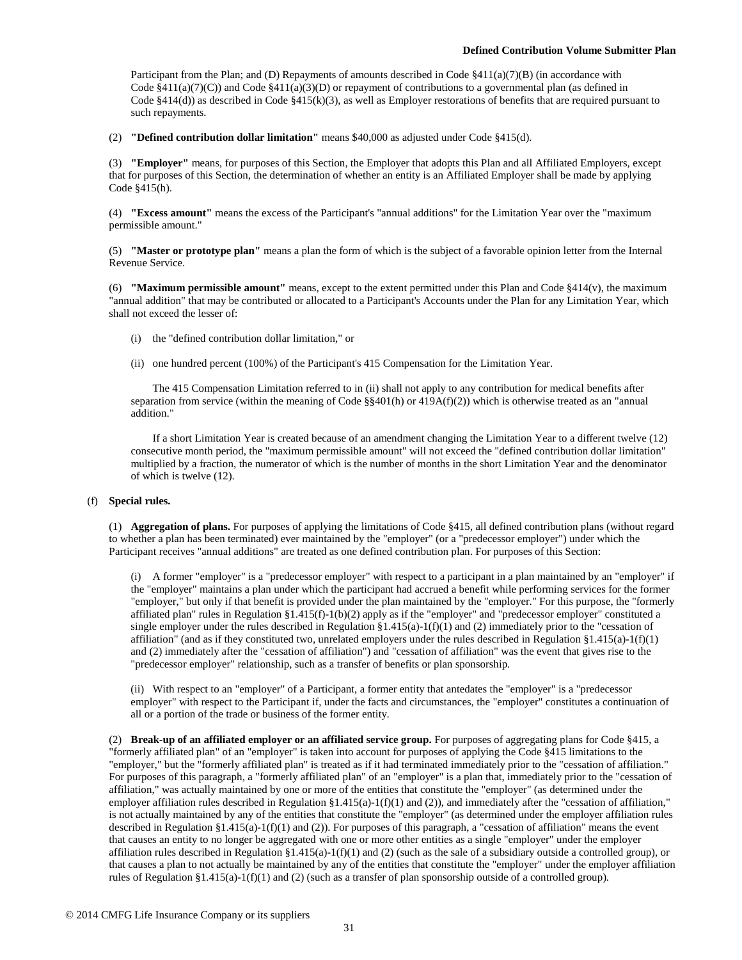Participant from the Plan; and (D) Repayments of amounts described in Code  $\S411(a)(7)(B)$  (in accordance with Code  $§411(a)(7)(C)$ ) and Code  $§411(a)(3)(D)$  or repayment of contributions to a governmental plan (as defined in Code §414(d)) as described in Code §415(k)(3), as well as Employer restorations of benefits that are required pursuant to such repayments.

(2) **"Defined contribution dollar limitation"** means \$40,000 as adjusted under Code §415(d).

(3) **"Employer"** means, for purposes of this Section, the Employer that adopts this Plan and all Affiliated Employers, except that for purposes of this Section, the determination of whether an entity is an Affiliated Employer shall be made by applying Code §415(h).

(4) **"Excess amount"** means the excess of the Participant's "annual additions" for the Limitation Year over the "maximum permissible amount."

(5) **"Master or prototype plan"** means a plan the form of which is the subject of a favorable opinion letter from the Internal Revenue Service.

(6) **"Maximum permissible amount"** means, except to the extent permitted under this Plan and Code §414(v), the maximum "annual addition" that may be contributed or allocated to a Participant's Accounts under the Plan for any Limitation Year, which shall not exceed the lesser of:

- (i) the "defined contribution dollar limitation," or
- (ii) one hundred percent (100%) of the Participant's 415 Compensation for the Limitation Year.

The 415 Compensation Limitation referred to in (ii) shall not apply to any contribution for medical benefits after separation from service (within the meaning of Code  $\S$ §401(h) or 419A(f)(2)) which is otherwise treated as an "annual addition."

If a short Limitation Year is created because of an amendment changing the Limitation Year to a different twelve (12) consecutive month period, the "maximum permissible amount" will not exceed the "defined contribution dollar limitation" multiplied by a fraction, the numerator of which is the number of months in the short Limitation Year and the denominator of which is twelve (12).

#### (f) **Special rules.**

(1) **Aggregation of plans.** For purposes of applying the limitations of Code §415, all defined contribution plans (without regard to whether a plan has been terminated) ever maintained by the "employer" (or a "predecessor employer") under which the Participant receives "annual additions" are treated as one defined contribution plan. For purposes of this Section:

(i) A former "employer" is a "predecessor employer" with respect to a participant in a plan maintained by an "employer" if the "employer" maintains a plan under which the participant had accrued a benefit while performing services for the former "employer," but only if that benefit is provided under the plan maintained by the "employer." For this purpose, the "formerly affiliated plan" rules in Regulation §1.415(f)-1(b)(2) apply as if the "employer" and "predecessor employer" constituted a single employer under the rules described in Regulation  $\S1.415(a)-1(f)(1)$  and (2) immediately prior to the "cessation of affiliation" (and as if they constituted two, unrelated employers under the rules described in Regulation  $\S 1.415(a)-1(f)(1)$ and (2) immediately after the "cessation of affiliation") and "cessation of affiliation" was the event that gives rise to the "predecessor employer" relationship, such as a transfer of benefits or plan sponsorship.

(ii) With respect to an "employer" of a Participant, a former entity that antedates the "employer" is a "predecessor employer" with respect to the Participant if, under the facts and circumstances, the "employer" constitutes a continuation of all or a portion of the trade or business of the former entity.

(2) **Break-up of an affiliated employer or an affiliated service group.** For purposes of aggregating plans for Code §415, a "formerly affiliated plan" of an "employer" is taken into account for purposes of applying the Code §415 limitations to the "employer," but the "formerly affiliated plan" is treated as if it had terminated immediately prior to the "cessation of affiliation." For purposes of this paragraph, a "formerly affiliated plan" of an "employer" is a plan that, immediately prior to the "cessation of affiliation," was actually maintained by one or more of the entities that constitute the "employer" (as determined under the employer affiliation rules described in Regulation  $\S1.415(a)-1(f)(1)$  and  $(2)$ ), and immediately after the "cessation of affiliation," is not actually maintained by any of the entities that constitute the "employer" (as determined under the employer affiliation rules described in Regulation §1.415(a)-1(f)(1) and (2)). For purposes of this paragraph, a "cessation of affiliation" means the event that causes an entity to no longer be aggregated with one or more other entities as a single "employer" under the employer affiliation rules described in Regulation  $\S 1.415(a)-1(f)(1)$  and (2) (such as the sale of a subsidiary outside a controlled group), or that causes a plan to not actually be maintained by any of the entities that constitute the "employer" under the employer affiliation rules of Regulation §1.415(a)-1(f)(1) and (2) (such as a transfer of plan sponsorship outside of a controlled group).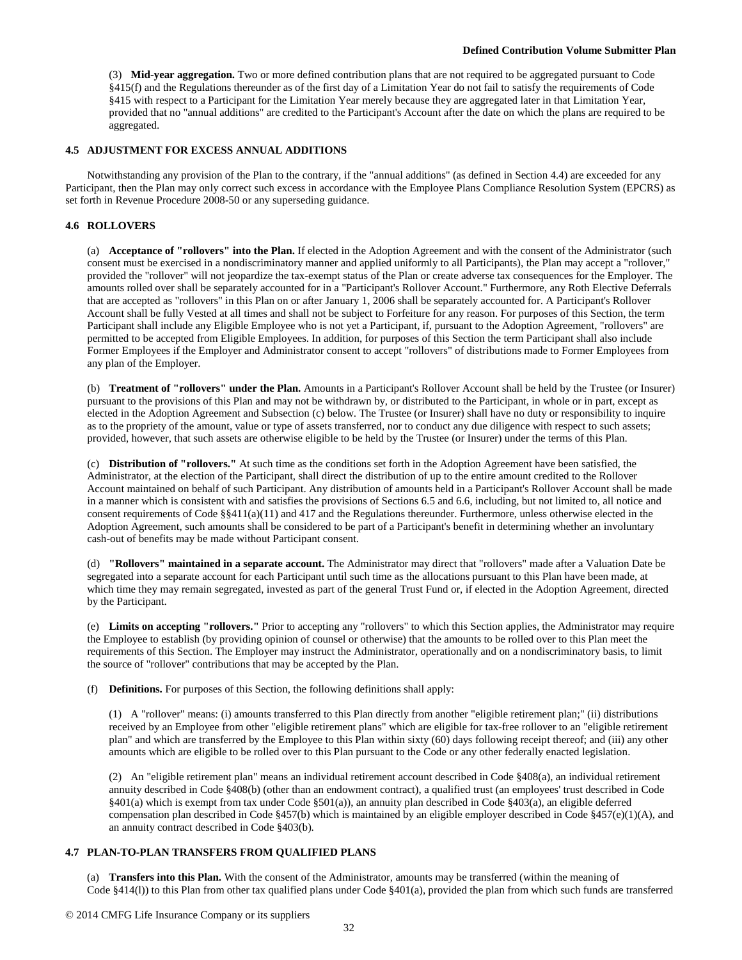(3) **Mid-year aggregation.** Two or more defined contribution plans that are not required to be aggregated pursuant to Code §415(f) and the Regulations thereunder as of the first day of a Limitation Year do not fail to satisfy the requirements of Code §415 with respect to a Participant for the Limitation Year merely because they are aggregated later in that Limitation Year, provided that no "annual additions" are credited to the Participant's Account after the date on which the plans are required to be aggregated.

### **4.5 ADJUSTMENT FOR EXCESS ANNUAL ADDITIONS**

Notwithstanding any provision of the Plan to the contrary, if the "annual additions" (as defined in Section 4.4) are exceeded for any Participant, then the Plan may only correct such excess in accordance with the Employee Plans Compliance Resolution System (EPCRS) as set forth in Revenue Procedure 2008-50 or any superseding guidance.

## **4.6 ROLLOVERS**

(a) **Acceptance of "rollovers" into the Plan.** If elected in the Adoption Agreement and with the consent of the Administrator (such consent must be exercised in a nondiscriminatory manner and applied uniformly to all Participants), the Plan may accept a "rollover," provided the "rollover" will not jeopardize the tax-exempt status of the Plan or create adverse tax consequences for the Employer. The amounts rolled over shall be separately accounted for in a "Participant's Rollover Account." Furthermore, any Roth Elective Deferrals that are accepted as "rollovers" in this Plan on or after January 1, 2006 shall be separately accounted for. A Participant's Rollover Account shall be fully Vested at all times and shall not be subject to Forfeiture for any reason. For purposes of this Section, the term Participant shall include any Eligible Employee who is not yet a Participant, if, pursuant to the Adoption Agreement, "rollovers" are permitted to be accepted from Eligible Employees. In addition, for purposes of this Section the term Participant shall also include Former Employees if the Employer and Administrator consent to accept "rollovers" of distributions made to Former Employees from any plan of the Employer.

(b) **Treatment of "rollovers" under the Plan.** Amounts in a Participant's Rollover Account shall be held by the Trustee (or Insurer) pursuant to the provisions of this Plan and may not be withdrawn by, or distributed to the Participant, in whole or in part, except as elected in the Adoption Agreement and Subsection (c) below. The Trustee (or Insurer) shall have no duty or responsibility to inquire as to the propriety of the amount, value or type of assets transferred, nor to conduct any due diligence with respect to such assets; provided, however, that such assets are otherwise eligible to be held by the Trustee (or Insurer) under the terms of this Plan.

(c) **Distribution of "rollovers."** At such time as the conditions set forth in the Adoption Agreement have been satisfied, the Administrator, at the election of the Participant, shall direct the distribution of up to the entire amount credited to the Rollover Account maintained on behalf of such Participant. Any distribution of amounts held in a Participant's Rollover Account shall be made in a manner which is consistent with and satisfies the provisions of Sections 6.5 and 6.6, including, but not limited to, all notice and consent requirements of Code §§411(a)(11) and 417 and the Regulations thereunder. Furthermore, unless otherwise elected in the Adoption Agreement, such amounts shall be considered to be part of a Participant's benefit in determining whether an involuntary cash-out of benefits may be made without Participant consent.

(d) **"Rollovers" maintained in a separate account.** The Administrator may direct that "rollovers" made after a Valuation Date be segregated into a separate account for each Participant until such time as the allocations pursuant to this Plan have been made, at which time they may remain segregated, invested as part of the general Trust Fund or, if elected in the Adoption Agreement, directed by the Participant.

(e) **Limits on accepting "rollovers."** Prior to accepting any "rollovers" to which this Section applies, the Administrator may require the Employee to establish (by providing opinion of counsel or otherwise) that the amounts to be rolled over to this Plan meet the requirements of this Section. The Employer may instruct the Administrator, operationally and on a nondiscriminatory basis, to limit the source of "rollover" contributions that may be accepted by the Plan.

(f) **Definitions.** For purposes of this Section, the following definitions shall apply:

(1) A "rollover" means: (i) amounts transferred to this Plan directly from another "eligible retirement plan;" (ii) distributions received by an Employee from other "eligible retirement plans" which are eligible for tax-free rollover to an "eligible retirement plan" and which are transferred by the Employee to this Plan within sixty (60) days following receipt thereof; and (iii) any other amounts which are eligible to be rolled over to this Plan pursuant to the Code or any other federally enacted legislation.

(2) An "eligible retirement plan" means an individual retirement account described in Code §408(a), an individual retirement annuity described in Code §408(b) (other than an endowment contract), a qualified trust (an employees' trust described in Code §401(a) which is exempt from tax under Code §501(a)), an annuity plan described in Code §403(a), an eligible deferred compensation plan described in Code §457(b) which is maintained by an eligible employer described in Code §457(e)(1)(A), and an annuity contract described in Code §403(b).

# **4.7 PLAN-TO-PLAN TRANSFERS FROM QUALIFIED PLANS**

(a) **Transfers into this Plan.** With the consent of the Administrator, amounts may be transferred (within the meaning of Code §414(l)) to this Plan from other tax qualified plans under Code §401(a), provided the plan from which such funds are transferred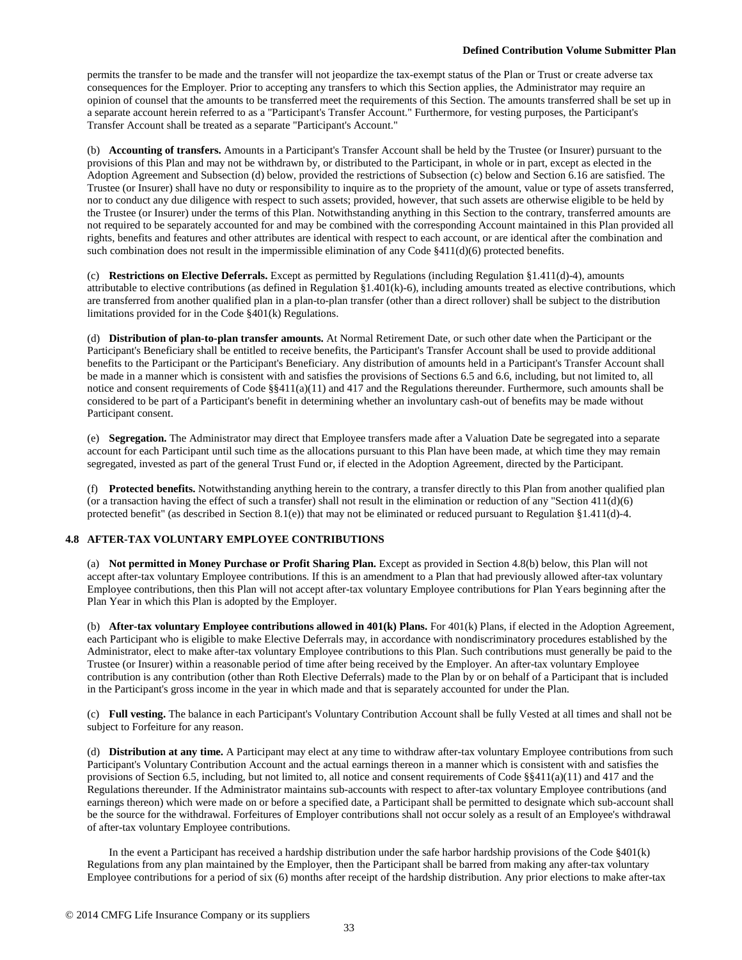permits the transfer to be made and the transfer will not jeopardize the tax-exempt status of the Plan or Trust or create adverse tax consequences for the Employer. Prior to accepting any transfers to which this Section applies, the Administrator may require an opinion of counsel that the amounts to be transferred meet the requirements of this Section. The amounts transferred shall be set up in a separate account herein referred to as a "Participant's Transfer Account." Furthermore, for vesting purposes, the Participant's Transfer Account shall be treated as a separate "Participant's Account."

(b) **Accounting of transfers.** Amounts in a Participant's Transfer Account shall be held by the Trustee (or Insurer) pursuant to the provisions of this Plan and may not be withdrawn by, or distributed to the Participant, in whole or in part, except as elected in the Adoption Agreement and Subsection (d) below, provided the restrictions of Subsection (c) below and Section 6.16 are satisfied. The Trustee (or Insurer) shall have no duty or responsibility to inquire as to the propriety of the amount, value or type of assets transferred, nor to conduct any due diligence with respect to such assets; provided, however, that such assets are otherwise eligible to be held by the Trustee (or Insurer) under the terms of this Plan. Notwithstanding anything in this Section to the contrary, transferred amounts are not required to be separately accounted for and may be combined with the corresponding Account maintained in this Plan provided all rights, benefits and features and other attributes are identical with respect to each account, or are identical after the combination and such combination does not result in the impermissible elimination of any Code §411(d)(6) protected benefits.

(c) **Restrictions on Elective Deferrals.** Except as permitted by Regulations (including Regulation §1.411(d)-4), amounts attributable to elective contributions (as defined in Regulation §1.401(k)-6), including amounts treated as elective contributions, which are transferred from another qualified plan in a plan-to-plan transfer (other than a direct rollover) shall be subject to the distribution limitations provided for in the Code §401(k) Regulations.

(d) **Distribution of plan-to-plan transfer amounts.** At Normal Retirement Date, or such other date when the Participant or the Participant's Beneficiary shall be entitled to receive benefits, the Participant's Transfer Account shall be used to provide additional benefits to the Participant or the Participant's Beneficiary. Any distribution of amounts held in a Participant's Transfer Account shall be made in a manner which is consistent with and satisfies the provisions of Sections 6.5 and 6.6, including, but not limited to, all notice and consent requirements of Code §§411(a)(11) and 417 and the Regulations thereunder. Furthermore, such amounts shall be considered to be part of a Participant's benefit in determining whether an involuntary cash-out of benefits may be made without Participant consent.

(e) **Segregation.** The Administrator may direct that Employee transfers made after a Valuation Date be segregated into a separate account for each Participant until such time as the allocations pursuant to this Plan have been made, at which time they may remain segregated, invested as part of the general Trust Fund or, if elected in the Adoption Agreement, directed by the Participant.

(f) **Protected benefits.** Notwithstanding anything herein to the contrary, a transfer directly to this Plan from another qualified plan (or a transaction having the effect of such a transfer) shall not result in the elimination or reduction of any "Section  $411(d)(6)$ protected benefit" (as described in Section 8.1(e)) that may not be eliminated or reduced pursuant to Regulation §1.411(d)-4.

# **4.8 AFTER-TAX VOLUNTARY EMPLOYEE CONTRIBUTIONS**

(a) **Not permitted in Money Purchase or Profit Sharing Plan.** Except as provided in Section 4.8(b) below, this Plan will not accept after-tax voluntary Employee contributions. If this is an amendment to a Plan that had previously allowed after-tax voluntary Employee contributions, then this Plan will not accept after-tax voluntary Employee contributions for Plan Years beginning after the Plan Year in which this Plan is adopted by the Employer.

(b) **After-tax voluntary Employee contributions allowed in 401(k) Plans.** For 401(k) Plans, if elected in the Adoption Agreement, each Participant who is eligible to make Elective Deferrals may, in accordance with nondiscriminatory procedures established by the Administrator, elect to make after-tax voluntary Employee contributions to this Plan. Such contributions must generally be paid to the Trustee (or Insurer) within a reasonable period of time after being received by the Employer. An after-tax voluntary Employee contribution is any contribution (other than Roth Elective Deferrals) made to the Plan by or on behalf of a Participant that is included in the Participant's gross income in the year in which made and that is separately accounted for under the Plan.

(c) **Full vesting.** The balance in each Participant's Voluntary Contribution Account shall be fully Vested at all times and shall not be subject to Forfeiture for any reason.

(d) **Distribution at any time.** A Participant may elect at any time to withdraw after-tax voluntary Employee contributions from such Participant's Voluntary Contribution Account and the actual earnings thereon in a manner which is consistent with and satisfies the provisions of Section 6.5, including, but not limited to, all notice and consent requirements of Code §§411(a)(11) and 417 and the Regulations thereunder. If the Administrator maintains sub-accounts with respect to after-tax voluntary Employee contributions (and earnings thereon) which were made on or before a specified date, a Participant shall be permitted to designate which sub-account shall be the source for the withdrawal. Forfeitures of Employer contributions shall not occur solely as a result of an Employee's withdrawal of after-tax voluntary Employee contributions.

In the event a Participant has received a hardship distribution under the safe harbor hardship provisions of the Code §401(k) Regulations from any plan maintained by the Employer, then the Participant shall be barred from making any after-tax voluntary Employee contributions for a period of six (6) months after receipt of the hardship distribution. Any prior elections to make after-tax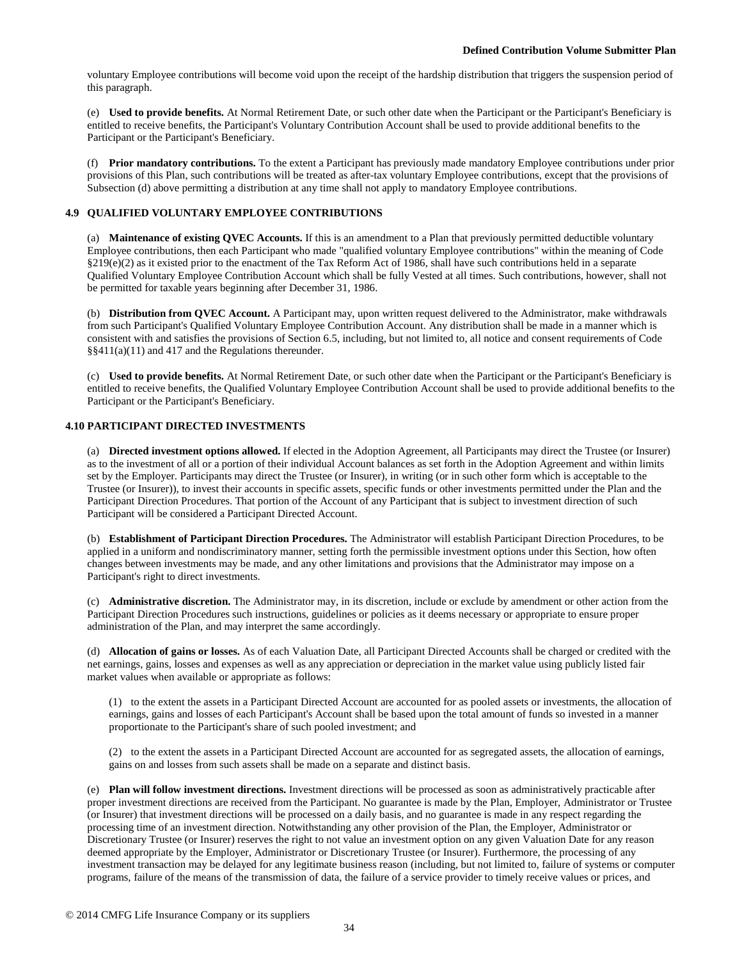voluntary Employee contributions will become void upon the receipt of the hardship distribution that triggers the suspension period of this paragraph.

(e) **Used to provide benefits.** At Normal Retirement Date, or such other date when the Participant or the Participant's Beneficiary is entitled to receive benefits, the Participant's Voluntary Contribution Account shall be used to provide additional benefits to the Participant or the Participant's Beneficiary.

(f) **Prior mandatory contributions.** To the extent a Participant has previously made mandatory Employee contributions under prior provisions of this Plan, such contributions will be treated as after-tax voluntary Employee contributions, except that the provisions of Subsection (d) above permitting a distribution at any time shall not apply to mandatory Employee contributions.

# **4.9 QUALIFIED VOLUNTARY EMPLOYEE CONTRIBUTIONS**

(a) **Maintenance of existing QVEC Accounts.** If this is an amendment to a Plan that previously permitted deductible voluntary Employee contributions, then each Participant who made "qualified voluntary Employee contributions" within the meaning of Code §219(e)(2) as it existed prior to the enactment of the Tax Reform Act of 1986, shall have such contributions held in a separate Qualified Voluntary Employee Contribution Account which shall be fully Vested at all times. Such contributions, however, shall not be permitted for taxable years beginning after December 31, 1986.

(b) **Distribution from QVEC Account.** A Participant may, upon written request delivered to the Administrator, make withdrawals from such Participant's Qualified Voluntary Employee Contribution Account. Any distribution shall be made in a manner which is consistent with and satisfies the provisions of Section 6.5, including, but not limited to, all notice and consent requirements of Code §§411(a)(11) and 417 and the Regulations thereunder.

(c) **Used to provide benefits.** At Normal Retirement Date, or such other date when the Participant or the Participant's Beneficiary is entitled to receive benefits, the Qualified Voluntary Employee Contribution Account shall be used to provide additional benefits to the Participant or the Participant's Beneficiary.

## **4.10 PARTICIPANT DIRECTED INVESTMENTS**

(a) **Directed investment options allowed.** If elected in the Adoption Agreement, all Participants may direct the Trustee (or Insurer) as to the investment of all or a portion of their individual Account balances as set forth in the Adoption Agreement and within limits set by the Employer. Participants may direct the Trustee (or Insurer), in writing (or in such other form which is acceptable to the Trustee (or Insurer)), to invest their accounts in specific assets, specific funds or other investments permitted under the Plan and the Participant Direction Procedures. That portion of the Account of any Participant that is subject to investment direction of such Participant will be considered a Participant Directed Account.

(b) **Establishment of Participant Direction Procedures.** The Administrator will establish Participant Direction Procedures, to be applied in a uniform and nondiscriminatory manner, setting forth the permissible investment options under this Section, how often changes between investments may be made, and any other limitations and provisions that the Administrator may impose on a Participant's right to direct investments.

(c) **Administrative discretion.** The Administrator may, in its discretion, include or exclude by amendment or other action from the Participant Direction Procedures such instructions, guidelines or policies as it deems necessary or appropriate to ensure proper administration of the Plan, and may interpret the same accordingly.

(d) **Allocation of gains or losses.** As of each Valuation Date, all Participant Directed Accounts shall be charged or credited with the net earnings, gains, losses and expenses as well as any appreciation or depreciation in the market value using publicly listed fair market values when available or appropriate as follows:

(1) to the extent the assets in a Participant Directed Account are accounted for as pooled assets or investments, the allocation of earnings, gains and losses of each Participant's Account shall be based upon the total amount of funds so invested in a manner proportionate to the Participant's share of such pooled investment; and

(2) to the extent the assets in a Participant Directed Account are accounted for as segregated assets, the allocation of earnings, gains on and losses from such assets shall be made on a separate and distinct basis.

(e) **Plan will follow investment directions.** Investment directions will be processed as soon as administratively practicable after proper investment directions are received from the Participant. No guarantee is made by the Plan, Employer, Administrator or Trustee (or Insurer) that investment directions will be processed on a daily basis, and no guarantee is made in any respect regarding the processing time of an investment direction. Notwithstanding any other provision of the Plan, the Employer, Administrator or Discretionary Trustee (or Insurer) reserves the right to not value an investment option on any given Valuation Date for any reason deemed appropriate by the Employer, Administrator or Discretionary Trustee (or Insurer). Furthermore, the processing of any investment transaction may be delayed for any legitimate business reason (including, but not limited to, failure of systems or computer programs, failure of the means of the transmission of data, the failure of a service provider to timely receive values or prices, and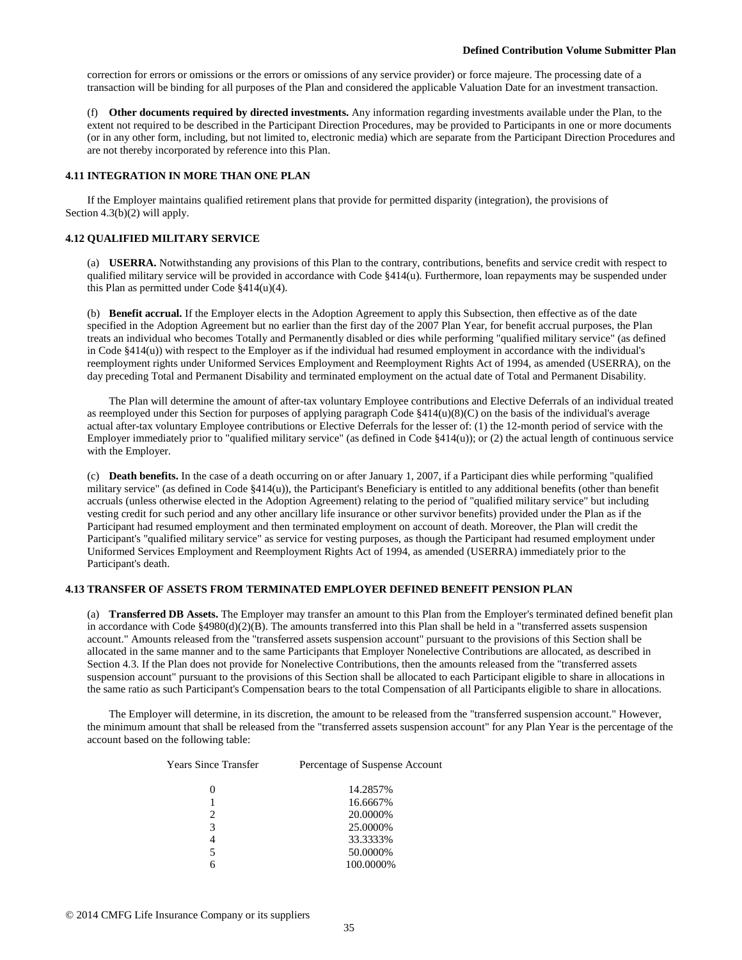correction for errors or omissions or the errors or omissions of any service provider) or force majeure. The processing date of a transaction will be binding for all purposes of the Plan and considered the applicable Valuation Date for an investment transaction.

(f) **Other documents required by directed investments.** Any information regarding investments available under the Plan, to the extent not required to be described in the Participant Direction Procedures, may be provided to Participants in one or more documents (or in any other form, including, but not limited to, electronic media) which are separate from the Participant Direction Procedures and are not thereby incorporated by reference into this Plan.

#### **4.11 INTEGRATION IN MORE THAN ONE PLAN**

If the Employer maintains qualified retirement plans that provide for permitted disparity (integration), the provisions of Section 4.3(b)(2) will apply.

## **4.12 QUALIFIED MILITARY SERVICE**

(a) **USERRA.** Notwithstanding any provisions of this Plan to the contrary, contributions, benefits and service credit with respect to qualified military service will be provided in accordance with Code §414(u). Furthermore, loan repayments may be suspended under this Plan as permitted under Code §414(u)(4).

(b) **Benefit accrual.** If the Employer elects in the Adoption Agreement to apply this Subsection, then effective as of the date specified in the Adoption Agreement but no earlier than the first day of the 2007 Plan Year, for benefit accrual purposes, the Plan treats an individual who becomes Totally and Permanently disabled or dies while performing "qualified military service" (as defined in Code §414(u)) with respect to the Employer as if the individual had resumed employment in accordance with the individual's reemployment rights under Uniformed Services Employment and Reemployment Rights Act of 1994, as amended (USERRA), on the day preceding Total and Permanent Disability and terminated employment on the actual date of Total and Permanent Disability.

The Plan will determine the amount of after-tax voluntary Employee contributions and Elective Deferrals of an individual treated as reemployed under this Section for purposes of applying paragraph Code §414(u)(8)(C) on the basis of the individual's average actual after-tax voluntary Employee contributions or Elective Deferrals for the lesser of: (1) the 12-month period of service with the Employer immediately prior to "qualified military service" (as defined in Code §414(u)); or (2) the actual length of continuous service with the Employer.

(c) **Death benefits.** In the case of a death occurring on or after January 1, 2007, if a Participant dies while performing "qualified military service" (as defined in Code §414(u)), the Participant's Beneficiary is entitled to any additional benefits (other than benefit accruals (unless otherwise elected in the Adoption Agreement) relating to the period of "qualified military service" but including vesting credit for such period and any other ancillary life insurance or other survivor benefits) provided under the Plan as if the Participant had resumed employment and then terminated employment on account of death. Moreover, the Plan will credit the Participant's "qualified military service" as service for vesting purposes, as though the Participant had resumed employment under Uniformed Services Employment and Reemployment Rights Act of 1994, as amended (USERRA) immediately prior to the Participant's death.

### **4.13 TRANSFER OF ASSETS FROM TERMINATED EMPLOYER DEFINED BENEFIT PENSION PLAN**

(a) **Transferred DB Assets.** The Employer may transfer an amount to this Plan from the Employer's terminated defined benefit plan in accordance with Code  $\S 4980(d)(2)(B)$ . The amounts transferred into this Plan shall be held in a "transferred assets suspension" account." Amounts released from the "transferred assets suspension account" pursuant to the provisions of this Section shall be allocated in the same manner and to the same Participants that Employer Nonelective Contributions are allocated, as described in Section 4.3. If the Plan does not provide for Nonelective Contributions, then the amounts released from the "transferred assets suspension account" pursuant to the provisions of this Section shall be allocated to each Participant eligible to share in allocations in the same ratio as such Participant's Compensation bears to the total Compensation of all Participants eligible to share in allocations.

The Employer will determine, in its discretion, the amount to be released from the "transferred suspension account." However, the minimum amount that shall be released from the "transferred assets suspension account" for any Plan Year is the percentage of the account based on the following table:

| Years Since Transfer | Percentage of Suspense Account |
|----------------------|--------------------------------|
| 0                    | 14.2857%                       |
|                      | 16.6667%                       |
| 2                    | 20.0000%                       |
| 3                    | 25.0000%                       |
| 4                    | 33.3333%                       |
| 5                    | 50.0000%                       |
|                      | 100.0000%                      |
|                      |                                |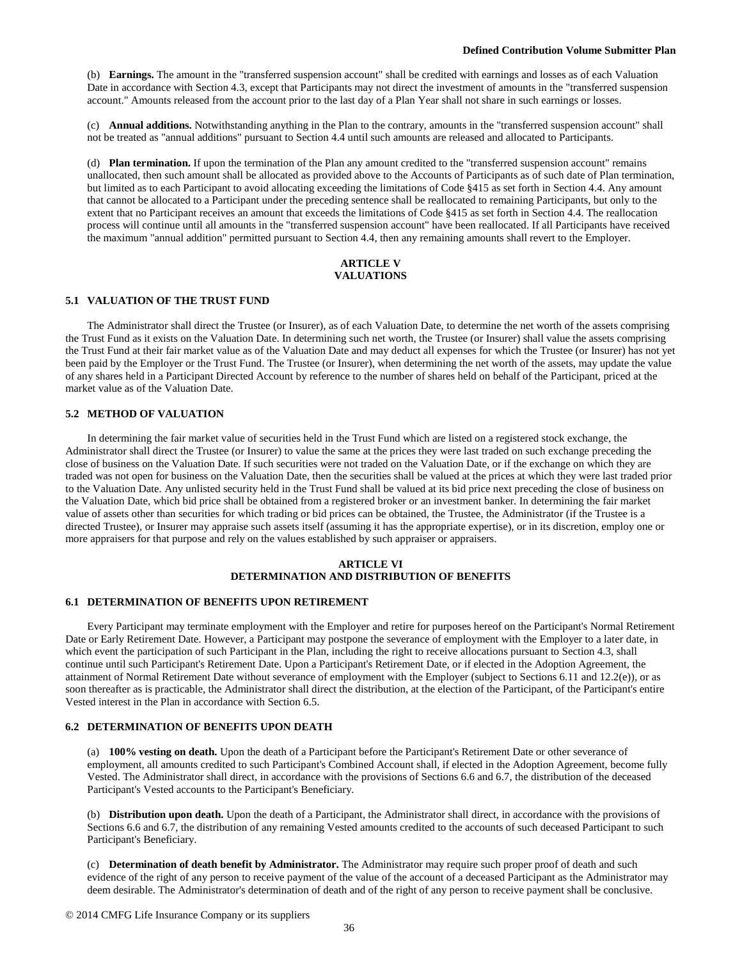(b) **Earnings.** The amount in the "transferred suspension account" shall be credited with earnings and losses as of each Valuation Date in accordance with Section 4.3, except that Participants may not direct the investment of amounts in the "transferred suspension account." Amounts released from the account prior to the last day of a Plan Year shall not share in such earnings or losses.

(c) **Annual additions.** Notwithstanding anything in the Plan to the contrary, amounts in the "transferred suspension account" shall not be treated as "annual additions" pursuant to Section 4.4 until such amounts are released and allocated to Participants.

(d) **Plan termination.** If upon the termination of the Plan any amount credited to the "transferred suspension account" remains unallocated, then such amount shall be allocated as provided above to the Accounts of Participants as of such date of Plan termination, but limited as to each Participant to avoid allocating exceeding the limitations of Code §415 as set forth in Section 4.4. Any amount that cannot be allocated to a Participant under the preceding sentence shall be reallocated to remaining Participants, but only to the extent that no Participant receives an amount that exceeds the limitations of Code §415 as set forth in Section 4.4. The reallocation process will continue until all amounts in the "transferred suspension account" have been reallocated. If all Participants have received the maximum "annual addition" permitted pursuant to Section 4.4, then any remaining amounts shall revert to the Employer.

#### **ARTICLE V VALUATIONS**

### **5.1 VALUATION OF THE TRUST FUND**

The Administrator shall direct the Trustee (or Insurer), as of each Valuation Date, to determine the net worth of the assets comprising the Trust Fund as it exists on the Valuation Date. In determining such net worth, the Trustee (or Insurer) shall value the assets comprising the Trust Fund at their fair market value as of the Valuation Date and may deduct all expenses for which the Trustee (or Insurer) has not yet been paid by the Employer or the Trust Fund. The Trustee (or Insurer), when determining the net worth of the assets, may update the value of any shares held in a Participant Directed Account by reference to the number of shares held on behalf of the Participant, priced at the market value as of the Valuation Date.

### **5.2 METHOD OF VALUATION**

In determining the fair market value of securities held in the Trust Fund which are listed on a registered stock exchange, the Administrator shall direct the Trustee (or Insurer) to value the same at the prices they were last traded on such exchange preceding the close of business on the Valuation Date. If such securities were not traded on the Valuation Date, or if the exchange on which they are traded was not open for business on the Valuation Date, then the securities shall be valued at the prices at which they were last traded prior to the Valuation Date. Any unlisted security held in the Trust Fund shall be valued at its bid price next preceding the close of business on the Valuation Date, which bid price shall be obtained from a registered broker or an investment banker. In determining the fair market value of assets other than securities for which trading or bid prices can be obtained, the Trustee, the Administrator (if the Trustee is a directed Trustee), or Insurer may appraise such assets itself (assuming it has the appropriate expertise), or in its discretion, employ one or more appraisers for that purpose and rely on the values established by such appraiser or appraisers.

### **ARTICLE VI DETERMINATION AND DISTRIBUTION OF BENEFITS**

#### **6.1 DETERMINATION OF BENEFITS UPON RETIREMENT**

Every Participant may terminate employment with the Employer and retire for purposes hereof on the Participant's Normal Retirement Date or Early Retirement Date. However, a Participant may postpone the severance of employment with the Employer to a later date, in which event the participation of such Participant in the Plan, including the right to receive allocations pursuant to Section 4.3, shall continue until such Participant's Retirement Date. Upon a Participant's Retirement Date, or if elected in the Adoption Agreement, the attainment of Normal Retirement Date without severance of employment with the Employer (subject to Sections 6.11 and 12.2(e)), or as soon thereafter as is practicable, the Administrator shall direct the distribution, at the election of the Participant, of the Participant's entire Vested interest in the Plan in accordance with Section 6.5.

## **6.2 DETERMINATION OF BENEFITS UPON DEATH**

(a) **100% vesting on death.** Upon the death of a Participant before the Participant's Retirement Date or other severance of employment, all amounts credited to such Participant's Combined Account shall, if elected in the Adoption Agreement, become fully Vested. The Administrator shall direct, in accordance with the provisions of Sections 6.6 and 6.7, the distribution of the deceased Participant's Vested accounts to the Participant's Beneficiary.

(b) **Distribution upon death.** Upon the death of a Participant, the Administrator shall direct, in accordance with the provisions of Sections 6.6 and 6.7, the distribution of any remaining Vested amounts credited to the accounts of such deceased Participant to such Participant's Beneficiary.

(c) **Determination of death benefit by Administrator.** The Administrator may require such proper proof of death and such evidence of the right of any person to receive payment of the value of the account of a deceased Participant as the Administrator may deem desirable. The Administrator's determination of death and of the right of any person to receive payment shall be conclusive.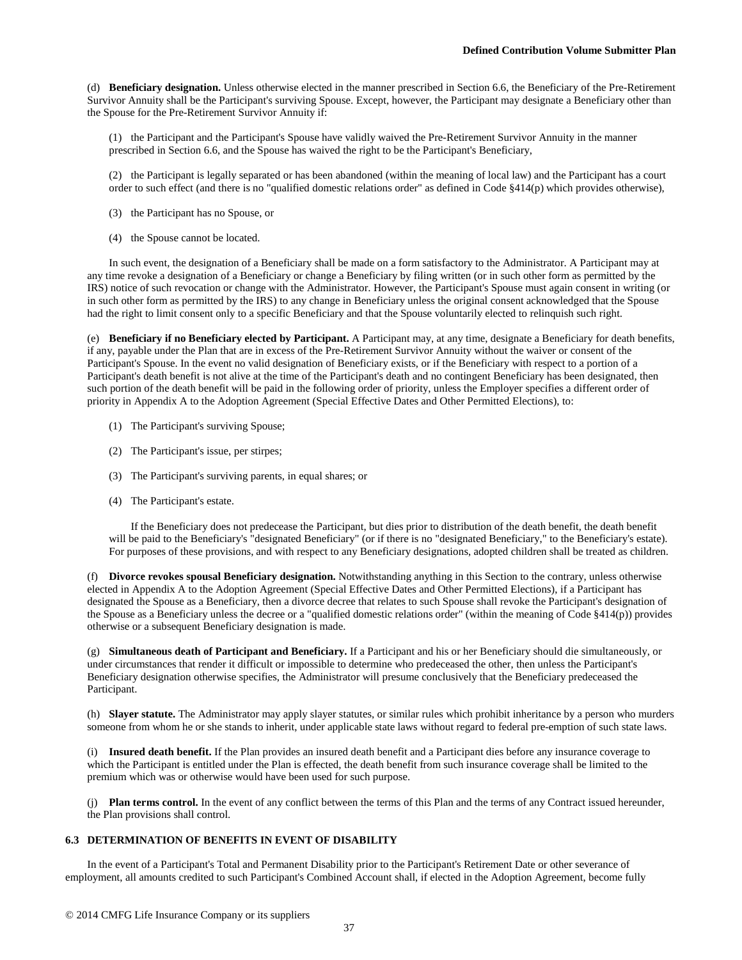(d) **Beneficiary designation.** Unless otherwise elected in the manner prescribed in Section 6.6, the Beneficiary of the Pre-Retirement Survivor Annuity shall be the Participant's surviving Spouse. Except, however, the Participant may designate a Beneficiary other than the Spouse for the Pre-Retirement Survivor Annuity if:

(1) the Participant and the Participant's Spouse have validly waived the Pre-Retirement Survivor Annuity in the manner prescribed in Section 6.6, and the Spouse has waived the right to be the Participant's Beneficiary,

(2) the Participant is legally separated or has been abandoned (within the meaning of local law) and the Participant has a court order to such effect (and there is no "qualified domestic relations order" as defined in Code §414(p) which provides otherwise),

- (3) the Participant has no Spouse, or
- (4) the Spouse cannot be located.

In such event, the designation of a Beneficiary shall be made on a form satisfactory to the Administrator. A Participant may at any time revoke a designation of a Beneficiary or change a Beneficiary by filing written (or in such other form as permitted by the IRS) notice of such revocation or change with the Administrator. However, the Participant's Spouse must again consent in writing (or in such other form as permitted by the IRS) to any change in Beneficiary unless the original consent acknowledged that the Spouse had the right to limit consent only to a specific Beneficiary and that the Spouse voluntarily elected to relinquish such right.

(e) **Beneficiary if no Beneficiary elected by Participant.** A Participant may, at any time, designate a Beneficiary for death benefits, if any, payable under the Plan that are in excess of the Pre-Retirement Survivor Annuity without the waiver or consent of the Participant's Spouse. In the event no valid designation of Beneficiary exists, or if the Beneficiary with respect to a portion of a Participant's death benefit is not alive at the time of the Participant's death and no contingent Beneficiary has been designated, then such portion of the death benefit will be paid in the following order of priority, unless the Employer specifies a different order of priority in Appendix A to the Adoption Agreement (Special Effective Dates and Other Permitted Elections), to:

- (1) The Participant's surviving Spouse;
- (2) The Participant's issue, per stirpes;
- (3) The Participant's surviving parents, in equal shares; or
- (4) The Participant's estate.

If the Beneficiary does not predecease the Participant, but dies prior to distribution of the death benefit, the death benefit will be paid to the Beneficiary's "designated Beneficiary" (or if there is no "designated Beneficiary," to the Beneficiary's estate). For purposes of these provisions, and with respect to any Beneficiary designations, adopted children shall be treated as children.

(f) **Divorce revokes spousal Beneficiary designation.** Notwithstanding anything in this Section to the contrary, unless otherwise elected in Appendix A to the Adoption Agreement (Special Effective Dates and Other Permitted Elections), if a Participant has designated the Spouse as a Beneficiary, then a divorce decree that relates to such Spouse shall revoke the Participant's designation of the Spouse as a Beneficiary unless the decree or a "qualified domestic relations order" (within the meaning of Code §414(p)) provides otherwise or a subsequent Beneficiary designation is made.

(g) **Simultaneous death of Participant and Beneficiary.** If a Participant and his or her Beneficiary should die simultaneously, or under circumstances that render it difficult or impossible to determine who predeceased the other, then unless the Participant's Beneficiary designation otherwise specifies, the Administrator will presume conclusively that the Beneficiary predeceased the Participant.

(h) **Slayer statute.** The Administrator may apply slayer statutes, or similar rules which prohibit inheritance by a person who murders someone from whom he or she stands to inherit, under applicable state laws without regard to federal pre-emption of such state laws.

(i) **Insured death benefit.** If the Plan provides an insured death benefit and a Participant dies before any insurance coverage to which the Participant is entitled under the Plan is effected, the death benefit from such insurance coverage shall be limited to the premium which was or otherwise would have been used for such purpose.

(j) **Plan terms control.** In the event of any conflict between the terms of this Plan and the terms of any Contract issued hereunder, the Plan provisions shall control.

## **6.3 DETERMINATION OF BENEFITS IN EVENT OF DISABILITY**

In the event of a Participant's Total and Permanent Disability prior to the Participant's Retirement Date or other severance of employment, all amounts credited to such Participant's Combined Account shall, if elected in the Adoption Agreement, become fully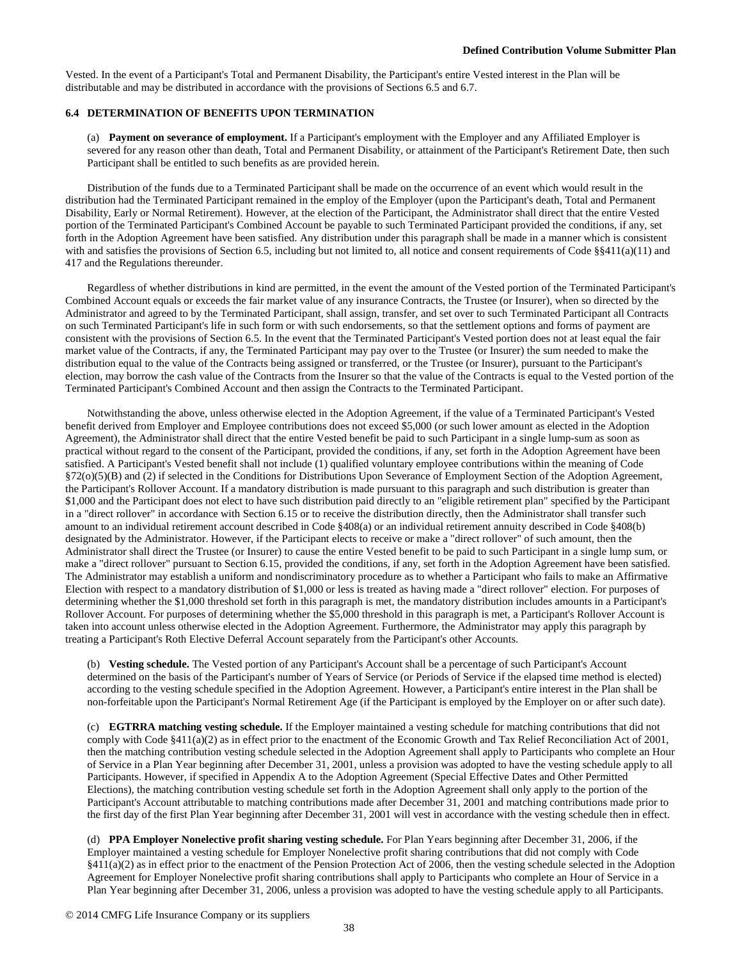Vested. In the event of a Participant's Total and Permanent Disability, the Participant's entire Vested interest in the Plan will be distributable and may be distributed in accordance with the provisions of Sections 6.5 and 6.7.

### **6.4 DETERMINATION OF BENEFITS UPON TERMINATION**

(a) **Payment on severance of employment.** If a Participant's employment with the Employer and any Affiliated Employer is severed for any reason other than death, Total and Permanent Disability, or attainment of the Participant's Retirement Date, then such Participant shall be entitled to such benefits as are provided herein.

Distribution of the funds due to a Terminated Participant shall be made on the occurrence of an event which would result in the distribution had the Terminated Participant remained in the employ of the Employer (upon the Participant's death, Total and Permanent Disability, Early or Normal Retirement). However, at the election of the Participant, the Administrator shall direct that the entire Vested portion of the Terminated Participant's Combined Account be payable to such Terminated Participant provided the conditions, if any, set forth in the Adoption Agreement have been satisfied. Any distribution under this paragraph shall be made in a manner which is consistent with and satisfies the provisions of Section 6.5, including but not limited to, all notice and consent requirements of Code §§411(a)(11) and 417 and the Regulations thereunder.

Regardless of whether distributions in kind are permitted, in the event the amount of the Vested portion of the Terminated Participant's Combined Account equals or exceeds the fair market value of any insurance Contracts, the Trustee (or Insurer), when so directed by the Administrator and agreed to by the Terminated Participant, shall assign, transfer, and set over to such Terminated Participant all Contracts on such Terminated Participant's life in such form or with such endorsements, so that the settlement options and forms of payment are consistent with the provisions of Section 6.5. In the event that the Terminated Participant's Vested portion does not at least equal the fair market value of the Contracts, if any, the Terminated Participant may pay over to the Trustee (or Insurer) the sum needed to make the distribution equal to the value of the Contracts being assigned or transferred, or the Trustee (or Insurer), pursuant to the Participant's election, may borrow the cash value of the Contracts from the Insurer so that the value of the Contracts is equal to the Vested portion of the Terminated Participant's Combined Account and then assign the Contracts to the Terminated Participant.

Notwithstanding the above, unless otherwise elected in the Adoption Agreement, if the value of a Terminated Participant's Vested benefit derived from Employer and Employee contributions does not exceed \$5,000 (or such lower amount as elected in the Adoption Agreement), the Administrator shall direct that the entire Vested benefit be paid to such Participant in a single lump-sum as soon as practical without regard to the consent of the Participant, provided the conditions, if any, set forth in the Adoption Agreement have been satisfied. A Participant's Vested benefit shall not include (1) qualified voluntary employee contributions within the meaning of Code §72(o)(5)(B) and (2) if selected in the Conditions for Distributions Upon Severance of Employment Section of the Adoption Agreement, the Participant's Rollover Account. If a mandatory distribution is made pursuant to this paragraph and such distribution is greater than \$1,000 and the Participant does not elect to have such distribution paid directly to an "eligible retirement plan" specified by the Participant in a "direct rollover" in accordance with Section 6.15 or to receive the distribution directly, then the Administrator shall transfer such amount to an individual retirement account described in Code §408(a) or an individual retirement annuity described in Code §408(b) designated by the Administrator. However, if the Participant elects to receive or make a "direct rollover" of such amount, then the Administrator shall direct the Trustee (or Insurer) to cause the entire Vested benefit to be paid to such Participant in a single lump sum, or make a "direct rollover" pursuant to Section 6.15, provided the conditions, if any, set forth in the Adoption Agreement have been satisfied. The Administrator may establish a uniform and nondiscriminatory procedure as to whether a Participant who fails to make an Affirmative Election with respect to a mandatory distribution of \$1,000 or less is treated as having made a "direct rollover" election. For purposes of determining whether the \$1,000 threshold set forth in this paragraph is met, the mandatory distribution includes amounts in a Participant's Rollover Account. For purposes of determining whether the \$5,000 threshold in this paragraph is met, a Participant's Rollover Account is taken into account unless otherwise elected in the Adoption Agreement. Furthermore, the Administrator may apply this paragraph by treating a Participant's Roth Elective Deferral Account separately from the Participant's other Accounts.

(b) **Vesting schedule.** The Vested portion of any Participant's Account shall be a percentage of such Participant's Account determined on the basis of the Participant's number of Years of Service (or Periods of Service if the elapsed time method is elected) according to the vesting schedule specified in the Adoption Agreement. However, a Participant's entire interest in the Plan shall be non-forfeitable upon the Participant's Normal Retirement Age (if the Participant is employed by the Employer on or after such date).

(c) **EGTRRA matching vesting schedule.** If the Employer maintained a vesting schedule for matching contributions that did not comply with Code §411(a)(2) as in effect prior to the enactment of the Economic Growth and Tax Relief Reconciliation Act of 2001, then the matching contribution vesting schedule selected in the Adoption Agreement shall apply to Participants who complete an Hour of Service in a Plan Year beginning after December 31, 2001, unless a provision was adopted to have the vesting schedule apply to all Participants. However, if specified in Appendix A to the Adoption Agreement (Special Effective Dates and Other Permitted Elections), the matching contribution vesting schedule set forth in the Adoption Agreement shall only apply to the portion of the Participant's Account attributable to matching contributions made after December 31, 2001 and matching contributions made prior to the first day of the first Plan Year beginning after December 31, 2001 will vest in accordance with the vesting schedule then in effect.

(d) **PPA Employer Nonelective profit sharing vesting schedule.** For Plan Years beginning after December 31, 2006, if the Employer maintained a vesting schedule for Employer Nonelective profit sharing contributions that did not comply with Code §411(a)(2) as in effect prior to the enactment of the Pension Protection Act of 2006, then the vesting schedule selected in the Adoption Agreement for Employer Nonelective profit sharing contributions shall apply to Participants who complete an Hour of Service in a Plan Year beginning after December 31, 2006, unless a provision was adopted to have the vesting schedule apply to all Participants.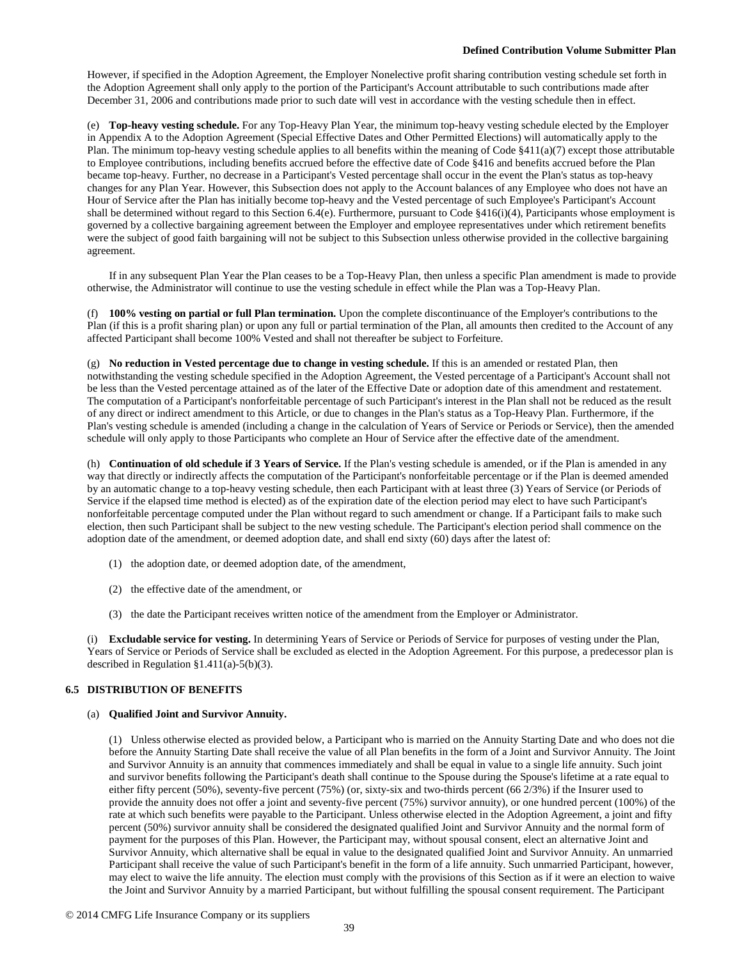However, if specified in the Adoption Agreement, the Employer Nonelective profit sharing contribution vesting schedule set forth in the Adoption Agreement shall only apply to the portion of the Participant's Account attributable to such contributions made after December 31, 2006 and contributions made prior to such date will vest in accordance with the vesting schedule then in effect.

(e) **Top-heavy vesting schedule.** For any Top-Heavy Plan Year, the minimum top-heavy vesting schedule elected by the Employer in Appendix A to the Adoption Agreement (Special Effective Dates and Other Permitted Elections) will automatically apply to the Plan. The minimum top-heavy vesting schedule applies to all benefits within the meaning of Code  $\S 411(a)(7)$  except those attributable to Employee contributions, including benefits accrued before the effective date of Code §416 and benefits accrued before the Plan became top-heavy. Further, no decrease in a Participant's Vested percentage shall occur in the event the Plan's status as top-heavy changes for any Plan Year. However, this Subsection does not apply to the Account balances of any Employee who does not have an Hour of Service after the Plan has initially become top-heavy and the Vested percentage of such Employee's Participant's Account shall be determined without regard to this Section 6.4(e). Furthermore, pursuant to Code §416(i)(4), Participants whose employment is governed by a collective bargaining agreement between the Employer and employee representatives under which retirement benefits were the subject of good faith bargaining will not be subject to this Subsection unless otherwise provided in the collective bargaining agreement.

If in any subsequent Plan Year the Plan ceases to be a Top-Heavy Plan, then unless a specific Plan amendment is made to provide otherwise, the Administrator will continue to use the vesting schedule in effect while the Plan was a Top-Heavy Plan.

(f) **100% vesting on partial or full Plan termination.** Upon the complete discontinuance of the Employer's contributions to the Plan (if this is a profit sharing plan) or upon any full or partial termination of the Plan, all amounts then credited to the Account of any affected Participant shall become 100% Vested and shall not thereafter be subject to Forfeiture.

(g) **No reduction in Vested percentage due to change in vesting schedule.** If this is an amended or restated Plan, then notwithstanding the vesting schedule specified in the Adoption Agreement, the Vested percentage of a Participant's Account shall not be less than the Vested percentage attained as of the later of the Effective Date or adoption date of this amendment and restatement. The computation of a Participant's nonforfeitable percentage of such Participant's interest in the Plan shall not be reduced as the result of any direct or indirect amendment to this Article, or due to changes in the Plan's status as a Top-Heavy Plan. Furthermore, if the Plan's vesting schedule is amended (including a change in the calculation of Years of Service or Periods or Service), then the amended schedule will only apply to those Participants who complete an Hour of Service after the effective date of the amendment.

(h) **Continuation of old schedule if 3 Years of Service.** If the Plan's vesting schedule is amended, or if the Plan is amended in any way that directly or indirectly affects the computation of the Participant's nonforfeitable percentage or if the Plan is deemed amended by an automatic change to a top-heavy vesting schedule, then each Participant with at least three (3) Years of Service (or Periods of Service if the elapsed time method is elected) as of the expiration date of the election period may elect to have such Participant's nonforfeitable percentage computed under the Plan without regard to such amendment or change. If a Participant fails to make such election, then such Participant shall be subject to the new vesting schedule. The Participant's election period shall commence on the adoption date of the amendment, or deemed adoption date, and shall end sixty (60) days after the latest of:

- (1) the adoption date, or deemed adoption date, of the amendment,
- (2) the effective date of the amendment, or
- (3) the date the Participant receives written notice of the amendment from the Employer or Administrator.

(i) **Excludable service for vesting.** In determining Years of Service or Periods of Service for purposes of vesting under the Plan, Years of Service or Periods of Service shall be excluded as elected in the Adoption Agreement. For this purpose, a predecessor plan is described in Regulation §1.411(a)-5(b)(3).

# **6.5 DISTRIBUTION OF BENEFITS**

# (a) **Qualified Joint and Survivor Annuity.**

(1) Unless otherwise elected as provided below, a Participant who is married on the Annuity Starting Date and who does not die before the Annuity Starting Date shall receive the value of all Plan benefits in the form of a Joint and Survivor Annuity. The Joint and Survivor Annuity is an annuity that commences immediately and shall be equal in value to a single life annuity. Such joint and survivor benefits following the Participant's death shall continue to the Spouse during the Spouse's lifetime at a rate equal to either fifty percent (50%), seventy-five percent (75%) (or, sixty-six and two-thirds percent (66 2/3%) if the Insurer used to provide the annuity does not offer a joint and seventy-five percent (75%) survivor annuity), or one hundred percent (100%) of the rate at which such benefits were payable to the Participant. Unless otherwise elected in the Adoption Agreement, a joint and fifty percent (50%) survivor annuity shall be considered the designated qualified Joint and Survivor Annuity and the normal form of payment for the purposes of this Plan. However, the Participant may, without spousal consent, elect an alternative Joint and Survivor Annuity, which alternative shall be equal in value to the designated qualified Joint and Survivor Annuity. An unmarried Participant shall receive the value of such Participant's benefit in the form of a life annuity. Such unmarried Participant, however, may elect to waive the life annuity. The election must comply with the provisions of this Section as if it were an election to waive the Joint and Survivor Annuity by a married Participant, but without fulfilling the spousal consent requirement. The Participant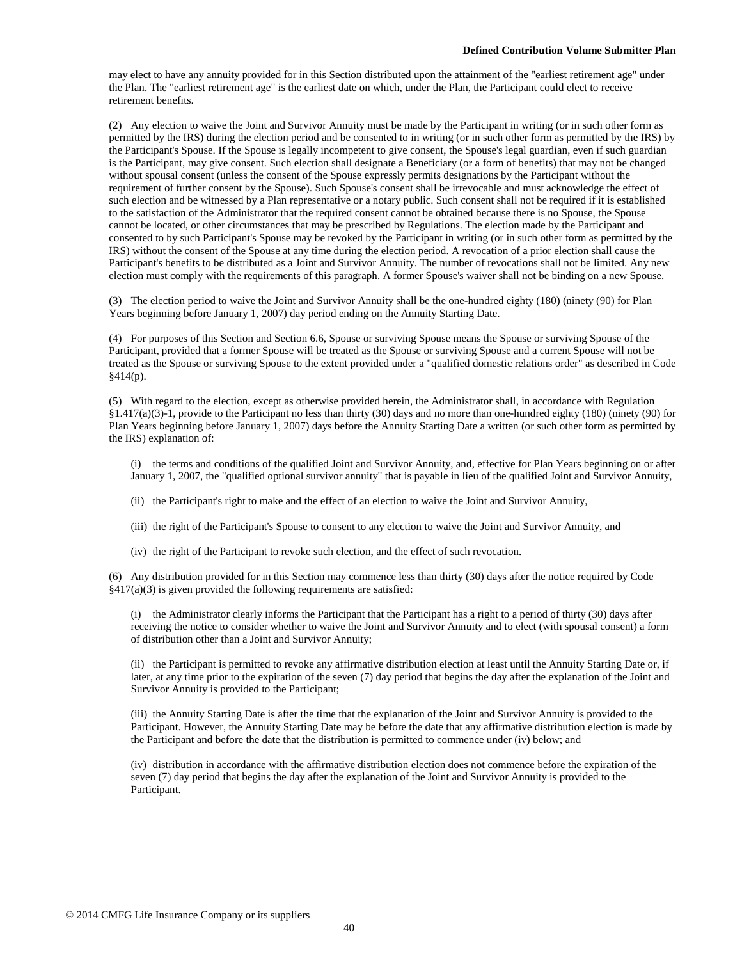may elect to have any annuity provided for in this Section distributed upon the attainment of the "earliest retirement age" under the Plan. The "earliest retirement age" is the earliest date on which, under the Plan, the Participant could elect to receive retirement benefits.

(2) Any election to waive the Joint and Survivor Annuity must be made by the Participant in writing (or in such other form as permitted by the IRS) during the election period and be consented to in writing (or in such other form as permitted by the IRS) by the Participant's Spouse. If the Spouse is legally incompetent to give consent, the Spouse's legal guardian, even if such guardian is the Participant, may give consent. Such election shall designate a Beneficiary (or a form of benefits) that may not be changed without spousal consent (unless the consent of the Spouse expressly permits designations by the Participant without the requirement of further consent by the Spouse). Such Spouse's consent shall be irrevocable and must acknowledge the effect of such election and be witnessed by a Plan representative or a notary public. Such consent shall not be required if it is established to the satisfaction of the Administrator that the required consent cannot be obtained because there is no Spouse, the Spouse cannot be located, or other circumstances that may be prescribed by Regulations. The election made by the Participant and consented to by such Participant's Spouse may be revoked by the Participant in writing (or in such other form as permitted by the IRS) without the consent of the Spouse at any time during the election period. A revocation of a prior election shall cause the Participant's benefits to be distributed as a Joint and Survivor Annuity. The number of revocations shall not be limited. Any new election must comply with the requirements of this paragraph. A former Spouse's waiver shall not be binding on a new Spouse.

(3) The election period to waive the Joint and Survivor Annuity shall be the one-hundred eighty (180) (ninety (90) for Plan Years beginning before January 1, 2007) day period ending on the Annuity Starting Date.

(4) For purposes of this Section and Section 6.6, Spouse or surviving Spouse means the Spouse or surviving Spouse of the Participant, provided that a former Spouse will be treated as the Spouse or surviving Spouse and a current Spouse will not be treated as the Spouse or surviving Spouse to the extent provided under a "qualified domestic relations order" as described in Code  $§414(p).$ 

(5) With regard to the election, except as otherwise provided herein, the Administrator shall, in accordance with Regulation §1.417(a)(3)-1, provide to the Participant no less than thirty (30) days and no more than one-hundred eighty (180) (ninety (90) for Plan Years beginning before January 1, 2007) days before the Annuity Starting Date a written (or such other form as permitted by the IRS) explanation of:

- (i) the terms and conditions of the qualified Joint and Survivor Annuity, and, effective for Plan Years beginning on or after January 1, 2007, the "qualified optional survivor annuity" that is payable in lieu of the qualified Joint and Survivor Annuity,
- (ii) the Participant's right to make and the effect of an election to waive the Joint and Survivor Annuity,
- (iii) the right of the Participant's Spouse to consent to any election to waive the Joint and Survivor Annuity, and
- (iv) the right of the Participant to revoke such election, and the effect of such revocation.

(6) Any distribution provided for in this Section may commence less than thirty (30) days after the notice required by Code  $§417(a)(3)$  is given provided the following requirements are satisfied:

(i) the Administrator clearly informs the Participant that the Participant has a right to a period of thirty (30) days after receiving the notice to consider whether to waive the Joint and Survivor Annuity and to elect (with spousal consent) a form of distribution other than a Joint and Survivor Annuity;

(ii) the Participant is permitted to revoke any affirmative distribution election at least until the Annuity Starting Date or, if later, at any time prior to the expiration of the seven (7) day period that begins the day after the explanation of the Joint and Survivor Annuity is provided to the Participant;

(iii) the Annuity Starting Date is after the time that the explanation of the Joint and Survivor Annuity is provided to the Participant. However, the Annuity Starting Date may be before the date that any affirmative distribution election is made by the Participant and before the date that the distribution is permitted to commence under (iv) below; and

(iv) distribution in accordance with the affirmative distribution election does not commence before the expiration of the seven (7) day period that begins the day after the explanation of the Joint and Survivor Annuity is provided to the Participant.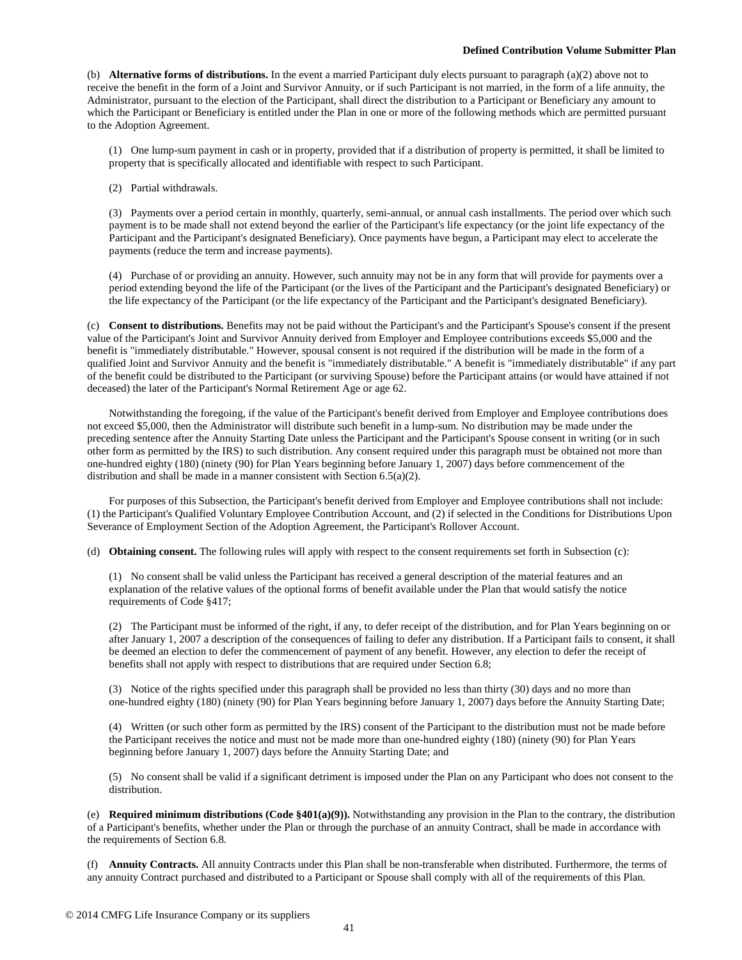#### **Defined Contribution Volume Submitter Plan**

(b) **Alternative forms of distributions.** In the event a married Participant duly elects pursuant to paragraph (a)(2) above not to receive the benefit in the form of a Joint and Survivor Annuity, or if such Participant is not married, in the form of a life annuity, the Administrator, pursuant to the election of the Participant, shall direct the distribution to a Participant or Beneficiary any amount to which the Participant or Beneficiary is entitled under the Plan in one or more of the following methods which are permitted pursuant to the Adoption Agreement.

(1) One lump-sum payment in cash or in property, provided that if a distribution of property is permitted, it shall be limited to property that is specifically allocated and identifiable with respect to such Participant.

(2) Partial withdrawals.

(3) Payments over a period certain in monthly, quarterly, semi-annual, or annual cash installments. The period over which such payment is to be made shall not extend beyond the earlier of the Participant's life expectancy (or the joint life expectancy of the Participant and the Participant's designated Beneficiary). Once payments have begun, a Participant may elect to accelerate the payments (reduce the term and increase payments).

(4) Purchase of or providing an annuity. However, such annuity may not be in any form that will provide for payments over a period extending beyond the life of the Participant (or the lives of the Participant and the Participant's designated Beneficiary) or the life expectancy of the Participant (or the life expectancy of the Participant and the Participant's designated Beneficiary).

(c) **Consent to distributions.** Benefits may not be paid without the Participant's and the Participant's Spouse's consent if the present value of the Participant's Joint and Survivor Annuity derived from Employer and Employee contributions exceeds \$5,000 and the benefit is "immediately distributable." However, spousal consent is not required if the distribution will be made in the form of a qualified Joint and Survivor Annuity and the benefit is "immediately distributable." A benefit is "immediately distributable" if any part of the benefit could be distributed to the Participant (or surviving Spouse) before the Participant attains (or would have attained if not deceased) the later of the Participant's Normal Retirement Age or age 62.

Notwithstanding the foregoing, if the value of the Participant's benefit derived from Employer and Employee contributions does not exceed \$5,000, then the Administrator will distribute such benefit in a lump-sum. No distribution may be made under the preceding sentence after the Annuity Starting Date unless the Participant and the Participant's Spouse consent in writing (or in such other form as permitted by the IRS) to such distribution. Any consent required under this paragraph must be obtained not more than one-hundred eighty (180) (ninety (90) for Plan Years beginning before January 1, 2007) days before commencement of the distribution and shall be made in a manner consistent with Section 6.5(a)(2).

For purposes of this Subsection, the Participant's benefit derived from Employer and Employee contributions shall not include: (1) the Participant's Qualified Voluntary Employee Contribution Account, and (2) if selected in the Conditions for Distributions Upon Severance of Employment Section of the Adoption Agreement, the Participant's Rollover Account.

(d) **Obtaining consent.** The following rules will apply with respect to the consent requirements set forth in Subsection (c):

(1) No consent shall be valid unless the Participant has received a general description of the material features and an explanation of the relative values of the optional forms of benefit available under the Plan that would satisfy the notice requirements of Code §417;

(2) The Participant must be informed of the right, if any, to defer receipt of the distribution, and for Plan Years beginning on or after January 1, 2007 a description of the consequences of failing to defer any distribution. If a Participant fails to consent, it shall be deemed an election to defer the commencement of payment of any benefit. However, any election to defer the receipt of benefits shall not apply with respect to distributions that are required under Section 6.8;

(3) Notice of the rights specified under this paragraph shall be provided no less than thirty (30) days and no more than one-hundred eighty (180) (ninety (90) for Plan Years beginning before January 1, 2007) days before the Annuity Starting Date;

(4) Written (or such other form as permitted by the IRS) consent of the Participant to the distribution must not be made before the Participant receives the notice and must not be made more than one-hundred eighty (180) (ninety (90) for Plan Years beginning before January 1, 2007) days before the Annuity Starting Date; and

(5) No consent shall be valid if a significant detriment is imposed under the Plan on any Participant who does not consent to the distribution.

(e) **Required minimum distributions (Code §401(a)(9)).** Notwithstanding any provision in the Plan to the contrary, the distribution of a Participant's benefits, whether under the Plan or through the purchase of an annuity Contract, shall be made in accordance with the requirements of Section 6.8.

(f) **Annuity Contracts.** All annuity Contracts under this Plan shall be non-transferable when distributed. Furthermore, the terms of any annuity Contract purchased and distributed to a Participant or Spouse shall comply with all of the requirements of this Plan.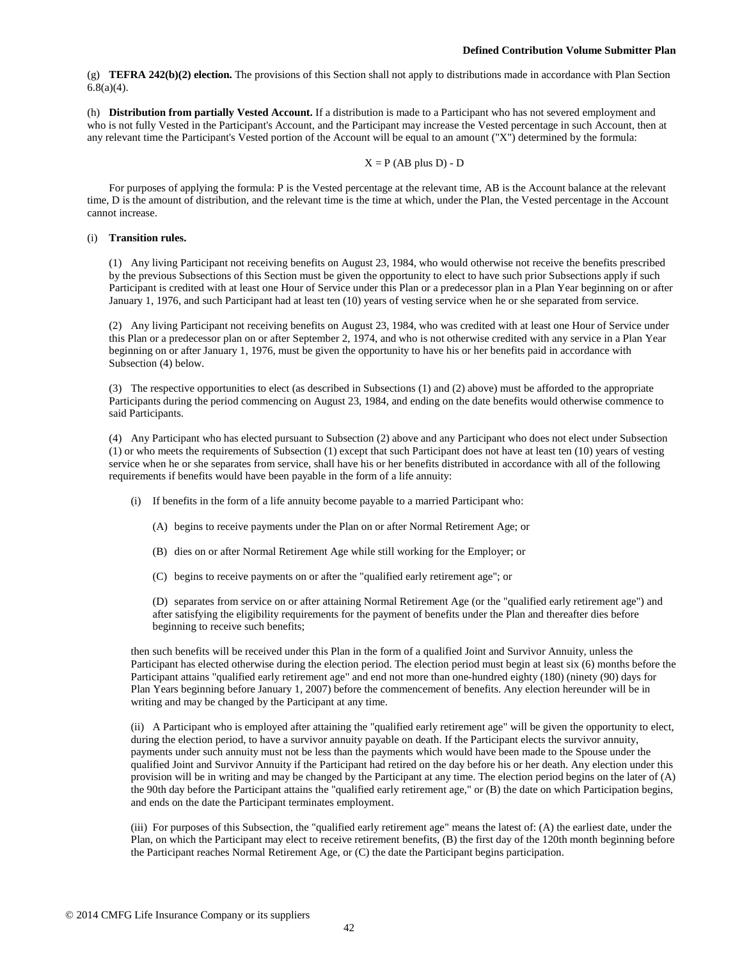(g) **TEFRA 242(b)(2) election.** The provisions of this Section shall not apply to distributions made in accordance with Plan Section  $6.8(a)(4)$ .

(h) **Distribution from partially Vested Account.** If a distribution is made to a Participant who has not severed employment and who is not fully Vested in the Participant's Account, and the Participant may increase the Vested percentage in such Account, then at any relevant time the Participant's Vested portion of the Account will be equal to an amount ("X") determined by the formula:

#### $X = P$  (AB plus D) - D

For purposes of applying the formula: P is the Vested percentage at the relevant time, AB is the Account balance at the relevant time, D is the amount of distribution, and the relevant time is the time at which, under the Plan, the Vested percentage in the Account cannot increase.

## (i) **Transition rules.**

(1) Any living Participant not receiving benefits on August 23, 1984, who would otherwise not receive the benefits prescribed by the previous Subsections of this Section must be given the opportunity to elect to have such prior Subsections apply if such Participant is credited with at least one Hour of Service under this Plan or a predecessor plan in a Plan Year beginning on or after January 1, 1976, and such Participant had at least ten (10) years of vesting service when he or she separated from service.

(2) Any living Participant not receiving benefits on August 23, 1984, who was credited with at least one Hour of Service under this Plan or a predecessor plan on or after September 2, 1974, and who is not otherwise credited with any service in a Plan Year beginning on or after January 1, 1976, must be given the opportunity to have his or her benefits paid in accordance with Subsection (4) below.

(3) The respective opportunities to elect (as described in Subsections (1) and (2) above) must be afforded to the appropriate Participants during the period commencing on August 23, 1984, and ending on the date benefits would otherwise commence to said Participants.

(4) Any Participant who has elected pursuant to Subsection (2) above and any Participant who does not elect under Subsection (1) or who meets the requirements of Subsection (1) except that such Participant does not have at least ten (10) years of vesting service when he or she separates from service, shall have his or her benefits distributed in accordance with all of the following requirements if benefits would have been payable in the form of a life annuity:

- (i) If benefits in the form of a life annuity become payable to a married Participant who:
	- (A) begins to receive payments under the Plan on or after Normal Retirement Age; or
	- (B) dies on or after Normal Retirement Age while still working for the Employer; or
	- (C) begins to receive payments on or after the "qualified early retirement age"; or

(D) separates from service on or after attaining Normal Retirement Age (or the "qualified early retirement age") and after satisfying the eligibility requirements for the payment of benefits under the Plan and thereafter dies before beginning to receive such benefits;

then such benefits will be received under this Plan in the form of a qualified Joint and Survivor Annuity, unless the Participant has elected otherwise during the election period. The election period must begin at least six (6) months before the Participant attains "qualified early retirement age" and end not more than one-hundred eighty (180) (ninety (90) days for Plan Years beginning before January 1, 2007) before the commencement of benefits. Any election hereunder will be in writing and may be changed by the Participant at any time.

(ii) A Participant who is employed after attaining the "qualified early retirement age" will be given the opportunity to elect, during the election period, to have a survivor annuity payable on death. If the Participant elects the survivor annuity, payments under such annuity must not be less than the payments which would have been made to the Spouse under the qualified Joint and Survivor Annuity if the Participant had retired on the day before his or her death. Any election under this provision will be in writing and may be changed by the Participant at any time. The election period begins on the later of (A) the 90th day before the Participant attains the "qualified early retirement age," or (B) the date on which Participation begins, and ends on the date the Participant terminates employment.

(iii) For purposes of this Subsection, the "qualified early retirement age" means the latest of: (A) the earliest date, under the Plan, on which the Participant may elect to receive retirement benefits, (B) the first day of the 120th month beginning before the Participant reaches Normal Retirement Age, or (C) the date the Participant begins participation.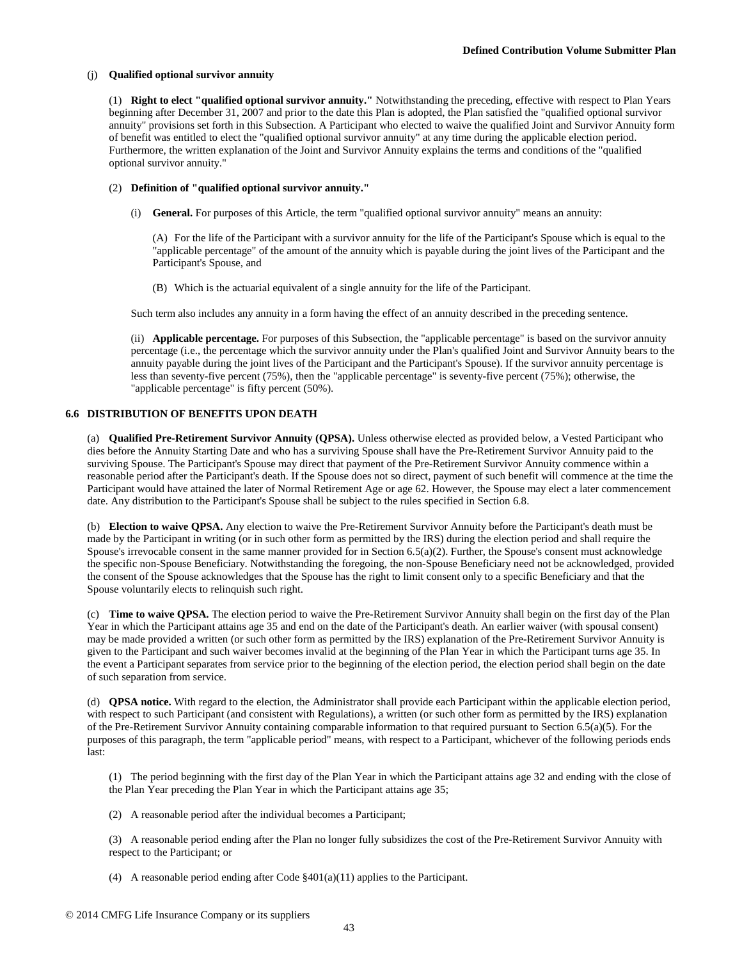### (j) **Qualified optional survivor annuity**

(1) **Right to elect "qualified optional survivor annuity."** Notwithstanding the preceding, effective with respect to Plan Years beginning after December 31, 2007 and prior to the date this Plan is adopted, the Plan satisfied the "qualified optional survivor annuity" provisions set forth in this Subsection. A Participant who elected to waive the qualified Joint and Survivor Annuity form of benefit was entitled to elect the "qualified optional survivor annuity" at any time during the applicable election period. Furthermore, the written explanation of the Joint and Survivor Annuity explains the terms and conditions of the "qualified optional survivor annuity."

### (2) **Definition of "qualified optional survivor annuity."**

(i) **General.** For purposes of this Article, the term "qualified optional survivor annuity" means an annuity:

(A) For the life of the Participant with a survivor annuity for the life of the Participant's Spouse which is equal to the "applicable percentage" of the amount of the annuity which is payable during the joint lives of the Participant and the Participant's Spouse, and

(B) Which is the actuarial equivalent of a single annuity for the life of the Participant.

Such term also includes any annuity in a form having the effect of an annuity described in the preceding sentence.

(ii) **Applicable percentage.** For purposes of this Subsection, the "applicable percentage" is based on the survivor annuity percentage (i.e., the percentage which the survivor annuity under the Plan's qualified Joint and Survivor Annuity bears to the annuity payable during the joint lives of the Participant and the Participant's Spouse). If the survivor annuity percentage is less than seventy-five percent (75%), then the "applicable percentage" is seventy-five percent (75%); otherwise, the "applicable percentage" is fifty percent (50%).

### **6.6 DISTRIBUTION OF BENEFITS UPON DEATH**

(a) **Qualified Pre-Retirement Survivor Annuity (QPSA).** Unless otherwise elected as provided below, a Vested Participant who dies before the Annuity Starting Date and who has a surviving Spouse shall have the Pre-Retirement Survivor Annuity paid to the surviving Spouse. The Participant's Spouse may direct that payment of the Pre-Retirement Survivor Annuity commence within a reasonable period after the Participant's death. If the Spouse does not so direct, payment of such benefit will commence at the time the Participant would have attained the later of Normal Retirement Age or age 62. However, the Spouse may elect a later commencement date. Any distribution to the Participant's Spouse shall be subject to the rules specified in Section 6.8.

(b) **Election to waive QPSA.** Any election to waive the Pre-Retirement Survivor Annuity before the Participant's death must be made by the Participant in writing (or in such other form as permitted by the IRS) during the election period and shall require the Spouse's irrevocable consent in the same manner provided for in Section 6.5(a)(2). Further, the Spouse's consent must acknowledge the specific non-Spouse Beneficiary. Notwithstanding the foregoing, the non-Spouse Beneficiary need not be acknowledged, provided the consent of the Spouse acknowledges that the Spouse has the right to limit consent only to a specific Beneficiary and that the Spouse voluntarily elects to relinquish such right.

(c) **Time to waive QPSA.** The election period to waive the Pre-Retirement Survivor Annuity shall begin on the first day of the Plan Year in which the Participant attains age 35 and end on the date of the Participant's death. An earlier waiver (with spousal consent) may be made provided a written (or such other form as permitted by the IRS) explanation of the Pre-Retirement Survivor Annuity is given to the Participant and such waiver becomes invalid at the beginning of the Plan Year in which the Participant turns age 35. In the event a Participant separates from service prior to the beginning of the election period, the election period shall begin on the date of such separation from service.

(d) **QPSA notice.** With regard to the election, the Administrator shall provide each Participant within the applicable election period, with respect to such Participant (and consistent with Regulations), a written (or such other form as permitted by the IRS) explanation of the Pre-Retirement Survivor Annuity containing comparable information to that required pursuant to Section 6.5(a)(5). For the purposes of this paragraph, the term "applicable period" means, with respect to a Participant, whichever of the following periods ends last:

(1) The period beginning with the first day of the Plan Year in which the Participant attains age 32 and ending with the close of the Plan Year preceding the Plan Year in which the Participant attains age 35;

(2) A reasonable period after the individual becomes a Participant;

(3) A reasonable period ending after the Plan no longer fully subsidizes the cost of the Pre-Retirement Survivor Annuity with respect to the Participant; or

(4) A reasonable period ending after Code §401(a)(11) applies to the Participant.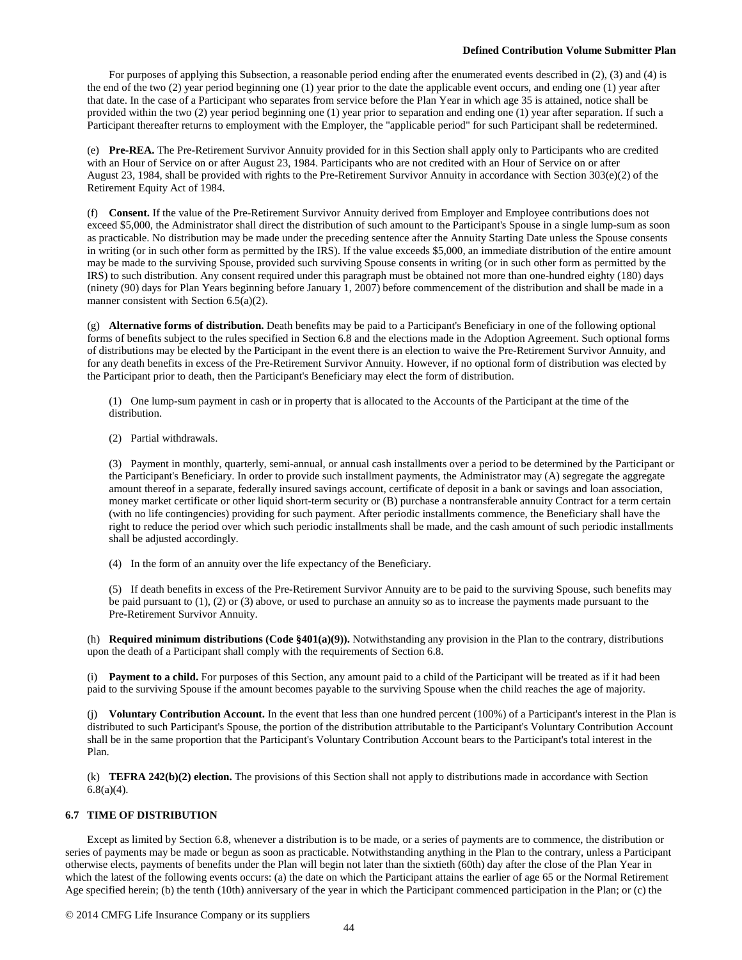For purposes of applying this Subsection, a reasonable period ending after the enumerated events described in (2), (3) and (4) is the end of the two (2) year period beginning one (1) year prior to the date the applicable event occurs, and ending one (1) year after that date. In the case of a Participant who separates from service before the Plan Year in which age 35 is attained, notice shall be provided within the two (2) year period beginning one (1) year prior to separation and ending one (1) year after separation. If such a Participant thereafter returns to employment with the Employer, the "applicable period" for such Participant shall be redetermined.

(e) **Pre-REA.** The Pre-Retirement Survivor Annuity provided for in this Section shall apply only to Participants who are credited with an Hour of Service on or after August 23, 1984. Participants who are not credited with an Hour of Service on or after August 23, 1984, shall be provided with rights to the Pre-Retirement Survivor Annuity in accordance with Section 303(e)(2) of the Retirement Equity Act of 1984.

(f) **Consent.** If the value of the Pre-Retirement Survivor Annuity derived from Employer and Employee contributions does not exceed \$5,000, the Administrator shall direct the distribution of such amount to the Participant's Spouse in a single lump-sum as soon as practicable. No distribution may be made under the preceding sentence after the Annuity Starting Date unless the Spouse consents in writing (or in such other form as permitted by the IRS). If the value exceeds \$5,000, an immediate distribution of the entire amount may be made to the surviving Spouse, provided such surviving Spouse consents in writing (or in such other form as permitted by the IRS) to such distribution. Any consent required under this paragraph must be obtained not more than one-hundred eighty (180) days (ninety (90) days for Plan Years beginning before January 1, 2007) before commencement of the distribution and shall be made in a manner consistent with Section 6.5(a)(2).

(g) **Alternative forms of distribution.** Death benefits may be paid to a Participant's Beneficiary in one of the following optional forms of benefits subject to the rules specified in Section 6.8 and the elections made in the Adoption Agreement. Such optional forms of distributions may be elected by the Participant in the event there is an election to waive the Pre-Retirement Survivor Annuity, and for any death benefits in excess of the Pre-Retirement Survivor Annuity. However, if no optional form of distribution was elected by the Participant prior to death, then the Participant's Beneficiary may elect the form of distribution.

(1) One lump-sum payment in cash or in property that is allocated to the Accounts of the Participant at the time of the distribution.

(2) Partial withdrawals.

(3) Payment in monthly, quarterly, semi-annual, or annual cash installments over a period to be determined by the Participant or the Participant's Beneficiary. In order to provide such installment payments, the Administrator may (A) segregate the aggregate amount thereof in a separate, federally insured savings account, certificate of deposit in a bank or savings and loan association, money market certificate or other liquid short-term security or (B) purchase a nontransferable annuity Contract for a term certain (with no life contingencies) providing for such payment. After periodic installments commence, the Beneficiary shall have the right to reduce the period over which such periodic installments shall be made, and the cash amount of such periodic installments shall be adjusted accordingly.

(4) In the form of an annuity over the life expectancy of the Beneficiary.

(5) If death benefits in excess of the Pre-Retirement Survivor Annuity are to be paid to the surviving Spouse, such benefits may be paid pursuant to  $(1)$ ,  $(2)$  or  $(3)$  above, or used to purchase an annuity so as to increase the payments made pursuant to the Pre-Retirement Survivor Annuity.

(h) **Required minimum distributions (Code §401(a)(9)).** Notwithstanding any provision in the Plan to the contrary, distributions upon the death of a Participant shall comply with the requirements of Section 6.8.

(i) **Payment to a child.** For purposes of this Section, any amount paid to a child of the Participant will be treated as if it had been paid to the surviving Spouse if the amount becomes payable to the surviving Spouse when the child reaches the age of majority.

(j) **Voluntary Contribution Account.** In the event that less than one hundred percent (100%) of a Participant's interest in the Plan is distributed to such Participant's Spouse, the portion of the distribution attributable to the Participant's Voluntary Contribution Account shall be in the same proportion that the Participant's Voluntary Contribution Account bears to the Participant's total interest in the Plan.

(k) **TEFRA 242(b)(2) election.** The provisions of this Section shall not apply to distributions made in accordance with Section  $6.8(a)(4)$ .

# **6.7 TIME OF DISTRIBUTION**

Except as limited by Section 6.8, whenever a distribution is to be made, or a series of payments are to commence, the distribution or series of payments may be made or begun as soon as practicable. Notwithstanding anything in the Plan to the contrary, unless a Participant otherwise elects, payments of benefits under the Plan will begin not later than the sixtieth (60th) day after the close of the Plan Year in which the latest of the following events occurs: (a) the date on which the Participant attains the earlier of age 65 or the Normal Retirement Age specified herein; (b) the tenth (10th) anniversary of the year in which the Participant commenced participation in the Plan; or (c) the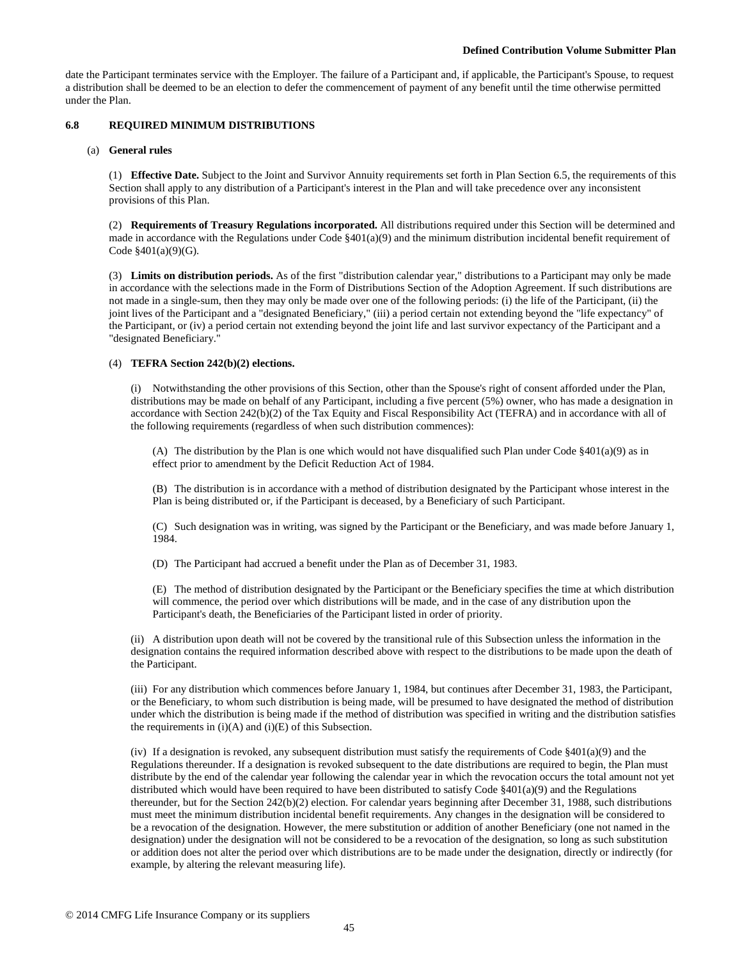date the Participant terminates service with the Employer. The failure of a Participant and, if applicable, the Participant's Spouse, to request a distribution shall be deemed to be an election to defer the commencement of payment of any benefit until the time otherwise permitted under the Plan.

## **6.8 REQUIRED MINIMUM DISTRIBUTIONS**

### (a) **General rules**

(1) **Effective Date.** Subject to the Joint and Survivor Annuity requirements set forth in Plan Section 6.5, the requirements of this Section shall apply to any distribution of a Participant's interest in the Plan and will take precedence over any inconsistent provisions of this Plan.

(2) **Requirements of Treasury Regulations incorporated.** All distributions required under this Section will be determined and made in accordance with the Regulations under Code §401(a)(9) and the minimum distribution incidental benefit requirement of Code §401(a)(9)(G).

(3) **Limits on distribution periods.** As of the first "distribution calendar year," distributions to a Participant may only be made in accordance with the selections made in the Form of Distributions Section of the Adoption Agreement. If such distributions are not made in a single-sum, then they may only be made over one of the following periods: (i) the life of the Participant, (ii) the joint lives of the Participant and a "designated Beneficiary," (iii) a period certain not extending beyond the "life expectancy" of the Participant, or (iv) a period certain not extending beyond the joint life and last survivor expectancy of the Participant and a "designated Beneficiary."

### (4) **TEFRA Section 242(b)(2) elections.**

(i) Notwithstanding the other provisions of this Section, other than the Spouse's right of consent afforded under the Plan, distributions may be made on behalf of any Participant, including a five percent (5%) owner, who has made a designation in accordance with Section 242(b)(2) of the Tax Equity and Fiscal Responsibility Act (TEFRA) and in accordance with all of the following requirements (regardless of when such distribution commences):

(A) The distribution by the Plan is one which would not have disqualified such Plan under Code  $\S 401(a)(9)$  as in effect prior to amendment by the Deficit Reduction Act of 1984.

(B) The distribution is in accordance with a method of distribution designated by the Participant whose interest in the Plan is being distributed or, if the Participant is deceased, by a Beneficiary of such Participant.

(C) Such designation was in writing, was signed by the Participant or the Beneficiary, and was made before January 1, 1984.

(D) The Participant had accrued a benefit under the Plan as of December 31, 1983.

(E) The method of distribution designated by the Participant or the Beneficiary specifies the time at which distribution will commence, the period over which distributions will be made, and in the case of any distribution upon the Participant's death, the Beneficiaries of the Participant listed in order of priority.

(ii) A distribution upon death will not be covered by the transitional rule of this Subsection unless the information in the designation contains the required information described above with respect to the distributions to be made upon the death of the Participant.

(iii) For any distribution which commences before January 1, 1984, but continues after December 31, 1983, the Participant, or the Beneficiary, to whom such distribution is being made, will be presumed to have designated the method of distribution under which the distribution is being made if the method of distribution was specified in writing and the distribution satisfies the requirements in  $(i)(A)$  and  $(i)(E)$  of this Subsection.

(iv) If a designation is revoked, any subsequent distribution must satisfy the requirements of Code  $\S401(a)(9)$  and the Regulations thereunder. If a designation is revoked subsequent to the date distributions are required to begin, the Plan must distribute by the end of the calendar year following the calendar year in which the revocation occurs the total amount not yet distributed which would have been required to have been distributed to satisfy Code  $\S401(a)(9)$  and the Regulations thereunder, but for the Section 242(b)(2) election. For calendar years beginning after December 31, 1988, such distributions must meet the minimum distribution incidental benefit requirements. Any changes in the designation will be considered to be a revocation of the designation. However, the mere substitution or addition of another Beneficiary (one not named in the designation) under the designation will not be considered to be a revocation of the designation, so long as such substitution or addition does not alter the period over which distributions are to be made under the designation, directly or indirectly (for example, by altering the relevant measuring life).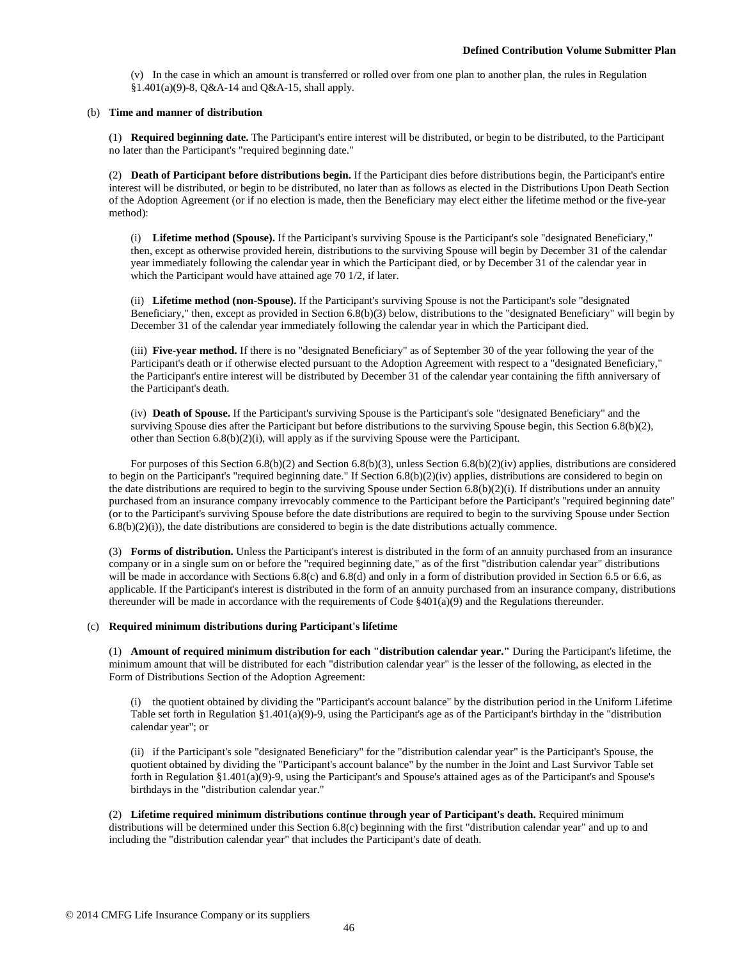(v) In the case in which an amount is transferred or rolled over from one plan to another plan, the rules in Regulation §1.401(a)(9)-8, Q&A-14 and Q&A-15, shall apply.

### (b) **Time and manner of distribution**

(1) **Required beginning date.** The Participant's entire interest will be distributed, or begin to be distributed, to the Participant no later than the Participant's "required beginning date."

(2) **Death of Participant before distributions begin.** If the Participant dies before distributions begin, the Participant's entire interest will be distributed, or begin to be distributed, no later than as follows as elected in the Distributions Upon Death Section of the Adoption Agreement (or if no election is made, then the Beneficiary may elect either the lifetime method or the five-year method):

(i) **Lifetime method (Spouse).** If the Participant's surviving Spouse is the Participant's sole "designated Beneficiary," then, except as otherwise provided herein, distributions to the surviving Spouse will begin by December 31 of the calendar year immediately following the calendar year in which the Participant died, or by December 31 of the calendar year in which the Participant would have attained age 70 1/2, if later.

(ii) **Lifetime method (non-Spouse).** If the Participant's surviving Spouse is not the Participant's sole "designated Beneficiary," then, except as provided in Section 6.8(b)(3) below, distributions to the "designated Beneficiary" will begin by December 31 of the calendar year immediately following the calendar year in which the Participant died.

(iii) **Five-year method.** If there is no "designated Beneficiary" as of September 30 of the year following the year of the Participant's death or if otherwise elected pursuant to the Adoption Agreement with respect to a "designated Beneficiary," the Participant's entire interest will be distributed by December 31 of the calendar year containing the fifth anniversary of the Participant's death.

(iv) **Death of Spouse.** If the Participant's surviving Spouse is the Participant's sole "designated Beneficiary" and the surviving Spouse dies after the Participant but before distributions to the surviving Spouse begin, this Section 6.8(b)(2), other than Section 6.8(b)(2)(i), will apply as if the surviving Spouse were the Participant.

For purposes of this Section 6.8(b)(2) and Section 6.8(b)(3), unless Section 6.8(b)(2)(iv) applies, distributions are considered to begin on the Participant's "required beginning date." If Section 6.8(b)(2)(iv) applies, distributions are considered to begin on the date distributions are required to begin to the surviving Spouse under Section  $6.8(b)(2)(i)$ . If distributions under an annuity purchased from an insurance company irrevocably commence to the Participant before the Participant's "required beginning date" (or to the Participant's surviving Spouse before the date distributions are required to begin to the surviving Spouse under Section  $6.8(b)(2)(i)$ ), the date distributions are considered to begin is the date distributions actually commence.

(3) **Forms of distribution.** Unless the Participant's interest is distributed in the form of an annuity purchased from an insurance company or in a single sum on or before the "required beginning date," as of the first "distribution calendar year" distributions will be made in accordance with Sections 6.8(c) and 6.8(d) and only in a form of distribution provided in Section 6.5 or 6.6, as applicable. If the Participant's interest is distributed in the form of an annuity purchased from an insurance company, distributions thereunder will be made in accordance with the requirements of Code  $\S401(a)(9)$  and the Regulations thereunder.

### (c) **Required minimum distributions during Participant's lifetime**

(1) **Amount of required minimum distribution for each "distribution calendar year."** During the Participant's lifetime, the minimum amount that will be distributed for each "distribution calendar year" is the lesser of the following, as elected in the Form of Distributions Section of the Adoption Agreement:

(i) the quotient obtained by dividing the "Participant's account balance" by the distribution period in the Uniform Lifetime Table set forth in Regulation §1.401(a)(9)-9, using the Participant's age as of the Participant's birthday in the "distribution calendar year"; or

(ii) if the Participant's sole "designated Beneficiary" for the "distribution calendar year" is the Participant's Spouse, the quotient obtained by dividing the "Participant's account balance" by the number in the Joint and Last Survivor Table set forth in Regulation §1.401(a)(9)-9, using the Participant's and Spouse's attained ages as of the Participant's and Spouse's birthdays in the "distribution calendar year."

(2) **Lifetime required minimum distributions continue through year of Participant's death.** Required minimum distributions will be determined under this Section 6.8(c) beginning with the first "distribution calendar year" and up to and including the "distribution calendar year" that includes the Participant's date of death.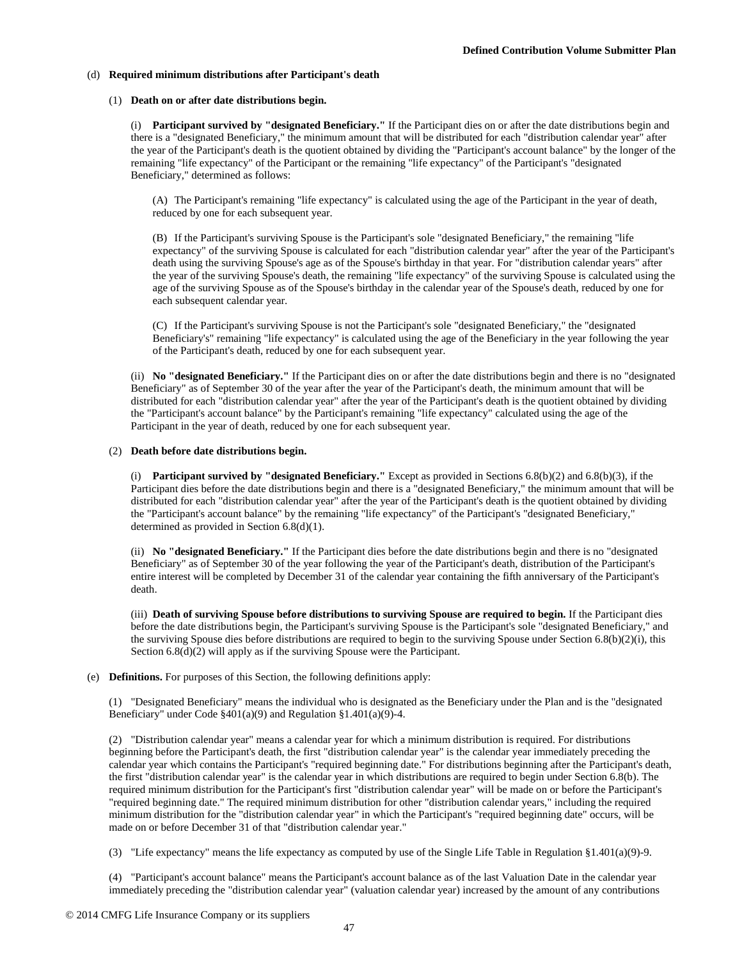#### (d) **Required minimum distributions after Participant's death**

#### (1) **Death on or after date distributions begin.**

(i) **Participant survived by "designated Beneficiary."** If the Participant dies on or after the date distributions begin and there is a "designated Beneficiary," the minimum amount that will be distributed for each "distribution calendar year" after the year of the Participant's death is the quotient obtained by dividing the "Participant's account balance" by the longer of the remaining "life expectancy" of the Participant or the remaining "life expectancy" of the Participant's "designated Beneficiary," determined as follows:

(A) The Participant's remaining "life expectancy" is calculated using the age of the Participant in the year of death, reduced by one for each subsequent year.

(B) If the Participant's surviving Spouse is the Participant's sole "designated Beneficiary," the remaining "life expectancy" of the surviving Spouse is calculated for each "distribution calendar year" after the year of the Participant's death using the surviving Spouse's age as of the Spouse's birthday in that year. For "distribution calendar years" after the year of the surviving Spouse's death, the remaining "life expectancy" of the surviving Spouse is calculated using the age of the surviving Spouse as of the Spouse's birthday in the calendar year of the Spouse's death, reduced by one for each subsequent calendar year.

(C) If the Participant's surviving Spouse is not the Participant's sole "designated Beneficiary," the "designated Beneficiary's" remaining "life expectancy" is calculated using the age of the Beneficiary in the year following the year of the Participant's death, reduced by one for each subsequent year.

(ii) **No "designated Beneficiary."** If the Participant dies on or after the date distributions begin and there is no "designated Beneficiary" as of September 30 of the year after the year of the Participant's death, the minimum amount that will be distributed for each "distribution calendar year" after the year of the Participant's death is the quotient obtained by dividing the "Participant's account balance" by the Participant's remaining "life expectancy" calculated using the age of the Participant in the year of death, reduced by one for each subsequent year.

#### (2) **Death before date distributions begin.**

(i) **Participant survived by "designated Beneficiary."** Except as provided in Sections 6.8(b)(2) and 6.8(b)(3), if the Participant dies before the date distributions begin and there is a "designated Beneficiary," the minimum amount that will be distributed for each "distribution calendar year" after the year of the Participant's death is the quotient obtained by dividing the "Participant's account balance" by the remaining "life expectancy" of the Participant's "designated Beneficiary," determined as provided in Section 6.8(d)(1).

(ii) **No "designated Beneficiary."** If the Participant dies before the date distributions begin and there is no "designated Beneficiary" as of September 30 of the year following the year of the Participant's death, distribution of the Participant's entire interest will be completed by December 31 of the calendar year containing the fifth anniversary of the Participant's death.

(iii) **Death of surviving Spouse before distributions to surviving Spouse are required to begin.** If the Participant dies before the date distributions begin, the Participant's surviving Spouse is the Participant's sole "designated Beneficiary," and the surviving Spouse dies before distributions are required to begin to the surviving Spouse under Section 6.8(b)(2)(i), this Section 6.8(d)(2) will apply as if the surviving Spouse were the Participant.

#### (e) **Definitions.** For purposes of this Section, the following definitions apply:

(1) "Designated Beneficiary" means the individual who is designated as the Beneficiary under the Plan and is the "designated Beneficiary" under Code §401(a)(9) and Regulation §1.401(a)(9)-4.

(2) "Distribution calendar year" means a calendar year for which a minimum distribution is required. For distributions beginning before the Participant's death, the first "distribution calendar year" is the calendar year immediately preceding the calendar year which contains the Participant's "required beginning date." For distributions beginning after the Participant's death, the first "distribution calendar year" is the calendar year in which distributions are required to begin under Section 6.8(b). The required minimum distribution for the Participant's first "distribution calendar year" will be made on or before the Participant's "required beginning date." The required minimum distribution for other "distribution calendar years," including the required minimum distribution for the "distribution calendar year" in which the Participant's "required beginning date" occurs, will be made on or before December 31 of that "distribution calendar year."

(3) "Life expectancy" means the life expectancy as computed by use of the Single Life Table in Regulation §1.401(a)(9)-9.

(4) "Participant's account balance" means the Participant's account balance as of the last Valuation Date in the calendar year immediately preceding the "distribution calendar year" (valuation calendar year) increased by the amount of any contributions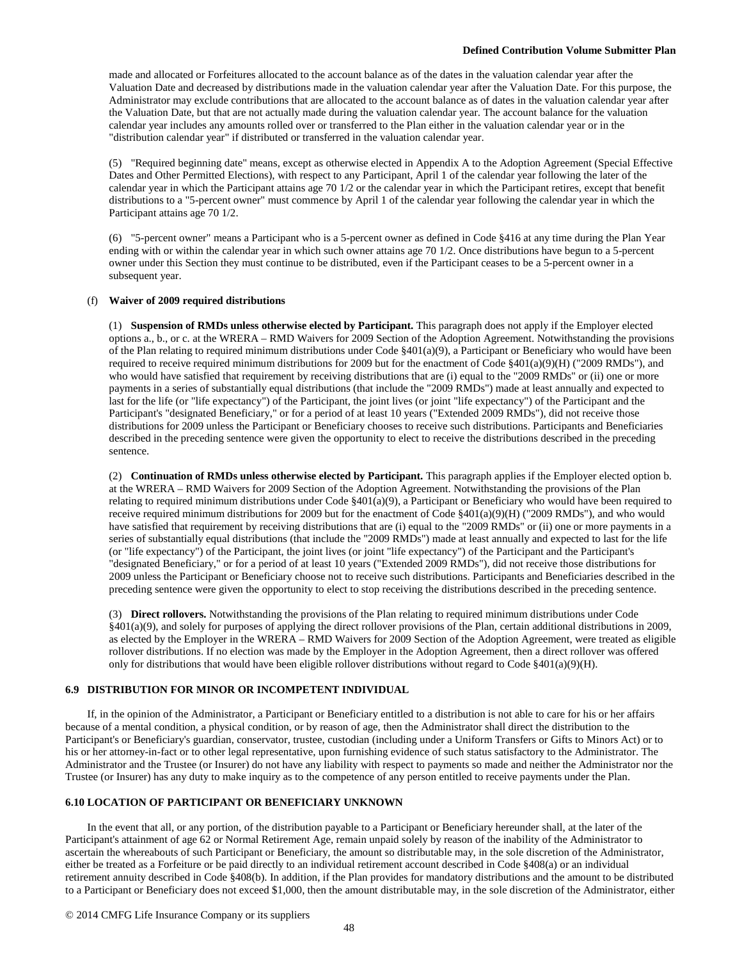made and allocated or Forfeitures allocated to the account balance as of the dates in the valuation calendar year after the Valuation Date and decreased by distributions made in the valuation calendar year after the Valuation Date. For this purpose, the Administrator may exclude contributions that are allocated to the account balance as of dates in the valuation calendar year after the Valuation Date, but that are not actually made during the valuation calendar year. The account balance for the valuation calendar year includes any amounts rolled over or transferred to the Plan either in the valuation calendar year or in the "distribution calendar year" if distributed or transferred in the valuation calendar year.

(5) "Required beginning date" means, except as otherwise elected in Appendix A to the Adoption Agreement (Special Effective Dates and Other Permitted Elections), with respect to any Participant, April 1 of the calendar year following the later of the calendar year in which the Participant attains age 70 1/2 or the calendar year in which the Participant retires, except that benefit distributions to a "5-percent owner" must commence by April 1 of the calendar year following the calendar year in which the Participant attains age 70 1/2.

(6) "5-percent owner" means a Participant who is a 5-percent owner as defined in Code §416 at any time during the Plan Year ending with or within the calendar year in which such owner attains age 70 1/2. Once distributions have begun to a 5-percent owner under this Section they must continue to be distributed, even if the Participant ceases to be a 5-percent owner in a subsequent year.

### (f) **Waiver of 2009 required distributions**

(1) **Suspension of RMDs unless otherwise elected by Participant.** This paragraph does not apply if the Employer elected options a., b., or c. at the WRERA – RMD Waivers for 2009 Section of the Adoption Agreement. Notwithstanding the provisions of the Plan relating to required minimum distributions under Code §401(a)(9), a Participant or Beneficiary who would have been required to receive required minimum distributions for 2009 but for the enactment of Code  $\S401(a)(9)(H)$  ("2009 RMDs"), and who would have satisfied that requirement by receiving distributions that are (i) equal to the "2009 RMDs" or (ii) one or more payments in a series of substantially equal distributions (that include the "2009 RMDs") made at least annually and expected to last for the life (or "life expectancy") of the Participant, the joint lives (or joint "life expectancy") of the Participant and the Participant's "designated Beneficiary," or for a period of at least 10 years ("Extended 2009 RMDs"), did not receive those distributions for 2009 unless the Participant or Beneficiary chooses to receive such distributions. Participants and Beneficiaries described in the preceding sentence were given the opportunity to elect to receive the distributions described in the preceding sentence.

(2) **Continuation of RMDs unless otherwise elected by Participant.** This paragraph applies if the Employer elected option b. at the WRERA – RMD Waivers for 2009 Section of the Adoption Agreement. Notwithstanding the provisions of the Plan relating to required minimum distributions under Code  $§401(a)(9)$ , a Participant or Beneficiary who would have been required to receive required minimum distributions for 2009 but for the enactment of Code §401(a)(9)(H) ("2009 RMDs"), and who would have satisfied that requirement by receiving distributions that are (i) equal to the "2009 RMDs" or (ii) one or more payments in a series of substantially equal distributions (that include the "2009 RMDs") made at least annually and expected to last for the life (or "life expectancy") of the Participant, the joint lives (or joint "life expectancy") of the Participant and the Participant's "designated Beneficiary," or for a period of at least 10 years ("Extended 2009 RMDs"), did not receive those distributions for 2009 unless the Participant or Beneficiary choose not to receive such distributions. Participants and Beneficiaries described in the preceding sentence were given the opportunity to elect to stop receiving the distributions described in the preceding sentence.

(3) **Direct rollovers.** Notwithstanding the provisions of the Plan relating to required minimum distributions under Code §401(a)(9), and solely for purposes of applying the direct rollover provisions of the Plan, certain additional distributions in 2009, as elected by the Employer in the WRERA – RMD Waivers for 2009 Section of the Adoption Agreement, were treated as eligible rollover distributions. If no election was made by the Employer in the Adoption Agreement, then a direct rollover was offered only for distributions that would have been eligible rollover distributions without regard to Code  $\S401(a)(9)(H)$ .

#### **6.9 DISTRIBUTION FOR MINOR OR INCOMPETENT INDIVIDUAL**

If, in the opinion of the Administrator, a Participant or Beneficiary entitled to a distribution is not able to care for his or her affairs because of a mental condition, a physical condition, or by reason of age, then the Administrator shall direct the distribution to the Participant's or Beneficiary's guardian, conservator, trustee, custodian (including under a Uniform Transfers or Gifts to Minors Act) or to his or her attorney-in-fact or to other legal representative, upon furnishing evidence of such status satisfactory to the Administrator. The Administrator and the Trustee (or Insurer) do not have any liability with respect to payments so made and neither the Administrator nor the Trustee (or Insurer) has any duty to make inquiry as to the competence of any person entitled to receive payments under the Plan.

### **6.10 LOCATION OF PARTICIPANT OR BENEFICIARY UNKNOWN**

In the event that all, or any portion, of the distribution payable to a Participant or Beneficiary hereunder shall, at the later of the Participant's attainment of age 62 or Normal Retirement Age, remain unpaid solely by reason of the inability of the Administrator to ascertain the whereabouts of such Participant or Beneficiary, the amount so distributable may, in the sole discretion of the Administrator, either be treated as a Forfeiture or be paid directly to an individual retirement account described in Code §408(a) or an individual retirement annuity described in Code §408(b). In addition, if the Plan provides for mandatory distributions and the amount to be distributed to a Participant or Beneficiary does not exceed \$1,000, then the amount distributable may, in the sole discretion of the Administrator, either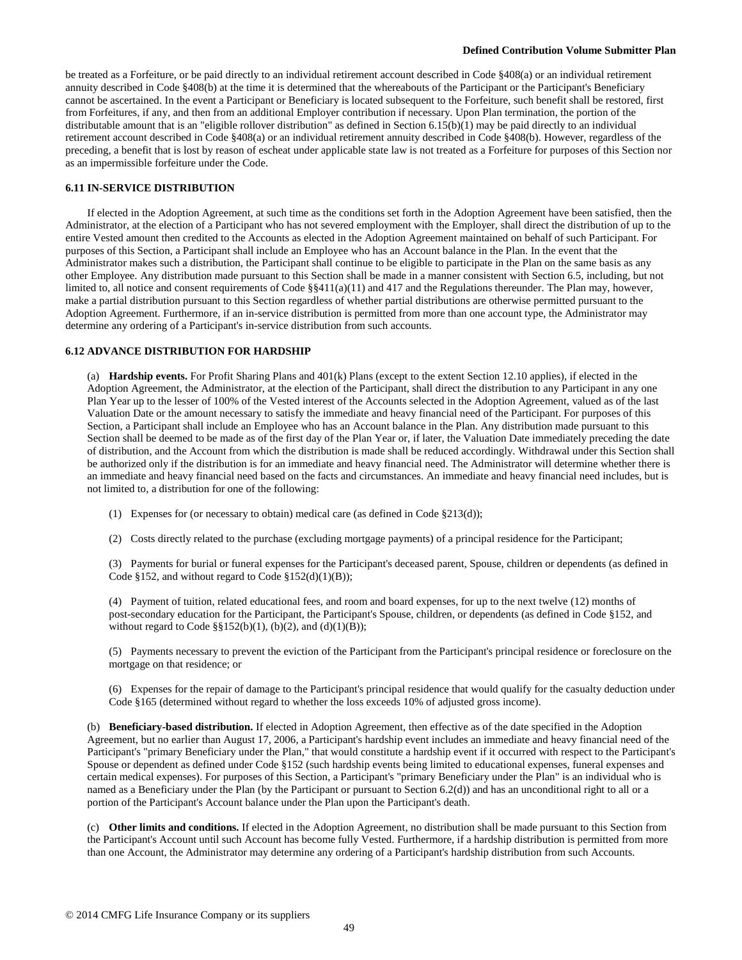be treated as a Forfeiture, or be paid directly to an individual retirement account described in Code §408(a) or an individual retirement annuity described in Code §408(b) at the time it is determined that the whereabouts of the Participant or the Participant's Beneficiary cannot be ascertained. In the event a Participant or Beneficiary is located subsequent to the Forfeiture, such benefit shall be restored, first from Forfeitures, if any, and then from an additional Employer contribution if necessary. Upon Plan termination, the portion of the distributable amount that is an "eligible rollover distribution" as defined in Section 6.15(b)(1) may be paid directly to an individual retirement account described in Code §408(a) or an individual retirement annuity described in Code §408(b). However, regardless of the preceding, a benefit that is lost by reason of escheat under applicable state law is not treated as a Forfeiture for purposes of this Section nor as an impermissible forfeiture under the Code.

### **6.11 IN-SERVICE DISTRIBUTION**

If elected in the Adoption Agreement, at such time as the conditions set forth in the Adoption Agreement have been satisfied, then the Administrator, at the election of a Participant who has not severed employment with the Employer, shall direct the distribution of up to the entire Vested amount then credited to the Accounts as elected in the Adoption Agreement maintained on behalf of such Participant. For purposes of this Section, a Participant shall include an Employee who has an Account balance in the Plan. In the event that the Administrator makes such a distribution, the Participant shall continue to be eligible to participate in the Plan on the same basis as any other Employee. Any distribution made pursuant to this Section shall be made in a manner consistent with Section 6.5, including, but not limited to, all notice and consent requirements of Code §§411(a)(11) and 417 and the Regulations thereunder. The Plan may, however, make a partial distribution pursuant to this Section regardless of whether partial distributions are otherwise permitted pursuant to the Adoption Agreement. Furthermore, if an in-service distribution is permitted from more than one account type, the Administrator may determine any ordering of a Participant's in-service distribution from such accounts.

#### **6.12 ADVANCE DISTRIBUTION FOR HARDSHIP**

(a) **Hardship events.** For Profit Sharing Plans and 401(k) Plans (except to the extent Section 12.10 applies), if elected in the Adoption Agreement, the Administrator, at the election of the Participant, shall direct the distribution to any Participant in any one Plan Year up to the lesser of 100% of the Vested interest of the Accounts selected in the Adoption Agreement, valued as of the last Valuation Date or the amount necessary to satisfy the immediate and heavy financial need of the Participant. For purposes of this Section, a Participant shall include an Employee who has an Account balance in the Plan. Any distribution made pursuant to this Section shall be deemed to be made as of the first day of the Plan Year or, if later, the Valuation Date immediately preceding the date of distribution, and the Account from which the distribution is made shall be reduced accordingly. Withdrawal under this Section shall be authorized only if the distribution is for an immediate and heavy financial need. The Administrator will determine whether there is an immediate and heavy financial need based on the facts and circumstances. An immediate and heavy financial need includes, but is not limited to, a distribution for one of the following:

- (1) Expenses for (or necessary to obtain) medical care (as defined in Code §213(d));
- (2) Costs directly related to the purchase (excluding mortgage payments) of a principal residence for the Participant;

(3) Payments for burial or funeral expenses for the Participant's deceased parent, Spouse, children or dependents (as defined in Code §152, and without regard to Code §152(d)(1)(B));

(4) Payment of tuition, related educational fees, and room and board expenses, for up to the next twelve (12) months of post-secondary education for the Participant, the Participant's Spouse, children, or dependents (as defined in Code §152, and without regard to Code  $\S\S152(b)(1)$ , (b)(2), and (d)(1)(B));

(5) Payments necessary to prevent the eviction of the Participant from the Participant's principal residence or foreclosure on the mortgage on that residence; or

(6) Expenses for the repair of damage to the Participant's principal residence that would qualify for the casualty deduction under Code §165 (determined without regard to whether the loss exceeds 10% of adjusted gross income).

(b) **Beneficiary-based distribution.** If elected in Adoption Agreement, then effective as of the date specified in the Adoption Agreement, but no earlier than August 17, 2006, a Participant's hardship event includes an immediate and heavy financial need of the Participant's "primary Beneficiary under the Plan," that would constitute a hardship event if it occurred with respect to the Participant's Spouse or dependent as defined under Code §152 (such hardship events being limited to educational expenses, funeral expenses and certain medical expenses). For purposes of this Section, a Participant's "primary Beneficiary under the Plan" is an individual who is named as a Beneficiary under the Plan (by the Participant or pursuant to Section 6.2(d)) and has an unconditional right to all or a portion of the Participant's Account balance under the Plan upon the Participant's death.

(c) **Other limits and conditions.** If elected in the Adoption Agreement, no distribution shall be made pursuant to this Section from the Participant's Account until such Account has become fully Vested. Furthermore, if a hardship distribution is permitted from more than one Account, the Administrator may determine any ordering of a Participant's hardship distribution from such Accounts.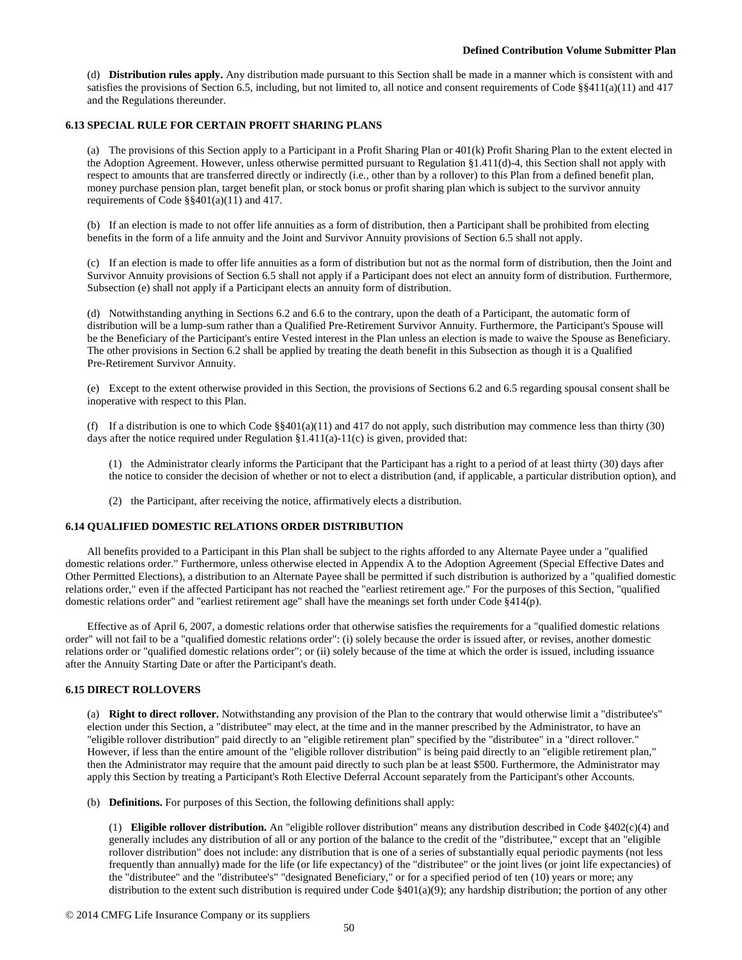(d) **Distribution rules apply.** Any distribution made pursuant to this Section shall be made in a manner which is consistent with and satisfies the provisions of Section 6.5, including, but not limited to, all notice and consent requirements of Code §§411(a)(11) and 417 and the Regulations thereunder.

## **6.13 SPECIAL RULE FOR CERTAIN PROFIT SHARING PLANS**

(a) The provisions of this Section apply to a Participant in a Profit Sharing Plan or 401(k) Profit Sharing Plan to the extent elected in the Adoption Agreement. However, unless otherwise permitted pursuant to Regulation §1.411(d)-4, this Section shall not apply with respect to amounts that are transferred directly or indirectly (i.e., other than by a rollover) to this Plan from a defined benefit plan, money purchase pension plan, target benefit plan, or stock bonus or profit sharing plan which is subject to the survivor annuity requirements of Code §§401(a)(11) and 417.

(b) If an election is made to not offer life annuities as a form of distribution, then a Participant shall be prohibited from electing benefits in the form of a life annuity and the Joint and Survivor Annuity provisions of Section 6.5 shall not apply.

(c) If an election is made to offer life annuities as a form of distribution but not as the normal form of distribution, then the Joint and Survivor Annuity provisions of Section 6.5 shall not apply if a Participant does not elect an annuity form of distribution. Furthermore, Subsection (e) shall not apply if a Participant elects an annuity form of distribution.

(d) Notwithstanding anything in Sections 6.2 and 6.6 to the contrary, upon the death of a Participant, the automatic form of distribution will be a lump-sum rather than a Qualified Pre-Retirement Survivor Annuity. Furthermore, the Participant's Spouse will be the Beneficiary of the Participant's entire Vested interest in the Plan unless an election is made to waive the Spouse as Beneficiary. The other provisions in Section 6.2 shall be applied by treating the death benefit in this Subsection as though it is a Qualified Pre-Retirement Survivor Annuity.

(e) Except to the extent otherwise provided in this Section, the provisions of Sections 6.2 and 6.5 regarding spousal consent shall be inoperative with respect to this Plan.

(f) If a distribution is one to which Code  $\S$ §401(a)(11) and 417 do not apply, such distribution may commence less than thirty (30) days after the notice required under Regulation  $§1.411(a)-11(c)$  is given, provided that:

- (1) the Administrator clearly informs the Participant that the Participant has a right to a period of at least thirty (30) days after the notice to consider the decision of whether or not to elect a distribution (and, if applicable, a particular distribution option), and
- (2) the Participant, after receiving the notice, affirmatively elects a distribution.

# **6.14 QUALIFIED DOMESTIC RELATIONS ORDER DISTRIBUTION**

All benefits provided to a Participant in this Plan shall be subject to the rights afforded to any Alternate Payee under a "qualified domestic relations order." Furthermore, unless otherwise elected in Appendix A to the Adoption Agreement (Special Effective Dates and Other Permitted Elections), a distribution to an Alternate Payee shall be permitted if such distribution is authorized by a "qualified domestic relations order," even if the affected Participant has not reached the "earliest retirement age." For the purposes of this Section, "qualified domestic relations order" and "earliest retirement age" shall have the meanings set forth under Code §414(p).

Effective as of April 6, 2007, a domestic relations order that otherwise satisfies the requirements for a "qualified domestic relations order" will not fail to be a "qualified domestic relations order": (i) solely because the order is issued after, or revises, another domestic relations order or "qualified domestic relations order"; or (ii) solely because of the time at which the order is issued, including issuance after the Annuity Starting Date or after the Participant's death.

### **6.15 DIRECT ROLLOVERS**

(a) **Right to direct rollover.** Notwithstanding any provision of the Plan to the contrary that would otherwise limit a "distributee's" election under this Section, a "distributee" may elect, at the time and in the manner prescribed by the Administrator, to have an "eligible rollover distribution" paid directly to an "eligible retirement plan" specified by the "distributee" in a "direct rollover." However, if less than the entire amount of the "eligible rollover distribution" is being paid directly to an "eligible retirement plan," then the Administrator may require that the amount paid directly to such plan be at least \$500. Furthermore, the Administrator may apply this Section by treating a Participant's Roth Elective Deferral Account separately from the Participant's other Accounts.

(b) **Definitions.** For purposes of this Section, the following definitions shall apply:

(1) **Eligible rollover distribution.** An "eligible rollover distribution" means any distribution described in Code §402(c)(4) and generally includes any distribution of all or any portion of the balance to the credit of the "distributee," except that an "eligible rollover distribution" does not include: any distribution that is one of a series of substantially equal periodic payments (not less frequently than annually) made for the life (or life expectancy) of the "distributee" or the joint lives (or joint life expectancies) of the "distributee" and the "distributee's" "designated Beneficiary," or for a specified period of ten (10) years or more; any distribution to the extent such distribution is required under Code  $\S401(a)(9)$ ; any hardship distribution; the portion of any other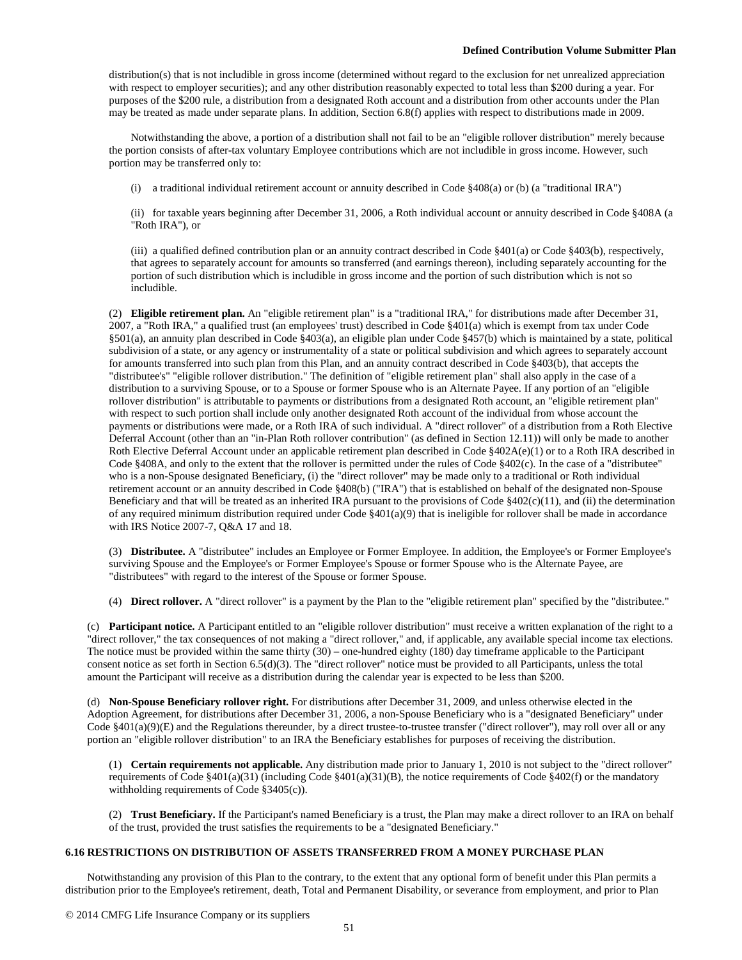distribution(s) that is not includible in gross income (determined without regard to the exclusion for net unrealized appreciation with respect to employer securities); and any other distribution reasonably expected to total less than \$200 during a year. For purposes of the \$200 rule, a distribution from a designated Roth account and a distribution from other accounts under the Plan may be treated as made under separate plans. In addition, Section 6.8(f) applies with respect to distributions made in 2009.

Notwithstanding the above, a portion of a distribution shall not fail to be an "eligible rollover distribution" merely because the portion consists of after-tax voluntary Employee contributions which are not includible in gross income. However, such portion may be transferred only to:

(i) a traditional individual retirement account or annuity described in Code §408(a) or (b) (a "traditional IRA")

(ii) for taxable years beginning after December 31, 2006, a Roth individual account or annuity described in Code §408A (a "Roth IRA"), or

(iii) a qualified defined contribution plan or an annuity contract described in Code §401(a) or Code §403(b), respectively, that agrees to separately account for amounts so transferred (and earnings thereon), including separately accounting for the portion of such distribution which is includible in gross income and the portion of such distribution which is not so includible.

(2) **Eligible retirement plan.** An "eligible retirement plan" is a "traditional IRA," for distributions made after December 31, 2007, a "Roth IRA," a qualified trust (an employees' trust) described in Code §401(a) which is exempt from tax under Code §501(a), an annuity plan described in Code §403(a), an eligible plan under Code §457(b) which is maintained by a state, political subdivision of a state, or any agency or instrumentality of a state or political subdivision and which agrees to separately account for amounts transferred into such plan from this Plan, and an annuity contract described in Code §403(b), that accepts the "distributee's" "eligible rollover distribution." The definition of "eligible retirement plan" shall also apply in the case of a distribution to a surviving Spouse, or to a Spouse or former Spouse who is an Alternate Payee. If any portion of an "eligible rollover distribution" is attributable to payments or distributions from a designated Roth account, an "eligible retirement plan" with respect to such portion shall include only another designated Roth account of the individual from whose account the payments or distributions were made, or a Roth IRA of such individual. A "direct rollover" of a distribution from a Roth Elective Deferral Account (other than an "in-Plan Roth rollover contribution" (as defined in Section 12.11)) will only be made to another Roth Elective Deferral Account under an applicable retirement plan described in Code §402A(e)(1) or to a Roth IRA described in Code §408A, and only to the extent that the rollover is permitted under the rules of Code §402(c). In the case of a "distributee" who is a non-Spouse designated Beneficiary, (i) the "direct rollover" may be made only to a traditional or Roth individual retirement account or an annuity described in Code §408(b) ("IRA") that is established on behalf of the designated non-Spouse Beneficiary and that will be treated as an inherited IRA pursuant to the provisions of Code  $\S402(c)(11)$ , and (ii) the determination of any required minimum distribution required under Code  $\S401(a)(9)$  that is ineligible for rollover shall be made in accordance with IRS Notice 2007-7, Q&A 17 and 18.

(3) **Distributee.** A "distributee" includes an Employee or Former Employee. In addition, the Employee's or Former Employee's surviving Spouse and the Employee's or Former Employee's Spouse or former Spouse who is the Alternate Payee, are "distributees" with regard to the interest of the Spouse or former Spouse.

(4) **Direct rollover.** A "direct rollover" is a payment by the Plan to the "eligible retirement plan" specified by the "distributee."

(c) **Participant notice.** A Participant entitled to an "eligible rollover distribution" must receive a written explanation of the right to a "direct rollover," the tax consequences of not making a "direct rollover," and, if applicable, any available special income tax elections. The notice must be provided within the same thirty (30) – one-hundred eighty (180) day timeframe applicable to the Participant consent notice as set forth in Section 6.5(d)(3). The "direct rollover" notice must be provided to all Participants, unless the total amount the Participant will receive as a distribution during the calendar year is expected to be less than \$200.

(d) **Non-Spouse Beneficiary rollover right.** For distributions after December 31, 2009, and unless otherwise elected in the Adoption Agreement, for distributions after December 31, 2006, a non-Spouse Beneficiary who is a "designated Beneficiary" under Code  $§401(a)(9)(E)$  and the Regulations thereunder, by a direct trustee-to-trustee transfer ("direct rollover"), may roll over all or any portion an "eligible rollover distribution" to an IRA the Beneficiary establishes for purposes of receiving the distribution.

(1) **Certain requirements not applicable.** Any distribution made prior to January 1, 2010 is not subject to the "direct rollover" requirements of Code §401(a)(31) (including Code §401(a)(31)(B), the notice requirements of Code §402(f) or the mandatory withholding requirements of Code §3405(c)).

(2) **Trust Beneficiary.** If the Participant's named Beneficiary is a trust, the Plan may make a direct rollover to an IRA on behalf of the trust, provided the trust satisfies the requirements to be a "designated Beneficiary."

# **6.16 RESTRICTIONS ON DISTRIBUTION OF ASSETS TRANSFERRED FROM A MONEY PURCHASE PLAN**

Notwithstanding any provision of this Plan to the contrary, to the extent that any optional form of benefit under this Plan permits a distribution prior to the Employee's retirement, death, Total and Permanent Disability, or severance from employment, and prior to Plan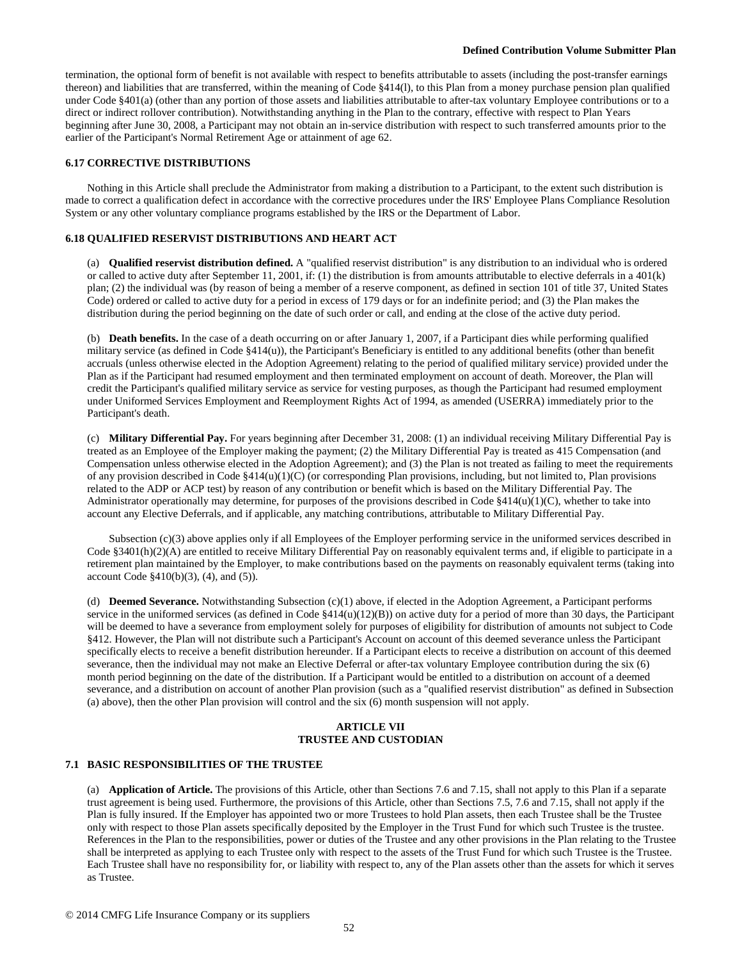termination, the optional form of benefit is not available with respect to benefits attributable to assets (including the post-transfer earnings thereon) and liabilities that are transferred, within the meaning of Code §414(l), to this Plan from a money purchase pension plan qualified under Code §401(a) (other than any portion of those assets and liabilities attributable to after-tax voluntary Employee contributions or to a direct or indirect rollover contribution). Notwithstanding anything in the Plan to the contrary, effective with respect to Plan Years beginning after June 30, 2008, a Participant may not obtain an in-service distribution with respect to such transferred amounts prior to the earlier of the Participant's Normal Retirement Age or attainment of age 62.

### **6.17 CORRECTIVE DISTRIBUTIONS**

Nothing in this Article shall preclude the Administrator from making a distribution to a Participant, to the extent such distribution is made to correct a qualification defect in accordance with the corrective procedures under the IRS' Employee Plans Compliance Resolution System or any other voluntary compliance programs established by the IRS or the Department of Labor.

### **6.18 QUALIFIED RESERVIST DISTRIBUTIONS AND HEART ACT**

(a) **Qualified reservist distribution defined.** A "qualified reservist distribution" is any distribution to an individual who is ordered or called to active duty after September 11, 2001, if: (1) the distribution is from amounts attributable to elective deferrals in a 401(k) plan; (2) the individual was (by reason of being a member of a reserve component, as defined in section 101 of title 37, United States Code) ordered or called to active duty for a period in excess of 179 days or for an indefinite period; and (3) the Plan makes the distribution during the period beginning on the date of such order or call, and ending at the close of the active duty period.

(b) **Death benefits.** In the case of a death occurring on or after January 1, 2007, if a Participant dies while performing qualified military service (as defined in Code §414(u)), the Participant's Beneficiary is entitled to any additional benefits (other than benefit accruals (unless otherwise elected in the Adoption Agreement) relating to the period of qualified military service) provided under the Plan as if the Participant had resumed employment and then terminated employment on account of death. Moreover, the Plan will credit the Participant's qualified military service as service for vesting purposes, as though the Participant had resumed employment under Uniformed Services Employment and Reemployment Rights Act of 1994, as amended (USERRA) immediately prior to the Participant's death.

(c) **Military Differential Pay.** For years beginning after December 31, 2008: (1) an individual receiving Military Differential Pay is treated as an Employee of the Employer making the payment; (2) the Military Differential Pay is treated as 415 Compensation (and Compensation unless otherwise elected in the Adoption Agreement); and (3) the Plan is not treated as failing to meet the requirements of any provision described in Code  $\S414(u)(1)(C)$  (or corresponding Plan provisions, including, but not limited to, Plan provisions related to the ADP or ACP test) by reason of any contribution or benefit which is based on the Military Differential Pay. The Administrator operationally may determine, for purposes of the provisions described in Code  $\S414(u)(1)(C)$ , whether to take into account any Elective Deferrals, and if applicable, any matching contributions, attributable to Military Differential Pay.

Subsection (c)(3) above applies only if all Employees of the Employer performing service in the uniformed services described in Code §3401(h)(2)(A) are entitled to receive Military Differential Pay on reasonably equivalent terms and, if eligible to participate in a retirement plan maintained by the Employer, to make contributions based on the payments on reasonably equivalent terms (taking into account Code  $$410(b)(3)$ , (4), and (5)).

(d) **Deemed Severance.** Notwithstanding Subsection (c)(1) above, if elected in the Adoption Agreement, a Participant performs service in the uniformed services (as defined in Code §414(u)(12)(B)) on active duty for a period of more than 30 days, the Participant will be deemed to have a severance from employment solely for purposes of eligibility for distribution of amounts not subject to Code §412. However, the Plan will not distribute such a Participant's Account on account of this deemed severance unless the Participant specifically elects to receive a benefit distribution hereunder. If a Participant elects to receive a distribution on account of this deemed severance, then the individual may not make an Elective Deferral or after-tax voluntary Employee contribution during the six (6) month period beginning on the date of the distribution. If a Participant would be entitled to a distribution on account of a deemed severance, and a distribution on account of another Plan provision (such as a "qualified reservist distribution" as defined in Subsection (a) above), then the other Plan provision will control and the six (6) month suspension will not apply.

### **ARTICLE VII TRUSTEE AND CUSTODIAN**

#### **7.1 BASIC RESPONSIBILITIES OF THE TRUSTEE**

(a) **Application of Article.** The provisions of this Article, other than Sections 7.6 and 7.15, shall not apply to this Plan if a separate trust agreement is being used. Furthermore, the provisions of this Article, other than Sections 7.5, 7.6 and 7.15, shall not apply if the Plan is fully insured. If the Employer has appointed two or more Trustees to hold Plan assets, then each Trustee shall be the Trustee only with respect to those Plan assets specifically deposited by the Employer in the Trust Fund for which such Trustee is the trustee. References in the Plan to the responsibilities, power or duties of the Trustee and any other provisions in the Plan relating to the Trustee shall be interpreted as applying to each Trustee only with respect to the assets of the Trust Fund for which such Trustee is the Trustee. Each Trustee shall have no responsibility for, or liability with respect to, any of the Plan assets other than the assets for which it serves as Trustee.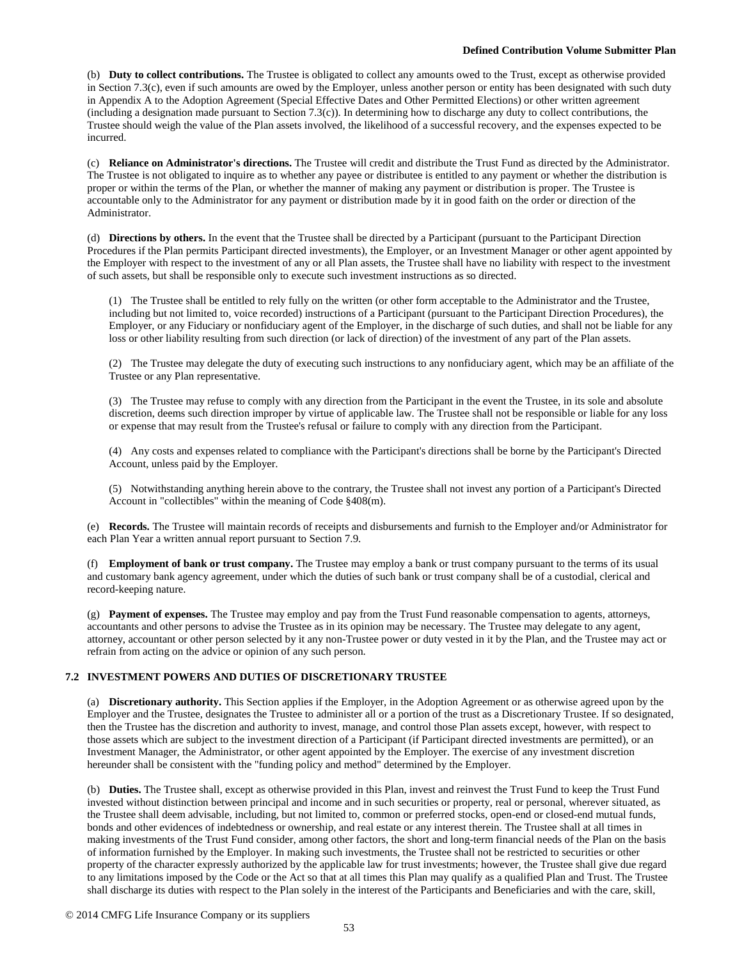(b) **Duty to collect contributions.** The Trustee is obligated to collect any amounts owed to the Trust, except as otherwise provided in Section 7.3(c), even if such amounts are owed by the Employer, unless another person or entity has been designated with such duty in Appendix A to the Adoption Agreement (Special Effective Dates and Other Permitted Elections) or other written agreement (including a designation made pursuant to Section 7.3(c)). In determining how to discharge any duty to collect contributions, the Trustee should weigh the value of the Plan assets involved, the likelihood of a successful recovery, and the expenses expected to be incurred.

(c) **Reliance on Administrator's directions.** The Trustee will credit and distribute the Trust Fund as directed by the Administrator. The Trustee is not obligated to inquire as to whether any payee or distributee is entitled to any payment or whether the distribution is proper or within the terms of the Plan, or whether the manner of making any payment or distribution is proper. The Trustee is accountable only to the Administrator for any payment or distribution made by it in good faith on the order or direction of the Administrator.

(d) **Directions by others.** In the event that the Trustee shall be directed by a Participant (pursuant to the Participant Direction Procedures if the Plan permits Participant directed investments), the Employer, or an Investment Manager or other agent appointed by the Employer with respect to the investment of any or all Plan assets, the Trustee shall have no liability with respect to the investment of such assets, but shall be responsible only to execute such investment instructions as so directed.

(1) The Trustee shall be entitled to rely fully on the written (or other form acceptable to the Administrator and the Trustee, including but not limited to, voice recorded) instructions of a Participant (pursuant to the Participant Direction Procedures), the Employer, or any Fiduciary or nonfiduciary agent of the Employer, in the discharge of such duties, and shall not be liable for any loss or other liability resulting from such direction (or lack of direction) of the investment of any part of the Plan assets.

(2) The Trustee may delegate the duty of executing such instructions to any nonfiduciary agent, which may be an affiliate of the Trustee or any Plan representative.

(3) The Trustee may refuse to comply with any direction from the Participant in the event the Trustee, in its sole and absolute discretion, deems such direction improper by virtue of applicable law. The Trustee shall not be responsible or liable for any loss or expense that may result from the Trustee's refusal or failure to comply with any direction from the Participant.

(4) Any costs and expenses related to compliance with the Participant's directions shall be borne by the Participant's Directed Account, unless paid by the Employer.

(5) Notwithstanding anything herein above to the contrary, the Trustee shall not invest any portion of a Participant's Directed Account in "collectibles" within the meaning of Code §408(m).

(e) **Records.** The Trustee will maintain records of receipts and disbursements and furnish to the Employer and/or Administrator for each Plan Year a written annual report pursuant to Section 7.9.

(f) **Employment of bank or trust company.** The Trustee may employ a bank or trust company pursuant to the terms of its usual and customary bank agency agreement, under which the duties of such bank or trust company shall be of a custodial, clerical and record-keeping nature.

(g) **Payment of expenses.** The Trustee may employ and pay from the Trust Fund reasonable compensation to agents, attorneys, accountants and other persons to advise the Trustee as in its opinion may be necessary. The Trustee may delegate to any agent, attorney, accountant or other person selected by it any non-Trustee power or duty vested in it by the Plan, and the Trustee may act or refrain from acting on the advice or opinion of any such person.

# **7.2 INVESTMENT POWERS AND DUTIES OF DISCRETIONARY TRUSTEE**

(a) **Discretionary authority.** This Section applies if the Employer, in the Adoption Agreement or as otherwise agreed upon by the Employer and the Trustee, designates the Trustee to administer all or a portion of the trust as a Discretionary Trustee. If so designated, then the Trustee has the discretion and authority to invest, manage, and control those Plan assets except, however, with respect to those assets which are subject to the investment direction of a Participant (if Participant directed investments are permitted), or an Investment Manager, the Administrator, or other agent appointed by the Employer. The exercise of any investment discretion hereunder shall be consistent with the "funding policy and method" determined by the Employer.

(b) **Duties.** The Trustee shall, except as otherwise provided in this Plan, invest and reinvest the Trust Fund to keep the Trust Fund invested without distinction between principal and income and in such securities or property, real or personal, wherever situated, as the Trustee shall deem advisable, including, but not limited to, common or preferred stocks, open-end or closed-end mutual funds, bonds and other evidences of indebtedness or ownership, and real estate or any interest therein. The Trustee shall at all times in making investments of the Trust Fund consider, among other factors, the short and long-term financial needs of the Plan on the basis of information furnished by the Employer. In making such investments, the Trustee shall not be restricted to securities or other property of the character expressly authorized by the applicable law for trust investments; however, the Trustee shall give due regard to any limitations imposed by the Code or the Act so that at all times this Plan may qualify as a qualified Plan and Trust. The Trustee shall discharge its duties with respect to the Plan solely in the interest of the Participants and Beneficiaries and with the care, skill,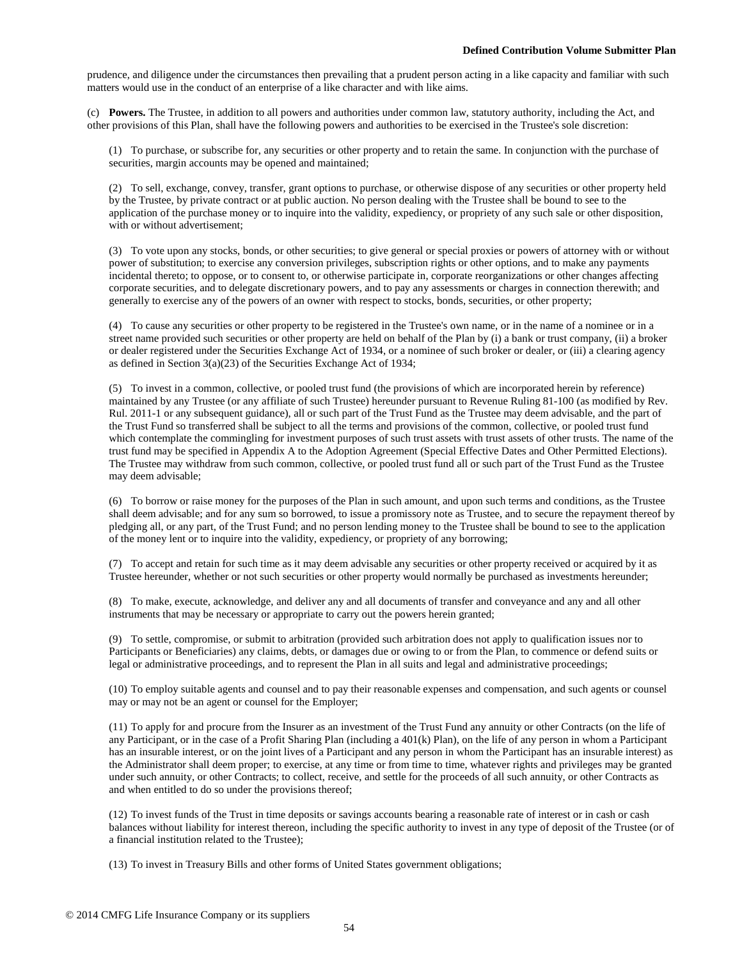prudence, and diligence under the circumstances then prevailing that a prudent person acting in a like capacity and familiar with such matters would use in the conduct of an enterprise of a like character and with like aims.

(c) **Powers.** The Trustee, in addition to all powers and authorities under common law, statutory authority, including the Act, and other provisions of this Plan, shall have the following powers and authorities to be exercised in the Trustee's sole discretion:

(1) To purchase, or subscribe for, any securities or other property and to retain the same. In conjunction with the purchase of securities, margin accounts may be opened and maintained;

(2) To sell, exchange, convey, transfer, grant options to purchase, or otherwise dispose of any securities or other property held by the Trustee, by private contract or at public auction. No person dealing with the Trustee shall be bound to see to the application of the purchase money or to inquire into the validity, expediency, or propriety of any such sale or other disposition, with or without advertisement;

(3) To vote upon any stocks, bonds, or other securities; to give general or special proxies or powers of attorney with or without power of substitution; to exercise any conversion privileges, subscription rights or other options, and to make any payments incidental thereto; to oppose, or to consent to, or otherwise participate in, corporate reorganizations or other changes affecting corporate securities, and to delegate discretionary powers, and to pay any assessments or charges in connection therewith; and generally to exercise any of the powers of an owner with respect to stocks, bonds, securities, or other property;

(4) To cause any securities or other property to be registered in the Trustee's own name, or in the name of a nominee or in a street name provided such securities or other property are held on behalf of the Plan by (i) a bank or trust company, (ii) a broker or dealer registered under the Securities Exchange Act of 1934, or a nominee of such broker or dealer, or (iii) a clearing agency as defined in Section 3(a)(23) of the Securities Exchange Act of 1934;

(5) To invest in a common, collective, or pooled trust fund (the provisions of which are incorporated herein by reference) maintained by any Trustee (or any affiliate of such Trustee) hereunder pursuant to Revenue Ruling 81-100 (as modified by Rev. Rul. 2011-1 or any subsequent guidance), all or such part of the Trust Fund as the Trustee may deem advisable, and the part of the Trust Fund so transferred shall be subject to all the terms and provisions of the common, collective, or pooled trust fund which contemplate the commingling for investment purposes of such trust assets with trust assets of other trusts. The name of the trust fund may be specified in Appendix A to the Adoption Agreement (Special Effective Dates and Other Permitted Elections). The Trustee may withdraw from such common, collective, or pooled trust fund all or such part of the Trust Fund as the Trustee may deem advisable;

(6) To borrow or raise money for the purposes of the Plan in such amount, and upon such terms and conditions, as the Trustee shall deem advisable; and for any sum so borrowed, to issue a promissory note as Trustee, and to secure the repayment thereof by pledging all, or any part, of the Trust Fund; and no person lending money to the Trustee shall be bound to see to the application of the money lent or to inquire into the validity, expediency, or propriety of any borrowing;

(7) To accept and retain for such time as it may deem advisable any securities or other property received or acquired by it as Trustee hereunder, whether or not such securities or other property would normally be purchased as investments hereunder;

(8) To make, execute, acknowledge, and deliver any and all documents of transfer and conveyance and any and all other instruments that may be necessary or appropriate to carry out the powers herein granted;

(9) To settle, compromise, or submit to arbitration (provided such arbitration does not apply to qualification issues nor to Participants or Beneficiaries) any claims, debts, or damages due or owing to or from the Plan, to commence or defend suits or legal or administrative proceedings, and to represent the Plan in all suits and legal and administrative proceedings;

(10) To employ suitable agents and counsel and to pay their reasonable expenses and compensation, and such agents or counsel may or may not be an agent or counsel for the Employer;

(11) To apply for and procure from the Insurer as an investment of the Trust Fund any annuity or other Contracts (on the life of any Participant, or in the case of a Profit Sharing Plan (including a 401(k) Plan), on the life of any person in whom a Participant has an insurable interest, or on the joint lives of a Participant and any person in whom the Participant has an insurable interest) as the Administrator shall deem proper; to exercise, at any time or from time to time, whatever rights and privileges may be granted under such annuity, or other Contracts; to collect, receive, and settle for the proceeds of all such annuity, or other Contracts as and when entitled to do so under the provisions thereof;

(12) To invest funds of the Trust in time deposits or savings accounts bearing a reasonable rate of interest or in cash or cash balances without liability for interest thereon, including the specific authority to invest in any type of deposit of the Trustee (or of a financial institution related to the Trustee);

(13) To invest in Treasury Bills and other forms of United States government obligations;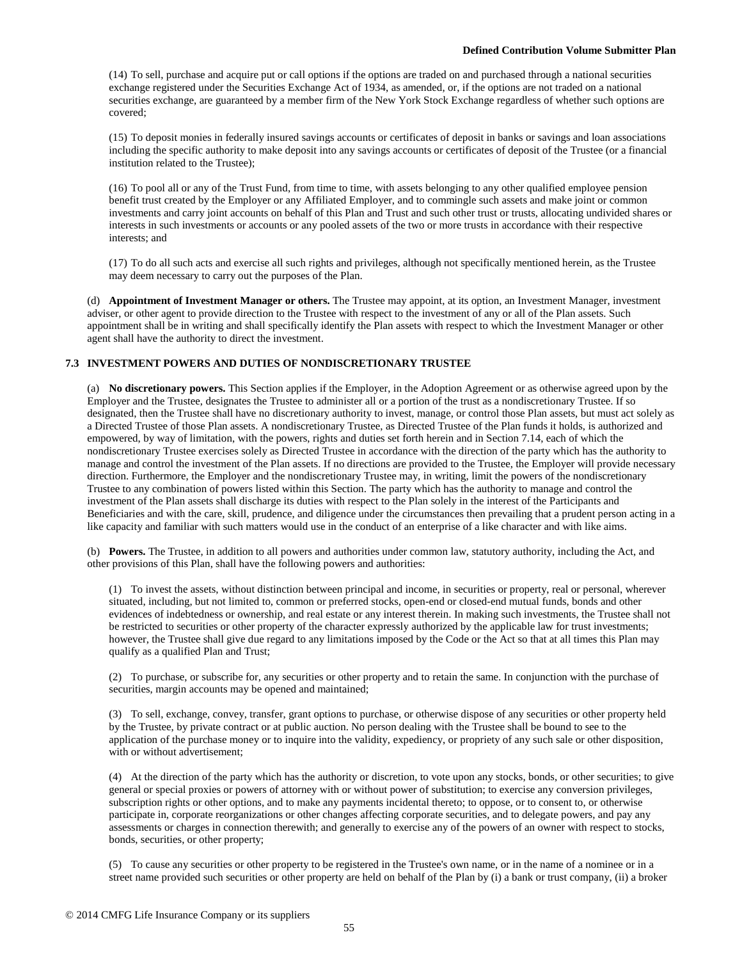(14) To sell, purchase and acquire put or call options if the options are traded on and purchased through a national securities exchange registered under the Securities Exchange Act of 1934, as amended, or, if the options are not traded on a national securities exchange, are guaranteed by a member firm of the New York Stock Exchange regardless of whether such options are covered;

(15) To deposit monies in federally insured savings accounts or certificates of deposit in banks or savings and loan associations including the specific authority to make deposit into any savings accounts or certificates of deposit of the Trustee (or a financial institution related to the Trustee);

(16) To pool all or any of the Trust Fund, from time to time, with assets belonging to any other qualified employee pension benefit trust created by the Employer or any Affiliated Employer, and to commingle such assets and make joint or common investments and carry joint accounts on behalf of this Plan and Trust and such other trust or trusts, allocating undivided shares or interests in such investments or accounts or any pooled assets of the two or more trusts in accordance with their respective interests; and

(17) To do all such acts and exercise all such rights and privileges, although not specifically mentioned herein, as the Trustee may deem necessary to carry out the purposes of the Plan.

(d) **Appointment of Investment Manager or others.** The Trustee may appoint, at its option, an Investment Manager, investment adviser, or other agent to provide direction to the Trustee with respect to the investment of any or all of the Plan assets. Such appointment shall be in writing and shall specifically identify the Plan assets with respect to which the Investment Manager or other agent shall have the authority to direct the investment.

# **7.3 INVESTMENT POWERS AND DUTIES OF NONDISCRETIONARY TRUSTEE**

(a) **No discretionary powers.** This Section applies if the Employer, in the Adoption Agreement or as otherwise agreed upon by the Employer and the Trustee, designates the Trustee to administer all or a portion of the trust as a nondiscretionary Trustee. If so designated, then the Trustee shall have no discretionary authority to invest, manage, or control those Plan assets, but must act solely as a Directed Trustee of those Plan assets. A nondiscretionary Trustee, as Directed Trustee of the Plan funds it holds, is authorized and empowered, by way of limitation, with the powers, rights and duties set forth herein and in Section 7.14, each of which the nondiscretionary Trustee exercises solely as Directed Trustee in accordance with the direction of the party which has the authority to manage and control the investment of the Plan assets. If no directions are provided to the Trustee, the Employer will provide necessary direction. Furthermore, the Employer and the nondiscretionary Trustee may, in writing, limit the powers of the nondiscretionary Trustee to any combination of powers listed within this Section. The party which has the authority to manage and control the investment of the Plan assets shall discharge its duties with respect to the Plan solely in the interest of the Participants and Beneficiaries and with the care, skill, prudence, and diligence under the circumstances then prevailing that a prudent person acting in a like capacity and familiar with such matters would use in the conduct of an enterprise of a like character and with like aims.

(b) **Powers.** The Trustee, in addition to all powers and authorities under common law, statutory authority, including the Act, and other provisions of this Plan, shall have the following powers and authorities:

(1) To invest the assets, without distinction between principal and income, in securities or property, real or personal, wherever situated, including, but not limited to, common or preferred stocks, open-end or closed-end mutual funds, bonds and other evidences of indebtedness or ownership, and real estate or any interest therein. In making such investments, the Trustee shall not be restricted to securities or other property of the character expressly authorized by the applicable law for trust investments; however, the Trustee shall give due regard to any limitations imposed by the Code or the Act so that at all times this Plan may qualify as a qualified Plan and Trust;

(2) To purchase, or subscribe for, any securities or other property and to retain the same. In conjunction with the purchase of securities, margin accounts may be opened and maintained;

(3) To sell, exchange, convey, transfer, grant options to purchase, or otherwise dispose of any securities or other property held by the Trustee, by private contract or at public auction. No person dealing with the Trustee shall be bound to see to the application of the purchase money or to inquire into the validity, expediency, or propriety of any such sale or other disposition, with or without advertisement;

(4) At the direction of the party which has the authority or discretion, to vote upon any stocks, bonds, or other securities; to give general or special proxies or powers of attorney with or without power of substitution; to exercise any conversion privileges, subscription rights or other options, and to make any payments incidental thereto; to oppose, or to consent to, or otherwise participate in, corporate reorganizations or other changes affecting corporate securities, and to delegate powers, and pay any assessments or charges in connection therewith; and generally to exercise any of the powers of an owner with respect to stocks, bonds, securities, or other property;

(5) To cause any securities or other property to be registered in the Trustee's own name, or in the name of a nominee or in a street name provided such securities or other property are held on behalf of the Plan by (i) a bank or trust company, (ii) a broker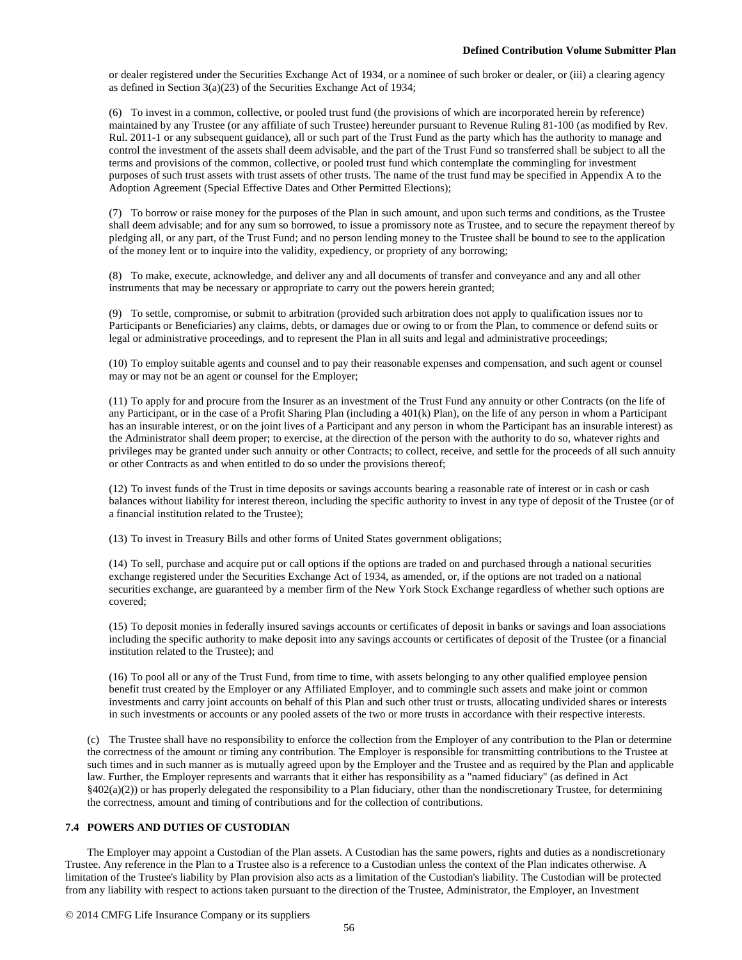or dealer registered under the Securities Exchange Act of 1934, or a nominee of such broker or dealer, or (iii) a clearing agency as defined in Section 3(a)(23) of the Securities Exchange Act of 1934;

(6) To invest in a common, collective, or pooled trust fund (the provisions of which are incorporated herein by reference) maintained by any Trustee (or any affiliate of such Trustee) hereunder pursuant to Revenue Ruling 81-100 (as modified by Rev. Rul. 2011-1 or any subsequent guidance), all or such part of the Trust Fund as the party which has the authority to manage and control the investment of the assets shall deem advisable, and the part of the Trust Fund so transferred shall be subject to all the terms and provisions of the common, collective, or pooled trust fund which contemplate the commingling for investment purposes of such trust assets with trust assets of other trusts. The name of the trust fund may be specified in Appendix A to the Adoption Agreement (Special Effective Dates and Other Permitted Elections);

(7) To borrow or raise money for the purposes of the Plan in such amount, and upon such terms and conditions, as the Trustee shall deem advisable; and for any sum so borrowed, to issue a promissory note as Trustee, and to secure the repayment thereof by pledging all, or any part, of the Trust Fund; and no person lending money to the Trustee shall be bound to see to the application of the money lent or to inquire into the validity, expediency, or propriety of any borrowing;

(8) To make, execute, acknowledge, and deliver any and all documents of transfer and conveyance and any and all other instruments that may be necessary or appropriate to carry out the powers herein granted;

(9) To settle, compromise, or submit to arbitration (provided such arbitration does not apply to qualification issues nor to Participants or Beneficiaries) any claims, debts, or damages due or owing to or from the Plan, to commence or defend suits or legal or administrative proceedings, and to represent the Plan in all suits and legal and administrative proceedings;

(10) To employ suitable agents and counsel and to pay their reasonable expenses and compensation, and such agent or counsel may or may not be an agent or counsel for the Employer;

(11) To apply for and procure from the Insurer as an investment of the Trust Fund any annuity or other Contracts (on the life of any Participant, or in the case of a Profit Sharing Plan (including a 401(k) Plan), on the life of any person in whom a Participant has an insurable interest, or on the joint lives of a Participant and any person in whom the Participant has an insurable interest) as the Administrator shall deem proper; to exercise, at the direction of the person with the authority to do so, whatever rights and privileges may be granted under such annuity or other Contracts; to collect, receive, and settle for the proceeds of all such annuity or other Contracts as and when entitled to do so under the provisions thereof;

(12) To invest funds of the Trust in time deposits or savings accounts bearing a reasonable rate of interest or in cash or cash balances without liability for interest thereon, including the specific authority to invest in any type of deposit of the Trustee (or of a financial institution related to the Trustee);

(13) To invest in Treasury Bills and other forms of United States government obligations;

(14) To sell, purchase and acquire put or call options if the options are traded on and purchased through a national securities exchange registered under the Securities Exchange Act of 1934, as amended, or, if the options are not traded on a national securities exchange, are guaranteed by a member firm of the New York Stock Exchange regardless of whether such options are covered;

(15) To deposit monies in federally insured savings accounts or certificates of deposit in banks or savings and loan associations including the specific authority to make deposit into any savings accounts or certificates of deposit of the Trustee (or a financial institution related to the Trustee); and

(16) To pool all or any of the Trust Fund, from time to time, with assets belonging to any other qualified employee pension benefit trust created by the Employer or any Affiliated Employer, and to commingle such assets and make joint or common investments and carry joint accounts on behalf of this Plan and such other trust or trusts, allocating undivided shares or interests in such investments or accounts or any pooled assets of the two or more trusts in accordance with their respective interests.

(c) The Trustee shall have no responsibility to enforce the collection from the Employer of any contribution to the Plan or determine the correctness of the amount or timing any contribution. The Employer is responsible for transmitting contributions to the Trustee at such times and in such manner as is mutually agreed upon by the Employer and the Trustee and as required by the Plan and applicable law. Further, the Employer represents and warrants that it either has responsibility as a "named fiduciary" (as defined in Act  $§402(a)(2)$ ) or has properly delegated the responsibility to a Plan fiduciary, other than the nondiscretionary Trustee, for determining the correctness, amount and timing of contributions and for the collection of contributions.

# **7.4 POWERS AND DUTIES OF CUSTODIAN**

The Employer may appoint a Custodian of the Plan assets. A Custodian has the same powers, rights and duties as a nondiscretionary Trustee. Any reference in the Plan to a Trustee also is a reference to a Custodian unless the context of the Plan indicates otherwise. A limitation of the Trustee's liability by Plan provision also acts as a limitation of the Custodian's liability. The Custodian will be protected from any liability with respect to actions taken pursuant to the direction of the Trustee, Administrator, the Employer, an Investment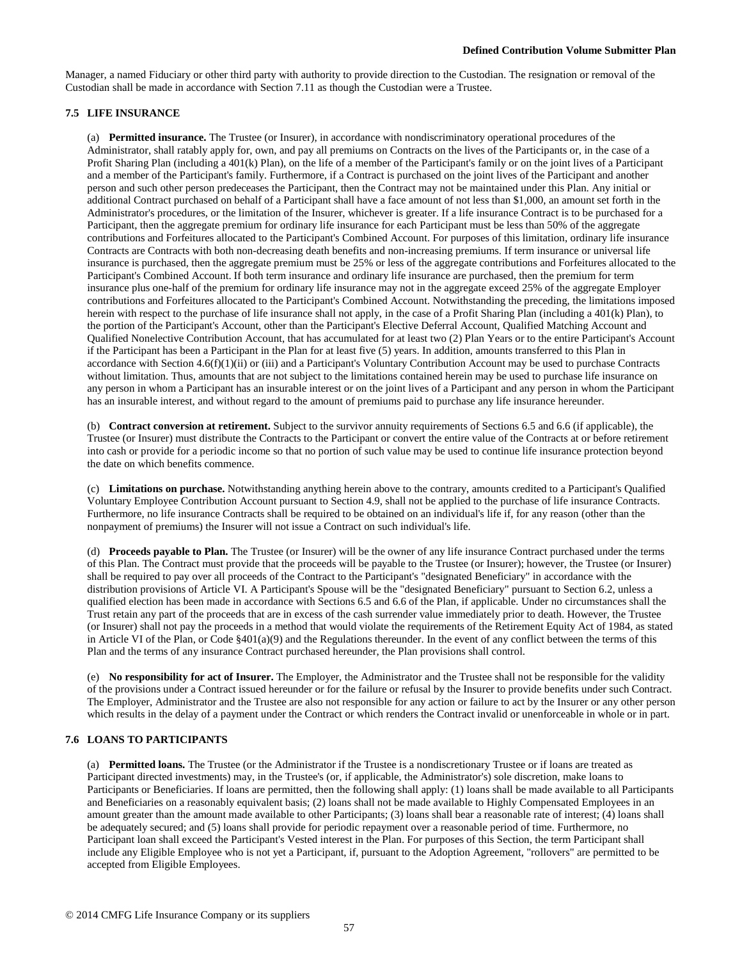Manager, a named Fiduciary or other third party with authority to provide direction to the Custodian. The resignation or removal of the Custodian shall be made in accordance with Section 7.11 as though the Custodian were a Trustee.

# **7.5 LIFE INSURANCE**

(a) **Permitted insurance.** The Trustee (or Insurer), in accordance with nondiscriminatory operational procedures of the Administrator, shall ratably apply for, own, and pay all premiums on Contracts on the lives of the Participants or, in the case of a Profit Sharing Plan (including a 401(k) Plan), on the life of a member of the Participant's family or on the joint lives of a Participant and a member of the Participant's family. Furthermore, if a Contract is purchased on the joint lives of the Participant and another person and such other person predeceases the Participant, then the Contract may not be maintained under this Plan. Any initial or additional Contract purchased on behalf of a Participant shall have a face amount of not less than \$1,000, an amount set forth in the Administrator's procedures, or the limitation of the Insurer, whichever is greater. If a life insurance Contract is to be purchased for a Participant, then the aggregate premium for ordinary life insurance for each Participant must be less than 50% of the aggregate contributions and Forfeitures allocated to the Participant's Combined Account. For purposes of this limitation, ordinary life insurance Contracts are Contracts with both non-decreasing death benefits and non-increasing premiums. If term insurance or universal life insurance is purchased, then the aggregate premium must be 25% or less of the aggregate contributions and Forfeitures allocated to the Participant's Combined Account. If both term insurance and ordinary life insurance are purchased, then the premium for term insurance plus one-half of the premium for ordinary life insurance may not in the aggregate exceed 25% of the aggregate Employer contributions and Forfeitures allocated to the Participant's Combined Account. Notwithstanding the preceding, the limitations imposed herein with respect to the purchase of life insurance shall not apply, in the case of a Profit Sharing Plan (including a 401(k) Plan), to the portion of the Participant's Account, other than the Participant's Elective Deferral Account, Qualified Matching Account and Qualified Nonelective Contribution Account, that has accumulated for at least two (2) Plan Years or to the entire Participant's Account if the Participant has been a Participant in the Plan for at least five (5) years. In addition, amounts transferred to this Plan in accordance with Section 4.6(f)(1)(ii) or (iii) and a Participant's Voluntary Contribution Account may be used to purchase Contracts without limitation. Thus, amounts that are not subject to the limitations contained herein may be used to purchase life insurance on any person in whom a Participant has an insurable interest or on the joint lives of a Participant and any person in whom the Participant has an insurable interest, and without regard to the amount of premiums paid to purchase any life insurance hereunder.

(b) **Contract conversion at retirement.** Subject to the survivor annuity requirements of Sections 6.5 and 6.6 (if applicable), the Trustee (or Insurer) must distribute the Contracts to the Participant or convert the entire value of the Contracts at or before retirement into cash or provide for a periodic income so that no portion of such value may be used to continue life insurance protection beyond the date on which benefits commence.

(c) **Limitations on purchase.** Notwithstanding anything herein above to the contrary, amounts credited to a Participant's Qualified Voluntary Employee Contribution Account pursuant to Section 4.9, shall not be applied to the purchase of life insurance Contracts. Furthermore, no life insurance Contracts shall be required to be obtained on an individual's life if, for any reason (other than the nonpayment of premiums) the Insurer will not issue a Contract on such individual's life.

(d) **Proceeds payable to Plan.** The Trustee (or Insurer) will be the owner of any life insurance Contract purchased under the terms of this Plan. The Contract must provide that the proceeds will be payable to the Trustee (or Insurer); however, the Trustee (or Insurer) shall be required to pay over all proceeds of the Contract to the Participant's "designated Beneficiary" in accordance with the distribution provisions of Article VI. A Participant's Spouse will be the "designated Beneficiary" pursuant to Section 6.2, unless a qualified election has been made in accordance with Sections 6.5 and 6.6 of the Plan, if applicable. Under no circumstances shall the Trust retain any part of the proceeds that are in excess of the cash surrender value immediately prior to death. However, the Trustee (or Insurer) shall not pay the proceeds in a method that would violate the requirements of the Retirement Equity Act of 1984, as stated in Article VI of the Plan, or Code §401(a)(9) and the Regulations thereunder. In the event of any conflict between the terms of this Plan and the terms of any insurance Contract purchased hereunder, the Plan provisions shall control.

(e) **No responsibility for act of Insurer.** The Employer, the Administrator and the Trustee shall not be responsible for the validity of the provisions under a Contract issued hereunder or for the failure or refusal by the Insurer to provide benefits under such Contract. The Employer, Administrator and the Trustee are also not responsible for any action or failure to act by the Insurer or any other person which results in the delay of a payment under the Contract or which renders the Contract invalid or unenforceable in whole or in part.

# **7.6 LOANS TO PARTICIPANTS**

(a) **Permitted loans.** The Trustee (or the Administrator if the Trustee is a nondiscretionary Trustee or if loans are treated as Participant directed investments) may, in the Trustee's (or, if applicable, the Administrator's) sole discretion, make loans to Participants or Beneficiaries. If loans are permitted, then the following shall apply: (1) loans shall be made available to all Participants and Beneficiaries on a reasonably equivalent basis; (2) loans shall not be made available to Highly Compensated Employees in an amount greater than the amount made available to other Participants; (3) loans shall bear a reasonable rate of interest; (4) loans shall be adequately secured; and (5) loans shall provide for periodic repayment over a reasonable period of time. Furthermore, no Participant loan shall exceed the Participant's Vested interest in the Plan. For purposes of this Section, the term Participant shall include any Eligible Employee who is not yet a Participant, if, pursuant to the Adoption Agreement, "rollovers" are permitted to be accepted from Eligible Employees.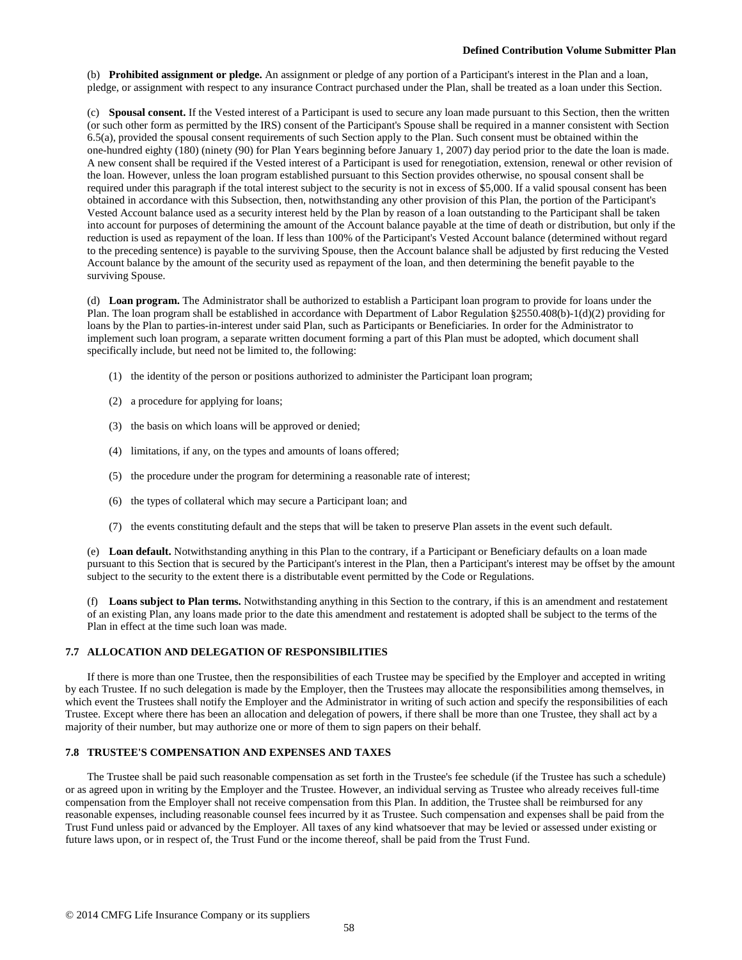(b) **Prohibited assignment or pledge.** An assignment or pledge of any portion of a Participant's interest in the Plan and a loan, pledge, or assignment with respect to any insurance Contract purchased under the Plan, shall be treated as a loan under this Section.

(c) **Spousal consent.** If the Vested interest of a Participant is used to secure any loan made pursuant to this Section, then the written (or such other form as permitted by the IRS) consent of the Participant's Spouse shall be required in a manner consistent with Section 6.5(a), provided the spousal consent requirements of such Section apply to the Plan. Such consent must be obtained within the one-hundred eighty (180) (ninety (90) for Plan Years beginning before January 1, 2007) day period prior to the date the loan is made. A new consent shall be required if the Vested interest of a Participant is used for renegotiation, extension, renewal or other revision of the loan. However, unless the loan program established pursuant to this Section provides otherwise, no spousal consent shall be required under this paragraph if the total interest subject to the security is not in excess of \$5,000. If a valid spousal consent has been obtained in accordance with this Subsection, then, notwithstanding any other provision of this Plan, the portion of the Participant's Vested Account balance used as a security interest held by the Plan by reason of a loan outstanding to the Participant shall be taken into account for purposes of determining the amount of the Account balance payable at the time of death or distribution, but only if the reduction is used as repayment of the loan. If less than 100% of the Participant's Vested Account balance (determined without regard to the preceding sentence) is payable to the surviving Spouse, then the Account balance shall be adjusted by first reducing the Vested Account balance by the amount of the security used as repayment of the loan, and then determining the benefit payable to the surviving Spouse.

(d) **Loan program.** The Administrator shall be authorized to establish a Participant loan program to provide for loans under the Plan. The loan program shall be established in accordance with Department of Labor Regulation §2550.408(b)-1(d)(2) providing for loans by the Plan to parties-in-interest under said Plan, such as Participants or Beneficiaries. In order for the Administrator to implement such loan program, a separate written document forming a part of this Plan must be adopted, which document shall specifically include, but need not be limited to, the following:

- (1) the identity of the person or positions authorized to administer the Participant loan program;
- (2) a procedure for applying for loans;
- (3) the basis on which loans will be approved or denied;
- (4) limitations, if any, on the types and amounts of loans offered;
- (5) the procedure under the program for determining a reasonable rate of interest;
- (6) the types of collateral which may secure a Participant loan; and
- (7) the events constituting default and the steps that will be taken to preserve Plan assets in the event such default.

(e) **Loan default.** Notwithstanding anything in this Plan to the contrary, if a Participant or Beneficiary defaults on a loan made pursuant to this Section that is secured by the Participant's interest in the Plan, then a Participant's interest may be offset by the amount subject to the security to the extent there is a distributable event permitted by the Code or Regulations.

(f) **Loans subject to Plan terms.** Notwithstanding anything in this Section to the contrary, if this is an amendment and restatement of an existing Plan, any loans made prior to the date this amendment and restatement is adopted shall be subject to the terms of the Plan in effect at the time such loan was made.

# **7.7 ALLOCATION AND DELEGATION OF RESPONSIBILITIES**

If there is more than one Trustee, then the responsibilities of each Trustee may be specified by the Employer and accepted in writing by each Trustee. If no such delegation is made by the Employer, then the Trustees may allocate the responsibilities among themselves, in which event the Trustees shall notify the Employer and the Administrator in writing of such action and specify the responsibilities of each Trustee. Except where there has been an allocation and delegation of powers, if there shall be more than one Trustee, they shall act by a majority of their number, but may authorize one or more of them to sign papers on their behalf.

### **7.8 TRUSTEE'S COMPENSATION AND EXPENSES AND TAXES**

The Trustee shall be paid such reasonable compensation as set forth in the Trustee's fee schedule (if the Trustee has such a schedule) or as agreed upon in writing by the Employer and the Trustee. However, an individual serving as Trustee who already receives full-time compensation from the Employer shall not receive compensation from this Plan. In addition, the Trustee shall be reimbursed for any reasonable expenses, including reasonable counsel fees incurred by it as Trustee. Such compensation and expenses shall be paid from the Trust Fund unless paid or advanced by the Employer. All taxes of any kind whatsoever that may be levied or assessed under existing or future laws upon, or in respect of, the Trust Fund or the income thereof, shall be paid from the Trust Fund.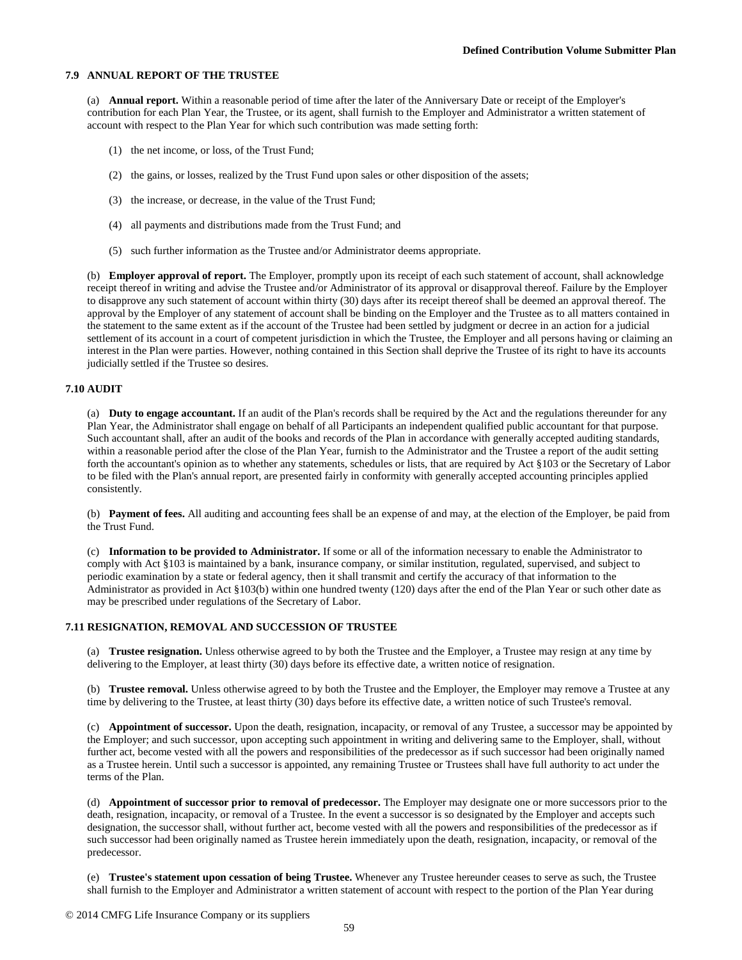## **7.9 ANNUAL REPORT OF THE TRUSTEE**

(a) **Annual report.** Within a reasonable period of time after the later of the Anniversary Date or receipt of the Employer's contribution for each Plan Year, the Trustee, or its agent, shall furnish to the Employer and Administrator a written statement of account with respect to the Plan Year for which such contribution was made setting forth:

- (1) the net income, or loss, of the Trust Fund;
- (2) the gains, or losses, realized by the Trust Fund upon sales or other disposition of the assets;
- (3) the increase, or decrease, in the value of the Trust Fund;
- (4) all payments and distributions made from the Trust Fund; and
- (5) such further information as the Trustee and/or Administrator deems appropriate.

(b) **Employer approval of report.** The Employer, promptly upon its receipt of each such statement of account, shall acknowledge receipt thereof in writing and advise the Trustee and/or Administrator of its approval or disapproval thereof. Failure by the Employer to disapprove any such statement of account within thirty (30) days after its receipt thereof shall be deemed an approval thereof. The approval by the Employer of any statement of account shall be binding on the Employer and the Trustee as to all matters contained in the statement to the same extent as if the account of the Trustee had been settled by judgment or decree in an action for a judicial settlement of its account in a court of competent jurisdiction in which the Trustee, the Employer and all persons having or claiming an interest in the Plan were parties. However, nothing contained in this Section shall deprive the Trustee of its right to have its accounts judicially settled if the Trustee so desires.

# **7.10 AUDIT**

(a) **Duty to engage accountant.** If an audit of the Plan's records shall be required by the Act and the regulations thereunder for any Plan Year, the Administrator shall engage on behalf of all Participants an independent qualified public accountant for that purpose. Such accountant shall, after an audit of the books and records of the Plan in accordance with generally accepted auditing standards, within a reasonable period after the close of the Plan Year, furnish to the Administrator and the Trustee a report of the audit setting forth the accountant's opinion as to whether any statements, schedules or lists, that are required by Act §103 or the Secretary of Labor to be filed with the Plan's annual report, are presented fairly in conformity with generally accepted accounting principles applied consistently.

(b) **Payment of fees.** All auditing and accounting fees shall be an expense of and may, at the election of the Employer, be paid from the Trust Fund.

(c) **Information to be provided to Administrator.** If some or all of the information necessary to enable the Administrator to comply with Act §103 is maintained by a bank, insurance company, or similar institution, regulated, supervised, and subject to periodic examination by a state or federal agency, then it shall transmit and certify the accuracy of that information to the Administrator as provided in Act §103(b) within one hundred twenty (120) days after the end of the Plan Year or such other date as may be prescribed under regulations of the Secretary of Labor.

## **7.11 RESIGNATION, REMOVAL AND SUCCESSION OF TRUSTEE**

(a) **Trustee resignation.** Unless otherwise agreed to by both the Trustee and the Employer, a Trustee may resign at any time by delivering to the Employer, at least thirty (30) days before its effective date, a written notice of resignation.

(b) **Trustee removal.** Unless otherwise agreed to by both the Trustee and the Employer, the Employer may remove a Trustee at any time by delivering to the Trustee, at least thirty (30) days before its effective date, a written notice of such Trustee's removal.

(c) **Appointment of successor.** Upon the death, resignation, incapacity, or removal of any Trustee, a successor may be appointed by the Employer; and such successor, upon accepting such appointment in writing and delivering same to the Employer, shall, without further act, become vested with all the powers and responsibilities of the predecessor as if such successor had been originally named as a Trustee herein. Until such a successor is appointed, any remaining Trustee or Trustees shall have full authority to act under the terms of the Plan.

(d) **Appointment of successor prior to removal of predecessor.** The Employer may designate one or more successors prior to the death, resignation, incapacity, or removal of a Trustee. In the event a successor is so designated by the Employer and accepts such designation, the successor shall, without further act, become vested with all the powers and responsibilities of the predecessor as if such successor had been originally named as Trustee herein immediately upon the death, resignation, incapacity, or removal of the predecessor.

(e) **Trustee's statement upon cessation of being Trustee.** Whenever any Trustee hereunder ceases to serve as such, the Trustee shall furnish to the Employer and Administrator a written statement of account with respect to the portion of the Plan Year during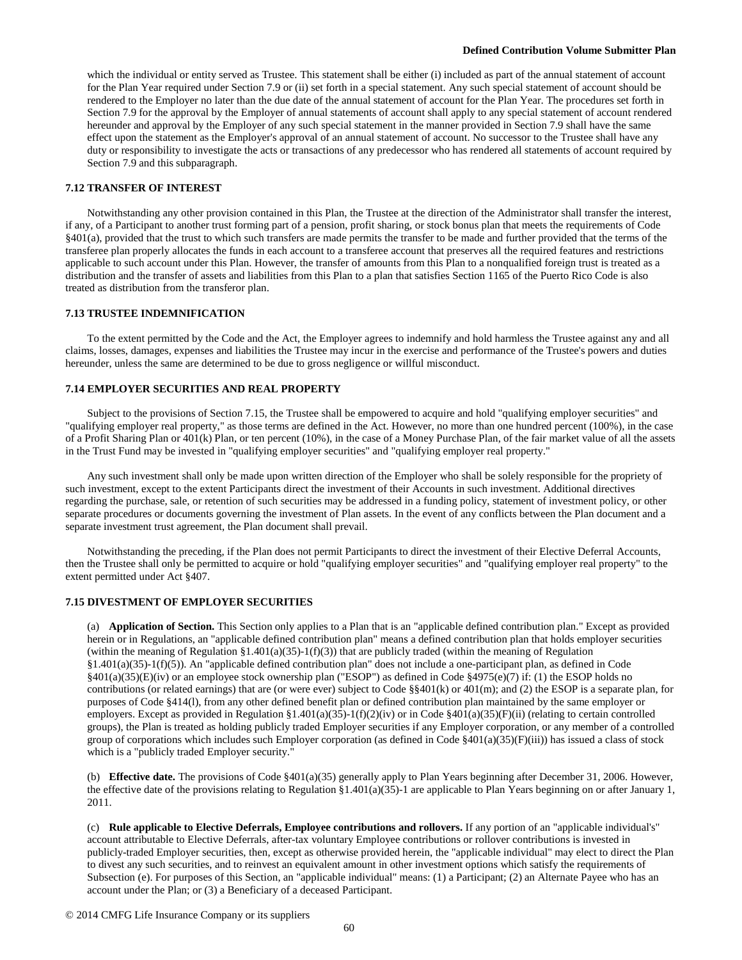which the individual or entity served as Trustee. This statement shall be either (i) included as part of the annual statement of account for the Plan Year required under Section 7.9 or (ii) set forth in a special statement. Any such special statement of account should be rendered to the Employer no later than the due date of the annual statement of account for the Plan Year. The procedures set forth in Section 7.9 for the approval by the Employer of annual statements of account shall apply to any special statement of account rendered hereunder and approval by the Employer of any such special statement in the manner provided in Section 7.9 shall have the same effect upon the statement as the Employer's approval of an annual statement of account. No successor to the Trustee shall have any duty or responsibility to investigate the acts or transactions of any predecessor who has rendered all statements of account required by Section 7.9 and this subparagraph.

## **7.12 TRANSFER OF INTEREST**

Notwithstanding any other provision contained in this Plan, the Trustee at the direction of the Administrator shall transfer the interest, if any, of a Participant to another trust forming part of a pension, profit sharing, or stock bonus plan that meets the requirements of Code §401(a), provided that the trust to which such transfers are made permits the transfer to be made and further provided that the terms of the transferee plan properly allocates the funds in each account to a transferee account that preserves all the required features and restrictions applicable to such account under this Plan. However, the transfer of amounts from this Plan to a nonqualified foreign trust is treated as a distribution and the transfer of assets and liabilities from this Plan to a plan that satisfies Section 1165 of the Puerto Rico Code is also treated as distribution from the transferor plan.

### **7.13 TRUSTEE INDEMNIFICATION**

To the extent permitted by the Code and the Act, the Employer agrees to indemnify and hold harmless the Trustee against any and all claims, losses, damages, expenses and liabilities the Trustee may incur in the exercise and performance of the Trustee's powers and duties hereunder, unless the same are determined to be due to gross negligence or willful misconduct.

### **7.14 EMPLOYER SECURITIES AND REAL PROPERTY**

Subject to the provisions of Section 7.15, the Trustee shall be empowered to acquire and hold "qualifying employer securities" and "qualifying employer real property," as those terms are defined in the Act. However, no more than one hundred percent (100%), in the case of a Profit Sharing Plan or 401(k) Plan, or ten percent (10%), in the case of a Money Purchase Plan, of the fair market value of all the assets in the Trust Fund may be invested in "qualifying employer securities" and "qualifying employer real property."

Any such investment shall only be made upon written direction of the Employer who shall be solely responsible for the propriety of such investment, except to the extent Participants direct the investment of their Accounts in such investment. Additional directives regarding the purchase, sale, or retention of such securities may be addressed in a funding policy, statement of investment policy, or other separate procedures or documents governing the investment of Plan assets. In the event of any conflicts between the Plan document and a separate investment trust agreement, the Plan document shall prevail.

Notwithstanding the preceding, if the Plan does not permit Participants to direct the investment of their Elective Deferral Accounts, then the Trustee shall only be permitted to acquire or hold "qualifying employer securities" and "qualifying employer real property" to the extent permitted under Act §407.

#### **7.15 DIVESTMENT OF EMPLOYER SECURITIES**

(a) **Application of Section.** This Section only applies to a Plan that is an "applicable defined contribution plan." Except as provided herein or in Regulations, an "applicable defined contribution plan" means a defined contribution plan that holds employer securities (within the meaning of Regulation  $\S1.401(a)(35)$ -1(f)(3)) that are publicly traded (within the meaning of Regulation §1.401(a)(35)-1(f)(5)). An "applicable defined contribution plan" does not include a one-participant plan, as defined in Code  $§401(a)(35)(E)(iv)$  or an employee stock ownership plan ("ESOP") as defined in Code §4975(e)(7) if: (1) the ESOP holds no contributions (or related earnings) that are (or were ever) subject to Code §§401(k) or 401(m); and (2) the ESOP is a separate plan, for purposes of Code §414(l), from any other defined benefit plan or defined contribution plan maintained by the same employer or employers. Except as provided in Regulation §1.401(a)(35)-1(f)(2)(iv) or in Code §401(a)(35)(F)(ii) (relating to certain controlled groups), the Plan is treated as holding publicly traded Employer securities if any Employer corporation, or any member of a controlled group of corporations which includes such Employer corporation (as defined in Code  $\S401(a)(35)(F)(iii)$ ) has issued a class of stock which is a "publicly traded Employer security."

(b) **Effective date.** The provisions of Code §401(a)(35) generally apply to Plan Years beginning after December 31, 2006. However, the effective date of the provisions relating to Regulation §1.401(a)(35)-1 are applicable to Plan Years beginning on or after January 1, 2011.

(c) **Rule applicable to Elective Deferrals, Employee contributions and rollovers.** If any portion of an "applicable individual's" account attributable to Elective Deferrals, after-tax voluntary Employee contributions or rollover contributions is invested in publicly-traded Employer securities, then, except as otherwise provided herein, the "applicable individual" may elect to direct the Plan to divest any such securities, and to reinvest an equivalent amount in other investment options which satisfy the requirements of Subsection (e). For purposes of this Section, an "applicable individual" means: (1) a Participant; (2) an Alternate Payee who has an account under the Plan; or (3) a Beneficiary of a deceased Participant.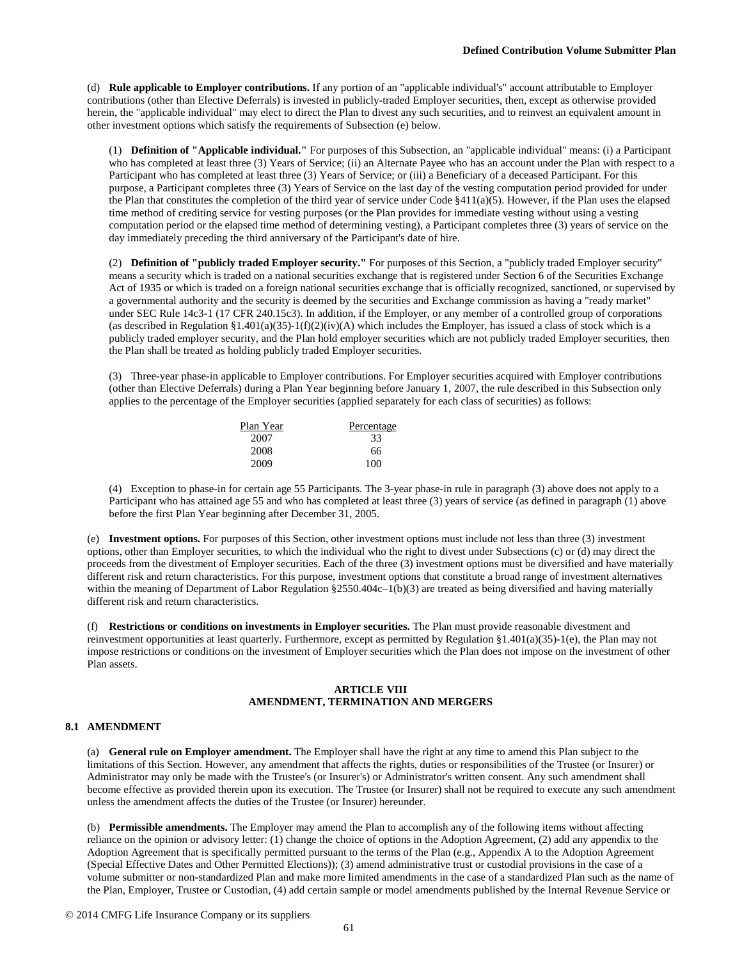(d) **Rule applicable to Employer contributions.** If any portion of an "applicable individual's" account attributable to Employer contributions (other than Elective Deferrals) is invested in publicly-traded Employer securities, then, except as otherwise provided herein, the "applicable individual" may elect to direct the Plan to divest any such securities, and to reinvest an equivalent amount in other investment options which satisfy the requirements of Subsection (e) below.

(1) **Definition of "Applicable individual."** For purposes of this Subsection, an "applicable individual" means: (i) a Participant who has completed at least three (3) Years of Service; (ii) an Alternate Payee who has an account under the Plan with respect to a Participant who has completed at least three (3) Years of Service; or (iii) a Beneficiary of a deceased Participant. For this purpose, a Participant completes three (3) Years of Service on the last day of the vesting computation period provided for under the Plan that constitutes the completion of the third year of service under Code §411(a)(5). However, if the Plan uses the elapsed time method of crediting service for vesting purposes (or the Plan provides for immediate vesting without using a vesting computation period or the elapsed time method of determining vesting), a Participant completes three (3) years of service on the day immediately preceding the third anniversary of the Participant's date of hire.

(2) **Definition of "publicly traded Employer security."** For purposes of this Section, a "publicly traded Employer security" means a security which is traded on a national securities exchange that is registered under Section 6 of the Securities Exchange Act of 1935 or which is traded on a foreign national securities exchange that is officially recognized, sanctioned, or supervised by a governmental authority and the security is deemed by the securities and Exchange commission as having a "ready market" under SEC Rule 14c3-1 (17 CFR 240.15c3). In addition, if the Employer, or any member of a controlled group of corporations (as described in Regulation §1.401(a)(35)-1(f)(2)(iv)(A) which includes the Employer, has issued a class of stock which is a publicly traded employer security, and the Plan hold employer securities which are not publicly traded Employer securities, then the Plan shall be treated as holding publicly traded Employer securities.

(3) Three-year phase-in applicable to Employer contributions. For Employer securities acquired with Employer contributions (other than Elective Deferrals) during a Plan Year beginning before January 1, 2007, the rule described in this Subsection only applies to the percentage of the Employer securities (applied separately for each class of securities) as follows:

| Plan Year | Percentage |
|-----------|------------|
| 2007      | 33         |
| 2008      | 66         |
| 2009      | 100        |

(4) Exception to phase-in for certain age 55 Participants. The 3-year phase-in rule in paragraph (3) above does not apply to a Participant who has attained age 55 and who has completed at least three (3) years of service (as defined in paragraph (1) above before the first Plan Year beginning after December 31, 2005.

(e) **Investment options.** For purposes of this Section, other investment options must include not less than three (3) investment options, other than Employer securities, to which the individual who the right to divest under Subsections (c) or (d) may direct the proceeds from the divestment of Employer securities. Each of the three (3) investment options must be diversified and have materially different risk and return characteristics. For this purpose, investment options that constitute a broad range of investment alternatives within the meaning of Department of Labor Regulation §2550.404c–1(b)(3) are treated as being diversified and having materially different risk and return characteristics.

(f) **Restrictions or conditions on investments in Employer securities.** The Plan must provide reasonable divestment and reinvestment opportunities at least quarterly. Furthermore, except as permitted by Regulation §1.401(a)(35)-1(e), the Plan may not impose restrictions or conditions on the investment of Employer securities which the Plan does not impose on the investment of other Plan assets.

## **ARTICLE VIII AMENDMENT, TERMINATION AND MERGERS**

## **8.1 AMENDMENT**

(a) **General rule on Employer amendment.** The Employer shall have the right at any time to amend this Plan subject to the limitations of this Section. However, any amendment that affects the rights, duties or responsibilities of the Trustee (or Insurer) or Administrator may only be made with the Trustee's (or Insurer's) or Administrator's written consent. Any such amendment shall become effective as provided therein upon its execution. The Trustee (or Insurer) shall not be required to execute any such amendment unless the amendment affects the duties of the Trustee (or Insurer) hereunder.

(b) **Permissible amendments.** The Employer may amend the Plan to accomplish any of the following items without affecting reliance on the opinion or advisory letter: (1) change the choice of options in the Adoption Agreement, (2) add any appendix to the Adoption Agreement that is specifically permitted pursuant to the terms of the Plan (e.g., Appendix A to the Adoption Agreement (Special Effective Dates and Other Permitted Elections)); (3) amend administrative trust or custodial provisions in the case of a volume submitter or non-standardized Plan and make more limited amendments in the case of a standardized Plan such as the name of the Plan, Employer, Trustee or Custodian, (4) add certain sample or model amendments published by the Internal Revenue Service or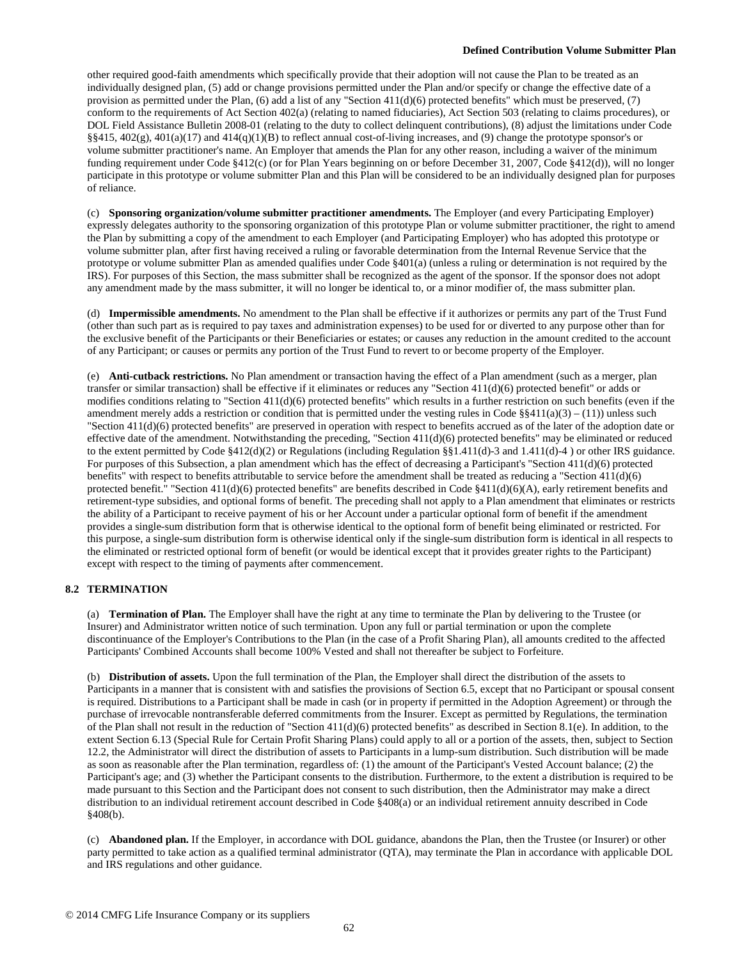other required good-faith amendments which specifically provide that their adoption will not cause the Plan to be treated as an individually designed plan, (5) add or change provisions permitted under the Plan and/or specify or change the effective date of a provision as permitted under the Plan, (6) add a list of any "Section 411(d)(6) protected benefits" which must be preserved, (7) conform to the requirements of Act Section 402(a) (relating to named fiduciaries), Act Section 503 (relating to claims procedures), or DOL Field Assistance Bulletin 2008-01 (relating to the duty to collect delinquent contributions), (8) adjust the limitations under Code  $\S$ §415, 402(g), 401(a)(17) and 414(q)(1)(B) to reflect annual cost-of-living increases, and (9) change the prototype sponsor's or volume submitter practitioner's name. An Employer that amends the Plan for any other reason, including a waiver of the minimum funding requirement under Code §412(c) (or for Plan Years beginning on or before December 31, 2007, Code §412(d)), will no longer participate in this prototype or volume submitter Plan and this Plan will be considered to be an individually designed plan for purposes of reliance.

(c) **Sponsoring organization/volume submitter practitioner amendments.** The Employer (and every Participating Employer) expressly delegates authority to the sponsoring organization of this prototype Plan or volume submitter practitioner, the right to amend the Plan by submitting a copy of the amendment to each Employer (and Participating Employer) who has adopted this prototype or volume submitter plan, after first having received a ruling or favorable determination from the Internal Revenue Service that the prototype or volume submitter Plan as amended qualifies under Code §401(a) (unless a ruling or determination is not required by the IRS). For purposes of this Section, the mass submitter shall be recognized as the agent of the sponsor. If the sponsor does not adopt any amendment made by the mass submitter, it will no longer be identical to, or a minor modifier of, the mass submitter plan.

(d) **Impermissible amendments.** No amendment to the Plan shall be effective if it authorizes or permits any part of the Trust Fund (other than such part as is required to pay taxes and administration expenses) to be used for or diverted to any purpose other than for the exclusive benefit of the Participants or their Beneficiaries or estates; or causes any reduction in the amount credited to the account of any Participant; or causes or permits any portion of the Trust Fund to revert to or become property of the Employer.

(e) **Anti-cutback restrictions.** No Plan amendment or transaction having the effect of a Plan amendment (such as a merger, plan transfer or similar transaction) shall be effective if it eliminates or reduces any "Section 411(d)(6) protected benefit" or adds or modifies conditions relating to "Section 411(d)(6) protected benefits" which results in a further restriction on such benefits (even if the amendment merely adds a restriction or condition that is permitted under the vesting rules in Code  $\S 411(a)(3) - (11)$ ) unless such "Section 411(d)(6) protected benefits" are preserved in operation with respect to benefits accrued as of the later of the adoption date or effective date of the amendment. Notwithstanding the preceding, "Section 411(d)(6) protected benefits" may be eliminated or reduced to the extent permitted by Code §412(d)(2) or Regulations (including Regulation §§1.411(d)-3 and 1.411(d)-4 ) or other IRS guidance. For purposes of this Subsection, a plan amendment which has the effect of decreasing a Participant's "Section 411(d)(6) protected benefits" with respect to benefits attributable to service before the amendment shall be treated as reducing a "Section 411(d)(6) protected benefit." "Section  $411(d)(6)$  protected benefits" are benefits described in Code §411(d)(6)(A), early retirement benefits and retirement-type subsidies, and optional forms of benefit. The preceding shall not apply to a Plan amendment that eliminates or restricts the ability of a Participant to receive payment of his or her Account under a particular optional form of benefit if the amendment provides a single-sum distribution form that is otherwise identical to the optional form of benefit being eliminated or restricted. For this purpose, a single-sum distribution form is otherwise identical only if the single-sum distribution form is identical in all respects to the eliminated or restricted optional form of benefit (or would be identical except that it provides greater rights to the Participant) except with respect to the timing of payments after commencement.

# **8.2 TERMINATION**

(a) **Termination of Plan.** The Employer shall have the right at any time to terminate the Plan by delivering to the Trustee (or Insurer) and Administrator written notice of such termination. Upon any full or partial termination or upon the complete discontinuance of the Employer's Contributions to the Plan (in the case of a Profit Sharing Plan), all amounts credited to the affected Participants' Combined Accounts shall become 100% Vested and shall not thereafter be subject to Forfeiture.

(b) **Distribution of assets.** Upon the full termination of the Plan, the Employer shall direct the distribution of the assets to Participants in a manner that is consistent with and satisfies the provisions of Section 6.5, except that no Participant or spousal consent is required. Distributions to a Participant shall be made in cash (or in property if permitted in the Adoption Agreement) or through the purchase of irrevocable nontransferable deferred commitments from the Insurer. Except as permitted by Regulations, the termination of the Plan shall not result in the reduction of "Section 411(d)(6) protected benefits" as described in Section 8.1(e). In addition, to the extent Section 6.13 (Special Rule for Certain Profit Sharing Plans) could apply to all or a portion of the assets, then, subject to Section 12.2, the Administrator will direct the distribution of assets to Participants in a lump-sum distribution. Such distribution will be made as soon as reasonable after the Plan termination, regardless of: (1) the amount of the Participant's Vested Account balance; (2) the Participant's age; and (3) whether the Participant consents to the distribution. Furthermore, to the extent a distribution is required to be made pursuant to this Section and the Participant does not consent to such distribution, then the Administrator may make a direct distribution to an individual retirement account described in Code §408(a) or an individual retirement annuity described in Code §408(b).

(c) **Abandoned plan.** If the Employer, in accordance with DOL guidance, abandons the Plan, then the Trustee (or Insurer) or other party permitted to take action as a qualified terminal administrator (QTA), may terminate the Plan in accordance with applicable DOL and IRS regulations and other guidance.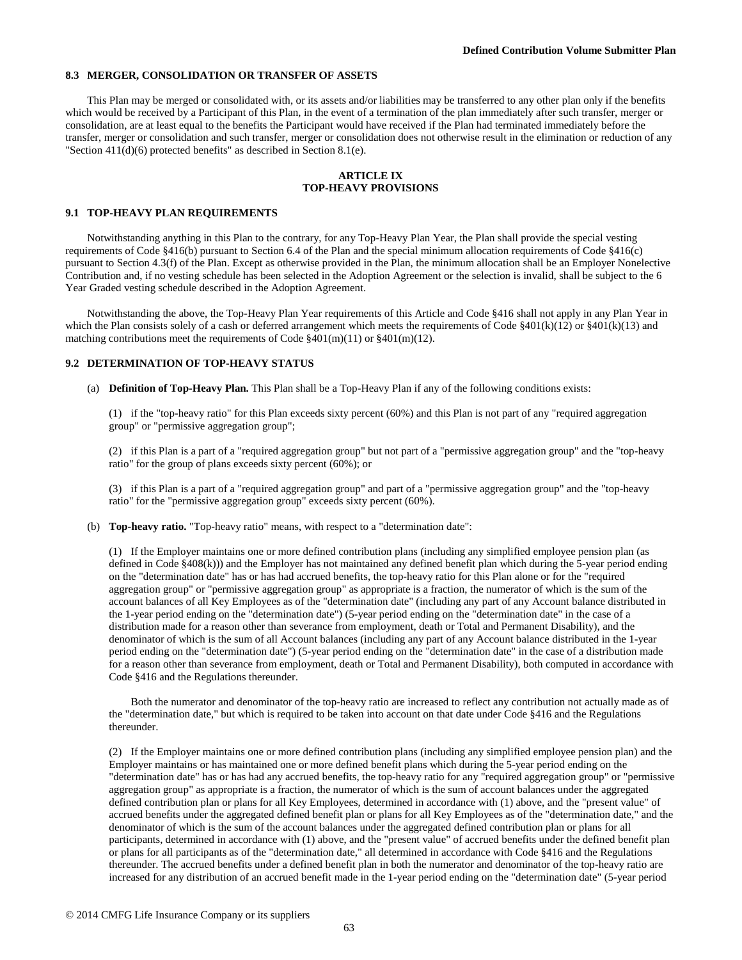### **8.3 MERGER, CONSOLIDATION OR TRANSFER OF ASSETS**

This Plan may be merged or consolidated with, or its assets and/or liabilities may be transferred to any other plan only if the benefits which would be received by a Participant of this Plan, in the event of a termination of the plan immediately after such transfer, merger or consolidation, are at least equal to the benefits the Participant would have received if the Plan had terminated immediately before the transfer, merger or consolidation and such transfer, merger or consolidation does not otherwise result in the elimination or reduction of any "Section 411(d)(6) protected benefits" as described in Section 8.1(e).

#### **ARTICLE IX TOP-HEAVY PROVISIONS**

#### **9.1 TOP-HEAVY PLAN REQUIREMENTS**

Notwithstanding anything in this Plan to the contrary, for any Top-Heavy Plan Year, the Plan shall provide the special vesting requirements of Code §416(b) pursuant to Section 6.4 of the Plan and the special minimum allocation requirements of Code §416(c) pursuant to Section 4.3(f) of the Plan. Except as otherwise provided in the Plan, the minimum allocation shall be an Employer Nonelective Contribution and, if no vesting schedule has been selected in the Adoption Agreement or the selection is invalid, shall be subject to the 6 Year Graded vesting schedule described in the Adoption Agreement.

Notwithstanding the above, the Top-Heavy Plan Year requirements of this Article and Code §416 shall not apply in any Plan Year in which the Plan consists solely of a cash or deferred arrangement which meets the requirements of Code  $\frac{2401(k)(12)}{20}$  or  $\frac{2401(k)(13)}{20}$  and matching contributions meet the requirements of Code §401(m)(11) or §401(m)(12).

### **9.2 DETERMINATION OF TOP-HEAVY STATUS**

(a) **Definition of Top-Heavy Plan.** This Plan shall be a Top-Heavy Plan if any of the following conditions exists:

(1) if the "top-heavy ratio" for this Plan exceeds sixty percent (60%) and this Plan is not part of any "required aggregation group" or "permissive aggregation group";

(2) if this Plan is a part of a "required aggregation group" but not part of a "permissive aggregation group" and the "top-heavy ratio" for the group of plans exceeds sixty percent (60%); or

(3) if this Plan is a part of a "required aggregation group" and part of a "permissive aggregation group" and the "top-heavy ratio" for the "permissive aggregation group" exceeds sixty percent (60%).

(b) **Top-heavy ratio.** "Top-heavy ratio" means, with respect to a "determination date":

(1) If the Employer maintains one or more defined contribution plans (including any simplified employee pension plan (as defined in Code §408(k))) and the Employer has not maintained any defined benefit plan which during the 5-year period ending on the "determination date" has or has had accrued benefits, the top-heavy ratio for this Plan alone or for the "required aggregation group" or "permissive aggregation group" as appropriate is a fraction, the numerator of which is the sum of the account balances of all Key Employees as of the "determination date" (including any part of any Account balance distributed in the 1-year period ending on the "determination date") (5-year period ending on the "determination date" in the case of a distribution made for a reason other than severance from employment, death or Total and Permanent Disability), and the denominator of which is the sum of all Account balances (including any part of any Account balance distributed in the 1-year period ending on the "determination date") (5-year period ending on the "determination date" in the case of a distribution made for a reason other than severance from employment, death or Total and Permanent Disability), both computed in accordance with Code §416 and the Regulations thereunder.

Both the numerator and denominator of the top-heavy ratio are increased to reflect any contribution not actually made as of the "determination date," but which is required to be taken into account on that date under Code §416 and the Regulations thereunder.

(2) If the Employer maintains one or more defined contribution plans (including any simplified employee pension plan) and the Employer maintains or has maintained one or more defined benefit plans which during the 5-year period ending on the "determination date" has or has had any accrued benefits, the top-heavy ratio for any "required aggregation group" or "permissive aggregation group" as appropriate is a fraction, the numerator of which is the sum of account balances under the aggregated defined contribution plan or plans for all Key Employees, determined in accordance with (1) above, and the "present value" of accrued benefits under the aggregated defined benefit plan or plans for all Key Employees as of the "determination date," and the denominator of which is the sum of the account balances under the aggregated defined contribution plan or plans for all participants, determined in accordance with (1) above, and the "present value" of accrued benefits under the defined benefit plan or plans for all participants as of the "determination date," all determined in accordance with Code §416 and the Regulations thereunder. The accrued benefits under a defined benefit plan in both the numerator and denominator of the top-heavy ratio are increased for any distribution of an accrued benefit made in the 1-year period ending on the "determination date" (5-year period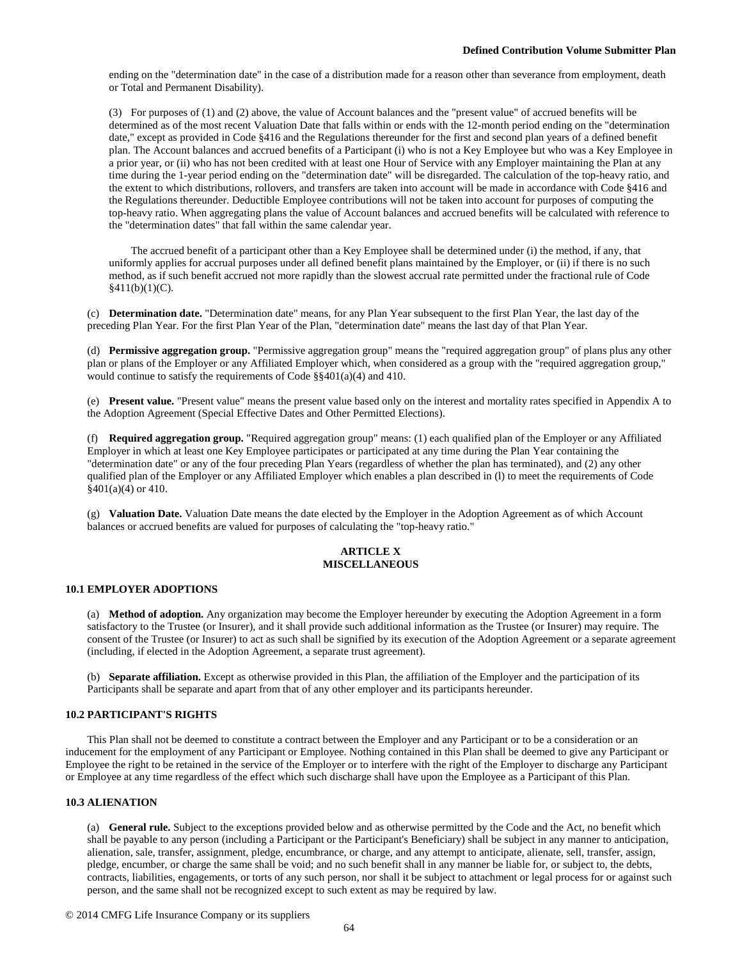ending on the "determination date" in the case of a distribution made for a reason other than severance from employment, death or Total and Permanent Disability).

(3) For purposes of (1) and (2) above, the value of Account balances and the "present value" of accrued benefits will be determined as of the most recent Valuation Date that falls within or ends with the 12-month period ending on the "determination date," except as provided in Code §416 and the Regulations thereunder for the first and second plan years of a defined benefit plan. The Account balances and accrued benefits of a Participant (i) who is not a Key Employee but who was a Key Employee in a prior year, or (ii) who has not been credited with at least one Hour of Service with any Employer maintaining the Plan at any time during the 1-year period ending on the "determination date" will be disregarded. The calculation of the top-heavy ratio, and the extent to which distributions, rollovers, and transfers are taken into account will be made in accordance with Code §416 and the Regulations thereunder. Deductible Employee contributions will not be taken into account for purposes of computing the top-heavy ratio. When aggregating plans the value of Account balances and accrued benefits will be calculated with reference to the "determination dates" that fall within the same calendar year.

The accrued benefit of a participant other than a Key Employee shall be determined under (i) the method, if any, that uniformly applies for accrual purposes under all defined benefit plans maintained by the Employer, or (ii) if there is no such method, as if such benefit accrued not more rapidly than the slowest accrual rate permitted under the fractional rule of Code  $§411(b)(1)(C).$ 

(c) **Determination date.** "Determination date" means, for any Plan Year subsequent to the first Plan Year, the last day of the preceding Plan Year. For the first Plan Year of the Plan, "determination date" means the last day of that Plan Year.

(d) **Permissive aggregation group.** "Permissive aggregation group" means the "required aggregation group" of plans plus any other plan or plans of the Employer or any Affiliated Employer which, when considered as a group with the "required aggregation group," would continue to satisfy the requirements of Code §§401(a)(4) and 410.

(e) **Present value.** "Present value" means the present value based only on the interest and mortality rates specified in Appendix A to the Adoption Agreement (Special Effective Dates and Other Permitted Elections).

(f) **Required aggregation group.** "Required aggregation group" means: (1) each qualified plan of the Employer or any Affiliated Employer in which at least one Key Employee participates or participated at any time during the Plan Year containing the "determination date" or any of the four preceding Plan Years (regardless of whether the plan has terminated), and (2) any other qualified plan of the Employer or any Affiliated Employer which enables a plan described in (l) to meet the requirements of Code  $§401(a)(4)$  or 410.

(g) **Valuation Date.** Valuation Date means the date elected by the Employer in the Adoption Agreement as of which Account balances or accrued benefits are valued for purposes of calculating the "top-heavy ratio."

# **ARTICLE X MISCELLANEOUS**

#### **10.1 EMPLOYER ADOPTIONS**

(a) **Method of adoption.** Any organization may become the Employer hereunder by executing the Adoption Agreement in a form satisfactory to the Trustee (or Insurer), and it shall provide such additional information as the Trustee (or Insurer) may require. The consent of the Trustee (or Insurer) to act as such shall be signified by its execution of the Adoption Agreement or a separate agreement (including, if elected in the Adoption Agreement, a separate trust agreement).

(b) **Separate affiliation.** Except as otherwise provided in this Plan, the affiliation of the Employer and the participation of its Participants shall be separate and apart from that of any other employer and its participants hereunder.

## **10.2 PARTICIPANT'S RIGHTS**

This Plan shall not be deemed to constitute a contract between the Employer and any Participant or to be a consideration or an inducement for the employment of any Participant or Employee. Nothing contained in this Plan shall be deemed to give any Participant or Employee the right to be retained in the service of the Employer or to interfere with the right of the Employer to discharge any Participant or Employee at any time regardless of the effect which such discharge shall have upon the Employee as a Participant of this Plan.

#### **10.3 ALIENATION**

(a) **General rule.** Subject to the exceptions provided below and as otherwise permitted by the Code and the Act, no benefit which shall be payable to any person (including a Participant or the Participant's Beneficiary) shall be subject in any manner to anticipation, alienation, sale, transfer, assignment, pledge, encumbrance, or charge, and any attempt to anticipate, alienate, sell, transfer, assign, pledge, encumber, or charge the same shall be void; and no such benefit shall in any manner be liable for, or subject to, the debts, contracts, liabilities, engagements, or torts of any such person, nor shall it be subject to attachment or legal process for or against such person, and the same shall not be recognized except to such extent as may be required by law.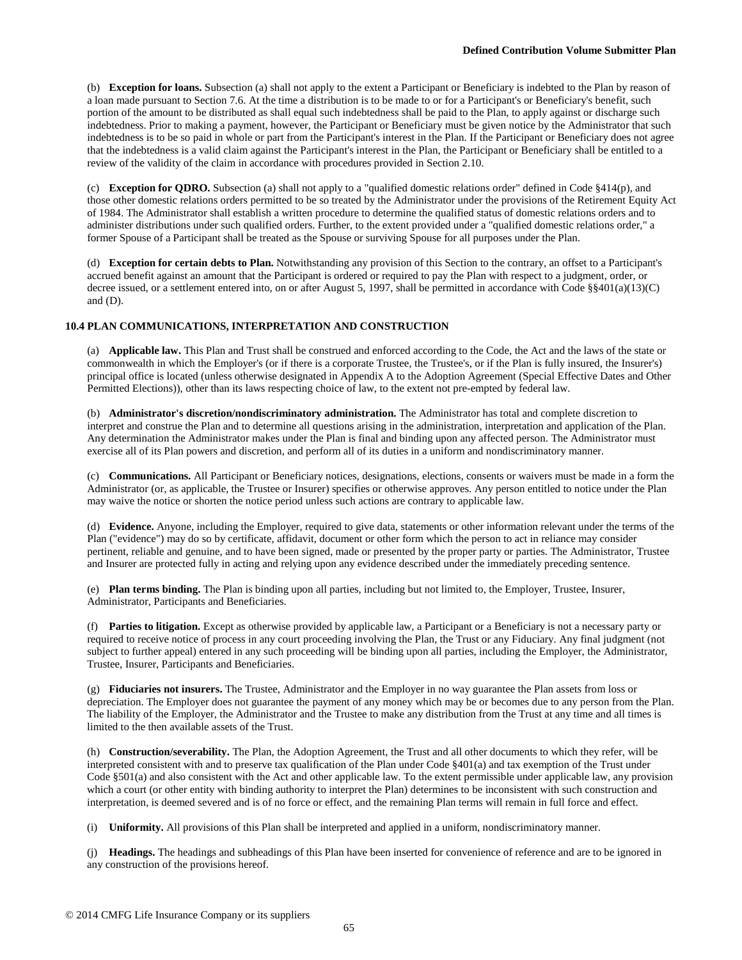(b) **Exception for loans.** Subsection (a) shall not apply to the extent a Participant or Beneficiary is indebted to the Plan by reason of a loan made pursuant to Section 7.6. At the time a distribution is to be made to or for a Participant's or Beneficiary's benefit, such portion of the amount to be distributed as shall equal such indebtedness shall be paid to the Plan, to apply against or discharge such indebtedness. Prior to making a payment, however, the Participant or Beneficiary must be given notice by the Administrator that such indebtedness is to be so paid in whole or part from the Participant's interest in the Plan. If the Participant or Beneficiary does not agree that the indebtedness is a valid claim against the Participant's interest in the Plan, the Participant or Beneficiary shall be entitled to a review of the validity of the claim in accordance with procedures provided in Section 2.10.

(c) **Exception for QDRO.** Subsection (a) shall not apply to a "qualified domestic relations order" defined in Code §414(p), and those other domestic relations orders permitted to be so treated by the Administrator under the provisions of the Retirement Equity Act of 1984. The Administrator shall establish a written procedure to determine the qualified status of domestic relations orders and to administer distributions under such qualified orders. Further, to the extent provided under a "qualified domestic relations order," a former Spouse of a Participant shall be treated as the Spouse or surviving Spouse for all purposes under the Plan.

(d) **Exception for certain debts to Plan.** Notwithstanding any provision of this Section to the contrary, an offset to a Participant's accrued benefit against an amount that the Participant is ordered or required to pay the Plan with respect to a judgment, order, or decree issued, or a settlement entered into, on or after August 5, 1997, shall be permitted in accordance with Code §§401(a)(13)(C) and (D).

# **10.4 PLAN COMMUNICATIONS, INTERPRETATION AND CONSTRUCTION**

(a) **Applicable law.** This Plan and Trust shall be construed and enforced according to the Code, the Act and the laws of the state or commonwealth in which the Employer's (or if there is a corporate Trustee, the Trustee's, or if the Plan is fully insured, the Insurer's) principal office is located (unless otherwise designated in Appendix A to the Adoption Agreement (Special Effective Dates and Other Permitted Elections)), other than its laws respecting choice of law, to the extent not pre-empted by federal law.

(b) **Administrator's discretion/nondiscriminatory administration.** The Administrator has total and complete discretion to interpret and construe the Plan and to determine all questions arising in the administration, interpretation and application of the Plan. Any determination the Administrator makes under the Plan is final and binding upon any affected person. The Administrator must exercise all of its Plan powers and discretion, and perform all of its duties in a uniform and nondiscriminatory manner.

(c) **Communications.** All Participant or Beneficiary notices, designations, elections, consents or waivers must be made in a form the Administrator (or, as applicable, the Trustee or Insurer) specifies or otherwise approves. Any person entitled to notice under the Plan may waive the notice or shorten the notice period unless such actions are contrary to applicable law.

(d) **Evidence.** Anyone, including the Employer, required to give data, statements or other information relevant under the terms of the Plan ("evidence") may do so by certificate, affidavit, document or other form which the person to act in reliance may consider pertinent, reliable and genuine, and to have been signed, made or presented by the proper party or parties. The Administrator, Trustee and Insurer are protected fully in acting and relying upon any evidence described under the immediately preceding sentence.

(e) **Plan terms binding.** The Plan is binding upon all parties, including but not limited to, the Employer, Trustee, Insurer, Administrator, Participants and Beneficiaries.

(f) **Parties to litigation.** Except as otherwise provided by applicable law, a Participant or a Beneficiary is not a necessary party or required to receive notice of process in any court proceeding involving the Plan, the Trust or any Fiduciary. Any final judgment (not subject to further appeal) entered in any such proceeding will be binding upon all parties, including the Employer, the Administrator, Trustee, Insurer, Participants and Beneficiaries.

(g) **Fiduciaries not insurers.** The Trustee, Administrator and the Employer in no way guarantee the Plan assets from loss or depreciation. The Employer does not guarantee the payment of any money which may be or becomes due to any person from the Plan. The liability of the Employer, the Administrator and the Trustee to make any distribution from the Trust at any time and all times is limited to the then available assets of the Trust.

(h) **Construction/severability.** The Plan, the Adoption Agreement, the Trust and all other documents to which they refer, will be interpreted consistent with and to preserve tax qualification of the Plan under Code §401(a) and tax exemption of the Trust under Code §501(a) and also consistent with the Act and other applicable law. To the extent permissible under applicable law, any provision which a court (or other entity with binding authority to interpret the Plan) determines to be inconsistent with such construction and interpretation, is deemed severed and is of no force or effect, and the remaining Plan terms will remain in full force and effect.

(i) **Uniformity.** All provisions of this Plan shall be interpreted and applied in a uniform, nondiscriminatory manner.

(j) **Headings.** The headings and subheadings of this Plan have been inserted for convenience of reference and are to be ignored in any construction of the provisions hereof.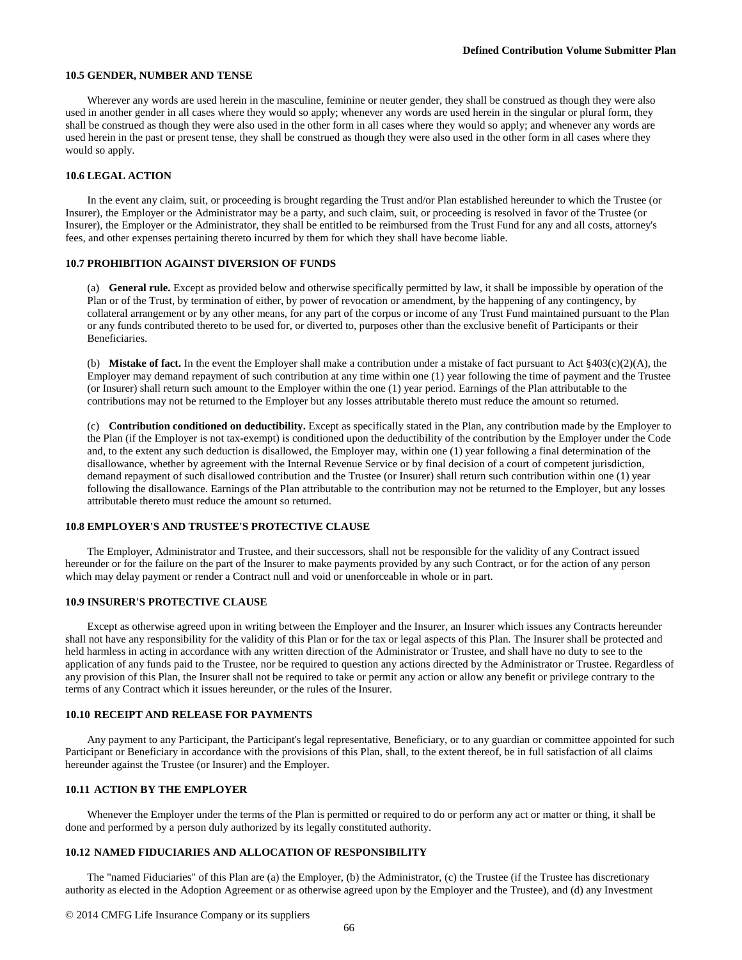#### **10.5 GENDER, NUMBER AND TENSE**

Wherever any words are used herein in the masculine, feminine or neuter gender, they shall be construed as though they were also used in another gender in all cases where they would so apply; whenever any words are used herein in the singular or plural form, they shall be construed as though they were also used in the other form in all cases where they would so apply; and whenever any words are used herein in the past or present tense, they shall be construed as though they were also used in the other form in all cases where they would so apply.

### **10.6 LEGAL ACTION**

In the event any claim, suit, or proceeding is brought regarding the Trust and/or Plan established hereunder to which the Trustee (or Insurer), the Employer or the Administrator may be a party, and such claim, suit, or proceeding is resolved in favor of the Trustee (or Insurer), the Employer or the Administrator, they shall be entitled to be reimbursed from the Trust Fund for any and all costs, attorney's fees, and other expenses pertaining thereto incurred by them for which they shall have become liable.

#### **10.7 PROHIBITION AGAINST DIVERSION OF FUNDS**

(a) **General rule.** Except as provided below and otherwise specifically permitted by law, it shall be impossible by operation of the Plan or of the Trust, by termination of either, by power of revocation or amendment, by the happening of any contingency, by collateral arrangement or by any other means, for any part of the corpus or income of any Trust Fund maintained pursuant to the Plan or any funds contributed thereto to be used for, or diverted to, purposes other than the exclusive benefit of Participants or their Beneficiaries.

(b) **Mistake of fact.** In the event the Employer shall make a contribution under a mistake of fact pursuant to Act §403(c)(2)(A), the Employer may demand repayment of such contribution at any time within one (1) year following the time of payment and the Trustee (or Insurer) shall return such amount to the Employer within the one (1) year period. Earnings of the Plan attributable to the contributions may not be returned to the Employer but any losses attributable thereto must reduce the amount so returned.

(c) **Contribution conditioned on deductibility.** Except as specifically stated in the Plan, any contribution made by the Employer to the Plan (if the Employer is not tax-exempt) is conditioned upon the deductibility of the contribution by the Employer under the Code and, to the extent any such deduction is disallowed, the Employer may, within one (1) year following a final determination of the disallowance, whether by agreement with the Internal Revenue Service or by final decision of a court of competent jurisdiction, demand repayment of such disallowed contribution and the Trustee (or Insurer) shall return such contribution within one (1) year following the disallowance. Earnings of the Plan attributable to the contribution may not be returned to the Employer, but any losses attributable thereto must reduce the amount so returned.

### **10.8 EMPLOYER'S AND TRUSTEE'S PROTECTIVE CLAUSE**

The Employer, Administrator and Trustee, and their successors, shall not be responsible for the validity of any Contract issued hereunder or for the failure on the part of the Insurer to make payments provided by any such Contract, or for the action of any person which may delay payment or render a Contract null and void or unenforceable in whole or in part.

#### **10.9 INSURER'S PROTECTIVE CLAUSE**

Except as otherwise agreed upon in writing between the Employer and the Insurer, an Insurer which issues any Contracts hereunder shall not have any responsibility for the validity of this Plan or for the tax or legal aspects of this Plan. The Insurer shall be protected and held harmless in acting in accordance with any written direction of the Administrator or Trustee, and shall have no duty to see to the application of any funds paid to the Trustee, nor be required to question any actions directed by the Administrator or Trustee. Regardless of any provision of this Plan, the Insurer shall not be required to take or permit any action or allow any benefit or privilege contrary to the terms of any Contract which it issues hereunder, or the rules of the Insurer.

### **10.10 RECEIPT AND RELEASE FOR PAYMENTS**

Any payment to any Participant, the Participant's legal representative, Beneficiary, or to any guardian or committee appointed for such Participant or Beneficiary in accordance with the provisions of this Plan, shall, to the extent thereof, be in full satisfaction of all claims hereunder against the Trustee (or Insurer) and the Employer.

#### **10.11 ACTION BY THE EMPLOYER**

Whenever the Employer under the terms of the Plan is permitted or required to do or perform any act or matter or thing, it shall be done and performed by a person duly authorized by its legally constituted authority.

#### **10.12 NAMED FIDUCIARIES AND ALLOCATION OF RESPONSIBILITY**

The "named Fiduciaries" of this Plan are (a) the Employer, (b) the Administrator, (c) the Trustee (if the Trustee has discretionary authority as elected in the Adoption Agreement or as otherwise agreed upon by the Employer and the Trustee), and (d) any Investment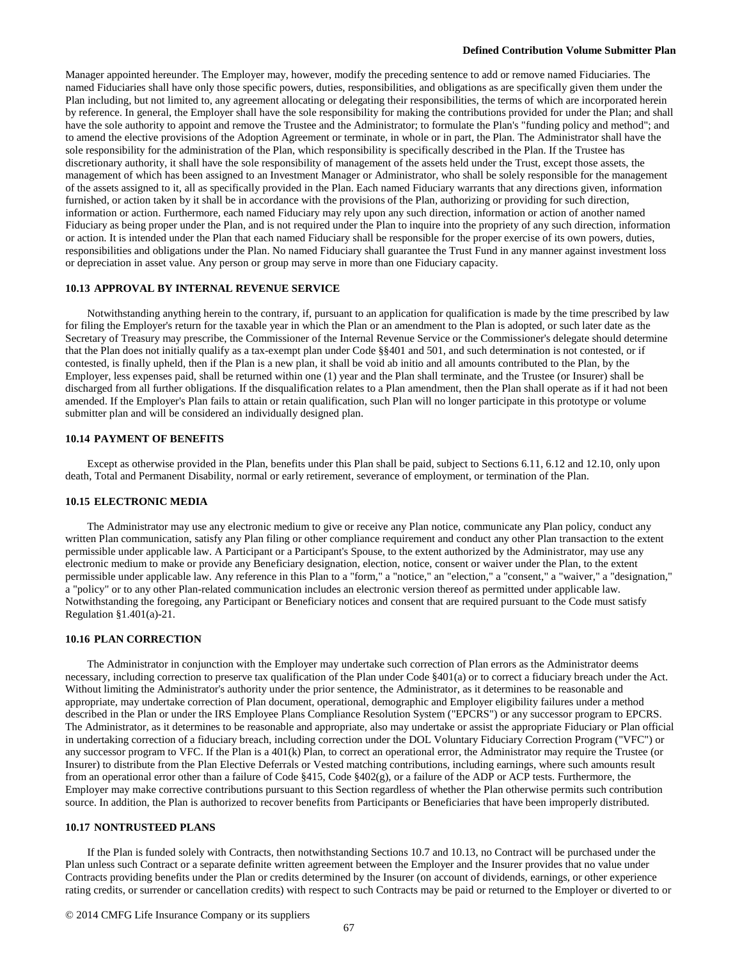Manager appointed hereunder. The Employer may, however, modify the preceding sentence to add or remove named Fiduciaries. The named Fiduciaries shall have only those specific powers, duties, responsibilities, and obligations as are specifically given them under the Plan including, but not limited to, any agreement allocating or delegating their responsibilities, the terms of which are incorporated herein by reference. In general, the Employer shall have the sole responsibility for making the contributions provided for under the Plan; and shall have the sole authority to appoint and remove the Trustee and the Administrator; to formulate the Plan's "funding policy and method"; and to amend the elective provisions of the Adoption Agreement or terminate, in whole or in part, the Plan. The Administrator shall have the sole responsibility for the administration of the Plan, which responsibility is specifically described in the Plan. If the Trustee has discretionary authority, it shall have the sole responsibility of management of the assets held under the Trust, except those assets, the management of which has been assigned to an Investment Manager or Administrator, who shall be solely responsible for the management of the assets assigned to it, all as specifically provided in the Plan. Each named Fiduciary warrants that any directions given, information furnished, or action taken by it shall be in accordance with the provisions of the Plan, authorizing or providing for such direction, information or action. Furthermore, each named Fiduciary may rely upon any such direction, information or action of another named Fiduciary as being proper under the Plan, and is not required under the Plan to inquire into the propriety of any such direction, information or action. It is intended under the Plan that each named Fiduciary shall be responsible for the proper exercise of its own powers, duties, responsibilities and obligations under the Plan. No named Fiduciary shall guarantee the Trust Fund in any manner against investment loss or depreciation in asset value. Any person or group may serve in more than one Fiduciary capacity.

### **10.13 APPROVAL BY INTERNAL REVENUE SERVICE**

Notwithstanding anything herein to the contrary, if, pursuant to an application for qualification is made by the time prescribed by law for filing the Employer's return for the taxable year in which the Plan or an amendment to the Plan is adopted, or such later date as the Secretary of Treasury may prescribe, the Commissioner of the Internal Revenue Service or the Commissioner's delegate should determine that the Plan does not initially qualify as a tax-exempt plan under Code §§401 and 501, and such determination is not contested, or if contested, is finally upheld, then if the Plan is a new plan, it shall be void ab initio and all amounts contributed to the Plan, by the Employer, less expenses paid, shall be returned within one (1) year and the Plan shall terminate, and the Trustee (or Insurer) shall be discharged from all further obligations. If the disqualification relates to a Plan amendment, then the Plan shall operate as if it had not been amended. If the Employer's Plan fails to attain or retain qualification, such Plan will no longer participate in this prototype or volume submitter plan and will be considered an individually designed plan.

#### **10.14 PAYMENT OF BENEFITS**

Except as otherwise provided in the Plan, benefits under this Plan shall be paid, subject to Sections 6.11, 6.12 and 12.10, only upon death, Total and Permanent Disability, normal or early retirement, severance of employment, or termination of the Plan.

#### **10.15 ELECTRONIC MEDIA**

The Administrator may use any electronic medium to give or receive any Plan notice, communicate any Plan policy, conduct any written Plan communication, satisfy any Plan filing or other compliance requirement and conduct any other Plan transaction to the extent permissible under applicable law. A Participant or a Participant's Spouse, to the extent authorized by the Administrator, may use any electronic medium to make or provide any Beneficiary designation, election, notice, consent or waiver under the Plan, to the extent permissible under applicable law. Any reference in this Plan to a "form," a "notice," an "election," a "consent," a "waiver," a "designation," a "policy" or to any other Plan-related communication includes an electronic version thereof as permitted under applicable law. Notwithstanding the foregoing, any Participant or Beneficiary notices and consent that are required pursuant to the Code must satisfy Regulation §1.401(a)-21.

### **10.16 PLAN CORRECTION**

The Administrator in conjunction with the Employer may undertake such correction of Plan errors as the Administrator deems necessary, including correction to preserve tax qualification of the Plan under Code §401(a) or to correct a fiduciary breach under the Act. Without limiting the Administrator's authority under the prior sentence, the Administrator, as it determines to be reasonable and appropriate, may undertake correction of Plan document, operational, demographic and Employer eligibility failures under a method described in the Plan or under the IRS Employee Plans Compliance Resolution System ("EPCRS") or any successor program to EPCRS. The Administrator, as it determines to be reasonable and appropriate, also may undertake or assist the appropriate Fiduciary or Plan official in undertaking correction of a fiduciary breach, including correction under the DOL Voluntary Fiduciary Correction Program ("VFC") or any successor program to VFC. If the Plan is a 401(k) Plan, to correct an operational error, the Administrator may require the Trustee (or Insurer) to distribute from the Plan Elective Deferrals or Vested matching contributions, including earnings, where such amounts result from an operational error other than a failure of Code §415, Code §402(g), or a failure of the ADP or ACP tests. Furthermore, the Employer may make corrective contributions pursuant to this Section regardless of whether the Plan otherwise permits such contribution source. In addition, the Plan is authorized to recover benefits from Participants or Beneficiaries that have been improperly distributed.

# **10.17 NONTRUSTEED PLANS**

If the Plan is funded solely with Contracts, then notwithstanding Sections 10.7 and 10.13, no Contract will be purchased under the Plan unless such Contract or a separate definite written agreement between the Employer and the Insurer provides that no value under Contracts providing benefits under the Plan or credits determined by the Insurer (on account of dividends, earnings, or other experience rating credits, or surrender or cancellation credits) with respect to such Contracts may be paid or returned to the Employer or diverted to or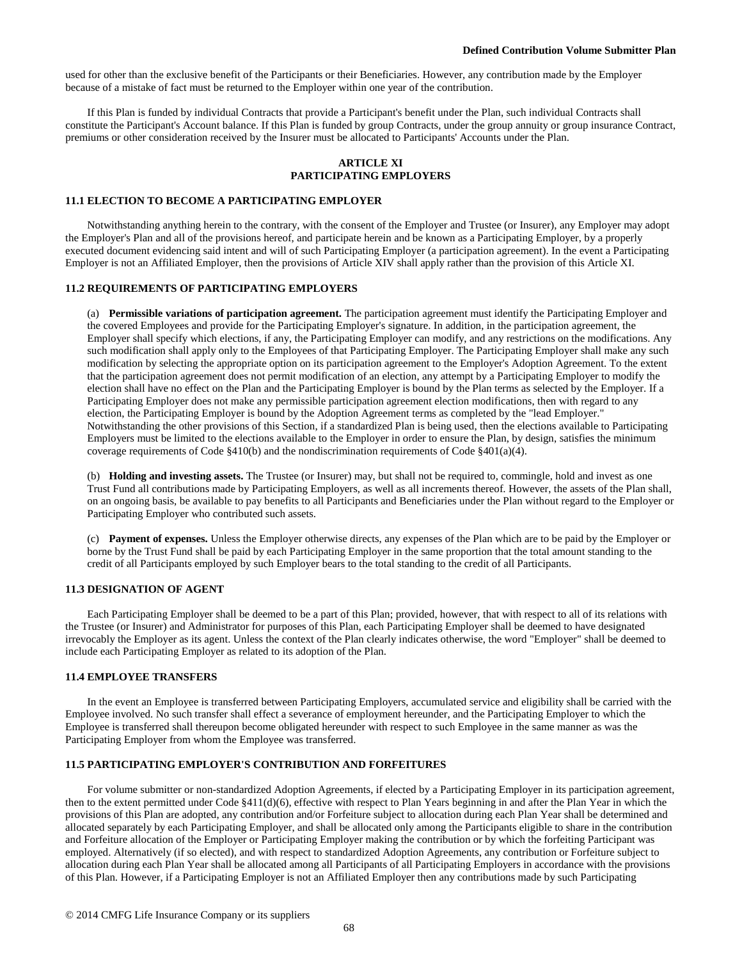used for other than the exclusive benefit of the Participants or their Beneficiaries. However, any contribution made by the Employer because of a mistake of fact must be returned to the Employer within one year of the contribution.

If this Plan is funded by individual Contracts that provide a Participant's benefit under the Plan, such individual Contracts shall constitute the Participant's Account balance. If this Plan is funded by group Contracts, under the group annuity or group insurance Contract, premiums or other consideration received by the Insurer must be allocated to Participants' Accounts under the Plan.

## **ARTICLE XI PARTICIPATING EMPLOYERS**

#### **11.1 ELECTION TO BECOME A PARTICIPATING EMPLOYER**

Notwithstanding anything herein to the contrary, with the consent of the Employer and Trustee (or Insurer), any Employer may adopt the Employer's Plan and all of the provisions hereof, and participate herein and be known as a Participating Employer, by a properly executed document evidencing said intent and will of such Participating Employer (a participation agreement). In the event a Participating Employer is not an Affiliated Employer, then the provisions of Article XIV shall apply rather than the provision of this Article XI.

## **11.2 REQUIREMENTS OF PARTICIPATING EMPLOYERS**

(a) **Permissible variations of participation agreement.** The participation agreement must identify the Participating Employer and the covered Employees and provide for the Participating Employer's signature. In addition, in the participation agreement, the Employer shall specify which elections, if any, the Participating Employer can modify, and any restrictions on the modifications. Any such modification shall apply only to the Employees of that Participating Employer. The Participating Employer shall make any such modification by selecting the appropriate option on its participation agreement to the Employer's Adoption Agreement. To the extent that the participation agreement does not permit modification of an election, any attempt by a Participating Employer to modify the election shall have no effect on the Plan and the Participating Employer is bound by the Plan terms as selected by the Employer. If a Participating Employer does not make any permissible participation agreement election modifications, then with regard to any election, the Participating Employer is bound by the Adoption Agreement terms as completed by the "lead Employer." Notwithstanding the other provisions of this Section, if a standardized Plan is being used, then the elections available to Participating Employers must be limited to the elections available to the Employer in order to ensure the Plan, by design, satisfies the minimum coverage requirements of Code  $\S410(b)$  and the nondiscrimination requirements of Code  $\S401(a)(4)$ .

(b) **Holding and investing assets.** The Trustee (or Insurer) may, but shall not be required to, commingle, hold and invest as one Trust Fund all contributions made by Participating Employers, as well as all increments thereof. However, the assets of the Plan shall, on an ongoing basis, be available to pay benefits to all Participants and Beneficiaries under the Plan without regard to the Employer or Participating Employer who contributed such assets.

(c) **Payment of expenses.** Unless the Employer otherwise directs, any expenses of the Plan which are to be paid by the Employer or borne by the Trust Fund shall be paid by each Participating Employer in the same proportion that the total amount standing to the credit of all Participants employed by such Employer bears to the total standing to the credit of all Participants.

## **11.3 DESIGNATION OF AGENT**

Each Participating Employer shall be deemed to be a part of this Plan; provided, however, that with respect to all of its relations with the Trustee (or Insurer) and Administrator for purposes of this Plan, each Participating Employer shall be deemed to have designated irrevocably the Employer as its agent. Unless the context of the Plan clearly indicates otherwise, the word "Employer" shall be deemed to include each Participating Employer as related to its adoption of the Plan.

#### **11.4 EMPLOYEE TRANSFERS**

In the event an Employee is transferred between Participating Employers, accumulated service and eligibility shall be carried with the Employee involved. No such transfer shall effect a severance of employment hereunder, and the Participating Employer to which the Employee is transferred shall thereupon become obligated hereunder with respect to such Employee in the same manner as was the Participating Employer from whom the Employee was transferred.

#### **11.5 PARTICIPATING EMPLOYER'S CONTRIBUTION AND FORFEITURES**

For volume submitter or non-standardized Adoption Agreements, if elected by a Participating Employer in its participation agreement, then to the extent permitted under Code §411(d)(6), effective with respect to Plan Years beginning in and after the Plan Year in which the provisions of this Plan are adopted, any contribution and/or Forfeiture subject to allocation during each Plan Year shall be determined and allocated separately by each Participating Employer, and shall be allocated only among the Participants eligible to share in the contribution and Forfeiture allocation of the Employer or Participating Employer making the contribution or by which the forfeiting Participant was employed. Alternatively (if so elected), and with respect to standardized Adoption Agreements, any contribution or Forfeiture subject to allocation during each Plan Year shall be allocated among all Participants of all Participating Employers in accordance with the provisions of this Plan. However, if a Participating Employer is not an Affiliated Employer then any contributions made by such Participating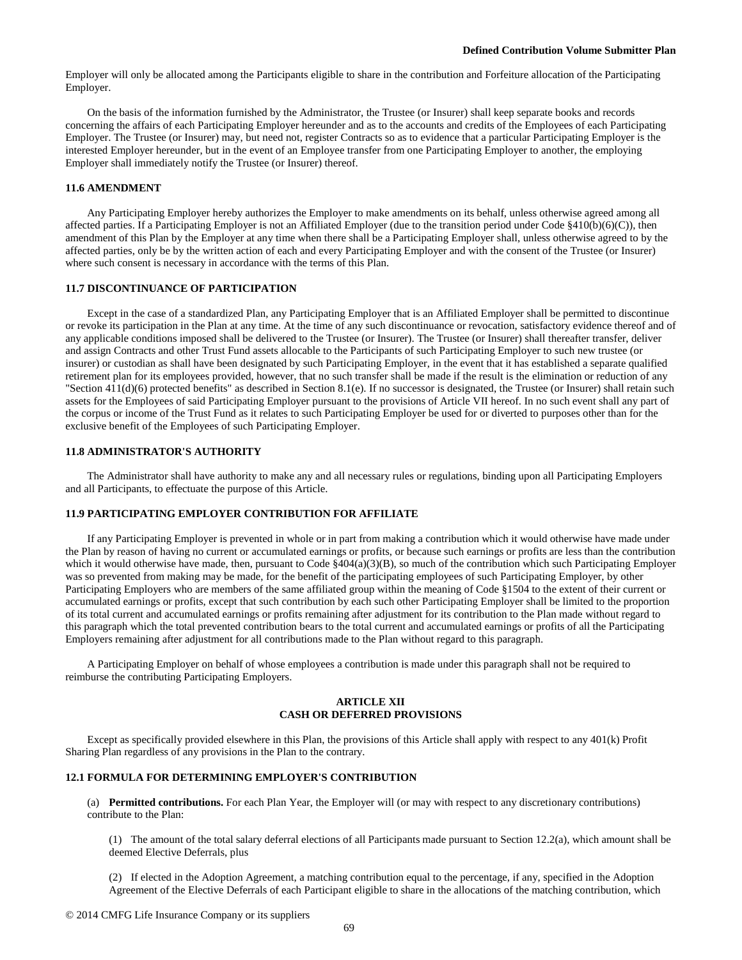Employer will only be allocated among the Participants eligible to share in the contribution and Forfeiture allocation of the Participating Employer.

On the basis of the information furnished by the Administrator, the Trustee (or Insurer) shall keep separate books and records concerning the affairs of each Participating Employer hereunder and as to the accounts and credits of the Employees of each Participating Employer. The Trustee (or Insurer) may, but need not, register Contracts so as to evidence that a particular Participating Employer is the interested Employer hereunder, but in the event of an Employee transfer from one Participating Employer to another, the employing Employer shall immediately notify the Trustee (or Insurer) thereof.

#### **11.6 AMENDMENT**

Any Participating Employer hereby authorizes the Employer to make amendments on its behalf, unless otherwise agreed among all affected parties. If a Participating Employer is not an Affiliated Employer (due to the transition period under Code §410(b)(6)(C)), then amendment of this Plan by the Employer at any time when there shall be a Participating Employer shall, unless otherwise agreed to by the affected parties, only be by the written action of each and every Participating Employer and with the consent of the Trustee (or Insurer) where such consent is necessary in accordance with the terms of this Plan.

### **11.7 DISCONTINUANCE OF PARTICIPATION**

Except in the case of a standardized Plan, any Participating Employer that is an Affiliated Employer shall be permitted to discontinue or revoke its participation in the Plan at any time. At the time of any such discontinuance or revocation, satisfactory evidence thereof and of any applicable conditions imposed shall be delivered to the Trustee (or Insurer). The Trustee (or Insurer) shall thereafter transfer, deliver and assign Contracts and other Trust Fund assets allocable to the Participants of such Participating Employer to such new trustee (or insurer) or custodian as shall have been designated by such Participating Employer, in the event that it has established a separate qualified retirement plan for its employees provided, however, that no such transfer shall be made if the result is the elimination or reduction of any "Section 411(d)(6) protected benefits" as described in Section 8.1(e). If no successor is designated, the Trustee (or Insurer) shall retain such assets for the Employees of said Participating Employer pursuant to the provisions of Article VII hereof. In no such event shall any part of the corpus or income of the Trust Fund as it relates to such Participating Employer be used for or diverted to purposes other than for the exclusive benefit of the Employees of such Participating Employer.

## **11.8 ADMINISTRATOR'S AUTHORITY**

The Administrator shall have authority to make any and all necessary rules or regulations, binding upon all Participating Employers and all Participants, to effectuate the purpose of this Article.

# **11.9 PARTICIPATING EMPLOYER CONTRIBUTION FOR AFFILIATE**

If any Participating Employer is prevented in whole or in part from making a contribution which it would otherwise have made under the Plan by reason of having no current or accumulated earnings or profits, or because such earnings or profits are less than the contribution which it would otherwise have made, then, pursuant to Code  $\frac{8404(a)(3)(B)}{2}$ , so much of the contribution which such Participating Employer was so prevented from making may be made, for the benefit of the participating employees of such Participating Employer, by other Participating Employers who are members of the same affiliated group within the meaning of Code §1504 to the extent of their current or accumulated earnings or profits, except that such contribution by each such other Participating Employer shall be limited to the proportion of its total current and accumulated earnings or profits remaining after adjustment for its contribution to the Plan made without regard to this paragraph which the total prevented contribution bears to the total current and accumulated earnings or profits of all the Participating Employers remaining after adjustment for all contributions made to the Plan without regard to this paragraph.

A Participating Employer on behalf of whose employees a contribution is made under this paragraph shall not be required to reimburse the contributing Participating Employers.

## **ARTICLE XII CASH OR DEFERRED PROVISIONS**

Except as specifically provided elsewhere in this Plan, the provisions of this Article shall apply with respect to any 401(k) Profit Sharing Plan regardless of any provisions in the Plan to the contrary.

#### **12.1 FORMULA FOR DETERMINING EMPLOYER'S CONTRIBUTION**

(a) **Permitted contributions.** For each Plan Year, the Employer will (or may with respect to any discretionary contributions) contribute to the Plan:

(1) The amount of the total salary deferral elections of all Participants made pursuant to Section 12.2(a), which amount shall be deemed Elective Deferrals, plus

(2) If elected in the Adoption Agreement, a matching contribution equal to the percentage, if any, specified in the Adoption Agreement of the Elective Deferrals of each Participant eligible to share in the allocations of the matching contribution, which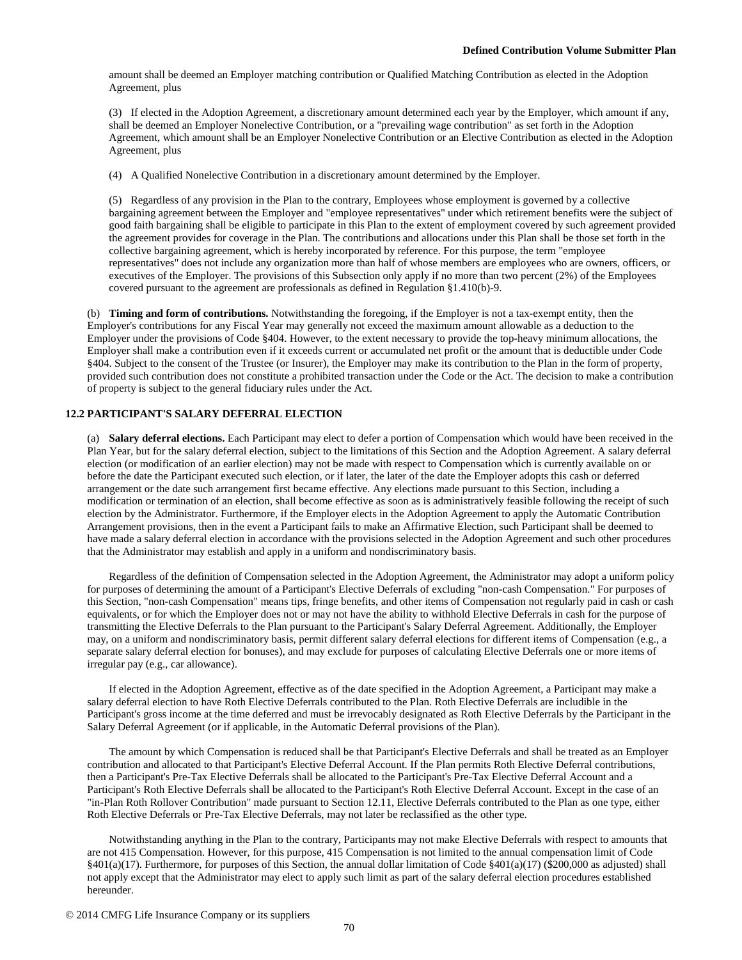amount shall be deemed an Employer matching contribution or Qualified Matching Contribution as elected in the Adoption Agreement, plus

(3) If elected in the Adoption Agreement, a discretionary amount determined each year by the Employer, which amount if any, shall be deemed an Employer Nonelective Contribution, or a "prevailing wage contribution" as set forth in the Adoption Agreement, which amount shall be an Employer Nonelective Contribution or an Elective Contribution as elected in the Adoption Agreement, plus

(4) A Qualified Nonelective Contribution in a discretionary amount determined by the Employer.

(5) Regardless of any provision in the Plan to the contrary, Employees whose employment is governed by a collective bargaining agreement between the Employer and "employee representatives" under which retirement benefits were the subject of good faith bargaining shall be eligible to participate in this Plan to the extent of employment covered by such agreement provided the agreement provides for coverage in the Plan. The contributions and allocations under this Plan shall be those set forth in the collective bargaining agreement, which is hereby incorporated by reference. For this purpose, the term "employee representatives" does not include any organization more than half of whose members are employees who are owners, officers, or executives of the Employer. The provisions of this Subsection only apply if no more than two percent (2%) of the Employees covered pursuant to the agreement are professionals as defined in Regulation §1.410(b)-9.

(b) **Timing and form of contributions.** Notwithstanding the foregoing, if the Employer is not a tax-exempt entity, then the Employer's contributions for any Fiscal Year may generally not exceed the maximum amount allowable as a deduction to the Employer under the provisions of Code §404. However, to the extent necessary to provide the top-heavy minimum allocations, the Employer shall make a contribution even if it exceeds current or accumulated net profit or the amount that is deductible under Code §404. Subject to the consent of the Trustee (or Insurer), the Employer may make its contribution to the Plan in the form of property, provided such contribution does not constitute a prohibited transaction under the Code or the Act. The decision to make a contribution of property is subject to the general fiduciary rules under the Act.

## **12.2 PARTICIPANT'S SALARY DEFERRAL ELECTION**

(a) **Salary deferral elections.** Each Participant may elect to defer a portion of Compensation which would have been received in the Plan Year, but for the salary deferral election, subject to the limitations of this Section and the Adoption Agreement. A salary deferral election (or modification of an earlier election) may not be made with respect to Compensation which is currently available on or before the date the Participant executed such election, or if later, the later of the date the Employer adopts this cash or deferred arrangement or the date such arrangement first became effective. Any elections made pursuant to this Section, including a modification or termination of an election, shall become effective as soon as is administratively feasible following the receipt of such election by the Administrator. Furthermore, if the Employer elects in the Adoption Agreement to apply the Automatic Contribution Arrangement provisions, then in the event a Participant fails to make an Affirmative Election, such Participant shall be deemed to have made a salary deferral election in accordance with the provisions selected in the Adoption Agreement and such other procedures that the Administrator may establish and apply in a uniform and nondiscriminatory basis.

Regardless of the definition of Compensation selected in the Adoption Agreement, the Administrator may adopt a uniform policy for purposes of determining the amount of a Participant's Elective Deferrals of excluding "non-cash Compensation." For purposes of this Section, "non-cash Compensation" means tips, fringe benefits, and other items of Compensation not regularly paid in cash or cash equivalents, or for which the Employer does not or may not have the ability to withhold Elective Deferrals in cash for the purpose of transmitting the Elective Deferrals to the Plan pursuant to the Participant's Salary Deferral Agreement. Additionally, the Employer may, on a uniform and nondiscriminatory basis, permit different salary deferral elections for different items of Compensation (e.g., a separate salary deferral election for bonuses), and may exclude for purposes of calculating Elective Deferrals one or more items of irregular pay (e.g., car allowance).

If elected in the Adoption Agreement, effective as of the date specified in the Adoption Agreement, a Participant may make a salary deferral election to have Roth Elective Deferrals contributed to the Plan. Roth Elective Deferrals are includible in the Participant's gross income at the time deferred and must be irrevocably designated as Roth Elective Deferrals by the Participant in the Salary Deferral Agreement (or if applicable, in the Automatic Deferral provisions of the Plan).

The amount by which Compensation is reduced shall be that Participant's Elective Deferrals and shall be treated as an Employer contribution and allocated to that Participant's Elective Deferral Account. If the Plan permits Roth Elective Deferral contributions, then a Participant's Pre-Tax Elective Deferrals shall be allocated to the Participant's Pre-Tax Elective Deferral Account and a Participant's Roth Elective Deferrals shall be allocated to the Participant's Roth Elective Deferral Account. Except in the case of an "in-Plan Roth Rollover Contribution" made pursuant to Section 12.11, Elective Deferrals contributed to the Plan as one type, either Roth Elective Deferrals or Pre-Tax Elective Deferrals, may not later be reclassified as the other type.

Notwithstanding anything in the Plan to the contrary, Participants may not make Elective Deferrals with respect to amounts that are not 415 Compensation. However, for this purpose, 415 Compensation is not limited to the annual compensation limit of Code §401(a)(17). Furthermore, for purposes of this Section, the annual dollar limitation of Code §401(a)(17) (\$200,000 as adjusted) shall not apply except that the Administrator may elect to apply such limit as part of the salary deferral election procedures established hereunder.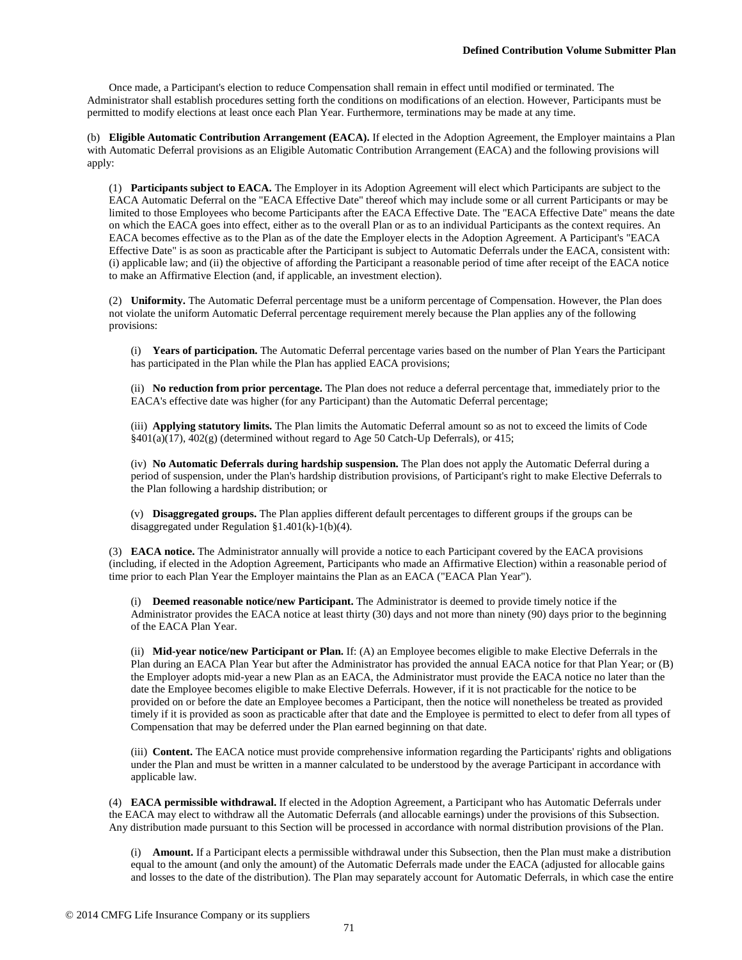Once made, a Participant's election to reduce Compensation shall remain in effect until modified or terminated. The Administrator shall establish procedures setting forth the conditions on modifications of an election. However, Participants must be permitted to modify elections at least once each Plan Year. Furthermore, terminations may be made at any time.

(b) **Eligible Automatic Contribution Arrangement (EACA).** If elected in the Adoption Agreement, the Employer maintains a Plan with Automatic Deferral provisions as an Eligible Automatic Contribution Arrangement (EACA) and the following provisions will apply:

(1) **Participants subject to EACA.** The Employer in its Adoption Agreement will elect which Participants are subject to the EACA Automatic Deferral on the "EACA Effective Date" thereof which may include some or all current Participants or may be limited to those Employees who become Participants after the EACA Effective Date. The "EACA Effective Date" means the date on which the EACA goes into effect, either as to the overall Plan or as to an individual Participants as the context requires. An EACA becomes effective as to the Plan as of the date the Employer elects in the Adoption Agreement. A Participant's "EACA Effective Date" is as soon as practicable after the Participant is subject to Automatic Deferrals under the EACA, consistent with: (i) applicable law; and (ii) the objective of affording the Participant a reasonable period of time after receipt of the EACA notice to make an Affirmative Election (and, if applicable, an investment election).

(2) **Uniformity.** The Automatic Deferral percentage must be a uniform percentage of Compensation. However, the Plan does not violate the uniform Automatic Deferral percentage requirement merely because the Plan applies any of the following provisions:

(i) **Years of participation.** The Automatic Deferral percentage varies based on the number of Plan Years the Participant has participated in the Plan while the Plan has applied EACA provisions;

(ii) **No reduction from prior percentage.** The Plan does not reduce a deferral percentage that, immediately prior to the EACA's effective date was higher (for any Participant) than the Automatic Deferral percentage;

(iii) **Applying statutory limits.** The Plan limits the Automatic Deferral amount so as not to exceed the limits of Code §401(a)(17), 402(g) (determined without regard to Age 50 Catch-Up Deferrals), or 415;

(iv) **No Automatic Deferrals during hardship suspension.** The Plan does not apply the Automatic Deferral during a period of suspension, under the Plan's hardship distribution provisions, of Participant's right to make Elective Deferrals to the Plan following a hardship distribution; or

(v) **Disaggregated groups.** The Plan applies different default percentages to different groups if the groups can be disaggregated under Regulation §1.401(k)-1(b)(4).

(3) **EACA notice.** The Administrator annually will provide a notice to each Participant covered by the EACA provisions (including, if elected in the Adoption Agreement, Participants who made an Affirmative Election) within a reasonable period of time prior to each Plan Year the Employer maintains the Plan as an EACA ("EACA Plan Year").

(i) **Deemed reasonable notice/new Participant.** The Administrator is deemed to provide timely notice if the Administrator provides the EACA notice at least thirty (30) days and not more than ninety (90) days prior to the beginning of the EACA Plan Year.

(ii) **Mid-year notice/new Participant or Plan.** If: (A) an Employee becomes eligible to make Elective Deferrals in the Plan during an EACA Plan Year but after the Administrator has provided the annual EACA notice for that Plan Year; or (B) the Employer adopts mid-year a new Plan as an EACA, the Administrator must provide the EACA notice no later than the date the Employee becomes eligible to make Elective Deferrals. However, if it is not practicable for the notice to be provided on or before the date an Employee becomes a Participant, then the notice will nonetheless be treated as provided timely if it is provided as soon as practicable after that date and the Employee is permitted to elect to defer from all types of Compensation that may be deferred under the Plan earned beginning on that date.

(iii) **Content.** The EACA notice must provide comprehensive information regarding the Participants' rights and obligations under the Plan and must be written in a manner calculated to be understood by the average Participant in accordance with applicable law.

(4) **EACA permissible withdrawal.** If elected in the Adoption Agreement, a Participant who has Automatic Deferrals under the EACA may elect to withdraw all the Automatic Deferrals (and allocable earnings) under the provisions of this Subsection. Any distribution made pursuant to this Section will be processed in accordance with normal distribution provisions of the Plan.

(i) **Amount.** If a Participant elects a permissible withdrawal under this Subsection, then the Plan must make a distribution equal to the amount (and only the amount) of the Automatic Deferrals made under the EACA (adjusted for allocable gains and losses to the date of the distribution). The Plan may separately account for Automatic Deferrals, in which case the entire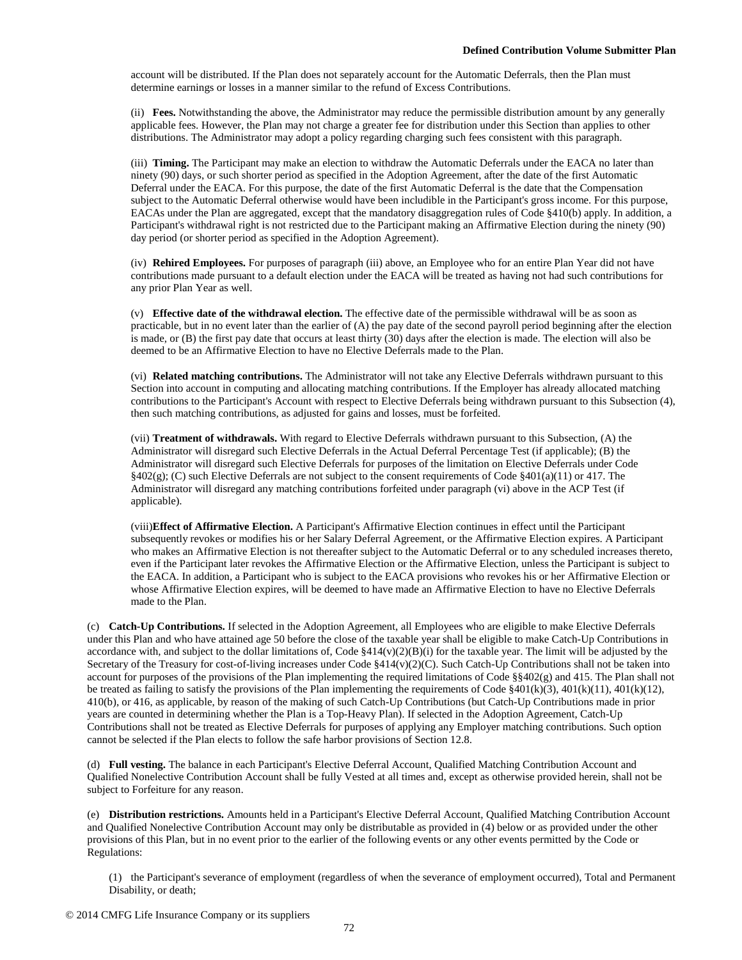account will be distributed. If the Plan does not separately account for the Automatic Deferrals, then the Plan must determine earnings or losses in a manner similar to the refund of Excess Contributions.

(ii) **Fees.** Notwithstanding the above, the Administrator may reduce the permissible distribution amount by any generally applicable fees. However, the Plan may not charge a greater fee for distribution under this Section than applies to other distributions. The Administrator may adopt a policy regarding charging such fees consistent with this paragraph.

(iii) **Timing.** The Participant may make an election to withdraw the Automatic Deferrals under the EACA no later than ninety (90) days, or such shorter period as specified in the Adoption Agreement, after the date of the first Automatic Deferral under the EACA. For this purpose, the date of the first Automatic Deferral is the date that the Compensation subject to the Automatic Deferral otherwise would have been includible in the Participant's gross income. For this purpose, EACAs under the Plan are aggregated, except that the mandatory disaggregation rules of Code §410(b) apply. In addition, a Participant's withdrawal right is not restricted due to the Participant making an Affirmative Election during the ninety (90) day period (or shorter period as specified in the Adoption Agreement).

(iv) **Rehired Employees.** For purposes of paragraph (iii) above, an Employee who for an entire Plan Year did not have contributions made pursuant to a default election under the EACA will be treated as having not had such contributions for any prior Plan Year as well.

(v) **Effective date of the withdrawal election.** The effective date of the permissible withdrawal will be as soon as practicable, but in no event later than the earlier of (A) the pay date of the second payroll period beginning after the election is made, or (B) the first pay date that occurs at least thirty (30) days after the election is made. The election will also be deemed to be an Affirmative Election to have no Elective Deferrals made to the Plan.

(vi) **Related matching contributions.** The Administrator will not take any Elective Deferrals withdrawn pursuant to this Section into account in computing and allocating matching contributions. If the Employer has already allocated matching contributions to the Participant's Account with respect to Elective Deferrals being withdrawn pursuant to this Subsection (4), then such matching contributions, as adjusted for gains and losses, must be forfeited.

(vii) **Treatment of withdrawals.** With regard to Elective Deferrals withdrawn pursuant to this Subsection, (A) the Administrator will disregard such Elective Deferrals in the Actual Deferral Percentage Test (if applicable); (B) the Administrator will disregard such Elective Deferrals for purposes of the limitation on Elective Deferrals under Code §402(g); (C) such Elective Deferrals are not subject to the consent requirements of Code §401(a)(11) or 417. The Administrator will disregard any matching contributions forfeited under paragraph (vi) above in the ACP Test (if applicable).

(viii)**Effect of Affirmative Election.** A Participant's Affirmative Election continues in effect until the Participant subsequently revokes or modifies his or her Salary Deferral Agreement, or the Affirmative Election expires. A Participant who makes an Affirmative Election is not thereafter subject to the Automatic Deferral or to any scheduled increases thereto, even if the Participant later revokes the Affirmative Election or the Affirmative Election, unless the Participant is subject to the EACA. In addition, a Participant who is subject to the EACA provisions who revokes his or her Affirmative Election or whose Affirmative Election expires, will be deemed to have made an Affirmative Election to have no Elective Deferrals made to the Plan.

(c) **Catch-Up Contributions.** If selected in the Adoption Agreement, all Employees who are eligible to make Elective Deferrals under this Plan and who have attained age 50 before the close of the taxable year shall be eligible to make Catch-Up Contributions in accordance with, and subject to the dollar limitations of, Code  $$414(v)(2)(B)(i)$  for the taxable year. The limit will be adjusted by the Secretary of the Treasury for cost-of-living increases under Code §414(v)(2)(C). Such Catch-Up Contributions shall not be taken into account for purposes of the provisions of the Plan implementing the required limitations of Code  $\S$ 402(g) and 415. The Plan shall not be treated as failing to satisfy the provisions of the Plan implementing the requirements of Code §401(k)(3), 401(k)(11), 401(k)(12), 410(b), or 416, as applicable, by reason of the making of such Catch-Up Contributions (but Catch-Up Contributions made in prior years are counted in determining whether the Plan is a Top-Heavy Plan). If selected in the Adoption Agreement, Catch-Up Contributions shall not be treated as Elective Deferrals for purposes of applying any Employer matching contributions. Such option cannot be selected if the Plan elects to follow the safe harbor provisions of Section 12.8.

(d) **Full vesting.** The balance in each Participant's Elective Deferral Account, Qualified Matching Contribution Account and Qualified Nonelective Contribution Account shall be fully Vested at all times and, except as otherwise provided herein, shall not be subject to Forfeiture for any reason.

(e) **Distribution restrictions.** Amounts held in a Participant's Elective Deferral Account, Qualified Matching Contribution Account and Qualified Nonelective Contribution Account may only be distributable as provided in (4) below or as provided under the other provisions of this Plan, but in no event prior to the earlier of the following events or any other events permitted by the Code or Regulations:

(1) the Participant's severance of employment (regardless of when the severance of employment occurred), Total and Permanent Disability, or death;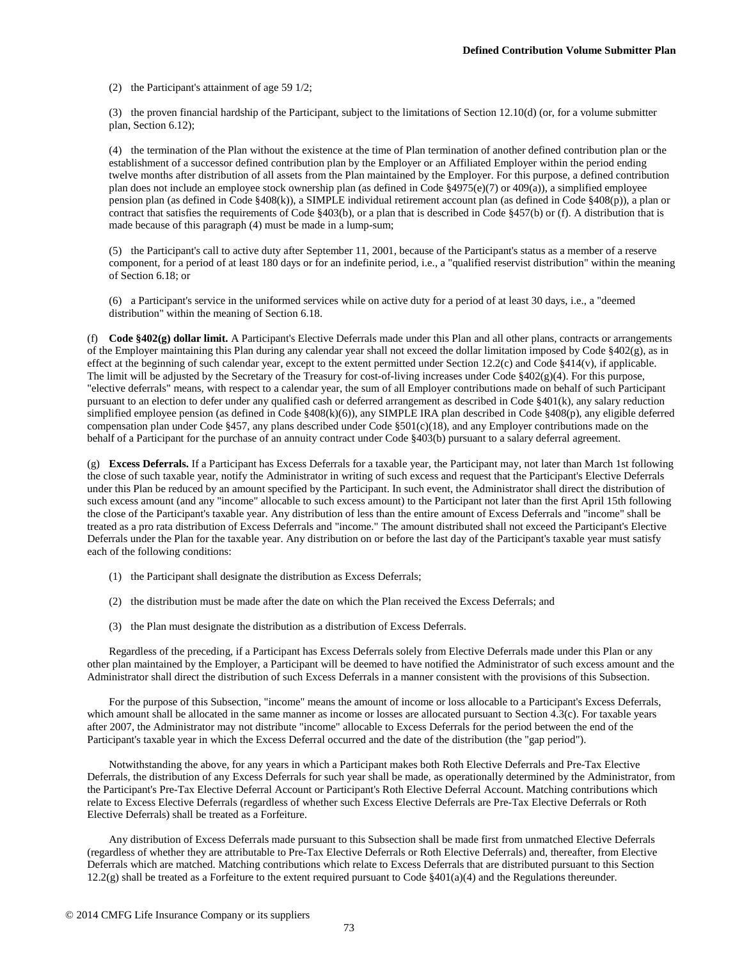(2) the Participant's attainment of age 59 1/2;

(3) the proven financial hardship of the Participant, subject to the limitations of Section 12.10(d) (or, for a volume submitter plan, Section 6.12);

(4) the termination of the Plan without the existence at the time of Plan termination of another defined contribution plan or the establishment of a successor defined contribution plan by the Employer or an Affiliated Employer within the period ending twelve months after distribution of all assets from the Plan maintained by the Employer. For this purpose, a defined contribution plan does not include an employee stock ownership plan (as defined in Code §4975(e)(7) or 409(a)), a simplified employee pension plan (as defined in Code §408(k)), a SIMPLE individual retirement account plan (as defined in Code §408(p)), a plan or contract that satisfies the requirements of Code §403(b), or a plan that is described in Code §457(b) or (f). A distribution that is made because of this paragraph (4) must be made in a lump-sum;

(5) the Participant's call to active duty after September 11, 2001, because of the Participant's status as a member of a reserve component, for a period of at least 180 days or for an indefinite period, i.e., a "qualified reservist distribution" within the meaning of Section 6.18; or

(6) a Participant's service in the uniformed services while on active duty for a period of at least 30 days, i.e., a "deemed distribution" within the meaning of Section 6.18.

(f) **Code §402(g) dollar limit.** A Participant's Elective Deferrals made under this Plan and all other plans, contracts or arrangements of the Employer maintaining this Plan during any calendar year shall not exceed the dollar limitation imposed by Code §402(g), as in effect at the beginning of such calendar year, except to the extent permitted under Section 12.2(c) and Code §414(v), if applicable. The limit will be adjusted by the Secretary of the Treasury for cost-of-living increases under Code §402(g)(4). For this purpose, "elective deferrals" means, with respect to a calendar year, the sum of all Employer contributions made on behalf of such Participant pursuant to an election to defer under any qualified cash or deferred arrangement as described in Code §401(k), any salary reduction simplified employee pension (as defined in Code §408(k)(6)), any SIMPLE IRA plan described in Code §408(p), any eligible deferred compensation plan under Code §457, any plans described under Code §501(c)(18), and any Employer contributions made on the behalf of a Participant for the purchase of an annuity contract under Code §403(b) pursuant to a salary deferral agreement.

(g) **Excess Deferrals.** If a Participant has Excess Deferrals for a taxable year, the Participant may, not later than March 1st following the close of such taxable year, notify the Administrator in writing of such excess and request that the Participant's Elective Deferrals under this Plan be reduced by an amount specified by the Participant. In such event, the Administrator shall direct the distribution of such excess amount (and any "income" allocable to such excess amount) to the Participant not later than the first April 15th following the close of the Participant's taxable year. Any distribution of less than the entire amount of Excess Deferrals and "income" shall be treated as a pro rata distribution of Excess Deferrals and "income." The amount distributed shall not exceed the Participant's Elective Deferrals under the Plan for the taxable year. Any distribution on or before the last day of the Participant's taxable year must satisfy each of the following conditions:

- (1) the Participant shall designate the distribution as Excess Deferrals;
- (2) the distribution must be made after the date on which the Plan received the Excess Deferrals; and
- (3) the Plan must designate the distribution as a distribution of Excess Deferrals.

Regardless of the preceding, if a Participant has Excess Deferrals solely from Elective Deferrals made under this Plan or any other plan maintained by the Employer, a Participant will be deemed to have notified the Administrator of such excess amount and the Administrator shall direct the distribution of such Excess Deferrals in a manner consistent with the provisions of this Subsection.

For the purpose of this Subsection, "income" means the amount of income or loss allocable to a Participant's Excess Deferrals, which amount shall be allocated in the same manner as income or losses are allocated pursuant to Section 4.3(c). For taxable years after 2007, the Administrator may not distribute "income" allocable to Excess Deferrals for the period between the end of the Participant's taxable year in which the Excess Deferral occurred and the date of the distribution (the "gap period").

Notwithstanding the above, for any years in which a Participant makes both Roth Elective Deferrals and Pre-Tax Elective Deferrals, the distribution of any Excess Deferrals for such year shall be made, as operationally determined by the Administrator, from the Participant's Pre-Tax Elective Deferral Account or Participant's Roth Elective Deferral Account. Matching contributions which relate to Excess Elective Deferrals (regardless of whether such Excess Elective Deferrals are Pre-Tax Elective Deferrals or Roth Elective Deferrals) shall be treated as a Forfeiture.

Any distribution of Excess Deferrals made pursuant to this Subsection shall be made first from unmatched Elective Deferrals (regardless of whether they are attributable to Pre-Tax Elective Deferrals or Roth Elective Deferrals) and, thereafter, from Elective Deferrals which are matched. Matching contributions which relate to Excess Deferrals that are distributed pursuant to this Section 12.2(g) shall be treated as a Forfeiture to the extent required pursuant to Code  $\S401(a)(4)$  and the Regulations thereunder.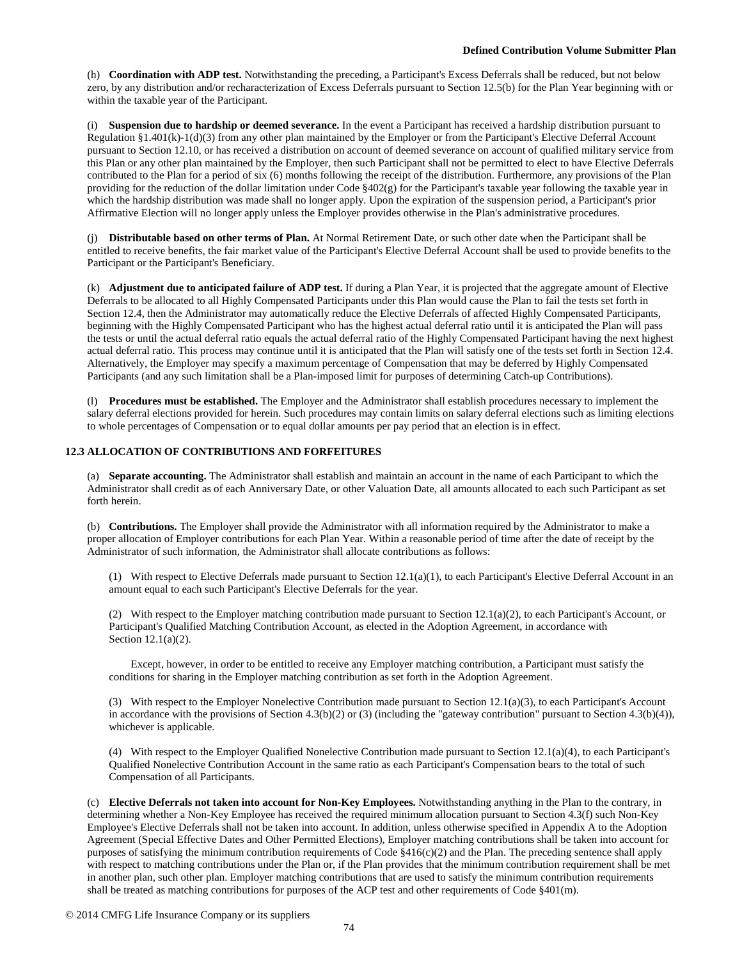(h) **Coordination with ADP test.** Notwithstanding the preceding, a Participant's Excess Deferrals shall be reduced, but not below zero, by any distribution and/or recharacterization of Excess Deferrals pursuant to Section 12.5(b) for the Plan Year beginning with or within the taxable year of the Participant.

(i) **Suspension due to hardship or deemed severance.** In the event a Participant has received a hardship distribution pursuant to Regulation §1.401(k)-1(d)(3) from any other plan maintained by the Employer or from the Participant's Elective Deferral Account pursuant to Section 12.10, or has received a distribution on account of deemed severance on account of qualified military service from this Plan or any other plan maintained by the Employer, then such Participant shall not be permitted to elect to have Elective Deferrals contributed to the Plan for a period of six (6) months following the receipt of the distribution. Furthermore, any provisions of the Plan providing for the reduction of the dollar limitation under Code §402(g) for the Participant's taxable year following the taxable year in which the hardship distribution was made shall no longer apply. Upon the expiration of the suspension period, a Participant's prior Affirmative Election will no longer apply unless the Employer provides otherwise in the Plan's administrative procedures.

(j) **Distributable based on other terms of Plan.** At Normal Retirement Date, or such other date when the Participant shall be entitled to receive benefits, the fair market value of the Participant's Elective Deferral Account shall be used to provide benefits to the Participant or the Participant's Beneficiary.

(k) **Adjustment due to anticipated failure of ADP test.** If during a Plan Year, it is projected that the aggregate amount of Elective Deferrals to be allocated to all Highly Compensated Participants under this Plan would cause the Plan to fail the tests set forth in Section 12.4, then the Administrator may automatically reduce the Elective Deferrals of affected Highly Compensated Participants, beginning with the Highly Compensated Participant who has the highest actual deferral ratio until it is anticipated the Plan will pass the tests or until the actual deferral ratio equals the actual deferral ratio of the Highly Compensated Participant having the next highest actual deferral ratio. This process may continue until it is anticipated that the Plan will satisfy one of the tests set forth in Section 12.4. Alternatively, the Employer may specify a maximum percentage of Compensation that may be deferred by Highly Compensated Participants (and any such limitation shall be a Plan-imposed limit for purposes of determining Catch-up Contributions).

(l) **Procedures must be established.** The Employer and the Administrator shall establish procedures necessary to implement the salary deferral elections provided for herein. Such procedures may contain limits on salary deferral elections such as limiting elections to whole percentages of Compensation or to equal dollar amounts per pay period that an election is in effect.

## **12.3 ALLOCATION OF CONTRIBUTIONS AND FORFEITURES**

(a) **Separate accounting.** The Administrator shall establish and maintain an account in the name of each Participant to which the Administrator shall credit as of each Anniversary Date, or other Valuation Date, all amounts allocated to each such Participant as set forth herein.

(b) **Contributions.** The Employer shall provide the Administrator with all information required by the Administrator to make a proper allocation of Employer contributions for each Plan Year. Within a reasonable period of time after the date of receipt by the Administrator of such information, the Administrator shall allocate contributions as follows:

(1) With respect to Elective Deferrals made pursuant to Section 12.1(a)(1), to each Participant's Elective Deferral Account in an amount equal to each such Participant's Elective Deferrals for the year.

(2) With respect to the Employer matching contribution made pursuant to Section  $12.1(a)(2)$ , to each Participant's Account, or Participant's Qualified Matching Contribution Account, as elected in the Adoption Agreement, in accordance with Section 12.1(a)(2).

Except, however, in order to be entitled to receive any Employer matching contribution, a Participant must satisfy the conditions for sharing in the Employer matching contribution as set forth in the Adoption Agreement.

(3) With respect to the Employer Nonelective Contribution made pursuant to Section 12.1(a)(3), to each Participant's Account in accordance with the provisions of Section 4.3(b)(2) or (3) (including the "gateway contribution" pursuant to Section 4.3(b)(4)), whichever is applicable.

(4) With respect to the Employer Qualified Nonelective Contribution made pursuant to Section 12.1(a)(4), to each Participant's Qualified Nonelective Contribution Account in the same ratio as each Participant's Compensation bears to the total of such Compensation of all Participants.

(c) **Elective Deferrals not taken into account for Non-Key Employees.** Notwithstanding anything in the Plan to the contrary, in determining whether a Non-Key Employee has received the required minimum allocation pursuant to Section 4.3(f) such Non-Key Employee's Elective Deferrals shall not be taken into account. In addition, unless otherwise specified in Appendix A to the Adoption Agreement (Special Effective Dates and Other Permitted Elections), Employer matching contributions shall be taken into account for purposes of satisfying the minimum contribution requirements of Code §416(c)(2) and the Plan. The preceding sentence shall apply with respect to matching contributions under the Plan or, if the Plan provides that the minimum contribution requirement shall be met in another plan, such other plan. Employer matching contributions that are used to satisfy the minimum contribution requirements shall be treated as matching contributions for purposes of the ACP test and other requirements of Code §401(m).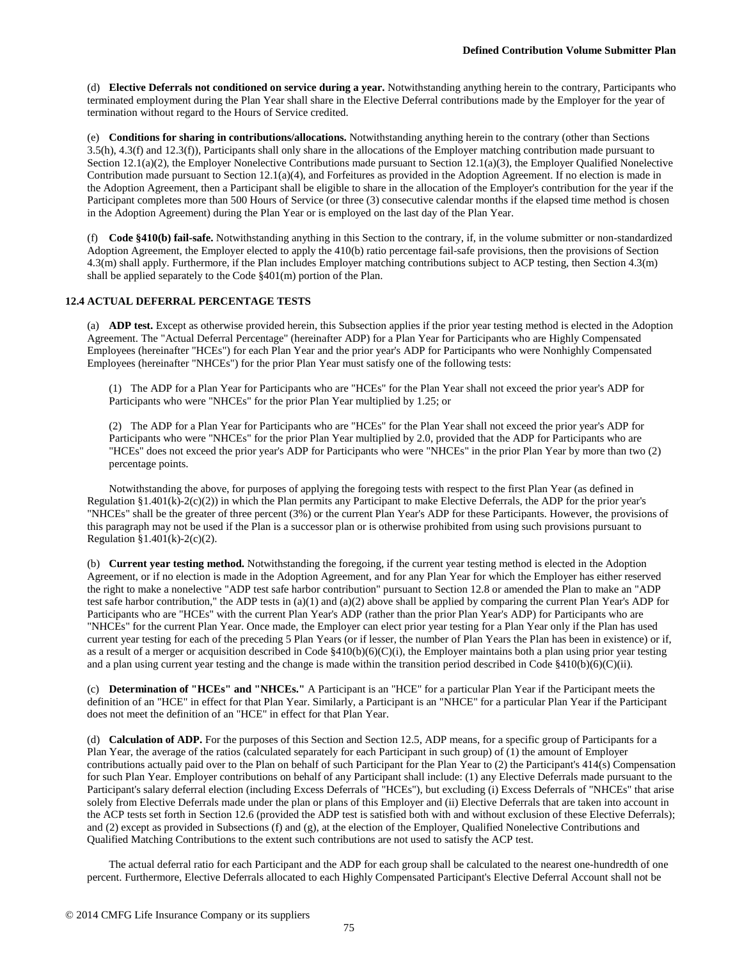(d) **Elective Deferrals not conditioned on service during a year.** Notwithstanding anything herein to the contrary, Participants who terminated employment during the Plan Year shall share in the Elective Deferral contributions made by the Employer for the year of termination without regard to the Hours of Service credited.

(e) **Conditions for sharing in contributions/allocations.** Notwithstanding anything herein to the contrary (other than Sections 3.5(h), 4.3(f) and 12.3(f)), Participants shall only share in the allocations of the Employer matching contribution made pursuant to Section 12.1(a)(2), the Employer Nonelective Contributions made pursuant to Section 12.1(a)(3), the Employer Qualified Nonelective Contribution made pursuant to Section 12.1(a)(4), and Forfeitures as provided in the Adoption Agreement. If no election is made in the Adoption Agreement, then a Participant shall be eligible to share in the allocation of the Employer's contribution for the year if the Participant completes more than 500 Hours of Service (or three (3) consecutive calendar months if the elapsed time method is chosen in the Adoption Agreement) during the Plan Year or is employed on the last day of the Plan Year.

(f) **Code §410(b) fail-safe.** Notwithstanding anything in this Section to the contrary, if, in the volume submitter or non-standardized Adoption Agreement, the Employer elected to apply the 410(b) ratio percentage fail-safe provisions, then the provisions of Section 4.3(m) shall apply. Furthermore, if the Plan includes Employer matching contributions subject to ACP testing, then Section 4.3(m) shall be applied separately to the Code §401(m) portion of the Plan.

## **12.4 ACTUAL DEFERRAL PERCENTAGE TESTS**

(a) **ADP test.** Except as otherwise provided herein, this Subsection applies if the prior year testing method is elected in the Adoption Agreement. The "Actual Deferral Percentage" (hereinafter ADP) for a Plan Year for Participants who are Highly Compensated Employees (hereinafter "HCEs") for each Plan Year and the prior year's ADP for Participants who were Nonhighly Compensated Employees (hereinafter "NHCEs") for the prior Plan Year must satisfy one of the following tests:

(1) The ADP for a Plan Year for Participants who are "HCEs" for the Plan Year shall not exceed the prior year's ADP for Participants who were "NHCEs" for the prior Plan Year multiplied by 1.25; or

(2) The ADP for a Plan Year for Participants who are "HCEs" for the Plan Year shall not exceed the prior year's ADP for Participants who were "NHCEs" for the prior Plan Year multiplied by 2.0, provided that the ADP for Participants who are "HCEs" does not exceed the prior year's ADP for Participants who were "NHCEs" in the prior Plan Year by more than two (2) percentage points.

Notwithstanding the above, for purposes of applying the foregoing tests with respect to the first Plan Year (as defined in Regulation §1.401(k)-2(c)(2)) in which the Plan permits any Participant to make Elective Deferrals, the ADP for the prior year's "NHCEs" shall be the greater of three percent (3%) or the current Plan Year's ADP for these Participants. However, the provisions of this paragraph may not be used if the Plan is a successor plan or is otherwise prohibited from using such provisions pursuant to Regulation §1.401(k)-2(c)(2).

(b) **Current year testing method.** Notwithstanding the foregoing, if the current year testing method is elected in the Adoption Agreement, or if no election is made in the Adoption Agreement, and for any Plan Year for which the Employer has either reserved the right to make a nonelective "ADP test safe harbor contribution" pursuant to Section 12.8 or amended the Plan to make an "ADP test safe harbor contribution," the ADP tests in  $(a)(1)$  and  $(a)(2)$  above shall be applied by comparing the current Plan Year's ADP for Participants who are "HCEs" with the current Plan Year's ADP (rather than the prior Plan Year's ADP) for Participants who are "NHCEs" for the current Plan Year. Once made, the Employer can elect prior year testing for a Plan Year only if the Plan has used current year testing for each of the preceding 5 Plan Years (or if lesser, the number of Plan Years the Plan has been in existence) or if, as a result of a merger or acquisition described in Code  $$410(b)(6)(C)(i)$ , the Employer maintains both a plan using prior year testing and a plan using current year testing and the change is made within the transition period described in Code  $$410(b)(6)(C)(ii)$ .

(c) **Determination of "HCEs" and "NHCEs."** A Participant is an "HCE" for a particular Plan Year if the Participant meets the definition of an "HCE" in effect for that Plan Year. Similarly, a Participant is an "NHCE" for a particular Plan Year if the Participant does not meet the definition of an "HCE" in effect for that Plan Year.

(d) **Calculation of ADP.** For the purposes of this Section and Section 12.5, ADP means, for a specific group of Participants for a Plan Year, the average of the ratios (calculated separately for each Participant in such group) of (1) the amount of Employer contributions actually paid over to the Plan on behalf of such Participant for the Plan Year to (2) the Participant's 414(s) Compensation for such Plan Year. Employer contributions on behalf of any Participant shall include: (1) any Elective Deferrals made pursuant to the Participant's salary deferral election (including Excess Deferrals of "HCEs"), but excluding (i) Excess Deferrals of "NHCEs" that arise solely from Elective Deferrals made under the plan or plans of this Employer and (ii) Elective Deferrals that are taken into account in the ACP tests set forth in Section 12.6 (provided the ADP test is satisfied both with and without exclusion of these Elective Deferrals); and (2) except as provided in Subsections (f) and (g), at the election of the Employer, Qualified Nonelective Contributions and Qualified Matching Contributions to the extent such contributions are not used to satisfy the ACP test.

The actual deferral ratio for each Participant and the ADP for each group shall be calculated to the nearest one-hundredth of one percent. Furthermore, Elective Deferrals allocated to each Highly Compensated Participant's Elective Deferral Account shall not be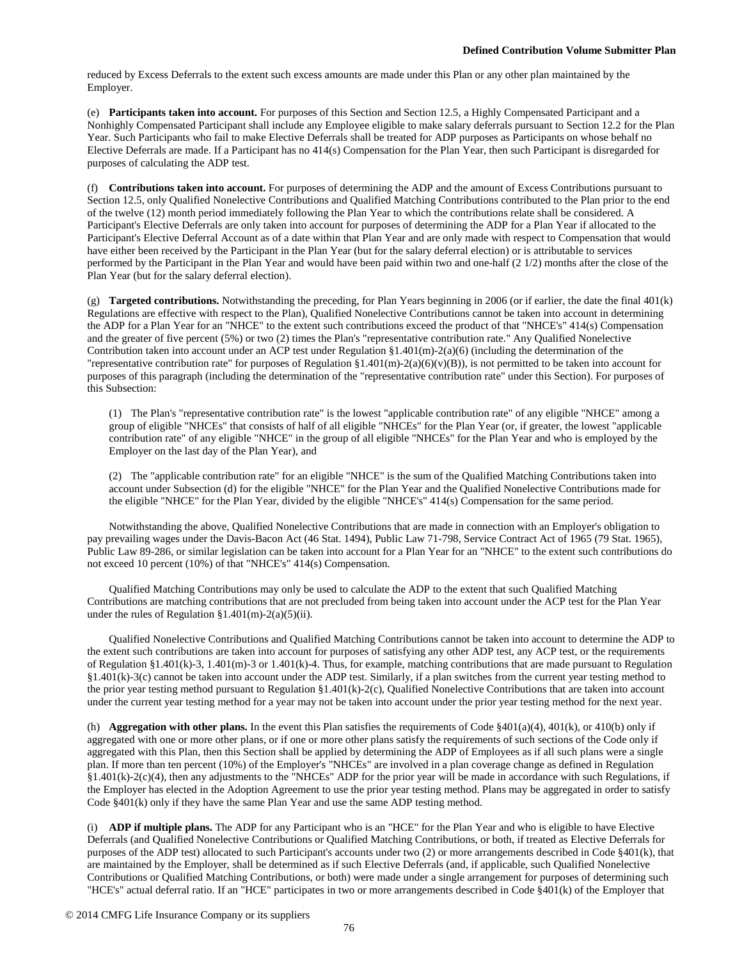reduced by Excess Deferrals to the extent such excess amounts are made under this Plan or any other plan maintained by the Employer.

(e) **Participants taken into account.** For purposes of this Section and Section 12.5, a Highly Compensated Participant and a Nonhighly Compensated Participant shall include any Employee eligible to make salary deferrals pursuant to Section 12.2 for the Plan Year. Such Participants who fail to make Elective Deferrals shall be treated for ADP purposes as Participants on whose behalf no Elective Deferrals are made. If a Participant has no 414(s) Compensation for the Plan Year, then such Participant is disregarded for purposes of calculating the ADP test.

(f) **Contributions taken into account.** For purposes of determining the ADP and the amount of Excess Contributions pursuant to Section 12.5, only Qualified Nonelective Contributions and Qualified Matching Contributions contributed to the Plan prior to the end of the twelve (12) month period immediately following the Plan Year to which the contributions relate shall be considered. A Participant's Elective Deferrals are only taken into account for purposes of determining the ADP for a Plan Year if allocated to the Participant's Elective Deferral Account as of a date within that Plan Year and are only made with respect to Compensation that would have either been received by the Participant in the Plan Year (but for the salary deferral election) or is attributable to services performed by the Participant in the Plan Year and would have been paid within two and one-half (2 1/2) months after the close of the Plan Year (but for the salary deferral election).

(g) **Targeted contributions.** Notwithstanding the preceding, for Plan Years beginning in 2006 (or if earlier, the date the final 401(k) Regulations are effective with respect to the Plan), Qualified Nonelective Contributions cannot be taken into account in determining the ADP for a Plan Year for an "NHCE" to the extent such contributions exceed the product of that "NHCE's" 414(s) Compensation and the greater of five percent (5%) or two (2) times the Plan's "representative contribution rate." Any Qualified Nonelective Contribution taken into account under an ACP test under Regulation  $\S1.401(m)-2(a)(6)$  (including the determination of the "representative contribution rate" for purposes of Regulation  $$1.401(m)-2(a)(6)(v)(B))$ , is not permitted to be taken into account for purposes of this paragraph (including the determination of the "representative contribution rate" under this Section). For purposes of this Subsection:

(1) The Plan's "representative contribution rate" is the lowest "applicable contribution rate" of any eligible "NHCE" among a group of eligible "NHCEs" that consists of half of all eligible "NHCEs" for the Plan Year (or, if greater, the lowest "applicable contribution rate" of any eligible "NHCE" in the group of all eligible "NHCEs" for the Plan Year and who is employed by the Employer on the last day of the Plan Year), and

(2) The "applicable contribution rate" for an eligible "NHCE" is the sum of the Qualified Matching Contributions taken into account under Subsection (d) for the eligible "NHCE" for the Plan Year and the Qualified Nonelective Contributions made for the eligible "NHCE" for the Plan Year, divided by the eligible "NHCE's" 414(s) Compensation for the same period.

Notwithstanding the above, Qualified Nonelective Contributions that are made in connection with an Employer's obligation to pay prevailing wages under the Davis-Bacon Act (46 Stat. 1494), Public Law 71-798, Service Contract Act of 1965 (79 Stat. 1965), Public Law 89-286, or similar legislation can be taken into account for a Plan Year for an "NHCE" to the extent such contributions do not exceed 10 percent (10%) of that "NHCE's" 414(s) Compensation.

Qualified Matching Contributions may only be used to calculate the ADP to the extent that such Qualified Matching Contributions are matching contributions that are not precluded from being taken into account under the ACP test for the Plan Year under the rules of Regulation  $$1.401(m)-2(a)(5)(ii)$ .

Qualified Nonelective Contributions and Qualified Matching Contributions cannot be taken into account to determine the ADP to the extent such contributions are taken into account for purposes of satisfying any other ADP test, any ACP test, or the requirements of Regulation §1.401(k)-3, 1.401(m)-3 or 1.401(k)-4. Thus, for example, matching contributions that are made pursuant to Regulation §1.401(k)-3(c) cannot be taken into account under the ADP test. Similarly, if a plan switches from the current year testing method to the prior year testing method pursuant to Regulation §1.401(k)-2(c), Qualified Nonelective Contributions that are taken into account under the current year testing method for a year may not be taken into account under the prior year testing method for the next year.

(h) **Aggregation with other plans.** In the event this Plan satisfies the requirements of Code §401(a)(4), 401(k), or 410(b) only if aggregated with one or more other plans, or if one or more other plans satisfy the requirements of such sections of the Code only if aggregated with this Plan, then this Section shall be applied by determining the ADP of Employees as if all such plans were a single plan. If more than ten percent (10%) of the Employer's "NHCEs" are involved in a plan coverage change as defined in Regulation §1.401(k)-2(c)(4), then any adjustments to the "NHCEs" ADP for the prior year will be made in accordance with such Regulations, if the Employer has elected in the Adoption Agreement to use the prior year testing method. Plans may be aggregated in order to satisfy Code §401(k) only if they have the same Plan Year and use the same ADP testing method.

(i) **ADP if multiple plans.** The ADP for any Participant who is an "HCE" for the Plan Year and who is eligible to have Elective Deferrals (and Qualified Nonelective Contributions or Qualified Matching Contributions, or both, if treated as Elective Deferrals for purposes of the ADP test) allocated to such Participant's accounts under two (2) or more arrangements described in Code §401(k), that are maintained by the Employer, shall be determined as if such Elective Deferrals (and, if applicable, such Qualified Nonelective Contributions or Qualified Matching Contributions, or both) were made under a single arrangement for purposes of determining such "HCE's" actual deferral ratio. If an "HCE" participates in two or more arrangements described in Code §401(k) of the Employer that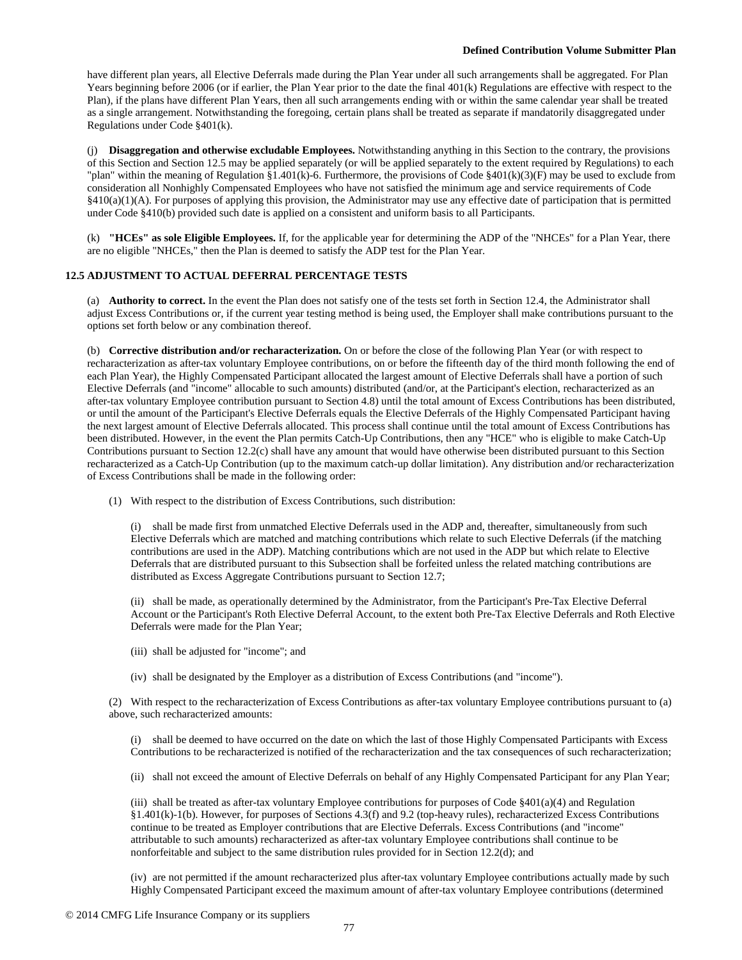have different plan years, all Elective Deferrals made during the Plan Year under all such arrangements shall be aggregated. For Plan Years beginning before 2006 (or if earlier, the Plan Year prior to the date the final 401(k) Regulations are effective with respect to the Plan), if the plans have different Plan Years, then all such arrangements ending with or within the same calendar year shall be treated as a single arrangement. Notwithstanding the foregoing, certain plans shall be treated as separate if mandatorily disaggregated under Regulations under Code §401(k).

(j) **Disaggregation and otherwise excludable Employees.** Notwithstanding anything in this Section to the contrary, the provisions of this Section and Section 12.5 may be applied separately (or will be applied separately to the extent required by Regulations) to each "plan" within the meaning of Regulation §1.401(k)-6. Furthermore, the provisions of Code §401(k)(3)(F) may be used to exclude from consideration all Nonhighly Compensated Employees who have not satisfied the minimum age and service requirements of Code §410(a)(1)(A). For purposes of applying this provision, the Administrator may use any effective date of participation that is permitted under Code §410(b) provided such date is applied on a consistent and uniform basis to all Participants.

(k) **"HCEs" as sole Eligible Employees.** If, for the applicable year for determining the ADP of the "NHCEs" for a Plan Year, there are no eligible "NHCEs," then the Plan is deemed to satisfy the ADP test for the Plan Year.

## **12.5 ADJUSTMENT TO ACTUAL DEFERRAL PERCENTAGE TESTS**

(a) **Authority to correct.** In the event the Plan does not satisfy one of the tests set forth in Section 12.4, the Administrator shall adjust Excess Contributions or, if the current year testing method is being used, the Employer shall make contributions pursuant to the options set forth below or any combination thereof.

(b) **Corrective distribution and/or recharacterization.** On or before the close of the following Plan Year (or with respect to recharacterization as after-tax voluntary Employee contributions, on or before the fifteenth day of the third month following the end of each Plan Year), the Highly Compensated Participant allocated the largest amount of Elective Deferrals shall have a portion of such Elective Deferrals (and "income" allocable to such amounts) distributed (and/or, at the Participant's election, recharacterized as an after-tax voluntary Employee contribution pursuant to Section 4.8) until the total amount of Excess Contributions has been distributed, or until the amount of the Participant's Elective Deferrals equals the Elective Deferrals of the Highly Compensated Participant having the next largest amount of Elective Deferrals allocated. This process shall continue until the total amount of Excess Contributions has been distributed. However, in the event the Plan permits Catch-Up Contributions, then any "HCE" who is eligible to make Catch-Up Contributions pursuant to Section 12.2(c) shall have any amount that would have otherwise been distributed pursuant to this Section recharacterized as a Catch-Up Contribution (up to the maximum catch-up dollar limitation). Any distribution and/or recharacterization of Excess Contributions shall be made in the following order:

(1) With respect to the distribution of Excess Contributions, such distribution:

(i) shall be made first from unmatched Elective Deferrals used in the ADP and, thereafter, simultaneously from such Elective Deferrals which are matched and matching contributions which relate to such Elective Deferrals (if the matching contributions are used in the ADP). Matching contributions which are not used in the ADP but which relate to Elective Deferrals that are distributed pursuant to this Subsection shall be forfeited unless the related matching contributions are distributed as Excess Aggregate Contributions pursuant to Section 12.7;

(ii) shall be made, as operationally determined by the Administrator, from the Participant's Pre-Tax Elective Deferral Account or the Participant's Roth Elective Deferral Account, to the extent both Pre-Tax Elective Deferrals and Roth Elective Deferrals were made for the Plan Year;

- (iii) shall be adjusted for "income"; and
- (iv) shall be designated by the Employer as a distribution of Excess Contributions (and "income").

(2) With respect to the recharacterization of Excess Contributions as after-tax voluntary Employee contributions pursuant to (a) above, such recharacterized amounts:

(i) shall be deemed to have occurred on the date on which the last of those Highly Compensated Participants with Excess Contributions to be recharacterized is notified of the recharacterization and the tax consequences of such recharacterization;

(ii) shall not exceed the amount of Elective Deferrals on behalf of any Highly Compensated Participant for any Plan Year;

(iii) shall be treated as after-tax voluntary Employee contributions for purposes of Code  $\S401(a)(4)$  and Regulation §1.401(k)-1(b). However, for purposes of Sections 4.3(f) and 9.2 (top-heavy rules), recharacterized Excess Contributions continue to be treated as Employer contributions that are Elective Deferrals. Excess Contributions (and "income" attributable to such amounts) recharacterized as after-tax voluntary Employee contributions shall continue to be nonforfeitable and subject to the same distribution rules provided for in Section 12.2(d); and

(iv) are not permitted if the amount recharacterized plus after-tax voluntary Employee contributions actually made by such Highly Compensated Participant exceed the maximum amount of after-tax voluntary Employee contributions (determined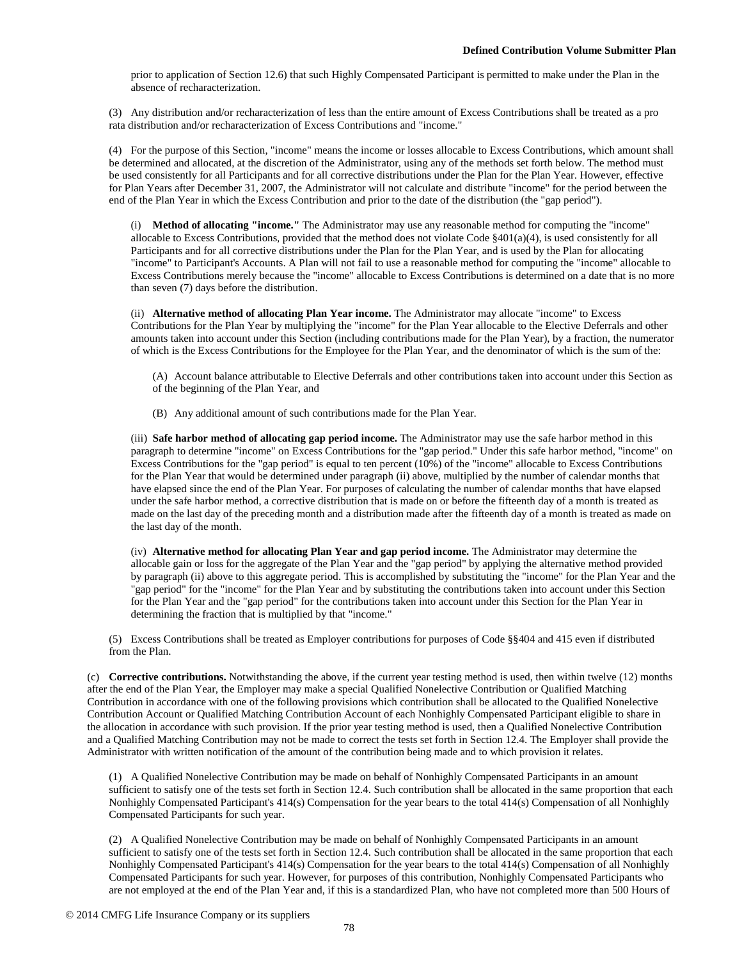prior to application of Section 12.6) that such Highly Compensated Participant is permitted to make under the Plan in the absence of recharacterization.

(3) Any distribution and/or recharacterization of less than the entire amount of Excess Contributions shall be treated as a pro rata distribution and/or recharacterization of Excess Contributions and "income."

(4) For the purpose of this Section, "income" means the income or losses allocable to Excess Contributions, which amount shall be determined and allocated, at the discretion of the Administrator, using any of the methods set forth below. The method must be used consistently for all Participants and for all corrective distributions under the Plan for the Plan Year. However, effective for Plan Years after December 31, 2007, the Administrator will not calculate and distribute "income" for the period between the end of the Plan Year in which the Excess Contribution and prior to the date of the distribution (the "gap period").

(i) **Method of allocating "income."** The Administrator may use any reasonable method for computing the "income" allocable to Excess Contributions, provided that the method does not violate Code §401(a)(4), is used consistently for all Participants and for all corrective distributions under the Plan for the Plan Year, and is used by the Plan for allocating "income" to Participant's Accounts. A Plan will not fail to use a reasonable method for computing the "income" allocable to Excess Contributions merely because the "income" allocable to Excess Contributions is determined on a date that is no more than seven (7) days before the distribution.

(ii) **Alternative method of allocating Plan Year income.** The Administrator may allocate "income" to Excess Contributions for the Plan Year by multiplying the "income" for the Plan Year allocable to the Elective Deferrals and other amounts taken into account under this Section (including contributions made for the Plan Year), by a fraction, the numerator of which is the Excess Contributions for the Employee for the Plan Year, and the denominator of which is the sum of the:

(A) Account balance attributable to Elective Deferrals and other contributions taken into account under this Section as of the beginning of the Plan Year, and

(B) Any additional amount of such contributions made for the Plan Year.

(iii) **Safe harbor method of allocating gap period income.** The Administrator may use the safe harbor method in this paragraph to determine "income" on Excess Contributions for the "gap period." Under this safe harbor method, "income" on Excess Contributions for the "gap period" is equal to ten percent (10%) of the "income" allocable to Excess Contributions for the Plan Year that would be determined under paragraph (ii) above, multiplied by the number of calendar months that have elapsed since the end of the Plan Year. For purposes of calculating the number of calendar months that have elapsed under the safe harbor method, a corrective distribution that is made on or before the fifteenth day of a month is treated as made on the last day of the preceding month and a distribution made after the fifteenth day of a month is treated as made on the last day of the month.

(iv) **Alternative method for allocating Plan Year and gap period income.** The Administrator may determine the allocable gain or loss for the aggregate of the Plan Year and the "gap period" by applying the alternative method provided by paragraph (ii) above to this aggregate period. This is accomplished by substituting the "income" for the Plan Year and the "gap period" for the "income" for the Plan Year and by substituting the contributions taken into account under this Section for the Plan Year and the "gap period" for the contributions taken into account under this Section for the Plan Year in determining the fraction that is multiplied by that "income."

(5) Excess Contributions shall be treated as Employer contributions for purposes of Code §§404 and 415 even if distributed from the Plan.

(c) **Corrective contributions.** Notwithstanding the above, if the current year testing method is used, then within twelve (12) months after the end of the Plan Year, the Employer may make a special Qualified Nonelective Contribution or Qualified Matching Contribution in accordance with one of the following provisions which contribution shall be allocated to the Qualified Nonelective Contribution Account or Qualified Matching Contribution Account of each Nonhighly Compensated Participant eligible to share in the allocation in accordance with such provision. If the prior year testing method is used, then a Qualified Nonelective Contribution and a Qualified Matching Contribution may not be made to correct the tests set forth in Section 12.4. The Employer shall provide the Administrator with written notification of the amount of the contribution being made and to which provision it relates.

(1) A Qualified Nonelective Contribution may be made on behalf of Nonhighly Compensated Participants in an amount sufficient to satisfy one of the tests set forth in Section 12.4. Such contribution shall be allocated in the same proportion that each Nonhighly Compensated Participant's 414(s) Compensation for the year bears to the total 414(s) Compensation of all Nonhighly Compensated Participants for such year.

(2) A Qualified Nonelective Contribution may be made on behalf of Nonhighly Compensated Participants in an amount sufficient to satisfy one of the tests set forth in Section 12.4. Such contribution shall be allocated in the same proportion that each Nonhighly Compensated Participant's 414(s) Compensation for the year bears to the total 414(s) Compensation of all Nonhighly Compensated Participants for such year. However, for purposes of this contribution, Nonhighly Compensated Participants who are not employed at the end of the Plan Year and, if this is a standardized Plan, who have not completed more than 500 Hours of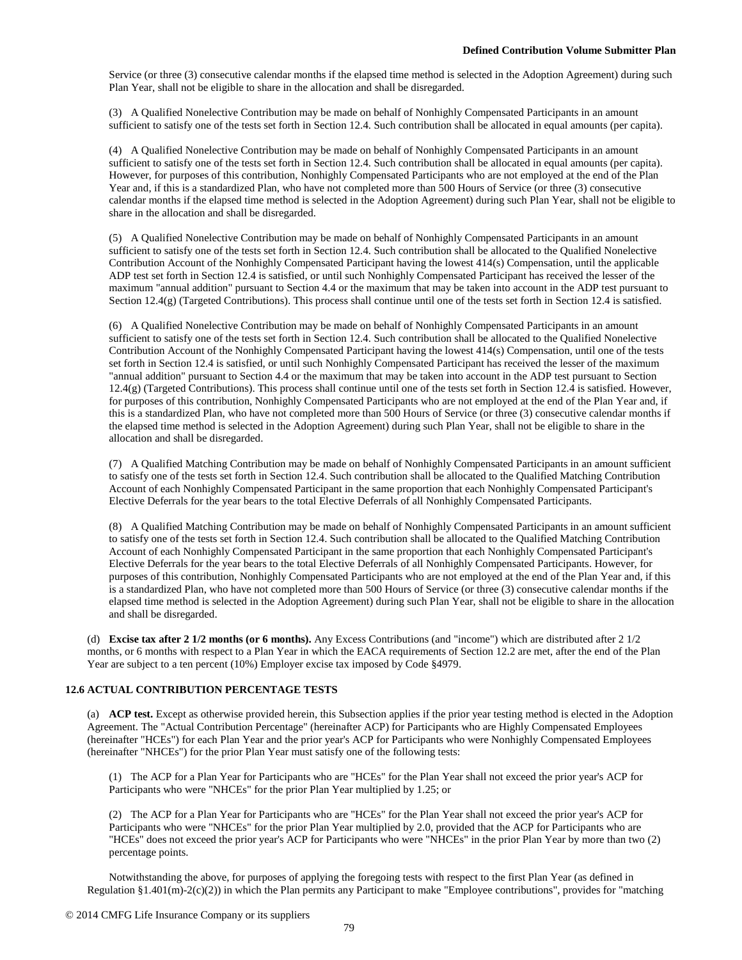Service (or three (3) consecutive calendar months if the elapsed time method is selected in the Adoption Agreement) during such Plan Year, shall not be eligible to share in the allocation and shall be disregarded.

(3) A Qualified Nonelective Contribution may be made on behalf of Nonhighly Compensated Participants in an amount sufficient to satisfy one of the tests set forth in Section 12.4. Such contribution shall be allocated in equal amounts (per capita).

(4) A Qualified Nonelective Contribution may be made on behalf of Nonhighly Compensated Participants in an amount sufficient to satisfy one of the tests set forth in Section 12.4. Such contribution shall be allocated in equal amounts (per capita). However, for purposes of this contribution, Nonhighly Compensated Participants who are not employed at the end of the Plan Year and, if this is a standardized Plan, who have not completed more than 500 Hours of Service (or three (3) consecutive calendar months if the elapsed time method is selected in the Adoption Agreement) during such Plan Year, shall not be eligible to share in the allocation and shall be disregarded.

(5) A Qualified Nonelective Contribution may be made on behalf of Nonhighly Compensated Participants in an amount sufficient to satisfy one of the tests set forth in Section 12.4. Such contribution shall be allocated to the Qualified Nonelective Contribution Account of the Nonhighly Compensated Participant having the lowest 414(s) Compensation, until the applicable ADP test set forth in Section 12.4 is satisfied, or until such Nonhighly Compensated Participant has received the lesser of the maximum "annual addition" pursuant to Section 4.4 or the maximum that may be taken into account in the ADP test pursuant to Section 12.4(g) (Targeted Contributions). This process shall continue until one of the tests set forth in Section 12.4 is satisfied.

(6) A Qualified Nonelective Contribution may be made on behalf of Nonhighly Compensated Participants in an amount sufficient to satisfy one of the tests set forth in Section 12.4. Such contribution shall be allocated to the Qualified Nonelective Contribution Account of the Nonhighly Compensated Participant having the lowest 414(s) Compensation, until one of the tests set forth in Section 12.4 is satisfied, or until such Nonhighly Compensated Participant has received the lesser of the maximum "annual addition" pursuant to Section 4.4 or the maximum that may be taken into account in the ADP test pursuant to Section 12.4(g) (Targeted Contributions). This process shall continue until one of the tests set forth in Section 12.4 is satisfied. However, for purposes of this contribution, Nonhighly Compensated Participants who are not employed at the end of the Plan Year and, if this is a standardized Plan, who have not completed more than 500 Hours of Service (or three (3) consecutive calendar months if the elapsed time method is selected in the Adoption Agreement) during such Plan Year, shall not be eligible to share in the allocation and shall be disregarded.

(7) A Qualified Matching Contribution may be made on behalf of Nonhighly Compensated Participants in an amount sufficient to satisfy one of the tests set forth in Section 12.4. Such contribution shall be allocated to the Qualified Matching Contribution Account of each Nonhighly Compensated Participant in the same proportion that each Nonhighly Compensated Participant's Elective Deferrals for the year bears to the total Elective Deferrals of all Nonhighly Compensated Participants.

(8) A Qualified Matching Contribution may be made on behalf of Nonhighly Compensated Participants in an amount sufficient to satisfy one of the tests set forth in Section 12.4. Such contribution shall be allocated to the Qualified Matching Contribution Account of each Nonhighly Compensated Participant in the same proportion that each Nonhighly Compensated Participant's Elective Deferrals for the year bears to the total Elective Deferrals of all Nonhighly Compensated Participants. However, for purposes of this contribution, Nonhighly Compensated Participants who are not employed at the end of the Plan Year and, if this is a standardized Plan, who have not completed more than 500 Hours of Service (or three (3) consecutive calendar months if the elapsed time method is selected in the Adoption Agreement) during such Plan Year, shall not be eligible to share in the allocation and shall be disregarded.

(d) **Excise tax after 2 1/2 months (or 6 months).** Any Excess Contributions (and "income") which are distributed after 2 1/2 months, or 6 months with respect to a Plan Year in which the EACA requirements of Section 12.2 are met, after the end of the Plan Year are subject to a ten percent (10%) Employer excise tax imposed by Code §4979.

## **12.6 ACTUAL CONTRIBUTION PERCENTAGE TESTS**

(a) **ACP test.** Except as otherwise provided herein, this Subsection applies if the prior year testing method is elected in the Adoption Agreement. The "Actual Contribution Percentage" (hereinafter ACP) for Participants who are Highly Compensated Employees (hereinafter "HCEs") for each Plan Year and the prior year's ACP for Participants who were Nonhighly Compensated Employees (hereinafter "NHCEs") for the prior Plan Year must satisfy one of the following tests:

(1) The ACP for a Plan Year for Participants who are "HCEs" for the Plan Year shall not exceed the prior year's ACP for Participants who were "NHCEs" for the prior Plan Year multiplied by 1.25; or

(2) The ACP for a Plan Year for Participants who are "HCEs" for the Plan Year shall not exceed the prior year's ACP for Participants who were "NHCEs" for the prior Plan Year multiplied by 2.0, provided that the ACP for Participants who are "HCEs" does not exceed the prior year's ACP for Participants who were "NHCEs" in the prior Plan Year by more than two (2) percentage points.

Notwithstanding the above, for purposes of applying the foregoing tests with respect to the first Plan Year (as defined in Regulation  $\S1.401(m)-2(c)(2)$ ) in which the Plan permits any Participant to make "Employee contributions", provides for "matching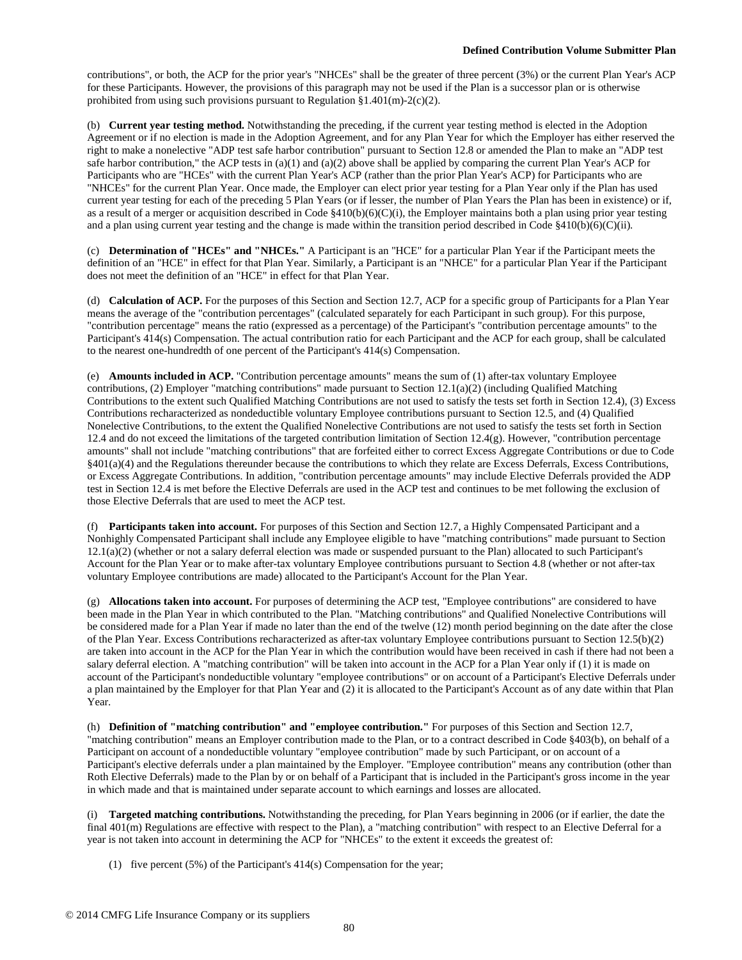contributions", or both, the ACP for the prior year's "NHCEs" shall be the greater of three percent (3%) or the current Plan Year's ACP for these Participants. However, the provisions of this paragraph may not be used if the Plan is a successor plan or is otherwise prohibited from using such provisions pursuant to Regulation  $§1.401(m)-2(c)(2)$ .

(b) **Current year testing method.** Notwithstanding the preceding, if the current year testing method is elected in the Adoption Agreement or if no election is made in the Adoption Agreement, and for any Plan Year for which the Employer has either reserved the right to make a nonelective "ADP test safe harbor contribution" pursuant to Section 12.8 or amended the Plan to make an "ADP test safe harbor contribution," the ACP tests in (a)(1) and (a)(2) above shall be applied by comparing the current Plan Year's ACP for Participants who are "HCEs" with the current Plan Year's ACP (rather than the prior Plan Year's ACP) for Participants who are "NHCEs" for the current Plan Year. Once made, the Employer can elect prior year testing for a Plan Year only if the Plan has used current year testing for each of the preceding 5 Plan Years (or if lesser, the number of Plan Years the Plan has been in existence) or if, as a result of a merger or acquisition described in Code §410(b)(6)(C)(i), the Employer maintains both a plan using prior year testing and a plan using current year testing and the change is made within the transition period described in Code §410(b)(6)(C)(ii).

(c) **Determination of "HCEs" and "NHCEs."** A Participant is an "HCE" for a particular Plan Year if the Participant meets the definition of an "HCE" in effect for that Plan Year. Similarly, a Participant is an "NHCE" for a particular Plan Year if the Participant does not meet the definition of an "HCE" in effect for that Plan Year.

(d) **Calculation of ACP.** For the purposes of this Section and Section 12.7, ACP for a specific group of Participants for a Plan Year means the average of the "contribution percentages" (calculated separately for each Participant in such group). For this purpose, "contribution percentage" means the ratio (expressed as a percentage) of the Participant's "contribution percentage amounts" to the Participant's 414(s) Compensation. The actual contribution ratio for each Participant and the ACP for each group, shall be calculated to the nearest one-hundredth of one percent of the Participant's 414(s) Compensation.

(e) **Amounts included in ACP.** "Contribution percentage amounts" means the sum of (1) after-tax voluntary Employee contributions, (2) Employer "matching contributions" made pursuant to Section 12.1(a)(2) (including Qualified Matching Contributions to the extent such Qualified Matching Contributions are not used to satisfy the tests set forth in Section 12.4), (3) Excess Contributions recharacterized as nondeductible voluntary Employee contributions pursuant to Section 12.5, and (4) Qualified Nonelective Contributions, to the extent the Qualified Nonelective Contributions are not used to satisfy the tests set forth in Section 12.4 and do not exceed the limitations of the targeted contribution limitation of Section  $12.4(g)$ . However, "contribution percentage amounts" shall not include "matching contributions" that are forfeited either to correct Excess Aggregate Contributions or due to Code §401(a)(4) and the Regulations thereunder because the contributions to which they relate are Excess Deferrals, Excess Contributions, or Excess Aggregate Contributions. In addition, "contribution percentage amounts" may include Elective Deferrals provided the ADP test in Section 12.4 is met before the Elective Deferrals are used in the ACP test and continues to be met following the exclusion of those Elective Deferrals that are used to meet the ACP test.

(f) **Participants taken into account.** For purposes of this Section and Section 12.7, a Highly Compensated Participant and a Nonhighly Compensated Participant shall include any Employee eligible to have "matching contributions" made pursuant to Section 12.1(a)(2) (whether or not a salary deferral election was made or suspended pursuant to the Plan) allocated to such Participant's Account for the Plan Year or to make after-tax voluntary Employee contributions pursuant to Section 4.8 (whether or not after-tax voluntary Employee contributions are made) allocated to the Participant's Account for the Plan Year.

(g) **Allocations taken into account.** For purposes of determining the ACP test, "Employee contributions" are considered to have been made in the Plan Year in which contributed to the Plan. "Matching contributions" and Qualified Nonelective Contributions will be considered made for a Plan Year if made no later than the end of the twelve (12) month period beginning on the date after the close of the Plan Year. Excess Contributions recharacterized as after-tax voluntary Employee contributions pursuant to Section 12.5(b)(2) are taken into account in the ACP for the Plan Year in which the contribution would have been received in cash if there had not been a salary deferral election. A "matching contribution" will be taken into account in the ACP for a Plan Year only if (1) it is made on account of the Participant's nondeductible voluntary "employee contributions" or on account of a Participant's Elective Deferrals under a plan maintained by the Employer for that Plan Year and (2) it is allocated to the Participant's Account as of any date within that Plan Year.

(h) **Definition of "matching contribution" and "employee contribution."** For purposes of this Section and Section 12.7, "matching contribution" means an Employer contribution made to the Plan, or to a contract described in Code §403(b), on behalf of a Participant on account of a nondeductible voluntary "employee contribution" made by such Participant, or on account of a Participant's elective deferrals under a plan maintained by the Employer. "Employee contribution" means any contribution (other than Roth Elective Deferrals) made to the Plan by or on behalf of a Participant that is included in the Participant's gross income in the year in which made and that is maintained under separate account to which earnings and losses are allocated.

(i) **Targeted matching contributions.** Notwithstanding the preceding, for Plan Years beginning in 2006 (or if earlier, the date the final 401(m) Regulations are effective with respect to the Plan), a "matching contribution" with respect to an Elective Deferral for a year is not taken into account in determining the ACP for "NHCEs" to the extent it exceeds the greatest of:

(1) five percent (5%) of the Participant's 414(s) Compensation for the year;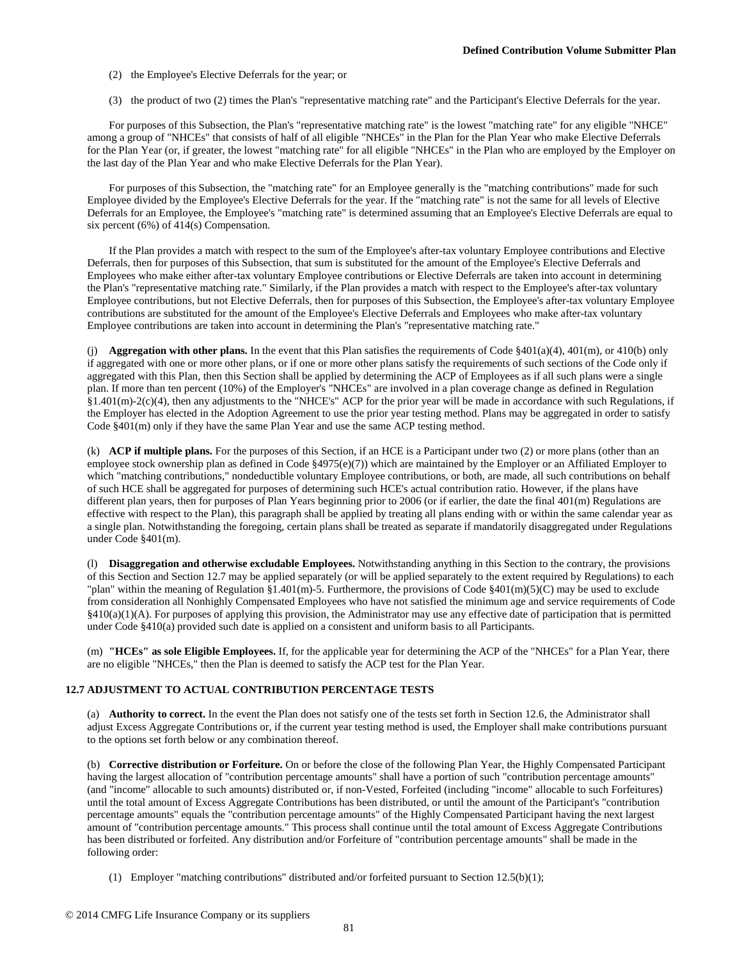- (2) the Employee's Elective Deferrals for the year; or
- (3) the product of two (2) times the Plan's "representative matching rate" and the Participant's Elective Deferrals for the year.

For purposes of this Subsection, the Plan's "representative matching rate" is the lowest "matching rate" for any eligible "NHCE" among a group of "NHCEs" that consists of half of all eligible "NHCEs" in the Plan for the Plan Year who make Elective Deferrals for the Plan Year (or, if greater, the lowest "matching rate" for all eligible "NHCEs" in the Plan who are employed by the Employer on the last day of the Plan Year and who make Elective Deferrals for the Plan Year).

For purposes of this Subsection, the "matching rate" for an Employee generally is the "matching contributions" made for such Employee divided by the Employee's Elective Deferrals for the year. If the "matching rate" is not the same for all levels of Elective Deferrals for an Employee, the Employee's "matching rate" is determined assuming that an Employee's Elective Deferrals are equal to six percent (6%) of 414(s) Compensation.

If the Plan provides a match with respect to the sum of the Employee's after-tax voluntary Employee contributions and Elective Deferrals, then for purposes of this Subsection, that sum is substituted for the amount of the Employee's Elective Deferrals and Employees who make either after-tax voluntary Employee contributions or Elective Deferrals are taken into account in determining the Plan's "representative matching rate." Similarly, if the Plan provides a match with respect to the Employee's after-tax voluntary Employee contributions, but not Elective Deferrals, then for purposes of this Subsection, the Employee's after-tax voluntary Employee contributions are substituted for the amount of the Employee's Elective Deferrals and Employees who make after-tax voluntary Employee contributions are taken into account in determining the Plan's "representative matching rate."

(j) **Aggregation with other plans.** In the event that this Plan satisfies the requirements of Code §401(a)(4), 401(m), or 410(b) only if aggregated with one or more other plans, or if one or more other plans satisfy the requirements of such sections of the Code only if aggregated with this Plan, then this Section shall be applied by determining the ACP of Employees as if all such plans were a single plan. If more than ten percent (10%) of the Employer's "NHCEs" are involved in a plan coverage change as defined in Regulation §1.401(m)-2(c)(4), then any adjustments to the "NHCE's" ACP for the prior year will be made in accordance with such Regulations, if the Employer has elected in the Adoption Agreement to use the prior year testing method. Plans may be aggregated in order to satisfy Code §401(m) only if they have the same Plan Year and use the same ACP testing method.

(k) **ACP if multiple plans.** For the purposes of this Section, if an HCE is a Participant under two (2) or more plans (other than an employee stock ownership plan as defined in Code §4975(e)(7)) which are maintained by the Employer or an Affiliated Employer to which "matching contributions," nondeductible voluntary Employee contributions, or both, are made, all such contributions on behalf of such HCE shall be aggregated for purposes of determining such HCE's actual contribution ratio. However, if the plans have different plan years, then for purposes of Plan Years beginning prior to 2006 (or if earlier, the date the final 401(m) Regulations are effective with respect to the Plan), this paragraph shall be applied by treating all plans ending with or within the same calendar year as a single plan. Notwithstanding the foregoing, certain plans shall be treated as separate if mandatorily disaggregated under Regulations under Code §401(m).

(l) **Disaggregation and otherwise excludable Employees.** Notwithstanding anything in this Section to the contrary, the provisions of this Section and Section 12.7 may be applied separately (or will be applied separately to the extent required by Regulations) to each "plan" within the meaning of Regulation §1.401(m)-5. Furthermore, the provisions of Code §401(m)(5)(C) may be used to exclude from consideration all Nonhighly Compensated Employees who have not satisfied the minimum age and service requirements of Code §410(a)(1)(A). For purposes of applying this provision, the Administrator may use any effective date of participation that is permitted under Code §410(a) provided such date is applied on a consistent and uniform basis to all Participants.

(m) **"HCEs" as sole Eligible Employees.** If, for the applicable year for determining the ACP of the "NHCEs" for a Plan Year, there are no eligible "NHCEs," then the Plan is deemed to satisfy the ACP test for the Plan Year.

## **12.7 ADJUSTMENT TO ACTUAL CONTRIBUTION PERCENTAGE TESTS**

(a) **Authority to correct.** In the event the Plan does not satisfy one of the tests set forth in Section 12.6, the Administrator shall adjust Excess Aggregate Contributions or, if the current year testing method is used, the Employer shall make contributions pursuant to the options set forth below or any combination thereof.

(b) **Corrective distribution or Forfeiture.** On or before the close of the following Plan Year, the Highly Compensated Participant having the largest allocation of "contribution percentage amounts" shall have a portion of such "contribution percentage amounts" (and "income" allocable to such amounts) distributed or, if non-Vested, Forfeited (including "income" allocable to such Forfeitures) until the total amount of Excess Aggregate Contributions has been distributed, or until the amount of the Participant's "contribution percentage amounts" equals the "contribution percentage amounts" of the Highly Compensated Participant having the next largest amount of "contribution percentage amounts." This process shall continue until the total amount of Excess Aggregate Contributions has been distributed or forfeited. Any distribution and/or Forfeiture of "contribution percentage amounts" shall be made in the following order:

(1) Employer "matching contributions" distributed and/or forfeited pursuant to Section 12.5(b)(1);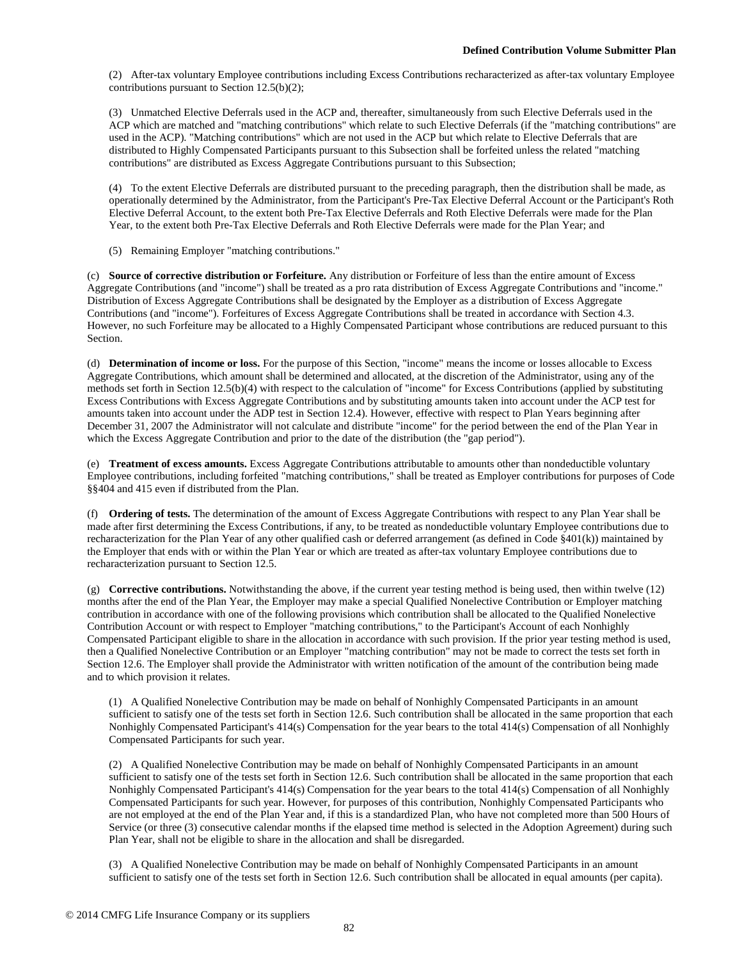(2) After-tax voluntary Employee contributions including Excess Contributions recharacterized as after-tax voluntary Employee contributions pursuant to Section 12.5(b)(2);

(3) Unmatched Elective Deferrals used in the ACP and, thereafter, simultaneously from such Elective Deferrals used in the ACP which are matched and "matching contributions" which relate to such Elective Deferrals (if the "matching contributions" are used in the ACP). "Matching contributions" which are not used in the ACP but which relate to Elective Deferrals that are distributed to Highly Compensated Participants pursuant to this Subsection shall be forfeited unless the related "matching contributions" are distributed as Excess Aggregate Contributions pursuant to this Subsection;

(4) To the extent Elective Deferrals are distributed pursuant to the preceding paragraph, then the distribution shall be made, as operationally determined by the Administrator, from the Participant's Pre-Tax Elective Deferral Account or the Participant's Roth Elective Deferral Account, to the extent both Pre-Tax Elective Deferrals and Roth Elective Deferrals were made for the Plan Year, to the extent both Pre-Tax Elective Deferrals and Roth Elective Deferrals were made for the Plan Year; and

(5) Remaining Employer "matching contributions."

(c) **Source of corrective distribution or Forfeiture.** Any distribution or Forfeiture of less than the entire amount of Excess Aggregate Contributions (and "income") shall be treated as a pro rata distribution of Excess Aggregate Contributions and "income." Distribution of Excess Aggregate Contributions shall be designated by the Employer as a distribution of Excess Aggregate Contributions (and "income"). Forfeitures of Excess Aggregate Contributions shall be treated in accordance with Section 4.3. However, no such Forfeiture may be allocated to a Highly Compensated Participant whose contributions are reduced pursuant to this Section.

(d) **Determination of income or loss.** For the purpose of this Section, "income" means the income or losses allocable to Excess Aggregate Contributions, which amount shall be determined and allocated, at the discretion of the Administrator, using any of the methods set forth in Section 12.5(b)(4) with respect to the calculation of "income" for Excess Contributions (applied by substituting Excess Contributions with Excess Aggregate Contributions and by substituting amounts taken into account under the ACP test for amounts taken into account under the ADP test in Section 12.4). However, effective with respect to Plan Years beginning after December 31, 2007 the Administrator will not calculate and distribute "income" for the period between the end of the Plan Year in which the Excess Aggregate Contribution and prior to the date of the distribution (the "gap period").

(e) **Treatment of excess amounts.** Excess Aggregate Contributions attributable to amounts other than nondeductible voluntary Employee contributions, including forfeited "matching contributions," shall be treated as Employer contributions for purposes of Code §§404 and 415 even if distributed from the Plan.

(f) **Ordering of tests.** The determination of the amount of Excess Aggregate Contributions with respect to any Plan Year shall be made after first determining the Excess Contributions, if any, to be treated as nondeductible voluntary Employee contributions due to recharacterization for the Plan Year of any other qualified cash or deferred arrangement (as defined in Code §401(k)) maintained by the Employer that ends with or within the Plan Year or which are treated as after-tax voluntary Employee contributions due to recharacterization pursuant to Section 12.5.

(g) **Corrective contributions.** Notwithstanding the above, if the current year testing method is being used, then within twelve (12) months after the end of the Plan Year, the Employer may make a special Qualified Nonelective Contribution or Employer matching contribution in accordance with one of the following provisions which contribution shall be allocated to the Qualified Nonelective Contribution Account or with respect to Employer "matching contributions," to the Participant's Account of each Nonhighly Compensated Participant eligible to share in the allocation in accordance with such provision. If the prior year testing method is used, then a Qualified Nonelective Contribution or an Employer "matching contribution" may not be made to correct the tests set forth in Section 12.6. The Employer shall provide the Administrator with written notification of the amount of the contribution being made and to which provision it relates.

(1) A Qualified Nonelective Contribution may be made on behalf of Nonhighly Compensated Participants in an amount sufficient to satisfy one of the tests set forth in Section 12.6. Such contribution shall be allocated in the same proportion that each Nonhighly Compensated Participant's 414(s) Compensation for the year bears to the total 414(s) Compensation of all Nonhighly Compensated Participants for such year.

(2) A Qualified Nonelective Contribution may be made on behalf of Nonhighly Compensated Participants in an amount sufficient to satisfy one of the tests set forth in Section 12.6. Such contribution shall be allocated in the same proportion that each Nonhighly Compensated Participant's 414(s) Compensation for the year bears to the total 414(s) Compensation of all Nonhighly Compensated Participants for such year. However, for purposes of this contribution, Nonhighly Compensated Participants who are not employed at the end of the Plan Year and, if this is a standardized Plan, who have not completed more than 500 Hours of Service (or three (3) consecutive calendar months if the elapsed time method is selected in the Adoption Agreement) during such Plan Year, shall not be eligible to share in the allocation and shall be disregarded.

(3) A Qualified Nonelective Contribution may be made on behalf of Nonhighly Compensated Participants in an amount sufficient to satisfy one of the tests set forth in Section 12.6. Such contribution shall be allocated in equal amounts (per capita).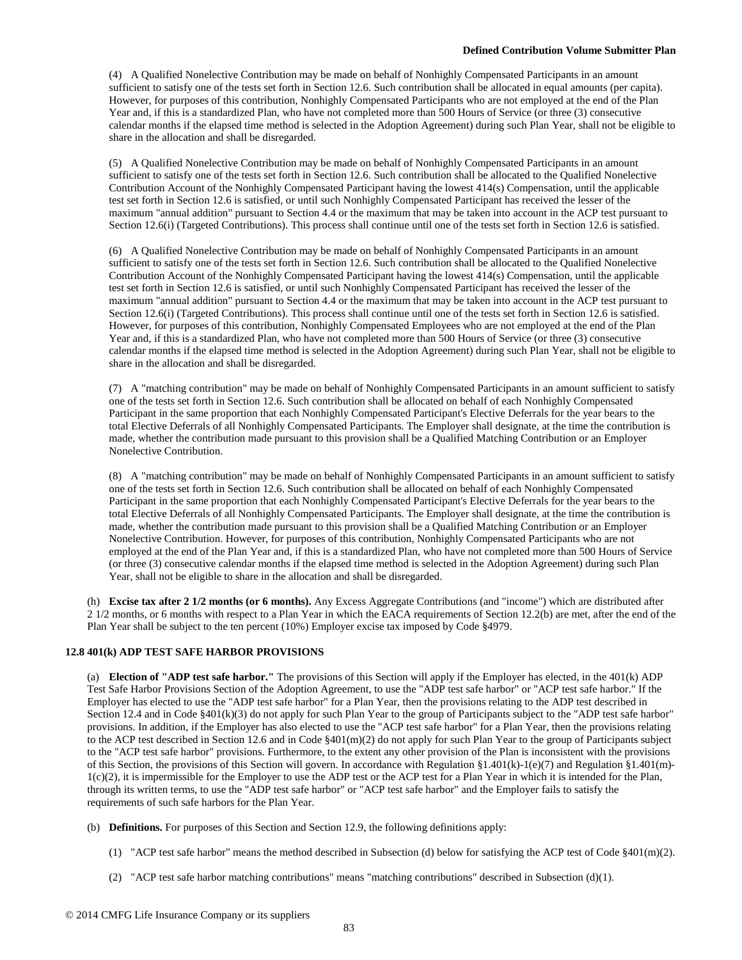(4) A Qualified Nonelective Contribution may be made on behalf of Nonhighly Compensated Participants in an amount sufficient to satisfy one of the tests set forth in Section 12.6. Such contribution shall be allocated in equal amounts (per capita). However, for purposes of this contribution, Nonhighly Compensated Participants who are not employed at the end of the Plan Year and, if this is a standardized Plan, who have not completed more than 500 Hours of Service (or three (3) consecutive calendar months if the elapsed time method is selected in the Adoption Agreement) during such Plan Year, shall not be eligible to share in the allocation and shall be disregarded.

(5) A Qualified Nonelective Contribution may be made on behalf of Nonhighly Compensated Participants in an amount sufficient to satisfy one of the tests set forth in Section 12.6. Such contribution shall be allocated to the Qualified Nonelective Contribution Account of the Nonhighly Compensated Participant having the lowest 414(s) Compensation, until the applicable test set forth in Section 12.6 is satisfied, or until such Nonhighly Compensated Participant has received the lesser of the maximum "annual addition" pursuant to Section 4.4 or the maximum that may be taken into account in the ACP test pursuant to Section 12.6(i) (Targeted Contributions). This process shall continue until one of the tests set forth in Section 12.6 is satisfied.

(6) A Qualified Nonelective Contribution may be made on behalf of Nonhighly Compensated Participants in an amount sufficient to satisfy one of the tests set forth in Section 12.6. Such contribution shall be allocated to the Qualified Nonelective Contribution Account of the Nonhighly Compensated Participant having the lowest 414(s) Compensation, until the applicable test set forth in Section 12.6 is satisfied, or until such Nonhighly Compensated Participant has received the lesser of the maximum "annual addition" pursuant to Section 4.4 or the maximum that may be taken into account in the ACP test pursuant to Section 12.6(i) (Targeted Contributions). This process shall continue until one of the tests set forth in Section 12.6 is satisfied. However, for purposes of this contribution, Nonhighly Compensated Employees who are not employed at the end of the Plan Year and, if this is a standardized Plan, who have not completed more than 500 Hours of Service (or three (3) consecutive calendar months if the elapsed time method is selected in the Adoption Agreement) during such Plan Year, shall not be eligible to share in the allocation and shall be disregarded.

(7) A "matching contribution" may be made on behalf of Nonhighly Compensated Participants in an amount sufficient to satisfy one of the tests set forth in Section 12.6. Such contribution shall be allocated on behalf of each Nonhighly Compensated Participant in the same proportion that each Nonhighly Compensated Participant's Elective Deferrals for the year bears to the total Elective Deferrals of all Nonhighly Compensated Participants. The Employer shall designate, at the time the contribution is made, whether the contribution made pursuant to this provision shall be a Qualified Matching Contribution or an Employer Nonelective Contribution.

(8) A "matching contribution" may be made on behalf of Nonhighly Compensated Participants in an amount sufficient to satisfy one of the tests set forth in Section 12.6. Such contribution shall be allocated on behalf of each Nonhighly Compensated Participant in the same proportion that each Nonhighly Compensated Participant's Elective Deferrals for the year bears to the total Elective Deferrals of all Nonhighly Compensated Participants. The Employer shall designate, at the time the contribution is made, whether the contribution made pursuant to this provision shall be a Qualified Matching Contribution or an Employer Nonelective Contribution. However, for purposes of this contribution, Nonhighly Compensated Participants who are not employed at the end of the Plan Year and, if this is a standardized Plan, who have not completed more than 500 Hours of Service (or three (3) consecutive calendar months if the elapsed time method is selected in the Adoption Agreement) during such Plan Year, shall not be eligible to share in the allocation and shall be disregarded.

(h) **Excise tax after 2 1/2 months (or 6 months).** Any Excess Aggregate Contributions (and "income") which are distributed after 2 1/2 months, or 6 months with respect to a Plan Year in which the EACA requirements of Section 12.2(b) are met, after the end of the Plan Year shall be subject to the ten percent (10%) Employer excise tax imposed by Code §4979.

## **12.8 401(k) ADP TEST SAFE HARBOR PROVISIONS**

(a) **Election of "ADP test safe harbor."** The provisions of this Section will apply if the Employer has elected, in the 401(k) ADP Test Safe Harbor Provisions Section of the Adoption Agreement, to use the "ADP test safe harbor" or "ACP test safe harbor." If the Employer has elected to use the "ADP test safe harbor" for a Plan Year, then the provisions relating to the ADP test described in Section 12.4 and in Code §401(k)(3) do not apply for such Plan Year to the group of Participants subject to the "ADP test safe harbor" provisions. In addition, if the Employer has also elected to use the "ACP test safe harbor" for a Plan Year, then the provisions relating to the ACP test described in Section 12.6 and in Code §401(m)(2) do not apply for such Plan Year to the group of Participants subject to the "ACP test safe harbor" provisions. Furthermore, to the extent any other provision of the Plan is inconsistent with the provisions of this Section, the provisions of this Section will govern. In accordance with Regulation §1.401(k)-1(e)(7) and Regulation §1.401(m)- $1(c)(2)$ , it is impermissible for the Employer to use the ADP test or the ACP test for a Plan Year in which it is intended for the Plan, through its written terms, to use the "ADP test safe harbor" or "ACP test safe harbor" and the Employer fails to satisfy the requirements of such safe harbors for the Plan Year.

- (b) **Definitions.** For purposes of this Section and Section 12.9, the following definitions apply:
	- (1) "ACP test safe harbor" means the method described in Subsection (d) below for satisfying the ACP test of Code §401(m)(2).
	- (2) "ACP test safe harbor matching contributions" means "matching contributions" described in Subsection  $(d)(1)$ .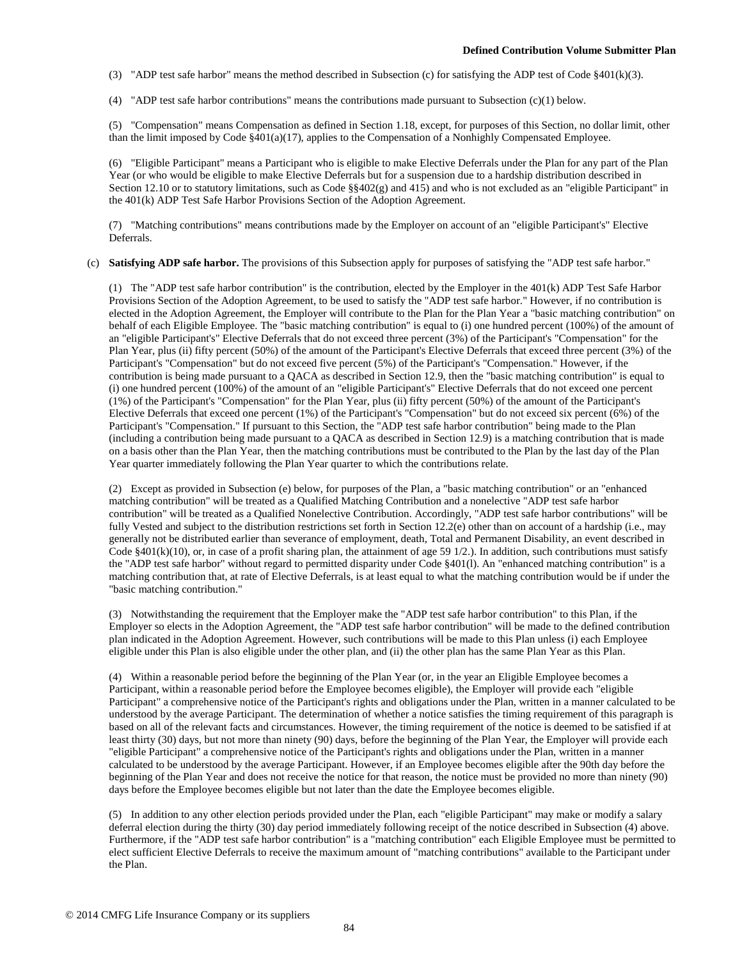(3) "ADP test safe harbor" means the method described in Subsection (c) for satisfying the ADP test of Code §401(k)(3).

(4) "ADP test safe harbor contributions" means the contributions made pursuant to Subsection (c)(1) below.

(5) "Compensation" means Compensation as defined in Section 1.18, except, for purposes of this Section, no dollar limit, other than the limit imposed by Code §401(a)(17), applies to the Compensation of a Nonhighly Compensated Employee.

(6) "Eligible Participant" means a Participant who is eligible to make Elective Deferrals under the Plan for any part of the Plan Year (or who would be eligible to make Elective Deferrals but for a suspension due to a hardship distribution described in Section 12.10 or to statutory limitations, such as Code §§402(g) and 415) and who is not excluded as an "eligible Participant" in the 401(k) ADP Test Safe Harbor Provisions Section of the Adoption Agreement.

(7) "Matching contributions" means contributions made by the Employer on account of an "eligible Participant's" Elective Deferrals.

## (c) **Satisfying ADP safe harbor.** The provisions of this Subsection apply for purposes of satisfying the "ADP test safe harbor."

(1) The "ADP test safe harbor contribution" is the contribution, elected by the Employer in the 401(k) ADP Test Safe Harbor Provisions Section of the Adoption Agreement, to be used to satisfy the "ADP test safe harbor." However, if no contribution is elected in the Adoption Agreement, the Employer will contribute to the Plan for the Plan Year a "basic matching contribution" on behalf of each Eligible Employee. The "basic matching contribution" is equal to (i) one hundred percent (100%) of the amount of an "eligible Participant's" Elective Deferrals that do not exceed three percent (3%) of the Participant's "Compensation" for the Plan Year, plus (ii) fifty percent (50%) of the amount of the Participant's Elective Deferrals that exceed three percent (3%) of the Participant's "Compensation" but do not exceed five percent (5%) of the Participant's "Compensation." However, if the contribution is being made pursuant to a QACA as described in Section 12.9, then the "basic matching contribution" is equal to (i) one hundred percent (100%) of the amount of an "eligible Participant's" Elective Deferrals that do not exceed one percent (1%) of the Participant's "Compensation" for the Plan Year, plus (ii) fifty percent (50%) of the amount of the Participant's Elective Deferrals that exceed one percent (1%) of the Participant's "Compensation" but do not exceed six percent (6%) of the Participant's "Compensation." If pursuant to this Section, the "ADP test safe harbor contribution" being made to the Plan (including a contribution being made pursuant to a QACA as described in Section 12.9) is a matching contribution that is made on a basis other than the Plan Year, then the matching contributions must be contributed to the Plan by the last day of the Plan Year quarter immediately following the Plan Year quarter to which the contributions relate.

(2) Except as provided in Subsection (e) below, for purposes of the Plan, a "basic matching contribution" or an "enhanced matching contribution" will be treated as a Qualified Matching Contribution and a nonelective "ADP test safe harbor contribution" will be treated as a Qualified Nonelective Contribution. Accordingly, "ADP test safe harbor contributions" will be fully Vested and subject to the distribution restrictions set forth in Section 12.2(e) other than on account of a hardship (i.e., may generally not be distributed earlier than severance of employment, death, Total and Permanent Disability, an event described in Code  $§401(k)(10)$ , or, in case of a profit sharing plan, the attainment of age 59 1/2.). In addition, such contributions must satisfy the "ADP test safe harbor" without regard to permitted disparity under Code §401(l). An "enhanced matching contribution" is a matching contribution that, at rate of Elective Deferrals, is at least equal to what the matching contribution would be if under the "basic matching contribution."

(3) Notwithstanding the requirement that the Employer make the "ADP test safe harbor contribution" to this Plan, if the Employer so elects in the Adoption Agreement, the "ADP test safe harbor contribution" will be made to the defined contribution plan indicated in the Adoption Agreement. However, such contributions will be made to this Plan unless (i) each Employee eligible under this Plan is also eligible under the other plan, and (ii) the other plan has the same Plan Year as this Plan.

(4) Within a reasonable period before the beginning of the Plan Year (or, in the year an Eligible Employee becomes a Participant, within a reasonable period before the Employee becomes eligible), the Employer will provide each "eligible Participant" a comprehensive notice of the Participant's rights and obligations under the Plan, written in a manner calculated to be understood by the average Participant. The determination of whether a notice satisfies the timing requirement of this paragraph is based on all of the relevant facts and circumstances. However, the timing requirement of the notice is deemed to be satisfied if at least thirty (30) days, but not more than ninety (90) days, before the beginning of the Plan Year, the Employer will provide each "eligible Participant" a comprehensive notice of the Participant's rights and obligations under the Plan, written in a manner calculated to be understood by the average Participant. However, if an Employee becomes eligible after the 90th day before the beginning of the Plan Year and does not receive the notice for that reason, the notice must be provided no more than ninety (90) days before the Employee becomes eligible but not later than the date the Employee becomes eligible.

(5) In addition to any other election periods provided under the Plan, each "eligible Participant" may make or modify a salary deferral election during the thirty (30) day period immediately following receipt of the notice described in Subsection (4) above. Furthermore, if the "ADP test safe harbor contribution" is a "matching contribution" each Eligible Employee must be permitted to elect sufficient Elective Deferrals to receive the maximum amount of "matching contributions" available to the Participant under the Plan.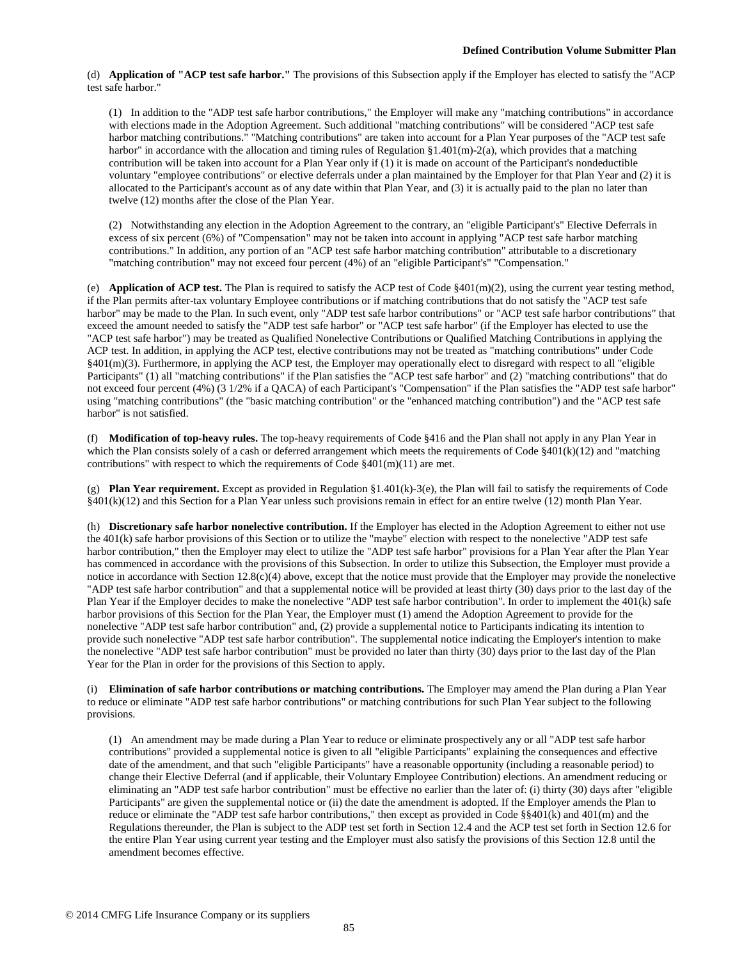(d) **Application of "ACP test safe harbor."** The provisions of this Subsection apply if the Employer has elected to satisfy the "ACP test safe harbor."

(1) In addition to the "ADP test safe harbor contributions," the Employer will make any "matching contributions" in accordance with elections made in the Adoption Agreement. Such additional "matching contributions" will be considered "ACP test safe harbor matching contributions." "Matching contributions" are taken into account for a Plan Year purposes of the "ACP test safe harbor" in accordance with the allocation and timing rules of Regulation  $\S1.401(m)-2(a)$ , which provides that a matching contribution will be taken into account for a Plan Year only if (1) it is made on account of the Participant's nondeductible voluntary "employee contributions" or elective deferrals under a plan maintained by the Employer for that Plan Year and (2) it is allocated to the Participant's account as of any date within that Plan Year, and (3) it is actually paid to the plan no later than twelve (12) months after the close of the Plan Year.

(2) Notwithstanding any election in the Adoption Agreement to the contrary, an "eligible Participant's" Elective Deferrals in excess of six percent (6%) of "Compensation" may not be taken into account in applying "ACP test safe harbor matching contributions." In addition, any portion of an "ACP test safe harbor matching contribution" attributable to a discretionary "matching contribution" may not exceed four percent (4%) of an "eligible Participant's" "Compensation."

(e) **Application of ACP test.** The Plan is required to satisfy the ACP test of Code §401(m)(2), using the current year testing method, if the Plan permits after-tax voluntary Employee contributions or if matching contributions that do not satisfy the "ACP test safe harbor" may be made to the Plan. In such event, only "ADP test safe harbor contributions" or "ACP test safe harbor contributions" that exceed the amount needed to satisfy the "ADP test safe harbor" or "ACP test safe harbor" (if the Employer has elected to use the "ACP test safe harbor") may be treated as Qualified Nonelective Contributions or Qualified Matching Contributions in applying the ACP test. In addition, in applying the ACP test, elective contributions may not be treated as "matching contributions" under Code §401(m)(3). Furthermore, in applying the ACP test, the Employer may operationally elect to disregard with respect to all "eligible Participants" (1) all "matching contributions" if the Plan satisfies the "ACP test safe harbor" and (2) "matching contributions" that do not exceed four percent (4%) (3 1/2% if a QACA) of each Participant's "Compensation" if the Plan satisfies the "ADP test safe harbor" using "matching contributions" (the "basic matching contribution" or the "enhanced matching contribution") and the "ACP test safe harbor" is not satisfied.

(f) **Modification of top-heavy rules.** The top-heavy requirements of Code §416 and the Plan shall not apply in any Plan Year in which the Plan consists solely of a cash or deferred arrangement which meets the requirements of Code  $\{401(k)(12)$  and "matching" contributions" with respect to which the requirements of Code  $\S401(m)(11)$  are met.

(g) **Plan Year requirement.** Except as provided in Regulation §1.401(k)-3(e), the Plan will fail to satisfy the requirements of Code §401(k)(12) and this Section for a Plan Year unless such provisions remain in effect for an entire twelve (12) month Plan Year.

(h) **Discretionary safe harbor nonelective contribution.** If the Employer has elected in the Adoption Agreement to either not use the 401(k) safe harbor provisions of this Section or to utilize the "maybe" election with respect to the nonelective "ADP test safe harbor contribution," then the Employer may elect to utilize the "ADP test safe harbor" provisions for a Plan Year after the Plan Year has commenced in accordance with the provisions of this Subsection. In order to utilize this Subsection, the Employer must provide a notice in accordance with Section 12.8(c)(4) above, except that the notice must provide that the Employer may provide the nonelective "ADP test safe harbor contribution" and that a supplemental notice will be provided at least thirty (30) days prior to the last day of the Plan Year if the Employer decides to make the nonelective "ADP test safe harbor contribution". In order to implement the 401(k) safe harbor provisions of this Section for the Plan Year, the Employer must (1) amend the Adoption Agreement to provide for the nonelective "ADP test safe harbor contribution" and, (2) provide a supplemental notice to Participants indicating its intention to provide such nonelective "ADP test safe harbor contribution". The supplemental notice indicating the Employer's intention to make the nonelective "ADP test safe harbor contribution" must be provided no later than thirty (30) days prior to the last day of the Plan Year for the Plan in order for the provisions of this Section to apply.

(i) **Elimination of safe harbor contributions or matching contributions.** The Employer may amend the Plan during a Plan Year to reduce or eliminate "ADP test safe harbor contributions" or matching contributions for such Plan Year subject to the following provisions.

(1) An amendment may be made during a Plan Year to reduce or eliminate prospectively any or all "ADP test safe harbor contributions" provided a supplemental notice is given to all "eligible Participants" explaining the consequences and effective date of the amendment, and that such "eligible Participants" have a reasonable opportunity (including a reasonable period) to change their Elective Deferral (and if applicable, their Voluntary Employee Contribution) elections. An amendment reducing or eliminating an "ADP test safe harbor contribution" must be effective no earlier than the later of: (i) thirty (30) days after "eligible Participants" are given the supplemental notice or (ii) the date the amendment is adopted. If the Employer amends the Plan to reduce or eliminate the "ADP test safe harbor contributions," then except as provided in Code §§401(k) and 401(m) and the Regulations thereunder, the Plan is subject to the ADP test set forth in Section 12.4 and the ACP test set forth in Section 12.6 for the entire Plan Year using current year testing and the Employer must also satisfy the provisions of this Section 12.8 until the amendment becomes effective.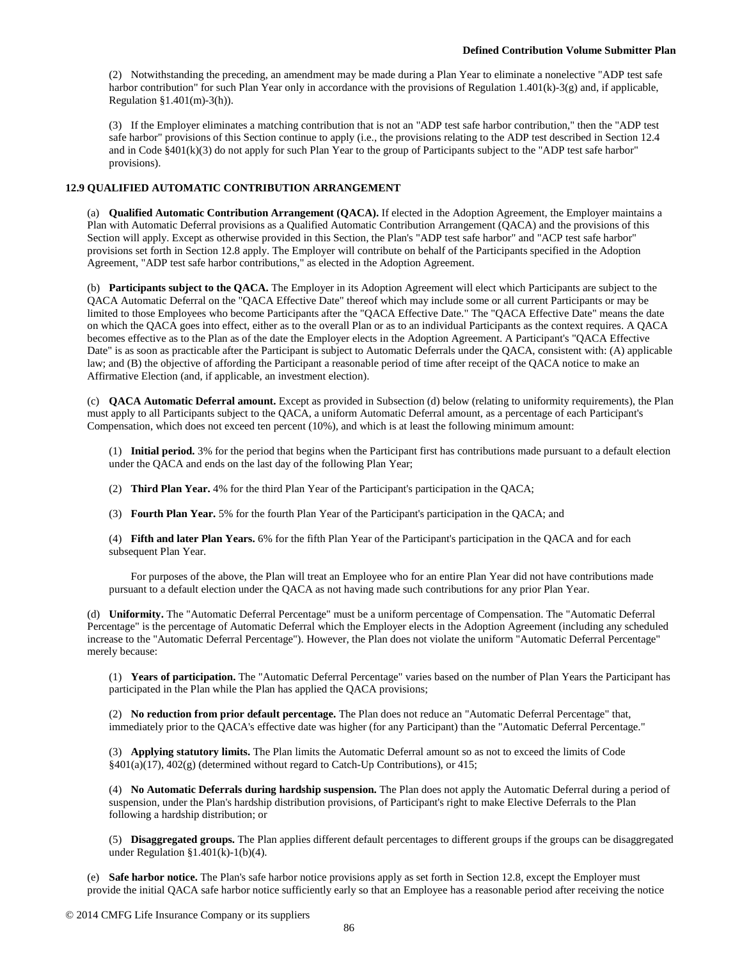(2) Notwithstanding the preceding, an amendment may be made during a Plan Year to eliminate a nonelective "ADP test safe harbor contribution" for such Plan Year only in accordance with the provisions of Regulation 1.401(k)-3(g) and, if applicable, Regulation §1.401(m)-3(h)).

(3) If the Employer eliminates a matching contribution that is not an "ADP test safe harbor contribution," then the "ADP test safe harbor" provisions of this Section continue to apply (i.e., the provisions relating to the ADP test described in Section 12.4 and in Code §401(k)(3) do not apply for such Plan Year to the group of Participants subject to the "ADP test safe harbor" provisions).

## **12.9 QUALIFIED AUTOMATIC CONTRIBUTION ARRANGEMENT**

(a) **Qualified Automatic Contribution Arrangement (QACA).** If elected in the Adoption Agreement, the Employer maintains a Plan with Automatic Deferral provisions as a Qualified Automatic Contribution Arrangement (QACA) and the provisions of this Section will apply. Except as otherwise provided in this Section, the Plan's "ADP test safe harbor" and "ACP test safe harbor" provisions set forth in Section 12.8 apply. The Employer will contribute on behalf of the Participants specified in the Adoption Agreement, "ADP test safe harbor contributions," as elected in the Adoption Agreement.

(b) **Participants subject to the QACA.** The Employer in its Adoption Agreement will elect which Participants are subject to the QACA Automatic Deferral on the "QACA Effective Date" thereof which may include some or all current Participants or may be limited to those Employees who become Participants after the "QACA Effective Date." The "QACA Effective Date" means the date on which the QACA goes into effect, either as to the overall Plan or as to an individual Participants as the context requires. A QACA becomes effective as to the Plan as of the date the Employer elects in the Adoption Agreement. A Participant's "QACA Effective Date" is as soon as practicable after the Participant is subject to Automatic Deferrals under the QACA, consistent with: (A) applicable law; and (B) the objective of affording the Participant a reasonable period of time after receipt of the QACA notice to make an Affirmative Election (and, if applicable, an investment election).

(c) **QACA Automatic Deferral amount.** Except as provided in Subsection (d) below (relating to uniformity requirements), the Plan must apply to all Participants subject to the QACA, a uniform Automatic Deferral amount, as a percentage of each Participant's Compensation, which does not exceed ten percent (10%), and which is at least the following minimum amount:

(1) **Initial period.** 3% for the period that begins when the Participant first has contributions made pursuant to a default election under the QACA and ends on the last day of the following Plan Year;

- (2) **Third Plan Year.** 4% for the third Plan Year of the Participant's participation in the QACA;
- (3) **Fourth Plan Year.** 5% for the fourth Plan Year of the Participant's participation in the QACA; and

(4) **Fifth and later Plan Years.** 6% for the fifth Plan Year of the Participant's participation in the QACA and for each subsequent Plan Year.

For purposes of the above, the Plan will treat an Employee who for an entire Plan Year did not have contributions made pursuant to a default election under the QACA as not having made such contributions for any prior Plan Year.

(d) **Uniformity.** The "Automatic Deferral Percentage" must be a uniform percentage of Compensation. The "Automatic Deferral Percentage" is the percentage of Automatic Deferral which the Employer elects in the Adoption Agreement (including any scheduled increase to the "Automatic Deferral Percentage"). However, the Plan does not violate the uniform "Automatic Deferral Percentage" merely because:

(1) **Years of participation.** The "Automatic Deferral Percentage" varies based on the number of Plan Years the Participant has participated in the Plan while the Plan has applied the QACA provisions;

(2) **No reduction from prior default percentage.** The Plan does not reduce an "Automatic Deferral Percentage" that, immediately prior to the QACA's effective date was higher (for any Participant) than the "Automatic Deferral Percentage."

(3) **Applying statutory limits.** The Plan limits the Automatic Deferral amount so as not to exceed the limits of Code  $§401(a)(17), 402(g)$  (determined without regard to Catch-Up Contributions), or 415;

(4) **No Automatic Deferrals during hardship suspension.** The Plan does not apply the Automatic Deferral during a period of suspension, under the Plan's hardship distribution provisions, of Participant's right to make Elective Deferrals to the Plan following a hardship distribution; or

(5) **Disaggregated groups.** The Plan applies different default percentages to different groups if the groups can be disaggregated under Regulation §1.401(k)-1(b)(4).

(e) **Safe harbor notice.** The Plan's safe harbor notice provisions apply as set forth in Section 12.8, except the Employer must provide the initial QACA safe harbor notice sufficiently early so that an Employee has a reasonable period after receiving the notice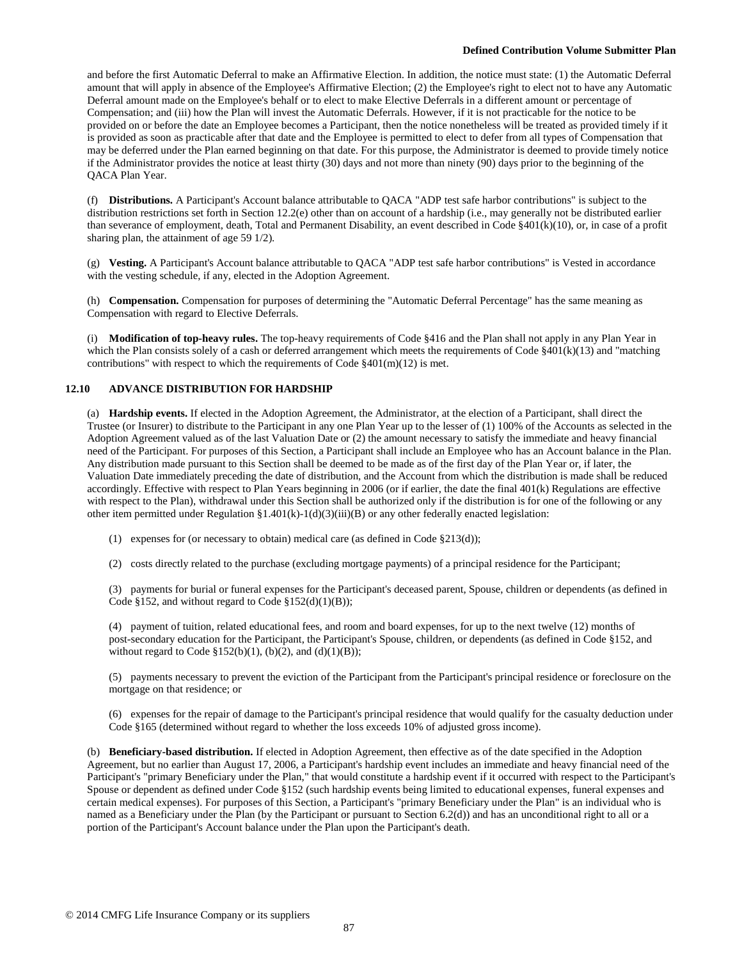and before the first Automatic Deferral to make an Affirmative Election. In addition, the notice must state: (1) the Automatic Deferral amount that will apply in absence of the Employee's Affirmative Election; (2) the Employee's right to elect not to have any Automatic Deferral amount made on the Employee's behalf or to elect to make Elective Deferrals in a different amount or percentage of Compensation; and (iii) how the Plan will invest the Automatic Deferrals. However, if it is not practicable for the notice to be provided on or before the date an Employee becomes a Participant, then the notice nonetheless will be treated as provided timely if it is provided as soon as practicable after that date and the Employee is permitted to elect to defer from all types of Compensation that may be deferred under the Plan earned beginning on that date. For this purpose, the Administrator is deemed to provide timely notice if the Administrator provides the notice at least thirty (30) days and not more than ninety (90) days prior to the beginning of the QACA Plan Year.

(f) **Distributions.** A Participant's Account balance attributable to QACA "ADP test safe harbor contributions" is subject to the distribution restrictions set forth in Section 12.2(e) other than on account of a hardship (i.e., may generally not be distributed earlier than severance of employment, death, Total and Permanent Disability, an event described in Code §401(k)(10), or, in case of a profit sharing plan, the attainment of age 59 1/2).

(g) **Vesting.** A Participant's Account balance attributable to QACA "ADP test safe harbor contributions" is Vested in accordance with the vesting schedule, if any, elected in the Adoption Agreement.

(h) **Compensation.** Compensation for purposes of determining the "Automatic Deferral Percentage" has the same meaning as Compensation with regard to Elective Deferrals.

(i) **Modification of top-heavy rules.** The top-heavy requirements of Code §416 and the Plan shall not apply in any Plan Year in which the Plan consists solely of a cash or deferred arrangement which meets the requirements of Code  $\{401(k)(13)$  and "matching contributions" with respect to which the requirements of Code  $\S 401(m)(12)$  is met.

## **12.10 ADVANCE DISTRIBUTION FOR HARDSHIP**

(a) **Hardship events.** If elected in the Adoption Agreement, the Administrator, at the election of a Participant, shall direct the Trustee (or Insurer) to distribute to the Participant in any one Plan Year up to the lesser of (1) 100% of the Accounts as selected in the Adoption Agreement valued as of the last Valuation Date or (2) the amount necessary to satisfy the immediate and heavy financial need of the Participant. For purposes of this Section, a Participant shall include an Employee who has an Account balance in the Plan. Any distribution made pursuant to this Section shall be deemed to be made as of the first day of the Plan Year or, if later, the Valuation Date immediately preceding the date of distribution, and the Account from which the distribution is made shall be reduced accordingly. Effective with respect to Plan Years beginning in 2006 (or if earlier, the date the final 401(k) Regulations are effective with respect to the Plan), withdrawal under this Section shall be authorized only if the distribution is for one of the following or any other item permitted under Regulation §1.401(k)-1(d)(3)(iii)(B) or any other federally enacted legislation:

(1) expenses for (or necessary to obtain) medical care (as defined in Code §213(d));

(2) costs directly related to the purchase (excluding mortgage payments) of a principal residence for the Participant;

(3) payments for burial or funeral expenses for the Participant's deceased parent, Spouse, children or dependents (as defined in Code §152, and without regard to Code §152(d)(1)(B));

(4) payment of tuition, related educational fees, and room and board expenses, for up to the next twelve (12) months of post-secondary education for the Participant, the Participant's Spouse, children, or dependents (as defined in Code §152, and without regard to Code  $$152(b)(1), (b)(2),$  and  $(d)(1)(B))$ ;

(5) payments necessary to prevent the eviction of the Participant from the Participant's principal residence or foreclosure on the mortgage on that residence; or

(6) expenses for the repair of damage to the Participant's principal residence that would qualify for the casualty deduction under Code §165 (determined without regard to whether the loss exceeds 10% of adjusted gross income).

(b) **Beneficiary-based distribution.** If elected in Adoption Agreement, then effective as of the date specified in the Adoption Agreement, but no earlier than August 17, 2006, a Participant's hardship event includes an immediate and heavy financial need of the Participant's "primary Beneficiary under the Plan," that would constitute a hardship event if it occurred with respect to the Participant's Spouse or dependent as defined under Code §152 (such hardship events being limited to educational expenses, funeral expenses and certain medical expenses). For purposes of this Section, a Participant's "primary Beneficiary under the Plan" is an individual who is named as a Beneficiary under the Plan (by the Participant or pursuant to Section 6.2(d)) and has an unconditional right to all or a portion of the Participant's Account balance under the Plan upon the Participant's death.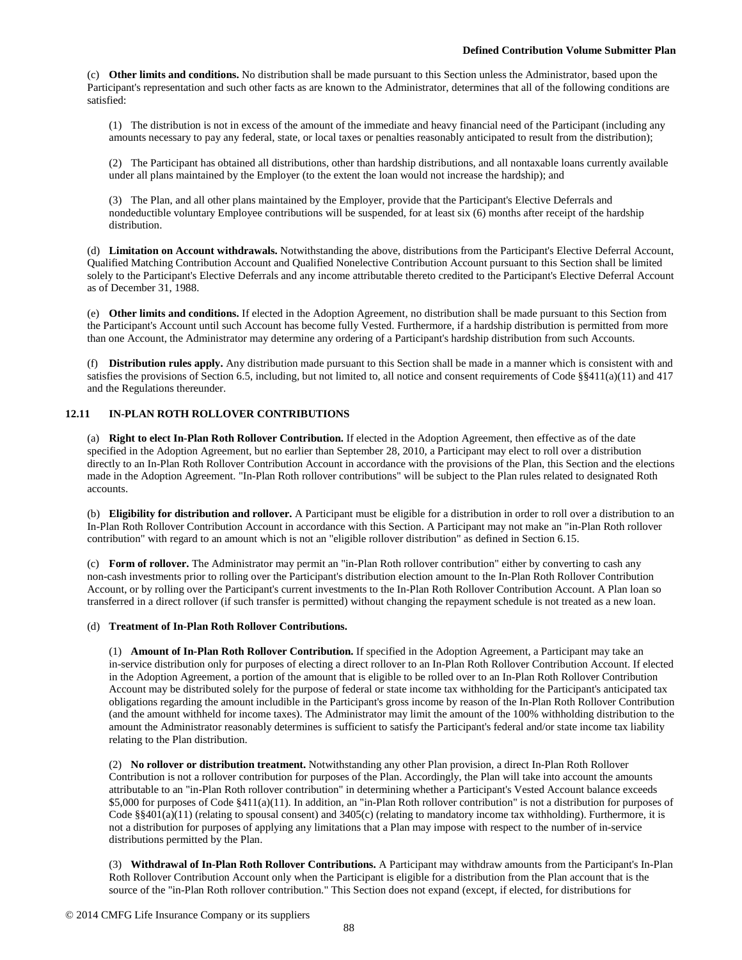(c) **Other limits and conditions.** No distribution shall be made pursuant to this Section unless the Administrator, based upon the Participant's representation and such other facts as are known to the Administrator, determines that all of the following conditions are satisfied:

(1) The distribution is not in excess of the amount of the immediate and heavy financial need of the Participant (including any amounts necessary to pay any federal, state, or local taxes or penalties reasonably anticipated to result from the distribution);

(2) The Participant has obtained all distributions, other than hardship distributions, and all nontaxable loans currently available under all plans maintained by the Employer (to the extent the loan would not increase the hardship); and

(3) The Plan, and all other plans maintained by the Employer, provide that the Participant's Elective Deferrals and nondeductible voluntary Employee contributions will be suspended, for at least six (6) months after receipt of the hardship distribution.

(d) **Limitation on Account withdrawals.** Notwithstanding the above, distributions from the Participant's Elective Deferral Account, Qualified Matching Contribution Account and Qualified Nonelective Contribution Account pursuant to this Section shall be limited solely to the Participant's Elective Deferrals and any income attributable thereto credited to the Participant's Elective Deferral Account as of December 31, 1988.

(e) **Other limits and conditions.** If elected in the Adoption Agreement, no distribution shall be made pursuant to this Section from the Participant's Account until such Account has become fully Vested. Furthermore, if a hardship distribution is permitted from more than one Account, the Administrator may determine any ordering of a Participant's hardship distribution from such Accounts.

(f) **Distribution rules apply.** Any distribution made pursuant to this Section shall be made in a manner which is consistent with and satisfies the provisions of Section 6.5, including, but not limited to, all notice and consent requirements of Code §§411(a)(11) and 417 and the Regulations thereunder.

## **12.11 IN-PLAN ROTH ROLLOVER CONTRIBUTIONS**

(a) **Right to elect In-Plan Roth Rollover Contribution.** If elected in the Adoption Agreement, then effective as of the date specified in the Adoption Agreement, but no earlier than September 28, 2010, a Participant may elect to roll over a distribution directly to an In-Plan Roth Rollover Contribution Account in accordance with the provisions of the Plan, this Section and the elections made in the Adoption Agreement. "In-Plan Roth rollover contributions" will be subject to the Plan rules related to designated Roth accounts.

(b) **Eligibility for distribution and rollover.** A Participant must be eligible for a distribution in order to roll over a distribution to an In-Plan Roth Rollover Contribution Account in accordance with this Section. A Participant may not make an "in-Plan Roth rollover contribution" with regard to an amount which is not an "eligible rollover distribution" as defined in Section 6.15.

(c) **Form of rollover.** The Administrator may permit an "in-Plan Roth rollover contribution" either by converting to cash any non-cash investments prior to rolling over the Participant's distribution election amount to the In-Plan Roth Rollover Contribution Account, or by rolling over the Participant's current investments to the In-Plan Roth Rollover Contribution Account. A Plan loan so transferred in a direct rollover (if such transfer is permitted) without changing the repayment schedule is not treated as a new loan.

## (d) **Treatment of In-Plan Roth Rollover Contributions.**

(1) **Amount of In-Plan Roth Rollover Contribution.** If specified in the Adoption Agreement, a Participant may take an in-service distribution only for purposes of electing a direct rollover to an In-Plan Roth Rollover Contribution Account. If elected in the Adoption Agreement, a portion of the amount that is eligible to be rolled over to an In-Plan Roth Rollover Contribution Account may be distributed solely for the purpose of federal or state income tax withholding for the Participant's anticipated tax obligations regarding the amount includible in the Participant's gross income by reason of the In-Plan Roth Rollover Contribution (and the amount withheld for income taxes). The Administrator may limit the amount of the 100% withholding distribution to the amount the Administrator reasonably determines is sufficient to satisfy the Participant's federal and/or state income tax liability relating to the Plan distribution.

(2) **No rollover or distribution treatment.** Notwithstanding any other Plan provision, a direct In-Plan Roth Rollover Contribution is not a rollover contribution for purposes of the Plan. Accordingly, the Plan will take into account the amounts attributable to an "in-Plan Roth rollover contribution" in determining whether a Participant's Vested Account balance exceeds \$5,000 for purposes of Code §411(a)(11). In addition, an "in-Plan Roth rollover contribution" is not a distribution for purposes of Code §§401(a)(11) (relating to spousal consent) and 3405(c) (relating to mandatory income tax withholding). Furthermore, it is not a distribution for purposes of applying any limitations that a Plan may impose with respect to the number of in-service distributions permitted by the Plan.

(3) **Withdrawal of In-Plan Roth Rollover Contributions.** A Participant may withdraw amounts from the Participant's In-Plan Roth Rollover Contribution Account only when the Participant is eligible for a distribution from the Plan account that is the source of the "in-Plan Roth rollover contribution." This Section does not expand (except, if elected, for distributions for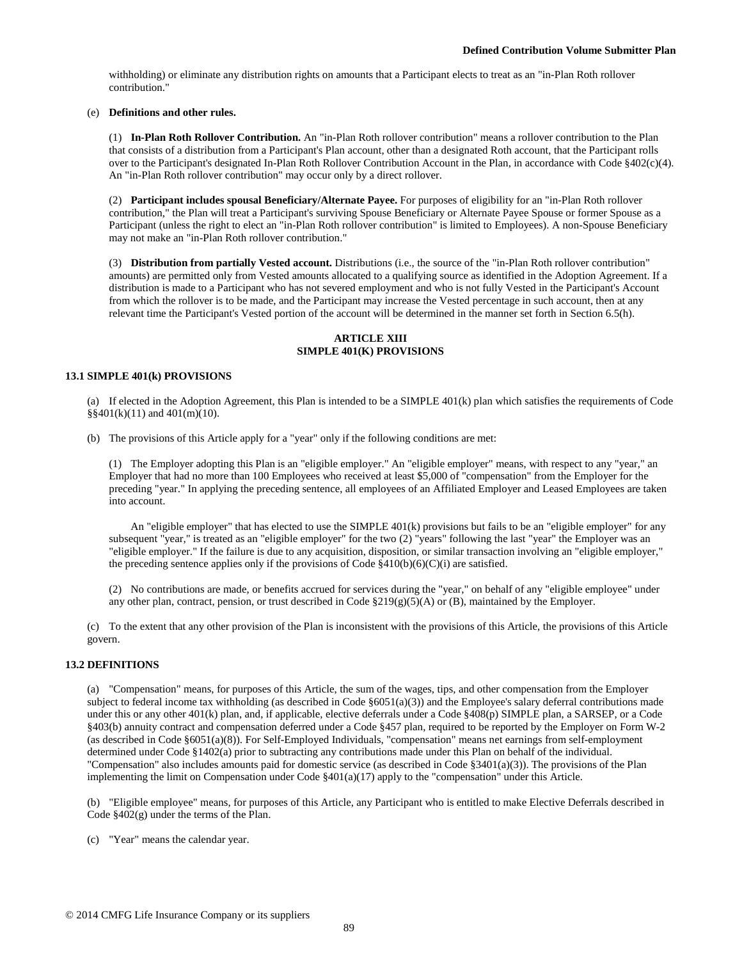withholding) or eliminate any distribution rights on amounts that a Participant elects to treat as an "in-Plan Roth rollover contribution."

## (e) **Definitions and other rules.**

(1) **In-Plan Roth Rollover Contribution.** An "in-Plan Roth rollover contribution" means a rollover contribution to the Plan that consists of a distribution from a Participant's Plan account, other than a designated Roth account, that the Participant rolls over to the Participant's designated In-Plan Roth Rollover Contribution Account in the Plan, in accordance with Code §402(c)(4). An "in-Plan Roth rollover contribution" may occur only by a direct rollover.

(2) **Participant includes spousal Beneficiary/Alternate Payee.** For purposes of eligibility for an "in-Plan Roth rollover contribution," the Plan will treat a Participant's surviving Spouse Beneficiary or Alternate Payee Spouse or former Spouse as a Participant (unless the right to elect an "in-Plan Roth rollover contribution" is limited to Employees). A non-Spouse Beneficiary may not make an "in-Plan Roth rollover contribution."

(3) **Distribution from partially Vested account.** Distributions (i.e., the source of the "in-Plan Roth rollover contribution" amounts) are permitted only from Vested amounts allocated to a qualifying source as identified in the Adoption Agreement. If a distribution is made to a Participant who has not severed employment and who is not fully Vested in the Participant's Account from which the rollover is to be made, and the Participant may increase the Vested percentage in such account, then at any relevant time the Participant's Vested portion of the account will be determined in the manner set forth in Section 6.5(h).

## **ARTICLE XIII SIMPLE 401(K) PROVISIONS**

#### **13.1 SIMPLE 401(k) PROVISIONS**

(a) If elected in the Adoption Agreement, this Plan is intended to be a SIMPLE 401(k) plan which satisfies the requirements of Code §§401(k)(11) and 401(m)(10).

(b) The provisions of this Article apply for a "year" only if the following conditions are met:

(1) The Employer adopting this Plan is an "eligible employer." An "eligible employer" means, with respect to any "year," an Employer that had no more than 100 Employees who received at least \$5,000 of "compensation" from the Employer for the preceding "year." In applying the preceding sentence, all employees of an Affiliated Employer and Leased Employees are taken into account.

An "eligible employer" that has elected to use the SIMPLE 401(k) provisions but fails to be an "eligible employer" for any subsequent "year," is treated as an "eligible employer" for the two (2) "years" following the last "year" the Employer was an "eligible employer." If the failure is due to any acquisition, disposition, or similar transaction involving an "eligible employer," the preceding sentence applies only if the provisions of Code  $\frac{8410(b)(6)(C)(i)}{2}$  are satisfied.

(2) No contributions are made, or benefits accrued for services during the "year," on behalf of any "eligible employee" under any other plan, contract, pension, or trust described in Code  $\S219(g)(5)(A)$  or (B), maintained by the Employer.

(c) To the extent that any other provision of the Plan is inconsistent with the provisions of this Article, the provisions of this Article govern.

## **13.2 DEFINITIONS**

(a) "Compensation" means, for purposes of this Article, the sum of the wages, tips, and other compensation from the Employer subject to federal income tax withholding (as described in Code  $\S 6051(a)(3)$ ) and the Employee's salary deferral contributions made under this or any other 401(k) plan, and, if applicable, elective deferrals under a Code §408(p) SIMPLE plan, a SARSEP, or a Code §403(b) annuity contract and compensation deferred under a Code §457 plan, required to be reported by the Employer on Form W-2 (as described in Code §6051(a)(8)). For Self-Employed Individuals, "compensation" means net earnings from self-employment determined under Code §1402(a) prior to subtracting any contributions made under this Plan on behalf of the individual. "Compensation" also includes amounts paid for domestic service (as described in Code  $\S 3401(a)(3)$ ). The provisions of the Plan implementing the limit on Compensation under Code  $\S401(a)(17)$  apply to the "compensation" under this Article.

(b) "Eligible employee" means, for purposes of this Article, any Participant who is entitled to make Elective Deferrals described in Code §402(g) under the terms of the Plan.

(c) "Year" means the calendar year.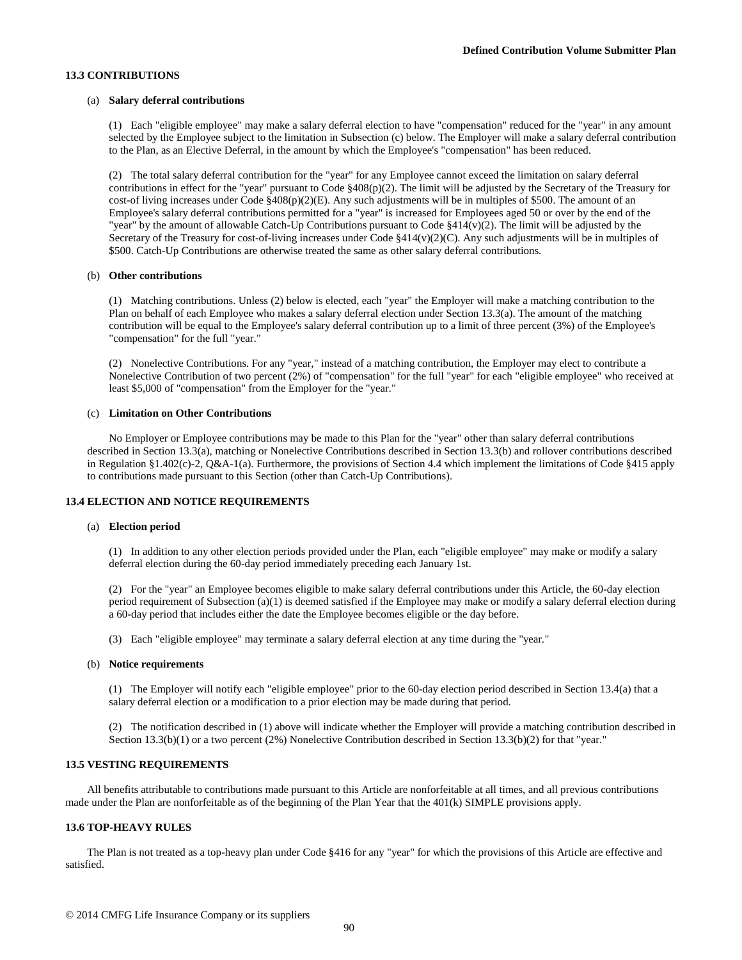## **13.3 CONTRIBUTIONS**

#### (a) **Salary deferral contributions**

(1) Each "eligible employee" may make a salary deferral election to have "compensation" reduced for the "year" in any amount selected by the Employee subject to the limitation in Subsection (c) below. The Employer will make a salary deferral contribution to the Plan, as an Elective Deferral, in the amount by which the Employee's "compensation" has been reduced.

(2) The total salary deferral contribution for the "year" for any Employee cannot exceed the limitation on salary deferral contributions in effect for the "year" pursuant to Code  $\S 408(p)(2)$ . The limit will be adjusted by the Secretary of the Treasury for cost-of living increases under Code  $\S 408(p)(2)(E)$ . Any such adjustments will be in multiples of \$500. The amount of an Employee's salary deferral contributions permitted for a "year" is increased for Employees aged 50 or over by the end of the "year" by the amount of allowable Catch-Up Contributions pursuant to Code §414(v)(2). The limit will be adjusted by the Secretary of the Treasury for cost-of-living increases under Code §414(v)(2)(C). Any such adjustments will be in multiples of \$500. Catch-Up Contributions are otherwise treated the same as other salary deferral contributions.

#### (b) **Other contributions**

(1) Matching contributions. Unless (2) below is elected, each "year" the Employer will make a matching contribution to the Plan on behalf of each Employee who makes a salary deferral election under Section 13.3(a). The amount of the matching contribution will be equal to the Employee's salary deferral contribution up to a limit of three percent (3%) of the Employee's "compensation" for the full "year."

(2) Nonelective Contributions. For any "year," instead of a matching contribution, the Employer may elect to contribute a Nonelective Contribution of two percent (2%) of "compensation" for the full "year" for each "eligible employee" who received at least \$5,000 of "compensation" from the Employer for the "year."

#### (c) **Limitation on Other Contributions**

No Employer or Employee contributions may be made to this Plan for the "year" other than salary deferral contributions described in Section 13.3(a), matching or Nonelective Contributions described in Section 13.3(b) and rollover contributions described in Regulation §1.402(c)-2, Q&A-1(a). Furthermore, the provisions of Section 4.4 which implement the limitations of Code §415 apply to contributions made pursuant to this Section (other than Catch-Up Contributions).

#### **13.4 ELECTION AND NOTICE REQUIREMENTS**

#### (a) **Election period**

(1) In addition to any other election periods provided under the Plan, each "eligible employee" may make or modify a salary deferral election during the 60-day period immediately preceding each January 1st.

(2) For the "year" an Employee becomes eligible to make salary deferral contributions under this Article, the 60-day election period requirement of Subsection (a)(1) is deemed satisfied if the Employee may make or modify a salary deferral election during a 60-day period that includes either the date the Employee becomes eligible or the day before.

(3) Each "eligible employee" may terminate a salary deferral election at any time during the "year."

#### (b) **Notice requirements**

(1) The Employer will notify each "eligible employee" prior to the 60-day election period described in Section 13.4(a) that a salary deferral election or a modification to a prior election may be made during that period.

(2) The notification described in (1) above will indicate whether the Employer will provide a matching contribution described in Section 13.3(b)(1) or a two percent (2%) Nonelective Contribution described in Section 13.3(b)(2) for that "year."

#### **13.5 VESTING REQUIREMENTS**

All benefits attributable to contributions made pursuant to this Article are nonforfeitable at all times, and all previous contributions made under the Plan are nonforfeitable as of the beginning of the Plan Year that the 401(k) SIMPLE provisions apply.

## **13.6 TOP-HEAVY RULES**

The Plan is not treated as a top-heavy plan under Code §416 for any "year" for which the provisions of this Article are effective and satisfied.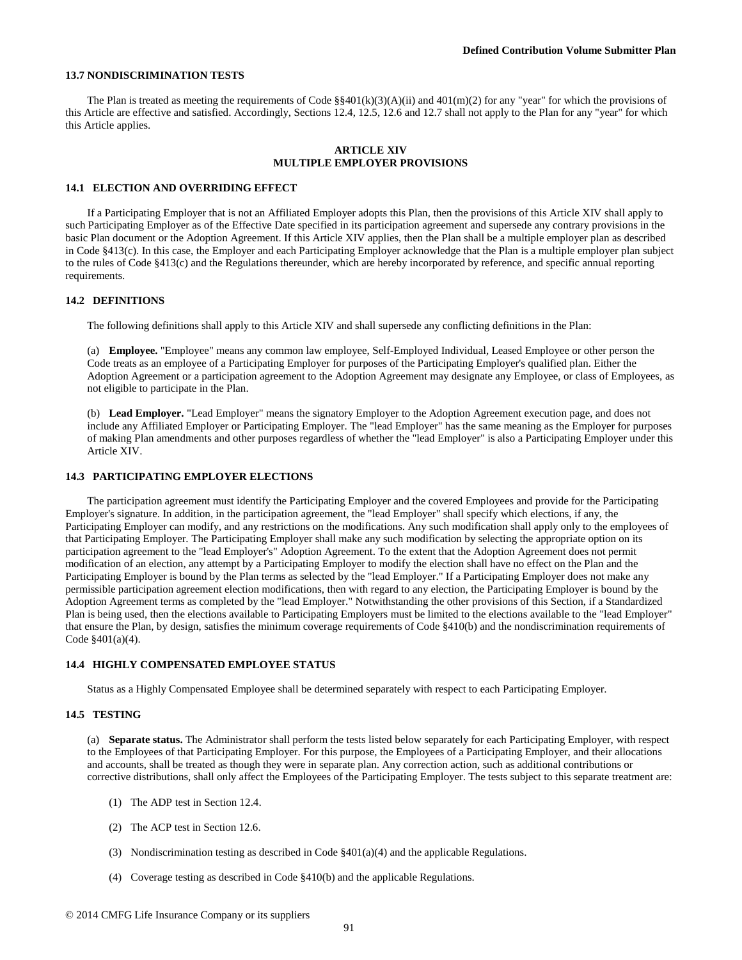#### **13.7 NONDISCRIMINATION TESTS**

The Plan is treated as meeting the requirements of Code  $\S$ §401(k)(3)(A)(ii) and 401(m)(2) for any "year" for which the provisions of this Article are effective and satisfied. Accordingly, Sections 12.4, 12.5, 12.6 and 12.7 shall not apply to the Plan for any "year" for which this Article applies.

### **ARTICLE XIV MULTIPLE EMPLOYER PROVISIONS**

#### **14.1 ELECTION AND OVERRIDING EFFECT**

If a Participating Employer that is not an Affiliated Employer adopts this Plan, then the provisions of this Article XIV shall apply to such Participating Employer as of the Effective Date specified in its participation agreement and supersede any contrary provisions in the basic Plan document or the Adoption Agreement. If this Article XIV applies, then the Plan shall be a multiple employer plan as described in Code §413(c). In this case, the Employer and each Participating Employer acknowledge that the Plan is a multiple employer plan subject to the rules of Code §413(c) and the Regulations thereunder, which are hereby incorporated by reference, and specific annual reporting requirements.

#### **14.2 DEFINITIONS**

The following definitions shall apply to this Article XIV and shall supersede any conflicting definitions in the Plan:

(a) **Employee.** "Employee" means any common law employee, Self-Employed Individual, Leased Employee or other person the Code treats as an employee of a Participating Employer for purposes of the Participating Employer's qualified plan. Either the Adoption Agreement or a participation agreement to the Adoption Agreement may designate any Employee, or class of Employees, as not eligible to participate in the Plan.

(b) **Lead Employer.** "Lead Employer" means the signatory Employer to the Adoption Agreement execution page, and does not include any Affiliated Employer or Participating Employer. The "lead Employer" has the same meaning as the Employer for purposes of making Plan amendments and other purposes regardless of whether the "lead Employer" is also a Participating Employer under this Article XIV.

#### **14.3 PARTICIPATING EMPLOYER ELECTIONS**

The participation agreement must identify the Participating Employer and the covered Employees and provide for the Participating Employer's signature. In addition, in the participation agreement, the "lead Employer" shall specify which elections, if any, the Participating Employer can modify, and any restrictions on the modifications. Any such modification shall apply only to the employees of that Participating Employer. The Participating Employer shall make any such modification by selecting the appropriate option on its participation agreement to the "lead Employer's" Adoption Agreement. To the extent that the Adoption Agreement does not permit modification of an election, any attempt by a Participating Employer to modify the election shall have no effect on the Plan and the Participating Employer is bound by the Plan terms as selected by the "lead Employer." If a Participating Employer does not make any permissible participation agreement election modifications, then with regard to any election, the Participating Employer is bound by the Adoption Agreement terms as completed by the "lead Employer." Notwithstanding the other provisions of this Section, if a Standardized Plan is being used, then the elections available to Participating Employers must be limited to the elections available to the "lead Employer" that ensure the Plan, by design, satisfies the minimum coverage requirements of Code §410(b) and the nondiscrimination requirements of Code §401(a)(4).

#### **14.4 HIGHLY COMPENSATED EMPLOYEE STATUS**

Status as a Highly Compensated Employee shall be determined separately with respect to each Participating Employer.

## **14.5 TESTING**

(a) **Separate status.** The Administrator shall perform the tests listed below separately for each Participating Employer, with respect to the Employees of that Participating Employer. For this purpose, the Employees of a Participating Employer, and their allocations and accounts, shall be treated as though they were in separate plan. Any correction action, such as additional contributions or corrective distributions, shall only affect the Employees of the Participating Employer. The tests subject to this separate treatment are:

- (1) The ADP test in Section 12.4.
- (2) The ACP test in Section 12.6.
- (3) Nondiscrimination testing as described in Code §401(a)(4) and the applicable Regulations.
- (4) Coverage testing as described in Code §410(b) and the applicable Regulations.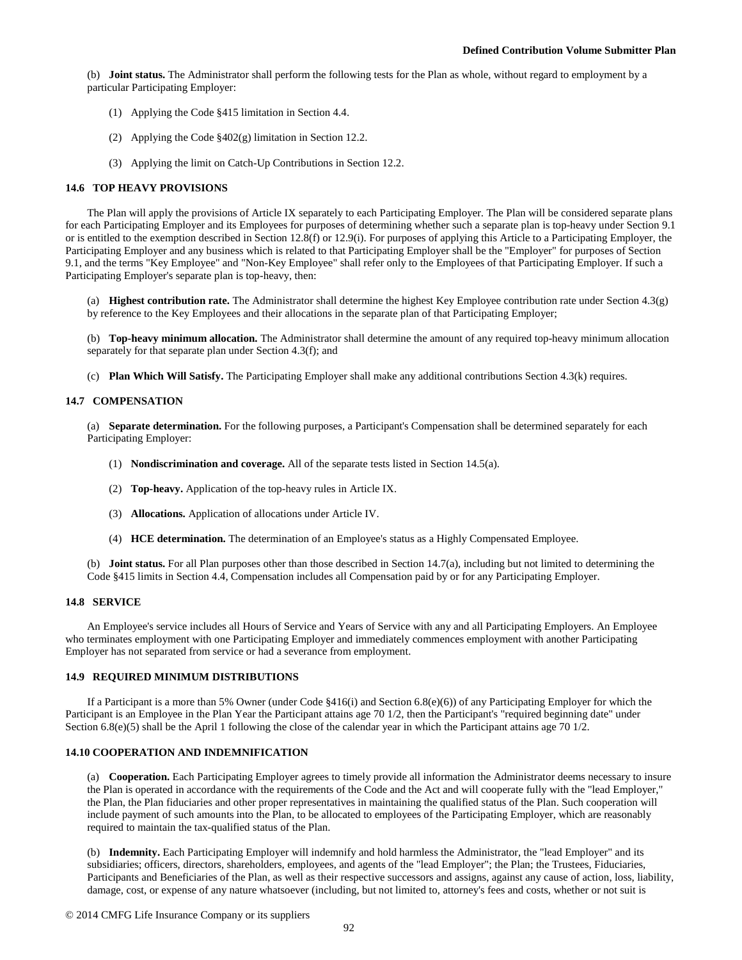(b) **Joint status.** The Administrator shall perform the following tests for the Plan as whole, without regard to employment by a particular Participating Employer:

- (1) Applying the Code §415 limitation in Section 4.4.
- (2) Applying the Code §402(g) limitation in Section 12.2.
- (3) Applying the limit on Catch-Up Contributions in Section 12.2.

#### **14.6 TOP HEAVY PROVISIONS**

The Plan will apply the provisions of Article IX separately to each Participating Employer. The Plan will be considered separate plans for each Participating Employer and its Employees for purposes of determining whether such a separate plan is top-heavy under Section 9.1 or is entitled to the exemption described in Section 12.8(f) or 12.9(i). For purposes of applying this Article to a Participating Employer, the Participating Employer and any business which is related to that Participating Employer shall be the "Employer" for purposes of Section 9.1, and the terms "Key Employee" and "Non-Key Employee" shall refer only to the Employees of that Participating Employer. If such a Participating Employer's separate plan is top-heavy, then:

(a) **Highest contribution rate.** The Administrator shall determine the highest Key Employee contribution rate under Section 4.3(g) by reference to the Key Employees and their allocations in the separate plan of that Participating Employer;

(b) **Top-heavy minimum allocation.** The Administrator shall determine the amount of any required top-heavy minimum allocation separately for that separate plan under Section 4.3(f); and

(c) **Plan Which Will Satisfy.** The Participating Employer shall make any additional contributions Section 4.3(k) requires.

## **14.7 COMPENSATION**

(a) **Separate determination.** For the following purposes, a Participant's Compensation shall be determined separately for each Participating Employer:

- (1) **Nondiscrimination and coverage.** All of the separate tests listed in Section 14.5(a).
- (2) **Top-heavy.** Application of the top-heavy rules in Article IX.
- (3) **Allocations.** Application of allocations under Article IV.
- (4) **HCE determination.** The determination of an Employee's status as a Highly Compensated Employee.

(b) **Joint status.** For all Plan purposes other than those described in Section 14.7(a), including but not limited to determining the Code §415 limits in Section 4.4, Compensation includes all Compensation paid by or for any Participating Employer.

#### **14.8 SERVICE**

An Employee's service includes all Hours of Service and Years of Service with any and all Participating Employers. An Employee who terminates employment with one Participating Employer and immediately commences employment with another Participating Employer has not separated from service or had a severance from employment.

#### **14.9 REQUIRED MINIMUM DISTRIBUTIONS**

If a Participant is a more than 5% Owner (under Code §416(i) and Section 6.8(e)(6)) of any Participating Employer for which the Participant is an Employee in the Plan Year the Participant attains age 70 1/2, then the Participant's "required beginning date" under Section  $6.8(e)(5)$  shall be the April 1 following the close of the calendar year in which the Participant attains age 70 1/2.

## **14.10 COOPERATION AND INDEMNIFICATION**

(a) **Cooperation.** Each Participating Employer agrees to timely provide all information the Administrator deems necessary to insure the Plan is operated in accordance with the requirements of the Code and the Act and will cooperate fully with the "lead Employer," the Plan, the Plan fiduciaries and other proper representatives in maintaining the qualified status of the Plan. Such cooperation will include payment of such amounts into the Plan, to be allocated to employees of the Participating Employer, which are reasonably required to maintain the tax-qualified status of the Plan.

(b) **Indemnity.** Each Participating Employer will indemnify and hold harmless the Administrator, the "lead Employer" and its subsidiaries; officers, directors, shareholders, employees, and agents of the "lead Employer"; the Plan; the Trustees, Fiduciaries, Participants and Beneficiaries of the Plan, as well as their respective successors and assigns, against any cause of action, loss, liability, damage, cost, or expense of any nature whatsoever (including, but not limited to, attorney's fees and costs, whether or not suit is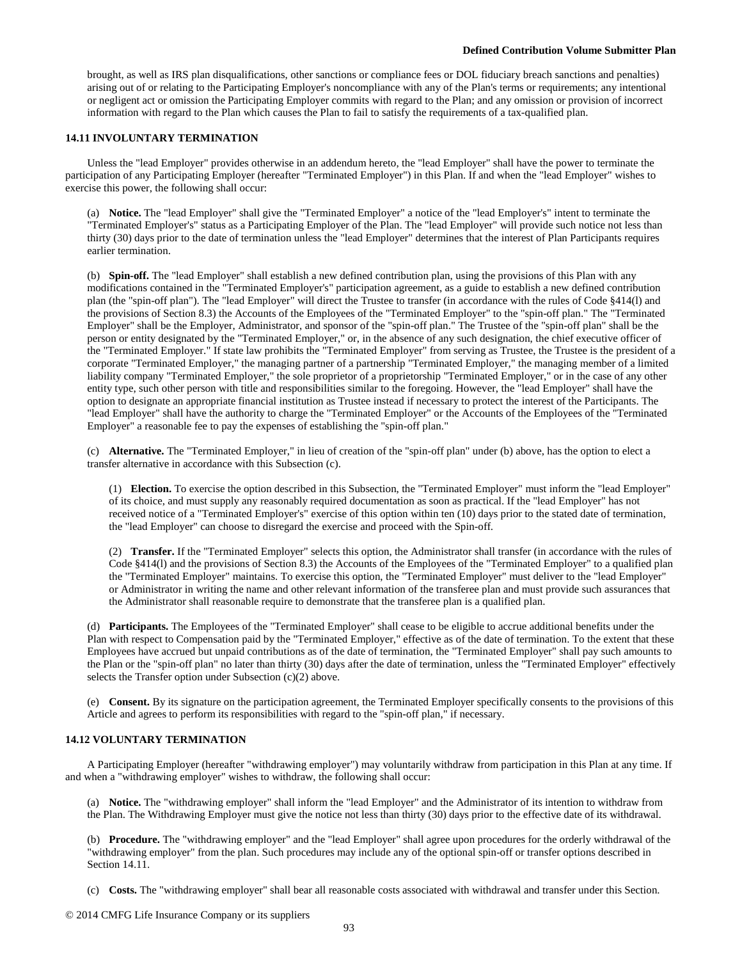brought, as well as IRS plan disqualifications, other sanctions or compliance fees or DOL fiduciary breach sanctions and penalties) arising out of or relating to the Participating Employer's noncompliance with any of the Plan's terms or requirements; any intentional or negligent act or omission the Participating Employer commits with regard to the Plan; and any omission or provision of incorrect information with regard to the Plan which causes the Plan to fail to satisfy the requirements of a tax-qualified plan.

## **14.11 INVOLUNTARY TERMINATION**

Unless the "lead Employer" provides otherwise in an addendum hereto, the "lead Employer" shall have the power to terminate the participation of any Participating Employer (hereafter "Terminated Employer") in this Plan. If and when the "lead Employer" wishes to exercise this power, the following shall occur:

(a) **Notice.** The "lead Employer" shall give the "Terminated Employer" a notice of the "lead Employer's" intent to terminate the "Terminated Employer's" status as a Participating Employer of the Plan. The "lead Employer" will provide such notice not less than thirty (30) days prior to the date of termination unless the "lead Employer" determines that the interest of Plan Participants requires earlier termination.

(b) **Spin-off.** The "lead Employer" shall establish a new defined contribution plan, using the provisions of this Plan with any modifications contained in the "Terminated Employer's" participation agreement, as a guide to establish a new defined contribution plan (the "spin-off plan"). The "lead Employer" will direct the Trustee to transfer (in accordance with the rules of Code §414(l) and the provisions of Section 8.3) the Accounts of the Employees of the "Terminated Employer" to the "spin-off plan." The "Terminated Employer" shall be the Employer, Administrator, and sponsor of the "spin-off plan." The Trustee of the "spin-off plan" shall be the person or entity designated by the "Terminated Employer," or, in the absence of any such designation, the chief executive officer of the "Terminated Employer." If state law prohibits the "Terminated Employer" from serving as Trustee, the Trustee is the president of a corporate "Terminated Employer," the managing partner of a partnership "Terminated Employer," the managing member of a limited liability company "Terminated Employer," the sole proprietor of a proprietorship "Terminated Employer," or in the case of any other entity type, such other person with title and responsibilities similar to the foregoing. However, the "lead Employer" shall have the option to designate an appropriate financial institution as Trustee instead if necessary to protect the interest of the Participants. The "lead Employer" shall have the authority to charge the "Terminated Employer" or the Accounts of the Employees of the "Terminated Employer" a reasonable fee to pay the expenses of establishing the "spin-off plan."

(c) **Alternative.** The "Terminated Employer," in lieu of creation of the "spin-off plan" under (b) above, has the option to elect a transfer alternative in accordance with this Subsection (c).

(1) **Election.** To exercise the option described in this Subsection, the "Terminated Employer" must inform the "lead Employer" of its choice, and must supply any reasonably required documentation as soon as practical. If the "lead Employer" has not received notice of a "Terminated Employer's" exercise of this option within ten (10) days prior to the stated date of termination, the "lead Employer" can choose to disregard the exercise and proceed with the Spin-off.

(2) **Transfer.** If the "Terminated Employer" selects this option, the Administrator shall transfer (in accordance with the rules of Code §414(l) and the provisions of Section 8.3) the Accounts of the Employees of the "Terminated Employer" to a qualified plan the "Terminated Employer" maintains. To exercise this option, the "Terminated Employer" must deliver to the "lead Employer" or Administrator in writing the name and other relevant information of the transferee plan and must provide such assurances that the Administrator shall reasonable require to demonstrate that the transferee plan is a qualified plan.

(d) **Participants.** The Employees of the "Terminated Employer" shall cease to be eligible to accrue additional benefits under the Plan with respect to Compensation paid by the "Terminated Employer," effective as of the date of termination. To the extent that these Employees have accrued but unpaid contributions as of the date of termination, the "Terminated Employer" shall pay such amounts to the Plan or the "spin-off plan" no later than thirty (30) days after the date of termination, unless the "Terminated Employer" effectively selects the Transfer option under Subsection (c)(2) above.

(e) **Consent.** By its signature on the participation agreement, the Terminated Employer specifically consents to the provisions of this Article and agrees to perform its responsibilities with regard to the "spin-off plan," if necessary.

## **14.12 VOLUNTARY TERMINATION**

A Participating Employer (hereafter "withdrawing employer") may voluntarily withdraw from participation in this Plan at any time. If and when a "withdrawing employer" wishes to withdraw, the following shall occur:

(a) **Notice.** The "withdrawing employer" shall inform the "lead Employer" and the Administrator of its intention to withdraw from the Plan. The Withdrawing Employer must give the notice not less than thirty (30) days prior to the effective date of its withdrawal.

(b) **Procedure.** The "withdrawing employer" and the "lead Employer" shall agree upon procedures for the orderly withdrawal of the "withdrawing employer" from the plan. Such procedures may include any of the optional spin-off or transfer options described in Section 14.11.

(c) **Costs.** The "withdrawing employer" shall bear all reasonable costs associated with withdrawal and transfer under this Section.

© 2014 CMFG Life Insurance Company or its suppliers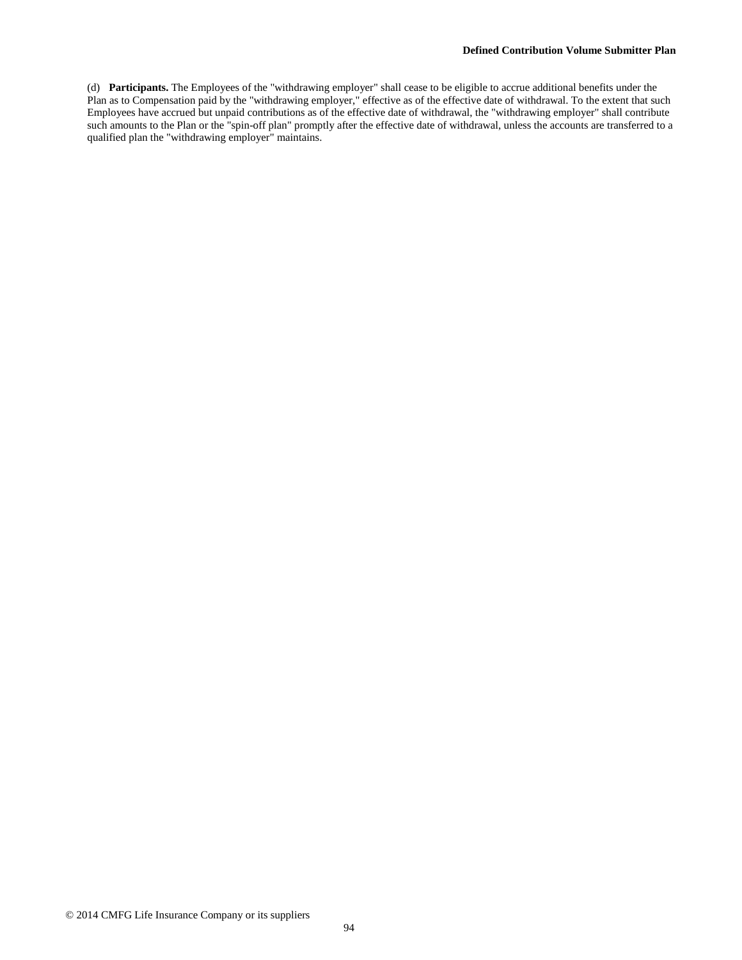(d) **Participants.** The Employees of the "withdrawing employer" shall cease to be eligible to accrue additional benefits under the Plan as to Compensation paid by the "withdrawing employer," effective as of the effective date of withdrawal. To the extent that such Employees have accrued but unpaid contributions as of the effective date of withdrawal, the "withdrawing employer" shall contribute such amounts to the Plan or the "spin-off plan" promptly after the effective date of withdrawal, unless the accounts are transferred to a qualified plan the "withdrawing employer" maintains.